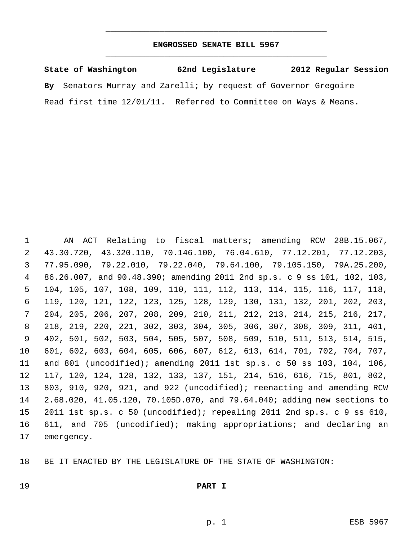## **ENGROSSED SENATE BILL 5967** \_\_\_\_\_\_\_\_\_\_\_\_\_\_\_\_\_\_\_\_\_\_\_\_\_\_\_\_\_\_\_\_\_\_\_\_\_\_\_\_\_\_\_\_\_

\_\_\_\_\_\_\_\_\_\_\_\_\_\_\_\_\_\_\_\_\_\_\_\_\_\_\_\_\_\_\_\_\_\_\_\_\_\_\_\_\_\_\_\_\_

**State of Washington 62nd Legislature 2012 Regular Session By** Senators Murray and Zarelli; by request of Governor Gregoire Read first time 12/01/11. Referred to Committee on Ways & Means.

 AN ACT Relating to fiscal matters; amending RCW 28B.15.067, 43.30.720, 43.320.110, 70.146.100, 76.04.610, 77.12.201, 77.12.203, 77.95.090, 79.22.010, 79.22.040, 79.64.100, 79.105.150, 79A.25.200, 86.26.007, and 90.48.390; amending 2011 2nd sp.s. c 9 ss 101, 102, 103, 104, 105, 107, 108, 109, 110, 111, 112, 113, 114, 115, 116, 117, 118, 119, 120, 121, 122, 123, 125, 128, 129, 130, 131, 132, 201, 202, 203, 204, 205, 206, 207, 208, 209, 210, 211, 212, 213, 214, 215, 216, 217, 218, 219, 220, 221, 302, 303, 304, 305, 306, 307, 308, 309, 311, 401, 402, 501, 502, 503, 504, 505, 507, 508, 509, 510, 511, 513, 514, 515, 601, 602, 603, 604, 605, 606, 607, 612, 613, 614, 701, 702, 704, 707, and 801 (uncodified); amending 2011 1st sp.s. c 50 ss 103, 104, 106, 117, 120, 124, 128, 132, 133, 137, 151, 214, 516, 616, 715, 801, 802, 803, 910, 920, 921, and 922 (uncodified); reenacting and amending RCW 2.68.020, 41.05.120, 70.105D.070, and 79.64.040; adding new sections to 2011 1st sp.s. c 50 (uncodified); repealing 2011 2nd sp.s. c 9 ss 610, 611, and 705 (uncodified); making appropriations; and declaring an emergency.

BE IT ENACTED BY THE LEGISLATURE OF THE STATE OF WASHINGTON:

## **PART I**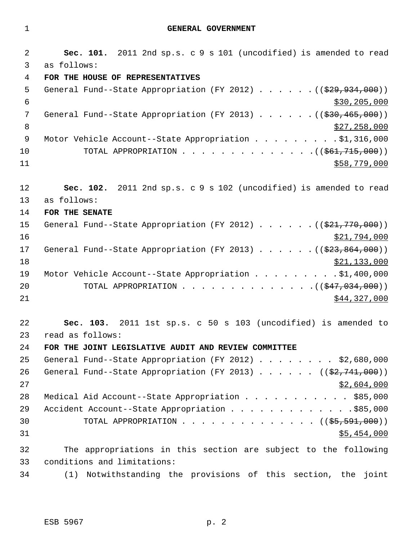1 **GENERAL GOVERNMENT**

 2 **Sec. 101.** 2011 2nd sp.s. c 9 s 101 (uncodified) is amended to read 3 as follows: 4 **FOR THE HOUSE OF REPRESENTATIVES** 5 General Fund--State Appropriation (FY 2012) . . . . . . ((\$29,934,000))  $\frac{1}{30}$  \$30,205,000 7 General Fund--State Appropriation (FY 2013) . . . . . . ((\$30,465,000)) 8  $\frac{1}{27,258,000}$ 9 Motor Vehicle Account--State Appropriation . . . . . . . . \$1,316,000 10 TOTAL APPROPRIATION . . . . . . . . . . . . . . ((<del>\$61,715,000</del>))  $11$  \$58,779,000 12 **Sec. 102.** 2011 2nd sp.s. c 9 s 102 (uncodified) is amended to read 13 as follows: 14 **FOR THE SENATE** 15 General Fund--State Appropriation (FY 2012) . . . . . . ((\$21,770,000))  $16$  \$21,794,000 17 General Fund--State Appropriation (FY 2013) . . . . . . ((\$23,864,000))  $\frac{$21,133,000}{ }$ 19 Motor Vehicle Account--State Appropriation . . . . . . . . \$1,400,000 20 TOTAL APPROPRIATION . . . . . . . . . . . . . ((<del>\$47,034,000</del>))  $21$  \$44,327,000 22 **Sec. 103.** 2011 1st sp.s. c 50 s 103 (uncodified) is amended to 23 read as follows: 24 **FOR THE JOINT LEGISLATIVE AUDIT AND REVIEW COMMITTEE** 25 General Fund--State Appropriation (FY 2012) . . . . . . . . \$2,680,000 26 General Fund--State Appropriation (FY 2013)  $\ldots$  . . . (( $\frac{27.741,000}{2}$ )  $27$  \$2,604,000 28 Medical Aid Account--State Appropriation . . . . . . . . . . \$85,000 29 Accident Account--State Appropriation . . . . . . . . . . . . \$85,000 30 TOTAL APPROPRIATION . . . . . . . . . . . . . ((<del>\$5,591,000</del>))  $31$  \$5,454,000 32 The appropriations in this section are subject to the following 33 conditions and limitations: 34 (1) Notwithstanding the provisions of this section, the joint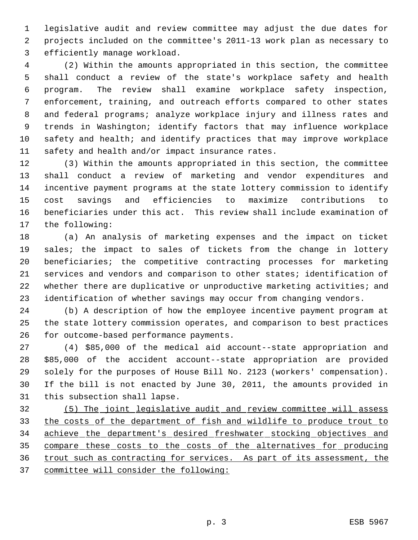legislative audit and review committee may adjust the due dates for projects included on the committee's 2011-13 work plan as necessary to efficiently manage workload.

 (2) Within the amounts appropriated in this section, the committee shall conduct a review of the state's workplace safety and health program. The review shall examine workplace safety inspection, enforcement, training, and outreach efforts compared to other states and federal programs; analyze workplace injury and illness rates and trends in Washington; identify factors that may influence workplace safety and health; and identify practices that may improve workplace safety and health and/or impact insurance rates.

 (3) Within the amounts appropriated in this section, the committee shall conduct a review of marketing and vendor expenditures and incentive payment programs at the state lottery commission to identify cost savings and efficiencies to maximize contributions to beneficiaries under this act. This review shall include examination of the following:

 (a) An analysis of marketing expenses and the impact on ticket sales; the impact to sales of tickets from the change in lottery beneficiaries; the competitive contracting processes for marketing services and vendors and comparison to other states; identification of whether there are duplicative or unproductive marketing activities; and identification of whether savings may occur from changing vendors.

 (b) A description of how the employee incentive payment program at the state lottery commission operates, and comparison to best practices for outcome-based performance payments.

 (4) \$85,000 of the medical aid account--state appropriation and \$85,000 of the accident account--state appropriation are provided solely for the purposes of House Bill No. 2123 (workers' compensation). If the bill is not enacted by June 30, 2011, the amounts provided in this subsection shall lapse.

 (5) The joint legislative audit and review committee will assess the costs of the department of fish and wildlife to produce trout to achieve the department's desired freshwater stocking objectives and compare these costs to the costs of the alternatives for producing trout such as contracting for services. As part of its assessment, the committee will consider the following: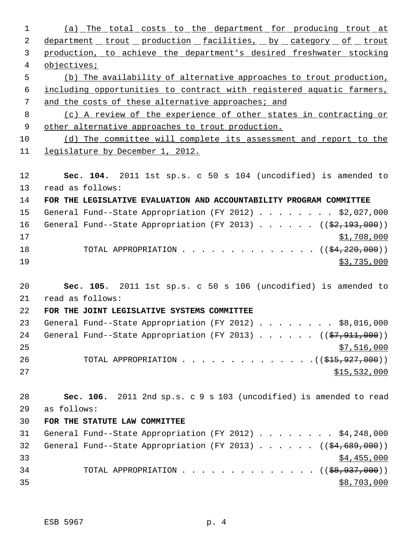| 1  | (a) The total costs to the department for producing trout at                  |
|----|-------------------------------------------------------------------------------|
| 2  | department _ trout _ production _ facilities, _ by _ category _ of _ trout    |
| 3  | production, to achieve the department's desired freshwater stocking           |
| 4  | objectives;                                                                   |
| 5  | (b) The availability of alternative approaches to trout production,           |
| 6  | including opportunities to contract with registered aquatic farmers,          |
| 7  | and the costs of these alternative approaches; and                            |
| 8  | (c) A review of the experience of other states in contracting or              |
| 9  | other alternative approaches to trout production.                             |
| 10 | (d) The committee will complete its assessment and report to the              |
| 11 | legislature by December 1, 2012.                                              |
|    |                                                                               |
| 12 | Sec. 104. 2011 1st sp.s. c 50 s 104 (uncodified) is amended to                |
| 13 | read as follows:                                                              |
| 14 | FOR THE LEGISLATIVE EVALUATION AND ACCOUNTABILITY PROGRAM COMMITTEE           |
| 15 | General Fund--State Appropriation (FY 2012) \$2,027,000                       |
| 16 | General Fund--State Appropriation (FY 2013) ( $(\frac{2}{32}, 193, 000)$ )    |
| 17 | \$1,708,000                                                                   |
| 18 | TOTAL APPROPRIATION $($ $($ $\frac{220}{100})$                                |
| 19 | \$3,735,000                                                                   |
| 20 | Sec. 105. 2011 1st sp.s. c 50 s 106 (uncodified) is amended to                |
| 21 | read as follows:                                                              |
| 22 | FOR THE JOINT LEGISLATIVE SYSTEMS COMMITTEE                                   |
| 23 | General Fund--State Appropriation (FY 2012) \$8,016,000                       |
| 24 | General Fund--State Appropriation (FY 2013) $($ $($ $\frac{27}{7},911,000)$ ) |
| 25 | \$7,516,000                                                                   |
| 26 | TOTAL APPROPRIATION ( $(\frac{1515}{157000})$ )                               |
| 27 | \$15,532,000                                                                  |
|    |                                                                               |
| 28 | Sec. 106. 2011 2nd sp.s. c 9 s 103 (uncodified) is amended to read            |
| 29 | as follows:                                                                   |
| 30 | FOR THE STATUTE LAW COMMITTEE                                                 |
| 31 | General Fund--State Appropriation (FY 2012) \$4,248,000                       |
| 32 | General Fund--State Appropriation (FY 2013) $($ $($ \$4,689,000))             |
| 33 | \$4,455,000                                                                   |
| 34 | TOTAL APPROPRIATION ( $(\frac{28}{7977000})$ )                                |
| 35 | \$8,703,000                                                                   |
|    |                                                                               |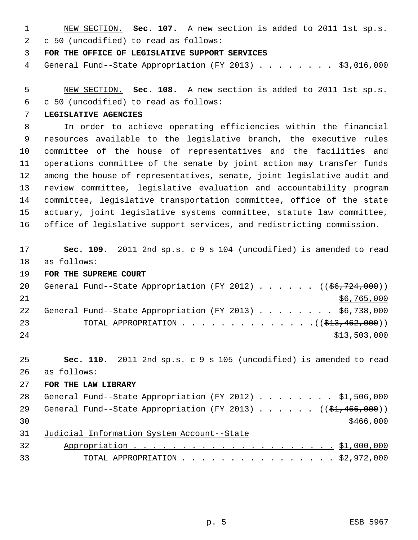NEW SECTION. **Sec. 107.** A new section is added to 2011 1st sp.s. c 50 (uncodified) to read as follows:

**FOR THE OFFICE OF LEGISLATIVE SUPPORT SERVICES**

General Fund--State Appropriation (FY 2013) . . . . . . . . \$3,016,000

 NEW SECTION. **Sec. 108.** A new section is added to 2011 1st sp.s. c 50 (uncodified) to read as follows:

**LEGISLATIVE AGENCIES**

 In order to achieve operating efficiencies within the financial resources available to the legislative branch, the executive rules committee of the house of representatives and the facilities and operations committee of the senate by joint action may transfer funds among the house of representatives, senate, joint legislative audit and review committee, legislative evaluation and accountability program committee, legislative transportation committee, office of the state actuary, joint legislative systems committee, statute law committee, office of legislative support services, and redistricting commission.

**Sec. 109.** 2011 2nd sp.s. c 9 s 104 (uncodified) is amended to read

- as follows:
- **FOR THE SUPREME COURT**

| 20 |  | General Fund--State Appropriation (FY 2012) ( $(\frac{66}{724}, 000)$ ) |  |  |  |  |              |  |
|----|--|-------------------------------------------------------------------------|--|--|--|--|--------------|--|
| 21 |  |                                                                         |  |  |  |  | \$6,765,000  |  |
| 22 |  | General Fund--State Appropriation (FY 2013) \$6,738,000                 |  |  |  |  |              |  |
| 23 |  | TOTAL APPROPRIATION $\ldots$ , ( $(\frac{13}{213}, \frac{462}{100})$ )  |  |  |  |  |              |  |
| 24 |  |                                                                         |  |  |  |  | \$13,503,000 |  |

**Sec. 110.** 2011 2nd sp.s. c 9 s 105 (uncodified) is amended to read

- as follows:
- **FOR THE LAW LIBRARY**

|    |  | 28 General Fund--State Appropriation (FY 2012) \$1,506,000     |  |  |  |  |  |           |  |
|----|--|----------------------------------------------------------------|--|--|--|--|--|-----------|--|
|    |  | 29 General Fund--State Appropriation (FY 2013) ((\$1,466,000)) |  |  |  |  |  |           |  |
| 30 |  |                                                                |  |  |  |  |  | \$466,000 |  |
|    |  | 31 Judicial Information System Account--State                  |  |  |  |  |  |           |  |

 Appropriation . . . . . . . . . . . . . . . . . . . . . \$1,000,000 TOTAL APPROPRIATION . . . . . . . . . . . . . . . . \$2,972,000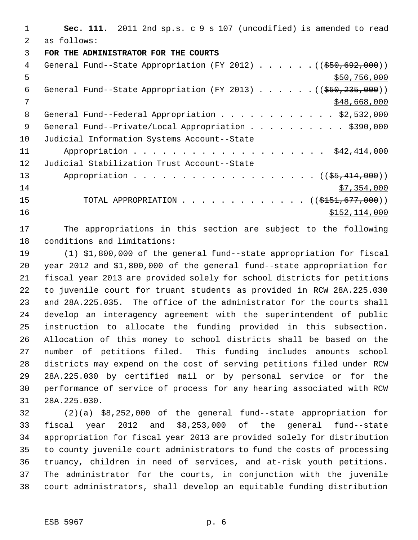**Sec. 111.** 2011 2nd sp.s. c 9 s 107 (uncodified) is amended to read as follows: **FOR THE ADMINISTRATOR FOR THE COURTS** 4 General Fund--State Appropriation (FY 2012) . . . . . . ((\$50,692,000))  $550,756,000$ 6 General Fund--State Appropriation (FY 2013) . . . . . . ((\$50,235,000))  $7 \times 548,668,000$ 8 General Fund--Federal Appropriation . . . . . . . . . . . . \$2,532,000 9 General Fund--Private/Local Appropriation . . . . . . . . . \$390,000 Judicial Information Systems Account--State 11 Appropriation . . . . . . . . . . . . . . . . . . \$42,414,000 Judicial Stabilization Trust Account--State 13 Appropriation . . . . . . . . . . . . . . . . . ((\$5,414,000)) \$7,354,000 15 TOTAL APPROPRIATION . . . . . . . . . . . . ((\$<del>151,677,000</del>)) 16 \$152,114,000

 The appropriations in this section are subject to the following conditions and limitations:

 (1) \$1,800,000 of the general fund--state appropriation for fiscal year 2012 and \$1,800,000 of the general fund--state appropriation for fiscal year 2013 are provided solely for school districts for petitions to juvenile court for truant students as provided in RCW 28A.225.030 and 28A.225.035. The office of the administrator for the courts shall develop an interagency agreement with the superintendent of public instruction to allocate the funding provided in this subsection. Allocation of this money to school districts shall be based on the number of petitions filed. This funding includes amounts school districts may expend on the cost of serving petitions filed under RCW 28A.225.030 by certified mail or by personal service or for the performance of service of process for any hearing associated with RCW 28A.225.030.

 (2)(a) \$8,252,000 of the general fund--state appropriation for fiscal year 2012 and \$8,253,000 of the general fund--state appropriation for fiscal year 2013 are provided solely for distribution to county juvenile court administrators to fund the costs of processing truancy, children in need of services, and at-risk youth petitions. The administrator for the courts, in conjunction with the juvenile court administrators, shall develop an equitable funding distribution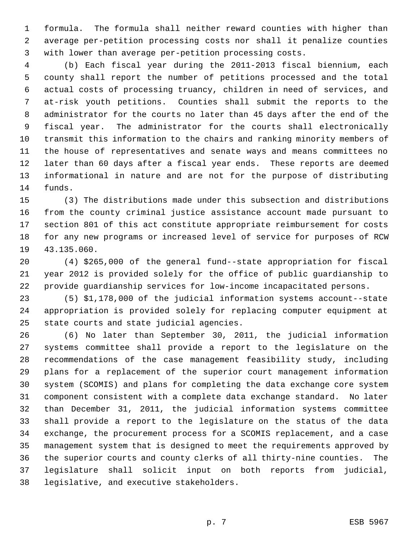formula. The formula shall neither reward counties with higher than average per-petition processing costs nor shall it penalize counties with lower than average per-petition processing costs.

 (b) Each fiscal year during the 2011-2013 fiscal biennium, each county shall report the number of petitions processed and the total actual costs of processing truancy, children in need of services, and at-risk youth petitions. Counties shall submit the reports to the administrator for the courts no later than 45 days after the end of the fiscal year. The administrator for the courts shall electronically transmit this information to the chairs and ranking minority members of the house of representatives and senate ways and means committees no later than 60 days after a fiscal year ends. These reports are deemed informational in nature and are not for the purpose of distributing funds.

 (3) The distributions made under this subsection and distributions from the county criminal justice assistance account made pursuant to section 801 of this act constitute appropriate reimbursement for costs for any new programs or increased level of service for purposes of RCW 43.135.060.

 (4) \$265,000 of the general fund--state appropriation for fiscal year 2012 is provided solely for the office of public guardianship to provide guardianship services for low-income incapacitated persons.

 (5) \$1,178,000 of the judicial information systems account--state appropriation is provided solely for replacing computer equipment at state courts and state judicial agencies.

 (6) No later than September 30, 2011, the judicial information systems committee shall provide a report to the legislature on the recommendations of the case management feasibility study, including plans for a replacement of the superior court management information system (SCOMIS) and plans for completing the data exchange core system component consistent with a complete data exchange standard. No later than December 31, 2011, the judicial information systems committee shall provide a report to the legislature on the status of the data exchange, the procurement process for a SCOMIS replacement, and a case management system that is designed to meet the requirements approved by the superior courts and county clerks of all thirty-nine counties. The legislature shall solicit input on both reports from judicial, legislative, and executive stakeholders.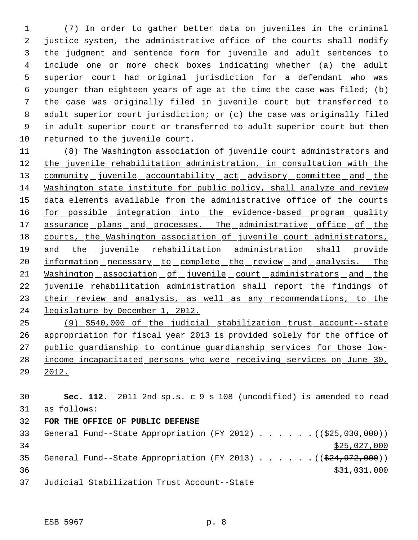(7) In order to gather better data on juveniles in the criminal justice system, the administrative office of the courts shall modify the judgment and sentence form for juvenile and adult sentences to include one or more check boxes indicating whether (a) the adult superior court had original jurisdiction for a defendant who was younger than eighteen years of age at the time the case was filed; (b) the case was originally filed in juvenile court but transferred to adult superior court jurisdiction; or (c) the case was originally filed in adult superior court or transferred to adult superior court but then returned to the juvenile court.

 (8) The Washington association of juvenile court administrators and 12 the juvenile rehabilitation administration, in consultation with the 13 community juvenile accountability act advisory committee and the Washington state institute for public policy, shall analyze and review 15 data elements available from the administrative office of the courts 16 for possible integration into the evidence-based program quality 17 assurance plans and processes. The administrative office of the 18 courts, the Washington association of juvenile court administrators, 19 and the juvenile rehabilitation administration shall provide 20 information necessary to complete the review and analysis. The 21 Washington association of juvenile court administrators and the 22 juvenile rehabilitation administration shall report the findings of 23 their review and analysis, as well as any recommendations, to the legislature by December 1, 2012.

 (9) \$540,000 of the judicial stabilization trust account--state appropriation for fiscal year 2013 is provided solely for the office of public guardianship to continue guardianship services for those low- income incapacitated persons who were receiving services on June 30, 2012.

 **Sec. 112.** 2011 2nd sp.s. c 9 s 108 (uncodified) is amended to read as follows: **FOR THE OFFICE OF PUBLIC DEFENSE** 33 General Fund--State Appropriation (FY 2012) . . . . . . ((\$25,030,000)) \$25,027,000 35 General Fund--State Appropriation (FY 2013) . . . . . . ((\$24,972,000)) \$31,031,000

Judicial Stabilization Trust Account--State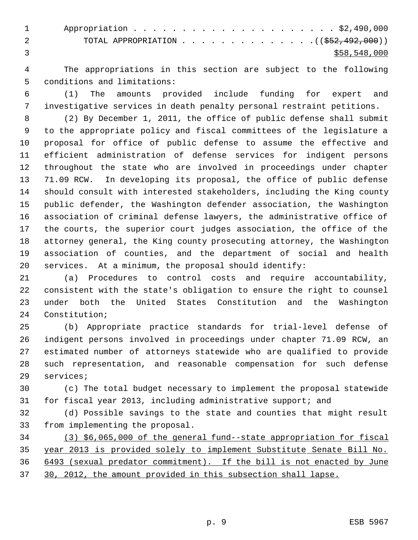| $\mathbf 1$ |                                                                    |
|-------------|--------------------------------------------------------------------|
|             | TOTAL APPROPRIATION $($ $(\frac{252}{192}, 492, 000))$<br>$\sim$ 2 |
|             | \$58,548,000                                                       |

 The appropriations in this section are subject to the following conditions and limitations:

 (1) The amounts provided include funding for expert and investigative services in death penalty personal restraint petitions.

 (2) By December 1, 2011, the office of public defense shall submit to the appropriate policy and fiscal committees of the legislature a proposal for office of public defense to assume the effective and efficient administration of defense services for indigent persons throughout the state who are involved in proceedings under chapter 71.09 RCW. In developing its proposal, the office of public defense should consult with interested stakeholders, including the King county public defender, the Washington defender association, the Washington association of criminal defense lawyers, the administrative office of the courts, the superior court judges association, the office of the attorney general, the King county prosecuting attorney, the Washington association of counties, and the department of social and health services. At a minimum, the proposal should identify:

 (a) Procedures to control costs and require accountability, consistent with the state's obligation to ensure the right to counsel under both the United States Constitution and the Washington Constitution;

 (b) Appropriate practice standards for trial-level defense of indigent persons involved in proceedings under chapter 71.09 RCW, an estimated number of attorneys statewide who are qualified to provide such representation, and reasonable compensation for such defense services;

 (c) The total budget necessary to implement the proposal statewide for fiscal year 2013, including administrative support; and

 (d) Possible savings to the state and counties that might result from implementing the proposal.

 (3) \$6,065,000 of the general fund--state appropriation for fiscal year 2013 is provided solely to implement Substitute Senate Bill No. 6493 (sexual predator commitment). If the bill is not enacted by June 30, 2012, the amount provided in this subsection shall lapse.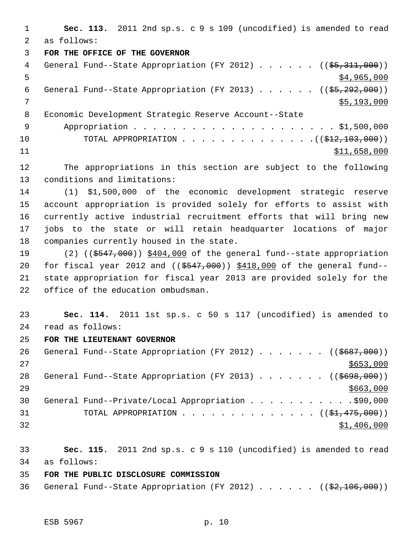**Sec. 113.** 2011 2nd sp.s. c 9 s 109 (uncodified) is amended to read as follows: **FOR THE OFFICE OF THE GOVERNOR** 4 General Fund--State Appropriation (FY 2012) . . . . . ((\$5,311,000))  $5 - 5$   $\frac{1}{2}$   $\frac{1}{2}$   $\frac{1}{2}$   $\frac{1}{2}$   $\frac{1}{2}$   $\frac{1}{2}$   $\frac{1}{2}$   $\frac{1}{2}$   $\frac{1}{2}$   $\frac{1}{2}$   $\frac{1}{2}$   $\frac{1}{2}$   $\frac{1}{2}$   $\frac{1}{2}$   $\frac{1}{2}$   $\frac{1}{2}$   $\frac{1}{2}$   $\frac{1}{2}$   $\frac{1}{2}$   $\frac{1}{2}$   $\frac{1}{2}$   $\frac{$ 6 General Fund--State Appropriation (FY 2013)  $\ldots$  . . . (( $$5,292,000$ )) \$5,193,000 Economic Development Strategic Reserve Account--State Appropriation . . . . . . . . . . . . . . . . . . . . . \$1,500,000 10 TOTAL APPROPRIATION . . . . . . . . . . . . . . ((<del>\$12,103,000</del>)) \$11,658,000 The appropriations in this section are subject to the following

conditions and limitations:

 (1) \$1,500,000 of the economic development strategic reserve account appropriation is provided solely for efforts to assist with currently active industrial recruitment efforts that will bring new jobs to the state or will retain headquarter locations of major companies currently housed in the state.

19 (2) ((\$547,000)) \$404,000 of the general fund--state appropriation 20 for fiscal year 2012 and ((\$547,000)) \$418,000 of the general fund-- state appropriation for fiscal year 2013 are provided solely for the office of the education ombudsman.

 **Sec. 114.** 2011 1st sp.s. c 50 s 117 (uncodified) is amended to read as follows:

**FOR THE LIEUTENANT GOVERNOR**

| 26  | General Fund--State Appropriation (FY 2012) ( $(\frac{26697,000}{1000})$ |
|-----|--------------------------------------------------------------------------|
| 2.7 | \$653,000                                                                |
| 28  | General Fund--State Appropriation (FY 2013) ( $(\frac{2698,000}{1})$     |
| 2.9 | \$663,000                                                                |
| 30  | General Fund--Private/Local Appropriation 90,000                         |
| 31  | TOTAL APPROPRIATION $\ldots$ , ( $(\frac{1}{21}, \frac{475}{100})$ )     |
| 32  | \$1,406,000                                                              |

 **Sec. 115.** 2011 2nd sp.s. c 9 s 110 (uncodified) is amended to read as follows:

**FOR THE PUBLIC DISCLOSURE COMMISSION**

36 General Fund--State Appropriation (FY 2012)  $\ldots$  . . . . ((\$2,106,000))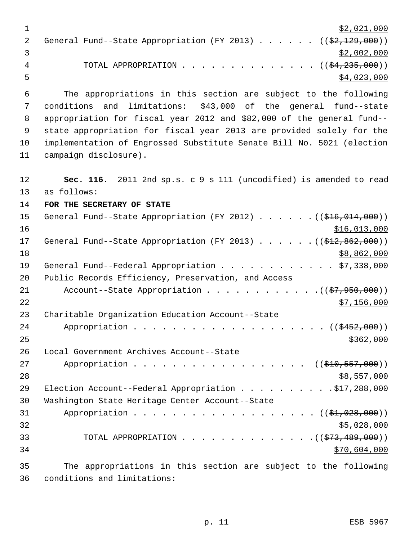$\frac{1}{2}$   $\frac{1}{2}$   $\frac{21}{000}$ 2 General Fund--State Appropriation (FY 2013) . . . . . . ((\$2,129,000))  $\frac{1}{3}$   $\frac{1}{2}$ ,002,000 4 TOTAL APPROPRIATION . . . . . . . . . . . . . ((<del>\$4,235,000</del>))  $5 - 5$  \$4,023,000

 The appropriations in this section are subject to the following conditions and limitations: \$43,000 of the general fund--state appropriation for fiscal year 2012 and \$82,000 of the general fund-- state appropriation for fiscal year 2013 are provided solely for the implementation of Engrossed Substitute Senate Bill No. 5021 (election campaign disclosure).

12 **Sec. 116.** 2011 2nd sp.s. c 9 s 111 (uncodified) is amended to read 13 as follows: 14 **FOR THE SECRETARY OF STATE** 15 General Fund--State Appropriation (FY 2012) . . . . . . ((\$16,014,000))  $16$  \$16,013,000 17 General Fund--State Appropriation (FY 2013) . . . . . . ((\$12,862,000))  $18$  \$8,862,000 19 General Fund--Federal Appropriation . . . . . . . . . . . \$7,338,000 20 Public Records Efficiency, Preservation, and Access 21 Account--State Appropriation . . . . . . . . . . . . ((\$7,950,000))  $22$   $\frac{$7,156,000}{ }$ 23 Charitable Organization Education Account--State 24 Appropriation . . . . . . . . . . . . . . . . . ((\$452,000))  $25$ 26 Local Government Archives Account--State 27 Appropriation . . . . . . . . . . . . . . . . ((\$10,557,000))  $28$   $557,000$ 29 Election Account--Federal Appropriation . . . . . . . . . . \$17,288,000 30 Washington State Heritage Center Account--State 31 Appropriation . . . . . . . . . . . . . . . . . (  $(\frac{21}{1028}, 000)$  )  $32$  \$5,028,000 33 TOTAL APPROPRIATION . . . . . . . . . . . . . . ((\$73,489,000)) 34 \$70,604,000 35 The appropriations in this section are subject to the following

36 conditions and limitations: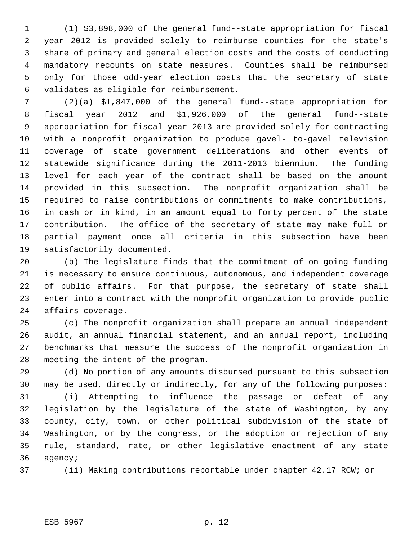(1) \$3,898,000 of the general fund--state appropriation for fiscal year 2012 is provided solely to reimburse counties for the state's share of primary and general election costs and the costs of conducting mandatory recounts on state measures. Counties shall be reimbursed only for those odd-year election costs that the secretary of state validates as eligible for reimbursement.

 (2)(a) \$1,847,000 of the general fund--state appropriation for fiscal year 2012 and \$1,926,000 of the general fund--state appropriation for fiscal year 2013 are provided solely for contracting with a nonprofit organization to produce gavel- to-gavel television coverage of state government deliberations and other events of statewide significance during the 2011-2013 biennium. The funding level for each year of the contract shall be based on the amount provided in this subsection. The nonprofit organization shall be required to raise contributions or commitments to make contributions, in cash or in kind, in an amount equal to forty percent of the state contribution. The office of the secretary of state may make full or partial payment once all criteria in this subsection have been satisfactorily documented.

 (b) The legislature finds that the commitment of on-going funding is necessary to ensure continuous, autonomous, and independent coverage 22 of public affairs. For that purpose, the secretary of state shall enter into a contract with the nonprofit organization to provide public affairs coverage.

 (c) The nonprofit organization shall prepare an annual independent audit, an annual financial statement, and an annual report, including benchmarks that measure the success of the nonprofit organization in meeting the intent of the program.

 (d) No portion of any amounts disbursed pursuant to this subsection may be used, directly or indirectly, for any of the following purposes:

 (i) Attempting to influence the passage or defeat of any legislation by the legislature of the state of Washington, by any county, city, town, or other political subdivision of the state of Washington, or by the congress, or the adoption or rejection of any rule, standard, rate, or other legislative enactment of any state agency;

(ii) Making contributions reportable under chapter 42.17 RCW; or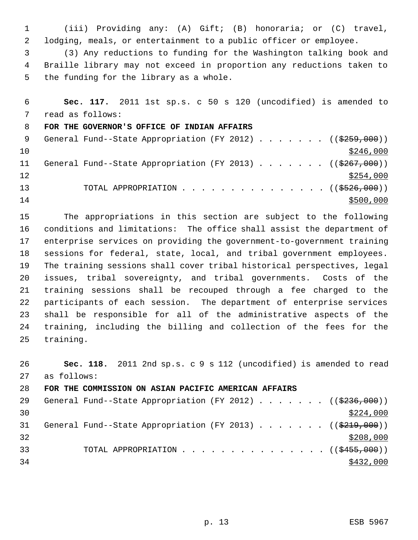(iii) Providing any: (A) Gift; (B) honoraria; or (C) travel, lodging, meals, or entertainment to a public officer or employee.

 (3) Any reductions to funding for the Washington talking book and Braille library may not exceed in proportion any reductions taken to the funding for the library as a whole.

 **Sec. 117.** 2011 1st sp.s. c 50 s 120 (uncodified) is amended to read as follows: **FOR THE GOVERNOR'S OFFICE OF INDIAN AFFAIRS** 9 General Fund--State Appropriation (FY 2012) . . . . . . . ((\$259,000))  $\frac{$246,000}{ }$ 11 General Fund--State Appropriation (FY 2013) . . . . . . ((\$267,000))  $\frac{$254,000}{}$ 13 TOTAL APPROPRIATION . . . . . . . . . . . . . . ((<del>\$526,000</del>)) \$500,000

 The appropriations in this section are subject to the following conditions and limitations: The office shall assist the department of enterprise services on providing the government-to-government training sessions for federal, state, local, and tribal government employees. The training sessions shall cover tribal historical perspectives, legal issues, tribal sovereignty, and tribal governments. Costs of the training sessions shall be recouped through a fee charged to the participants of each session. The department of enterprise services shall be responsible for all of the administrative aspects of the training, including the billing and collection of the fees for the training.

 **Sec. 118.** 2011 2nd sp.s. c 9 s 112 (uncodified) is amended to read as follows: **FOR THE COMMISSION ON ASIAN PACIFIC AMERICAN AFFAIRS** 29 General Fund--State Appropriation (FY 2012) . . . . . . ((\$236,000))  $\frac{$224,000}{ }$ 31 General Fund--State Appropriation (FY 2013) . . . . . . ((\$219,000)) 33 TOTAL APPROPRIATION . . . . . . . . . . . . . . . ((\$455,000))  $\frac{$432,000}{ }$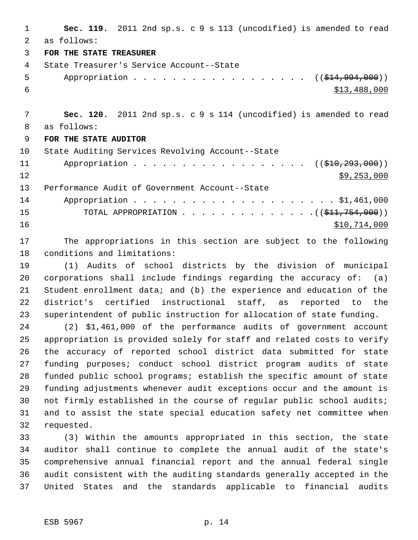**Sec. 119.** 2011 2nd sp.s. c 9 s 113 (uncodified) is amended to read as follows: **FOR THE STATE TREASURER** State Treasurer's Service Account--State 5 Appropriation . . . . . . . . . . . . . . . . . ((\$14,994,000))  $\frac{$13,488,000}{2}$  **Sec. 120.** 2011 2nd sp.s. c 9 s 114 (uncodified) is amended to read as follows: **FOR THE STATE AUDITOR** State Auditing Services Revolving Account--State 11 Appropriation . . . . . . . . . . . . . . . . ((\$10,293,000)) \$9,253,000 Performance Audit of Government Account--State Appropriation . . . . . . . . . . . . . . . . . . . . . \$1,461,000 15 TOTAL APPROPRIATION . . . . . . . . . . . . . . ((\$<del>11,754,000</del>))  $$10,714,000$ 

 The appropriations in this section are subject to the following conditions and limitations:

 (1) Audits of school districts by the division of municipal corporations shall include findings regarding the accuracy of: (a) Student enrollment data; and (b) the experience and education of the district's certified instructional staff, as reported to the superintendent of public instruction for allocation of state funding.

 (2) \$1,461,000 of the performance audits of government account appropriation is provided solely for staff and related costs to verify the accuracy of reported school district data submitted for state funding purposes; conduct school district program audits of state funded public school programs; establish the specific amount of state funding adjustments whenever audit exceptions occur and the amount is not firmly established in the course of regular public school audits; and to assist the state special education safety net committee when requested.

 (3) Within the amounts appropriated in this section, the state auditor shall continue to complete the annual audit of the state's comprehensive annual financial report and the annual federal single audit consistent with the auditing standards generally accepted in the United States and the standards applicable to financial audits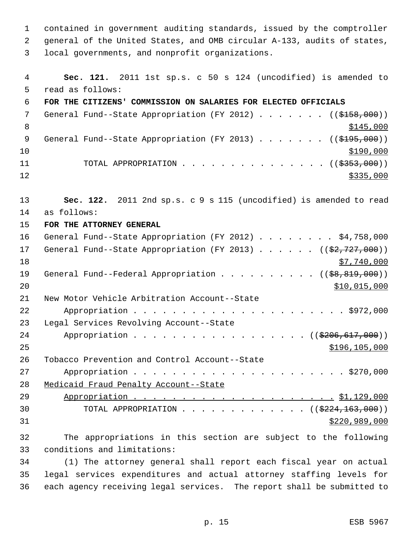contained in government auditing standards, issued by the comptroller general of the United States, and OMB circular A-133, audits of states, local governments, and nonprofit organizations.

 **Sec. 121.** 2011 1st sp.s. c 50 s 124 (uncodified) is amended to read as follows: **FOR THE CITIZENS' COMMISSION ON SALARIES FOR ELECTED OFFICIALS** 7 General Fund--State Appropriation (FY 2012) . . . . . . ((\$158,000))  $\frac{$145,000}{ }$ 9 General Fund--State Appropriation (FY 2013) . . . . . . . ((\$195,000))  $$190,000$ 11 TOTAL APPROPRIATION . . . . . . . . . . . . . ((<del>\$353,000</del>))  $12 \frac{\text{S335,000}}{}$  **Sec. 122.** 2011 2nd sp.s. c 9 s 115 (uncodified) is amended to read as follows: **FOR THE ATTORNEY GENERAL** General Fund--State Appropriation (FY 2012) . . . . . . . . \$4,758,000 17 General Fund--State Appropriation (FY 2013) . . . . . ((\$2,727,000))  $\frac{$7,740,000}{ }$ 19 General Fund--Federal Appropriation . . . . . . . . . ((\$8,819,000)) \$10,015,000 New Motor Vehicle Arbitration Account--State Appropriation . . . . . . . . . . . . . . . . . . . . . . \$972,000 Legal Services Revolving Account--State 24 Appropriation . . . . . . . . . . . . . . . . ((\$206,617,000))  $$196,105,000$  Tobacco Prevention and Control Account--State Appropriation . . . . . . . . . . . . . . . . . . . . . . \$270,000 Medicaid Fraud Penalty Account--State Appropriation . . . . . . . . . . . . . . . . . . . . . \$1,129,000 30 TOTAL APPROPRIATION  $\ldots$ , . . . . . . . . . . ( $(\frac{2224,163,000}{2})$  \$220,989,000 The appropriations in this section are subject to the following conditions and limitations: (1) The attorney general shall report each fiscal year on actual

 legal services expenditures and actual attorney staffing levels for each agency receiving legal services. The report shall be submitted to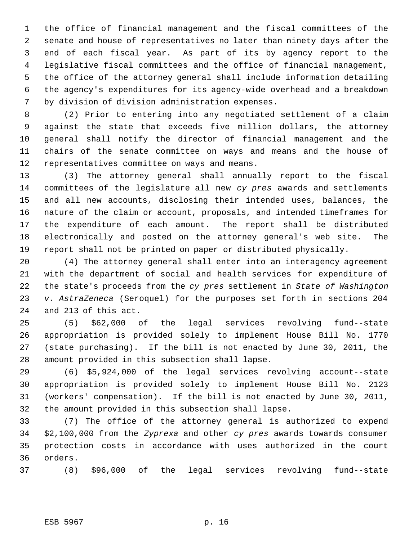the office of financial management and the fiscal committees of the senate and house of representatives no later than ninety days after the end of each fiscal year. As part of its by agency report to the legislative fiscal committees and the office of financial management, the office of the attorney general shall include information detailing the agency's expenditures for its agency-wide overhead and a breakdown by division of division administration expenses.

 (2) Prior to entering into any negotiated settlement of a claim against the state that exceeds five million dollars, the attorney general shall notify the director of financial management and the chairs of the senate committee on ways and means and the house of representatives committee on ways and means.

 (3) The attorney general shall annually report to the fiscal committees of the legislature all new *cy pres* awards and settlements and all new accounts, disclosing their intended uses, balances, the nature of the claim or account, proposals, and intended timeframes for the expenditure of each amount. The report shall be distributed electronically and posted on the attorney general's web site. The report shall not be printed on paper or distributed physically.

 (4) The attorney general shall enter into an interagency agreement with the department of social and health services for expenditure of the state's proceeds from the *cy pres* settlement in *State of Washington v. AstraZeneca* (Seroquel) for the purposes set forth in sections 204 and 213 of this act.

 (5) \$62,000 of the legal services revolving fund--state appropriation is provided solely to implement House Bill No. 1770 (state purchasing). If the bill is not enacted by June 30, 2011, the amount provided in this subsection shall lapse.

 (6) \$5,924,000 of the legal services revolving account--state appropriation is provided solely to implement House Bill No. 2123 (workers' compensation). If the bill is not enacted by June 30, 2011, the amount provided in this subsection shall lapse.

 (7) The office of the attorney general is authorized to expend \$2,100,000 from the *Zyprexa* and other *cy pres* awards towards consumer protection costs in accordance with uses authorized in the court orders.

(8) \$96,000 of the legal services revolving fund--state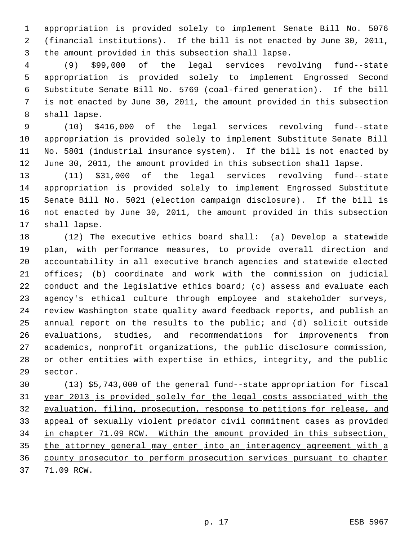appropriation is provided solely to implement Senate Bill No. 5076 (financial institutions). If the bill is not enacted by June 30, 2011, the amount provided in this subsection shall lapse.

 (9) \$99,000 of the legal services revolving fund--state appropriation is provided solely to implement Engrossed Second Substitute Senate Bill No. 5769 (coal-fired generation). If the bill is not enacted by June 30, 2011, the amount provided in this subsection shall lapse.

 (10) \$416,000 of the legal services revolving fund--state appropriation is provided solely to implement Substitute Senate Bill No. 5801 (industrial insurance system). If the bill is not enacted by June 30, 2011, the amount provided in this subsection shall lapse.

 (11) \$31,000 of the legal services revolving fund--state appropriation is provided solely to implement Engrossed Substitute Senate Bill No. 5021 (election campaign disclosure). If the bill is not enacted by June 30, 2011, the amount provided in this subsection shall lapse.

 (12) The executive ethics board shall: (a) Develop a statewide plan, with performance measures, to provide overall direction and accountability in all executive branch agencies and statewide elected offices; (b) coordinate and work with the commission on judicial 22 conduct and the legislative ethics board; (c) assess and evaluate each agency's ethical culture through employee and stakeholder surveys, review Washington state quality award feedback reports, and publish an annual report on the results to the public; and (d) solicit outside evaluations, studies, and recommendations for improvements from academics, nonprofit organizations, the public disclosure commission, or other entities with expertise in ethics, integrity, and the public sector.

 (13) \$5,743,000 of the general fund--state appropriation for fiscal year 2013 is provided solely for the legal costs associated with the evaluation, filing, prosecution, response to petitions for release, and appeal of sexually violent predator civil commitment cases as provided in chapter 71.09 RCW. Within the amount provided in this subsection, the attorney general may enter into an interagency agreement with a county prosecutor to perform prosecution services pursuant to chapter 37 71.09 RCW.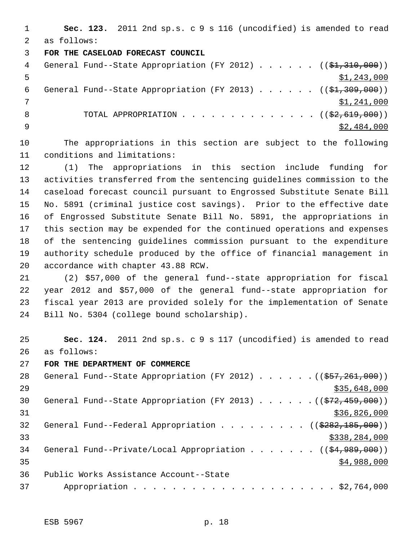**Sec. 123.** 2011 2nd sp.s. c 9 s 116 (uncodified) is amended to read as follows:

#### **FOR THE CASELOAD FORECAST COUNCIL**

| 4  | General Fund--State Appropriation (FY 2012) $($ $($ \$1,310,000)) |
|----|-------------------------------------------------------------------|
|    | \$1,243,000                                                       |
| 6  | General Fund--State Appropriation (FY 2013) $($ $($ \$1,309,000)) |
|    | \$1,241,000                                                       |
| -8 | TOTAL APPROPRIATION ( $(\frac{2}{2}, 619, 000)$ )                 |
|    | \$2,484,000                                                       |

 The appropriations in this section are subject to the following conditions and limitations:

 (1) The appropriations in this section include funding for activities transferred from the sentencing guidelines commission to the caseload forecast council pursuant to Engrossed Substitute Senate Bill No. 5891 (criminal justice cost savings). Prior to the effective date of Engrossed Substitute Senate Bill No. 5891, the appropriations in this section may be expended for the continued operations and expenses of the sentencing guidelines commission pursuant to the expenditure authority schedule produced by the office of financial management in accordance with chapter 43.88 RCW.

 (2) \$57,000 of the general fund--state appropriation for fiscal year 2012 and \$57,000 of the general fund--state appropriation for fiscal year 2013 are provided solely for the implementation of Senate Bill No. 5304 (college bound scholarship).

 **Sec. 124.** 2011 2nd sp.s. c 9 s 117 (uncodified) is amended to read as follows:

**FOR THE DEPARTMENT OF COMMERCE**

| 28 | General Fund--State Appropriation (FY 2012) $($ $($ $\frac{267}{7261}, 261)$ |
|----|------------------------------------------------------------------------------|
| 29 | \$35,648,000                                                                 |
| 30 | General Fund--State Appropriation (FY 2013) $($ $($ $\frac{272}{100})$       |
| 31 | \$36,826,000                                                                 |
| 32 | General Fund--Federal Appropriation ( $(\frac{2282}{185}, 000)$ )            |
| 33 | \$338,284,000                                                                |
| 34 | General Fund--Private/Local Appropriation ( $(\frac{24}{94}, 989, 000)$ )    |
| 35 | \$4,988,000                                                                  |
| 36 | Public Works Assistance Account--State                                       |
| 37 |                                                                              |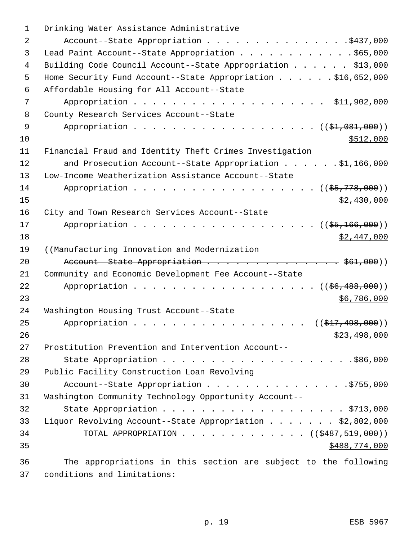| 1  | Drinking Water Assistance Administrative                     |
|----|--------------------------------------------------------------|
| 2  | Account--State Appropriation \$437,000                       |
| 3  | Lead Paint Account--State Appropriation \$65,000             |
| 4  | Building Code Council Account--State Appropriation \$13,000  |
| 5  | Home Security Fund Account--State Appropriation \$16,652,000 |
| 6  | Affordable Housing for All Account--State                    |
| 7  | Appropriation \$11,902,000                                   |
| 8  | County Research Services Account--State                      |
| 9  | Appropriation $($ $(\frac{21}{1001}, 000))$                  |
| 10 | \$512,000                                                    |
| 11 | Financial Fraud and Identity Theft Crimes Investigation      |
| 12 |                                                              |
| 13 | Low-Income Weatherization Assistance Account--State          |
| 14 | Appropriation ( (\$5,778,000))                               |
| 15 | \$2,430,000                                                  |
| 16 | City and Town Research Services Account--State               |
| 17 | $((\frac{25}{7}, \frac{166}{7}, 000))$                       |
| 18 | \$2,447,000                                                  |
| 19 | ((Manufacturing Innovation and Modernization                 |
| 20 | Account--State Appropriation \$61,000))                      |
| 21 | Community and Economic Development Fee Account--State        |
| 22 | Appropriation $($ $(\frac{26}{36}, \frac{488}{100})$         |
| 23 | \$6,786,000                                                  |
| 24 | Washington Housing Trust Account--State                      |
| 25 | $((\$17,498,000))$<br>Appropriation                          |
| 26 | \$23,498,000                                                 |
| 27 | Prostitution Prevention and Intervention Account--           |
| 28 |                                                              |
| 29 | Public Facility Construction Loan Revolving                  |
| 30 |                                                              |
|    | Account--State Appropriation \$755,000                       |
| 31 | Washington Community Technology Opportunity Account--        |
| 32 |                                                              |
| 33 | Liquor Revolving Account--State Appropriation \$2,802,000    |
| 34 | TOTAL APPROPRIATION ( $(\frac{2487}{519},000)$ )             |
| 35 | \$488,774,000                                                |

37 conditions and limitations: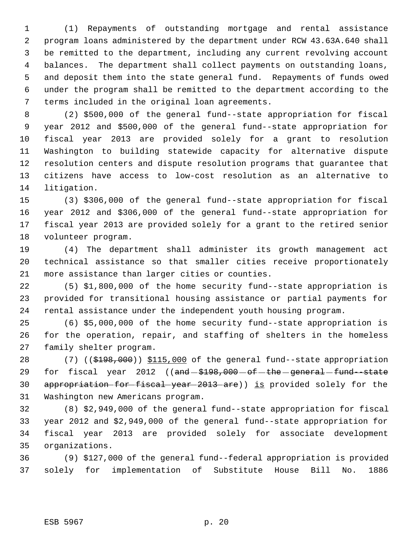(1) Repayments of outstanding mortgage and rental assistance program loans administered by the department under RCW 43.63A.640 shall be remitted to the department, including any current revolving account balances. The department shall collect payments on outstanding loans, and deposit them into the state general fund. Repayments of funds owed under the program shall be remitted to the department according to the terms included in the original loan agreements.

 (2) \$500,000 of the general fund--state appropriation for fiscal year 2012 and \$500,000 of the general fund--state appropriation for fiscal year 2013 are provided solely for a grant to resolution Washington to building statewide capacity for alternative dispute resolution centers and dispute resolution programs that guarantee that citizens have access to low-cost resolution as an alternative to litigation.

 (3) \$306,000 of the general fund--state appropriation for fiscal year 2012 and \$306,000 of the general fund--state appropriation for fiscal year 2013 are provided solely for a grant to the retired senior volunteer program.

 (4) The department shall administer its growth management act technical assistance so that smaller cities receive proportionately more assistance than larger cities or counties.

 (5) \$1,800,000 of the home security fund--state appropriation is provided for transitional housing assistance or partial payments for rental assistance under the independent youth housing program.

 (6) \$5,000,000 of the home security fund--state appropriation is for the operation, repair, and staffing of shelters in the homeless family shelter program.

28 (7) ((\$198,000)) \$115,000 of the general fund--state appropriation 29 for fiscal year 2012 ((and - \$198,000 - of - the - general - fund -- state 30 appropriation for fiscal year 2013 are)) is provided solely for the Washington new Americans program.

 (8) \$2,949,000 of the general fund--state appropriation for fiscal year 2012 and \$2,949,000 of the general fund--state appropriation for fiscal year 2013 are provided solely for associate development organizations.

 (9) \$127,000 of the general fund--federal appropriation is provided solely for implementation of Substitute House Bill No. 1886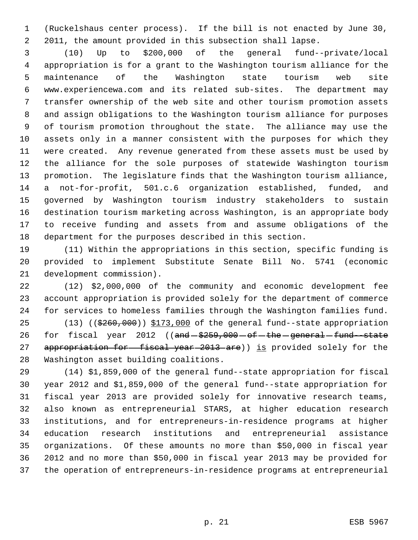(Ruckelshaus center process). If the bill is not enacted by June 30, 2011, the amount provided in this subsection shall lapse.

 (10) Up to \$200,000 of the general fund--private/local appropriation is for a grant to the Washington tourism alliance for the maintenance of the Washington state tourism web site www.experiencewa.com and its related sub-sites. The department may transfer ownership of the web site and other tourism promotion assets and assign obligations to the Washington tourism alliance for purposes of tourism promotion throughout the state. The alliance may use the assets only in a manner consistent with the purposes for which they were created. Any revenue generated from these assets must be used by the alliance for the sole purposes of statewide Washington tourism promotion. The legislature finds that the Washington tourism alliance, a not-for-profit, 501.c.6 organization established, funded, and governed by Washington tourism industry stakeholders to sustain destination tourism marketing across Washington, is an appropriate body to receive funding and assets from and assume obligations of the department for the purposes described in this section.

 (11) Within the appropriations in this section, specific funding is provided to implement Substitute Senate Bill No. 5741 (economic development commission).

 (12) \$2,000,000 of the community and economic development fee account appropriation is provided solely for the department of commerce for services to homeless families through the Washington families fund.

25 (13) (( $\frac{25}{260}$ , 000))  $\frac{2173}{000}$  of the general fund--state appropriation 26 for fiscal year 2012 ((and  $$259,000$  of the general fund-state 27 appropriation for fiscal year 2013 are)) is provided solely for the Washington asset building coalitions.

 (14) \$1,859,000 of the general fund--state appropriation for fiscal year 2012 and \$1,859,000 of the general fund--state appropriation for fiscal year 2013 are provided solely for innovative research teams, also known as entrepreneurial STARS, at higher education research institutions, and for entrepreneurs-in-residence programs at higher education research institutions and entrepreneurial assistance organizations. Of these amounts no more than \$50,000 in fiscal year 2012 and no more than \$50,000 in fiscal year 2013 may be provided for the operation of entrepreneurs-in-residence programs at entrepreneurial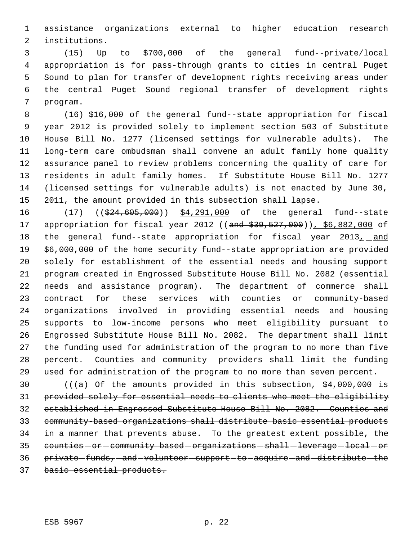assistance organizations external to higher education research institutions.

 (15) Up to \$700,000 of the general fund--private/local appropriation is for pass-through grants to cities in central Puget Sound to plan for transfer of development rights receiving areas under the central Puget Sound regional transfer of development rights program.

 (16) \$16,000 of the general fund--state appropriation for fiscal year 2012 is provided solely to implement section 503 of Substitute House Bill No. 1277 (licensed settings for vulnerable adults). The long-term care ombudsman shall convene an adult family home quality assurance panel to review problems concerning the quality of care for residents in adult family homes. If Substitute House Bill No. 1277 (licensed settings for vulnerable adults) is not enacted by June 30, 2011, the amount provided in this subsection shall lapse.

16 (17) ((\$24,605,000)) \$4,291,000 of the general fund--state 17 appropriation for fiscal year 2012 ((and \$39,527,000)), \$6,882,000 of 18 the general fund--state appropriation for fiscal year 2013, and 19 \$6,000,000 of the home security fund--state appropriation are provided solely for establishment of the essential needs and housing support program created in Engrossed Substitute House Bill No. 2082 (essential needs and assistance program). The department of commerce shall contract for these services with counties or community-based organizations involved in providing essential needs and housing supports to low-income persons who meet eligibility pursuant to Engrossed Substitute House Bill No. 2082. The department shall limit the funding used for administration of the program to no more than five percent. Counties and community providers shall limit the funding used for administration of the program to no more than seven percent.

 $((a)$ -Of-the-amounts-provided-in-this-subsection,  $$4,000,000$ -is provided solely for essential needs to clients who meet the eligibility established in Engrossed Substitute House Bill No. 2082. Counties and community-based organizations shall distribute basic essential products in a manner that prevents abuse. To the greatest extent possible, the 35 counties - or - community-based - organizations - shall - leverage - local - or 36 private-funds, and volunteer support to acquire and distribute the basic essential products.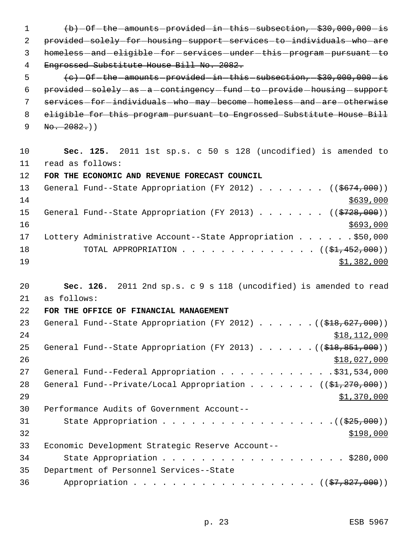1 (b) - Of - the - amounts - provided - in - this - subsection, - \$30,000,000 - is 2 provided solely for housing support services to individuals who are 3 homeless-and-eligible-for-services-under-this-program-pursuant-to 4 Engrossed Substitute House Bill No. 2082. 5  $\left\{e\right\}$  -Of-the-amounts provided in this subsection,  $\left.+830,000,000-\text{is}\right\}$ 6 provided -solely -as -a -contingency -fund -to -provide -housing -support 7 services-for-individuals-who-may-become-homeless-and-are-otherwise 8 eligible for this program pursuant to Engrossed Substitute House Bill  $9 \text{ No. } 2082.$ ) 10 **Sec. 125.** 2011 1st sp.s. c 50 s 128 (uncodified) is amended to 11 read as follows: 12 **FOR THE ECONOMIC AND REVENUE FORECAST COUNCIL** 13 General Fund--State Appropriation (FY 2012) . . . . . . ((\$674,000))  $14$  \$639,000 15 General Fund--State Appropriation (FY 2013) . . . . . . ((\$728,000))  $16$  \$693,000 17 Lottery Administrative Account--State Appropriation . . . . . . \$50,000 18 TOTAL APPROPRIATION . . . . . . . . . . . . . ((<del>\$1,452,000</del>)) 19 \$1,382,000 20 **Sec. 126.** 2011 2nd sp.s. c 9 s 118 (uncodified) is amended to read 21 as follows: 22 **FOR THE OFFICE OF FINANCIAL MANAGEMENT** 23 General Fund--State Appropriation (FY 2012) . . . . . . ((\$18,627,000)) 24 \$18,112,000 25 General Fund--State Appropriation (FY 2013) . . . . . . ((\$18,851,000))  $26$   $$18,027,000$ 27 General Fund--Federal Appropriation . . . . . . . . . . . . \$31,534,000 28 General Fund--Private/Local Appropriation . . . . . . ((\$1,270,000))

| 29 | \$1,370,000                                          |
|----|------------------------------------------------------|
| 30 | Performance Audits of Government Account--           |
| 31 |                                                      |
| 32 | \$198,000                                            |
| 33 | Economic Development Strategic Reserve Account--     |
| 34 | State Appropriation \$280,000                        |
| 35 | Department of Personnel Services--State              |
| 36 | Appropriation ( $(\frac{27}{67}, \frac{827}{600})$ ) |
|    |                                                      |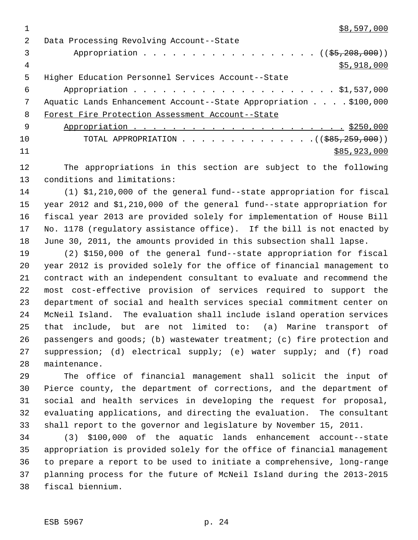$1 \quad$  \$8,597,000

| $\mathcal{L}$ | Data Processing Revolving Account--State                         |
|---------------|------------------------------------------------------------------|
| 3             | Appropriation $($ $($ $\frac{55}{7208},000) )$                   |
| 4             | \$5,918,000                                                      |
| 5             | Higher Education Personnel Services Account--State               |
| 6             |                                                                  |
| 7             | Aquatic Lands Enhancement Account--State Appropriation \$100,000 |
| 8             | Forest Fire Protection Assessment Account--State                 |
| - 9           |                                                                  |
| 10            |                                                                  |
| 11            | \$85,923,000                                                     |

 The appropriations in this section are subject to the following conditions and limitations:

 (1) \$1,210,000 of the general fund--state appropriation for fiscal year 2012 and \$1,210,000 of the general fund--state appropriation for fiscal year 2013 are provided solely for implementation of House Bill No. 1178 (regulatory assistance office). If the bill is not enacted by June 30, 2011, the amounts provided in this subsection shall lapse.

 (2) \$150,000 of the general fund--state appropriation for fiscal year 2012 is provided solely for the office of financial management to contract with an independent consultant to evaluate and recommend the most cost-effective provision of services required to support the department of social and health services special commitment center on McNeil Island. The evaluation shall include island operation services that include, but are not limited to: (a) Marine transport of passengers and goods; (b) wastewater treatment; (c) fire protection and suppression; (d) electrical supply; (e) water supply; and (f) road maintenance.

 The office of financial management shall solicit the input of Pierce county, the department of corrections, and the department of social and health services in developing the request for proposal, evaluating applications, and directing the evaluation. The consultant shall report to the governor and legislature by November 15, 2011.

 (3) \$100,000 of the aquatic lands enhancement account--state appropriation is provided solely for the office of financial management to prepare a report to be used to initiate a comprehensive, long-range planning process for the future of McNeil Island during the 2013-2015 fiscal biennium.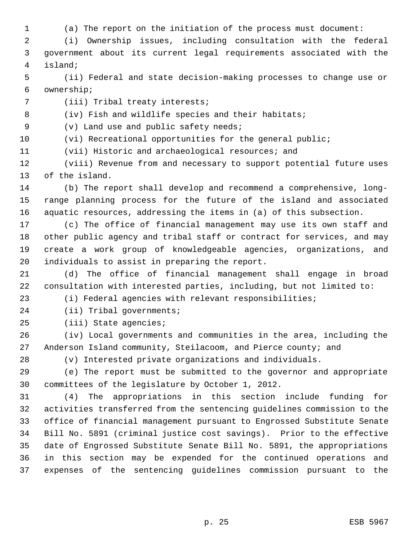(a) The report on the initiation of the process must document:

 (i) Ownership issues, including consultation with the federal government about its current legal requirements associated with the island;

 (ii) Federal and state decision-making processes to change use or ownership;

(iii) Tribal treaty interests;

8 (iv) Fish and wildlife species and their habitats;

(v) Land use and public safety needs;

(vi) Recreational opportunities for the general public;

(vii) Historic and archaeological resources; and

 (viii) Revenue from and necessary to support potential future uses of the island.

 (b) The report shall develop and recommend a comprehensive, long- range planning process for the future of the island and associated aquatic resources, addressing the items in (a) of this subsection.

 (c) The office of financial management may use its own staff and other public agency and tribal staff or contract for services, and may create a work group of knowledgeable agencies, organizations, and individuals to assist in preparing the report.

 (d) The office of financial management shall engage in broad consultation with interested parties, including, but not limited to:

(i) Federal agencies with relevant responsibilities;

(ii) Tribal governments;

(iii) State agencies;

 (iv) Local governments and communities in the area, including the Anderson Island community, Steilacoom, and Pierce county; and

(v) Interested private organizations and individuals.

 (e) The report must be submitted to the governor and appropriate committees of the legislature by October 1, 2012.

 (4) The appropriations in this section include funding for activities transferred from the sentencing guidelines commission to the office of financial management pursuant to Engrossed Substitute Senate Bill No. 5891 (criminal justice cost savings). Prior to the effective date of Engrossed Substitute Senate Bill No. 5891, the appropriations in this section may be expended for the continued operations and expenses of the sentencing guidelines commission pursuant to the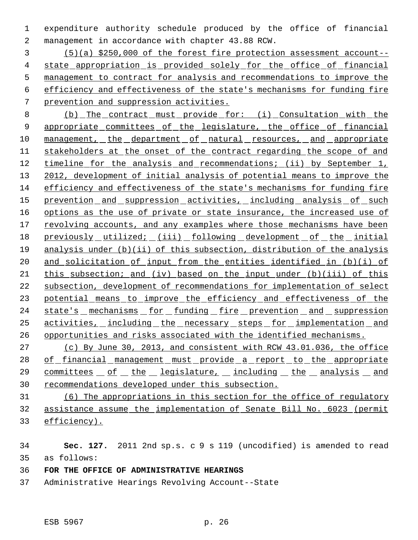expenditure authority schedule produced by the office of financial management in accordance with chapter 43.88 RCW.

 (5)(a) \$250,000 of the forest fire protection assessment account-- 4 state appropriation is provided solely for the office of financial management to contract for analysis and recommendations to improve the efficiency and effectiveness of the state's mechanisms for funding fire prevention and suppression activities.

 (b) The contract must provide for: (i) Consultation with the 9 appropriate committees of the legislature, the office of financial 10 management, the department of natural resources, and appropriate stakeholders at the onset of the contract regarding the scope of and 12 timeline for the analysis and recommendations; (ii) by September 1, 13 2012, development of initial analysis of potential means to improve the efficiency and effectiveness of the state's mechanisms for funding fire 15 prevention and suppression activities, including analysis of such 16 options as the use of private or state insurance, the increased use of 17 revolving accounts, and any examples where those mechanisms have been 18 previously utilized; (iii) following development of the initial analysis under (b)(ii) of this subsection, distribution of the analysis 20 and solicitation of input from the entities identified in (b)(i) of this subsection; and (iv) based on the input under (b)(iii) of this subsection, development of recommendations for implementation of select 23 potential means to improve the efficiency and effectiveness of the 24 state's mechanisms for funding fire prevention and suppression activities, including the necessary steps for implementation and opportunities and risks associated with the identified mechanisms.

 (c) By June 30, 2013, and consistent with RCW 43.01.036, the office 28 of financial management must provide a report to the appropriate 29 committees of the legislature, including the analysis and recommendations developed under this subsection.

 (6) The appropriations in this section for the office of regulatory assistance assume the implementation of Senate Bill No. 6023 (permit efficiency).

 **Sec. 127.** 2011 2nd sp.s. c 9 s 119 (uncodified) is amended to read as follows:

- **FOR THE OFFICE OF ADMINISTRATIVE HEARINGS**
- Administrative Hearings Revolving Account--State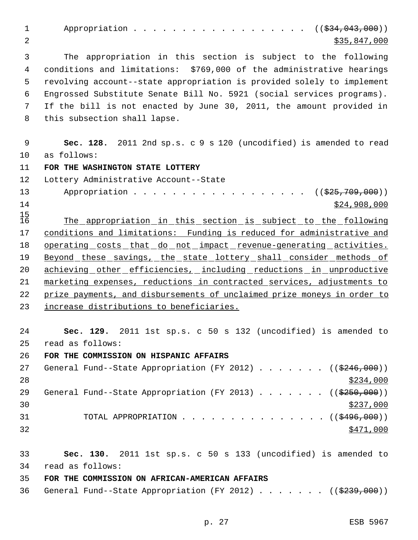1 Appropriation . . . . . . . . . . . . . . . ((\$34,043,000)) 2 \$35,847,000 \$35,847,000 3 The appropriation in this section is subject to the following 4 conditions and limitations: \$769,000 of the administrative hearings 5 revolving account--state appropriation is provided solely to implement 6 Engrossed Substitute Senate Bill No. 5921 (social services programs). 7 If the bill is not enacted by June 30, 2011, the amount provided in 8 this subsection shall lapse. 9 **Sec. 128.** 2011 2nd sp.s. c 9 s 120 (uncodified) is amended to read 10 as follows: 11 **FOR THE WASHINGTON STATE LOTTERY** 12 Lottery Administrative Account--State 13 Appropriation . . . . . . . . . . . . . . . . ((\$25,709,000))  $14$  \$24,908,000  $15/16$ The appropriation in this section is subject to the following 17 conditions and limitations: Funding is reduced for administrative and 18 operating costs that do not impact revenue-generating activities. 19 Beyond these savings, the state lottery shall consider methods of 20 achieving other efficiencies, including reductions in unproductive 21 marketing expenses, reductions in contracted services, adjustments to 22 prize payments, and disbursements of unclaimed prize moneys in order to 23 increase distributions to beneficiaries. 24 **Sec. 129.** 2011 1st sp.s. c 50 s 132 (uncodified) is amended to 25 read as follows: 26 **FOR THE COMMISSION ON HISPANIC AFFAIRS** 27 General Fund--State Appropriation (FY 2012)  $\ldots$  . . . . (( $\frac{246,000}{ }$ ))  $28$ 29 General Fund--State Appropriation (FY 2013) . . . . . . ((\$250,000))  $\frac{$237,000}{ }$ 31 TOTAL APPROPRIATION . . . . . . . . . . . . . . ((<del>\$496.000</del>))  $\frac{$471,000}{ }$ 33 **Sec. 130.** 2011 1st sp.s. c 50 s 133 (uncodified) is amended to 34 read as follows: 35 **FOR THE COMMISSION ON AFRICAN-AMERICAN AFFAIRS** 36 General Fund--State Appropriation (FY 2012)  $\ldots$  . . . . ((\$239,000))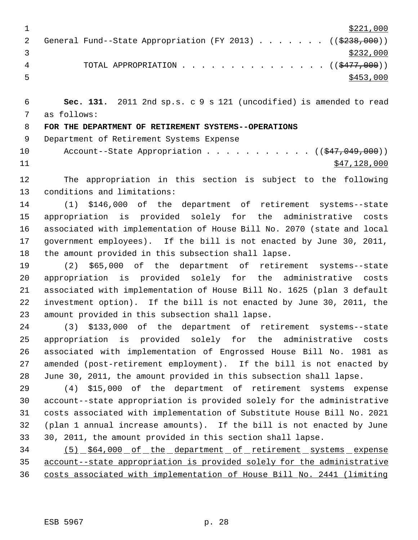|  |                                                                      | \$221,000 |
|--|----------------------------------------------------------------------|-----------|
|  | General Fund--State Appropriation (FY 2013) ( $(\frac{2238}{100})$ ) |           |
|  |                                                                      | \$232,000 |
|  | TOTAL APPROPRIATION $\cdots$ ((\$477,000))                           |           |
|  |                                                                      | \$453,000 |

 **Sec. 131.** 2011 2nd sp.s. c 9 s 121 (uncodified) is amended to read as follows:

**FOR THE DEPARTMENT OF RETIREMENT SYSTEMS--OPERATIONS**

Department of Retirement Systems Expense

10 Account--State Appropriation . . . . . . . . . . ((\$47,049,000)) \$47,128,000

 The appropriation in this section is subject to the following conditions and limitations:

 (1) \$146,000 of the department of retirement systems--state appropriation is provided solely for the administrative costs associated with implementation of House Bill No. 2070 (state and local government employees). If the bill is not enacted by June 30, 2011, the amount provided in this subsection shall lapse.

 (2) \$65,000 of the department of retirement systems--state appropriation is provided solely for the administrative costs associated with implementation of House Bill No. 1625 (plan 3 default investment option). If the bill is not enacted by June 30, 2011, the amount provided in this subsection shall lapse.

 (3) \$133,000 of the department of retirement systems--state appropriation is provided solely for the administrative costs associated with implementation of Engrossed House Bill No. 1981 as amended (post-retirement employment). If the bill is not enacted by June 30, 2011, the amount provided in this subsection shall lapse.

 (4) \$15,000 of the department of retirement systems expense account--state appropriation is provided solely for the administrative costs associated with implementation of Substitute House Bill No. 2021 (plan 1 annual increase amounts). If the bill is not enacted by June 30, 2011, the amount provided in this section shall lapse.

 (5) \$64,000 of the department of retirement systems expense account--state appropriation is provided solely for the administrative costs associated with implementation of House Bill No. 2441 (limiting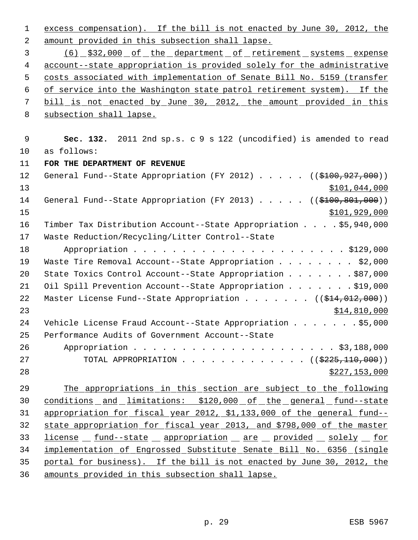1 excess compensation). If the bill is not enacted by June 30, 2012, the amount provided in this subsection shall lapse. (6) \$32,000 of the department of retirement systems expense account--state appropriation is provided solely for the administrative costs associated with implementation of Senate Bill No. 5159 (transfer of service into the Washington state patrol retirement system). If the bill is not enacted by June 30, 2012, the amount provided in this subsection shall lapse. **Sec. 132.** 2011 2nd sp.s. c 9 s 122 (uncodified) is amended to read as follows: **FOR THE DEPARTMENT OF REVENUE** 12 General Fund--State Appropriation (FY 2012) . . . . . ((\$100,927,000)) \$101,044,000 14 General Fund--State Appropriation (FY 2013) . . . . . ((\$100,801,000)) \$101,929,000 Timber Tax Distribution Account--State Appropriation . . . . \$5,940,000 Waste Reduction/Recycling/Litter Control--State Appropriation . . . . . . . . . . . . . . . . . . . . . . \$129,000 19 Waste Tire Removal Account--State Appropriation . . . . . . . \$2,000 State Toxics Control Account--State Appropriation . . . . . . . \$87,000 21 Oil Spill Prevention Account--State Appropriation . . . . . . \$19,000 22 Master License Fund--State Appropriation . . . . . . . ((\$14,012,000)) \$14,810,000 Vehicle License Fraud Account--State Appropriation . . . . . . . \$5,000 Performance Audits of Government Account--State Appropriation . . . . . . . . . . . . . . . . . . . . . \$3,188,000 27 TOTAL APPROPRIATION . . . . . . . . . . . . . ((\$225,110,000)) \$227,153,000 The appropriations in this section are subject to the following 30 conditions and limitations: \$120,000 of the general fund--state appropriation for fiscal year 2012, \$1,133,000 of the general fund-- state appropriation for fiscal year 2013, and \$798,000 of the master 33 license fund--state propriation are provided solely for implementation of Engrossed Substitute Senate Bill No. 6356 (single portal for business). If the bill is not enacted by June 30, 2012, the amounts provided in this subsection shall lapse.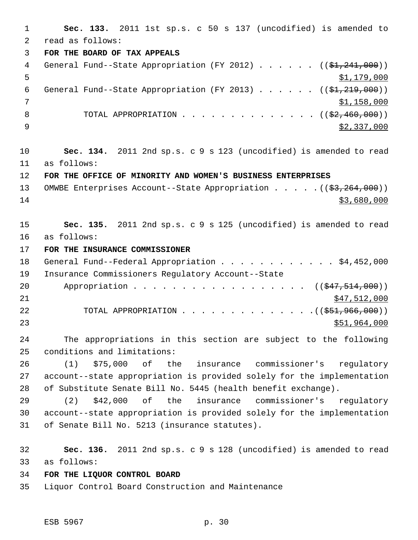**Sec. 133.** 2011 1st sp.s. c 50 s 137 (uncodified) is amended to read as follows: **FOR THE BOARD OF TAX APPEALS** 4 General Fund--State Appropriation (FY 2012)  $\ldots$  . . . (( $\frac{24}{24}$ ,  $241$ ,  $000$ ))  $5 - 5$   $\frac{1,179,000}{2}$ 6 General Fund--State Appropriation (FY 2013)  $\ldots$  . . . (( $\frac{1}{21}$ , 219,000)) \$1,158,000 8 TOTAL APPROPRIATION . . . . . . . . . . . . . ((<del>\$2,460,000</del>))  $\frac{$2,337,000}{ }$  **Sec. 134.** 2011 2nd sp.s. c 9 s 123 (uncodified) is amended to read as follows: **FOR THE OFFICE OF MINORITY AND WOMEN'S BUSINESS ENTERPRISES** 13 OMWBE Enterprises Account--State Appropriation . . . . . ((\$3,264,000)) \$3,680,000 **Sec. 135.** 2011 2nd sp.s. c 9 s 125 (uncodified) is amended to read as follows: **FOR THE INSURANCE COMMISSIONER** 18 General Fund--Federal Appropriation . . . . . . . . . . . \$4,452,000 Insurance Commissioners Regulatory Account--State 20 Appropriation . . . . . . . . . . . . . . . . ((\$47,514,000)) \$47,512,000 22 TOTAL APPROPRIATION . . . . . . . . . . . . . . ((\$51,966,000)) \$51,964,000 The appropriations in this section are subject to the following conditions and limitations: (1) \$75,000 of the insurance commissioner's regulatory account--state appropriation is provided solely for the implementation of Substitute Senate Bill No. 5445 (health benefit exchange). (2) \$42,000 of the insurance commissioner's regulatory account--state appropriation is provided solely for the implementation of Senate Bill No. 5213 (insurance statutes). **Sec. 136.** 2011 2nd sp.s. c 9 s 128 (uncodified) is amended to read as follows: **FOR THE LIQUOR CONTROL BOARD** Liquor Control Board Construction and Maintenance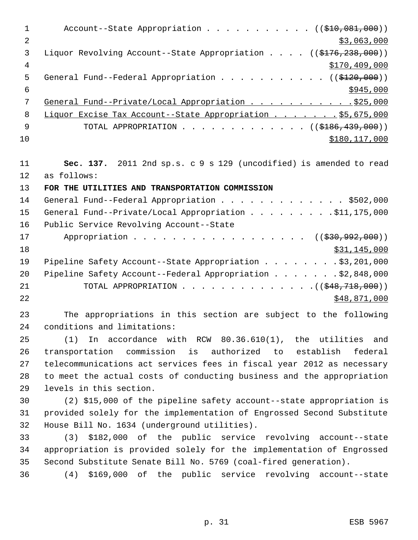| $\mathbf 1$    | Account--State Appropriation $($ $($ $$10,081,000)$ )                         |
|----------------|-------------------------------------------------------------------------------|
| $\overline{2}$ | \$3,063,000                                                                   |
| 3              | Liquor Revolving Account--State Appropriation $($ $($ $\frac{176}{238}, 000)$ |
| $\overline{4}$ | \$170,409,000                                                                 |
| 5              | General Fund--Federal Appropriation ( $(\frac{120}{120},000)$ )               |
| 6              | \$945,000                                                                     |
| 7              | General Fund--Private/Local Appropriation 525,000                             |
| 8              | Liquor Excise Tax Account--State Appropriation 55,675,000                     |
| 9              | TOTAL APPROPRIATION ( $(\frac{18}{186}, \frac{439}{100})$ )                   |
| 10             | \$180, 117, 000                                                               |
|                |                                                                               |
| 11             | Sec. 137. 2011 2nd sp.s. c 9 s 129 (uncodified) is amended to read            |
| 12             | as follows:                                                                   |
| 13             | FOR THE UTILITIES AND TRANSPORTATION COMMISSION                               |
| 14             | General Fund--Federal Appropriation \$502,000                                 |
| 15             | General Fund--Private/Local Appropriation \$11,175,000                        |
| 16             | Public Service Revolving Account--State                                       |

17 Appropriation . . . . . . . . . . . . . . . . ((\$30,992,000))  $18$  \$31,145,000 19 Pipeline Safety Account--State Appropriation . . . . . . . \$3,201,000 20 Pipeline Safety Account--Federal Appropriation . . . . . . \$2,848,000 21 TOTAL APPROPRIATION . . . . . . . . . . . . . . ((\$48,718,000)) 22 \$48,871,000

23 The appropriations in this section are subject to the following 24 conditions and limitations:

 (1) In accordance with RCW 80.36.610(1), the utilities and transportation commission is authorized to establish federal telecommunications act services fees in fiscal year 2012 as necessary to meet the actual costs of conducting business and the appropriation levels in this section.

30 (2) \$15,000 of the pipeline safety account--state appropriation is 31 provided solely for the implementation of Engrossed Second Substitute 32 House Bill No. 1634 (underground utilities).

33 (3) \$182,000 of the public service revolving account--state 34 appropriation is provided solely for the implementation of Engrossed 35 Second Substitute Senate Bill No. 5769 (coal-fired generation).

36 (4) \$169,000 of the public service revolving account--state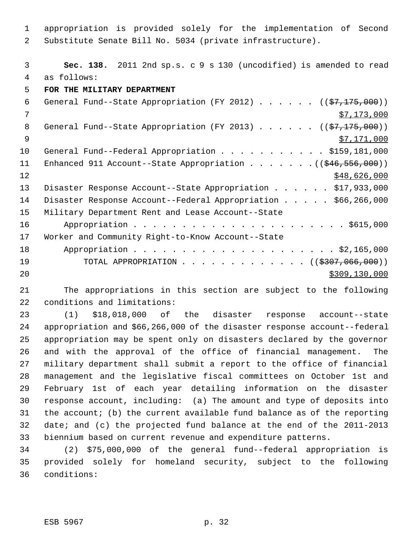appropriation is provided solely for the implementation of Second Substitute Senate Bill No. 5034 (private infrastructure).

 **Sec. 138.** 2011 2nd sp.s. c 9 s 130 (uncodified) is amended to read as follows:

**FOR THE MILITARY DEPARTMENT**

| 6  | General Fund--State Appropriation (FY 2012) $($ $($ \$7,175,000))            |
|----|------------------------------------------------------------------------------|
| 7  | \$7,173,000                                                                  |
| 8  | General Fund--State Appropriation (FY 2013) $($ $($ \$7,175,000))            |
| 9  | \$7,171,000                                                                  |
| 10 | General Fund--Federal Appropriation \$159,181,000                            |
| 11 | Enhanced 911 Account--State Appropriation $($ $($ $\frac{246}{556},000)$ $)$ |
| 12 | \$48,626,000                                                                 |
| 13 | Disaster Response Account--State Appropriation \$17,933,000                  |
| 14 | Disaster Response Account--Federal Appropriation \$66,266,000                |
| 15 | Military Department Rent and Lease Account--State                            |
| 16 |                                                                              |
| 17 | Worker and Community Right-to-Know Account--State                            |
| 18 |                                                                              |
| 19 | TOTAL APPROPRIATION ( $(\frac{2307}{10600})$ )                               |
| 20 | \$309,130,000                                                                |
|    |                                                                              |

 The appropriations in this section are subject to the following conditions and limitations:

 (1) \$18,018,000 of the disaster response account--state appropriation and \$66,266,000 of the disaster response account--federal appropriation may be spent only on disasters declared by the governor and with the approval of the office of financial management. The military department shall submit a report to the office of financial management and the legislative fiscal committees on October 1st and February 1st of each year detailing information on the disaster response account, including: (a) The amount and type of deposits into the account; (b) the current available fund balance as of the reporting date; and (c) the projected fund balance at the end of the 2011-2013 biennium based on current revenue and expenditure patterns.

 (2) \$75,000,000 of the general fund--federal appropriation is provided solely for homeland security, subject to the following conditions: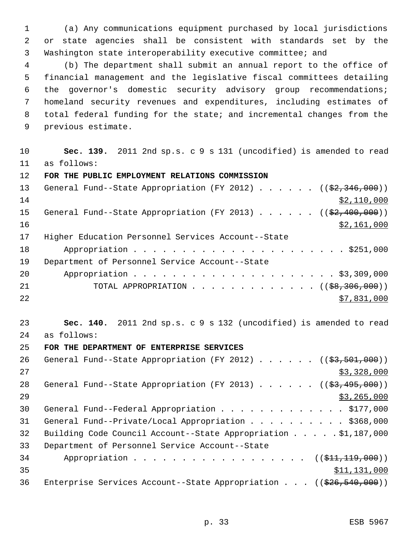(a) Any communications equipment purchased by local jurisdictions or state agencies shall be consistent with standards set by the Washington state interoperability executive committee; and

 (b) The department shall submit an annual report to the office of financial management and the legislative fiscal committees detailing the governor's domestic security advisory group recommendations; homeland security revenues and expenditures, including estimates of total federal funding for the state; and incremental changes from the previous estimate.

 **Sec. 139.** 2011 2nd sp.s. c 9 s 131 (uncodified) is amended to read as follows:

### **FOR THE PUBLIC EMPLOYMENT RELATIONS COMMISSION**

| 13 <sup>7</sup> | General Fund--State Appropriation (FY 2012) ((\$2,346,000))       |
|-----------------|-------------------------------------------------------------------|
| 14              | \$2,110,000                                                       |
| 15              | General Fund--State Appropriation (FY 2013) $($ $($ \$2,400,000)) |
| 16              | \$2,161,000                                                       |
| 17              | Higher Education Personnel Services Account--State                |
| 18              |                                                                   |
| 19              | Department of Personnel Service Account--State                    |
| 20              |                                                                   |
| 21              | TOTAL APPROPRIATION $($ $($ $\frac{69,306,000)}{200,000})$        |
| 22              | \$7,831,000                                                       |

 **Sec. 140.** 2011 2nd sp.s. c 9 s 132 (uncodified) is amended to read as follows:

# **FOR THE DEPARTMENT OF ENTERPRISE SERVICES**

26 General Fund--State Appropriation (FY 2012) . . . . . . ((\$3,501,000)) \$3,328,000 28 General Fund--State Appropriation (FY 2013) . . . . . . ((\$3,495,000)) \$3,265,000 30 General Fund--Federal Appropriation . . . . . . . . . . . . . \$177,000 31 General Fund--Private/Local Appropriation . . . . . . . . . \$368,000 Building Code Council Account--State Appropriation . . . . . \$1,187,000 Department of Personnel Service Account--State 34 Appropriation . . . . . . . . . . . . . . . . ((\$11,119,000)) \$11,131,000 36 Enterprise Services Account--State Appropriation . . . ((\$26,540,000))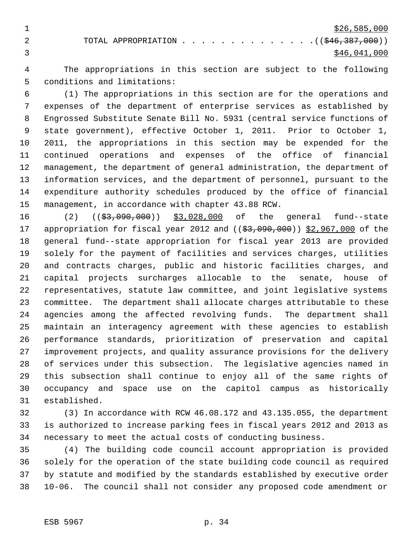$\frac{$26,585,000}{20}$ 2 TOTAL APPROPRIATION . . . . . . . . . . . . . . ((\$46,387,000))  $3 \times 46,041,000$ 

 The appropriations in this section are subject to the following conditions and limitations:

 (1) The appropriations in this section are for the operations and expenses of the department of enterprise services as established by Engrossed Substitute Senate Bill No. 5931 (central service functions of state government), effective October 1, 2011. Prior to October 1, 2011, the appropriations in this section may be expended for the continued operations and expenses of the office of financial management, the department of general administration, the department of information services, and the department of personnel, pursuant to the expenditure authority schedules produced by the office of financial management, in accordance with chapter 43.88 RCW.

16 (2) ((<del>\$3,090,000</del>)) \$3,028,000 of the general fund--state 17 appropriation for fiscal year 2012 and ((\$3,090,000)) \$2,967,000 of the general fund--state appropriation for fiscal year 2013 are provided solely for the payment of facilities and services charges, utilities and contracts charges, public and historic facilities charges, and capital projects surcharges allocable to the senate, house of representatives, statute law committee, and joint legislative systems committee. The department shall allocate charges attributable to these agencies among the affected revolving funds. The department shall maintain an interagency agreement with these agencies to establish performance standards, prioritization of preservation and capital improvement projects, and quality assurance provisions for the delivery of services under this subsection. The legislative agencies named in this subsection shall continue to enjoy all of the same rights of occupancy and space use on the capitol campus as historically established.

 (3) In accordance with RCW 46.08.172 and 43.135.055, the department is authorized to increase parking fees in fiscal years 2012 and 2013 as necessary to meet the actual costs of conducting business.

 (4) The building code council account appropriation is provided solely for the operation of the state building code council as required by statute and modified by the standards established by executive order 10-06. The council shall not consider any proposed code amendment or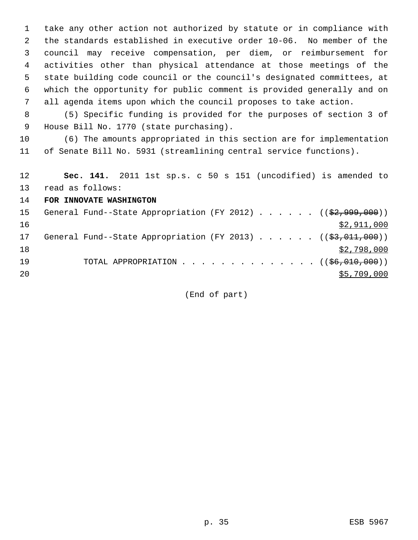take any other action not authorized by statute or in compliance with the standards established in executive order 10-06. No member of the council may receive compensation, per diem, or reimbursement for activities other than physical attendance at those meetings of the state building code council or the council's designated committees, at which the opportunity for public comment is provided generally and on all agenda items upon which the council proposes to take action.

 (5) Specific funding is provided for the purposes of section 3 of House Bill No. 1770 (state purchasing).

 (6) The amounts appropriated in this section are for implementation of Senate Bill No. 5931 (streamlining central service functions).

 **Sec. 141.** 2011 1st sp.s. c 50 s 151 (uncodified) is amended to read as follows:

**FOR INNOVATE WASHINGTON**

| 15 |  |  |  |  |  | General Fund--State Appropriation (FY 2012) $($ $($ \$2,999,000)) |
|----|--|--|--|--|--|-------------------------------------------------------------------|
| 16 |  |  |  |  |  | \$2,911,000                                                       |
| 17 |  |  |  |  |  | General Fund--State Appropriation (FY 2013) $($ $($ \$3,011,000)) |
| 18 |  |  |  |  |  | \$2,798,000                                                       |
| 19 |  |  |  |  |  | TOTAL APPROPRIATION $($ $($ $\frac{6}{6}$ , $010$ , $000)$ )      |
| 20 |  |  |  |  |  | \$5,709,000                                                       |

(End of part)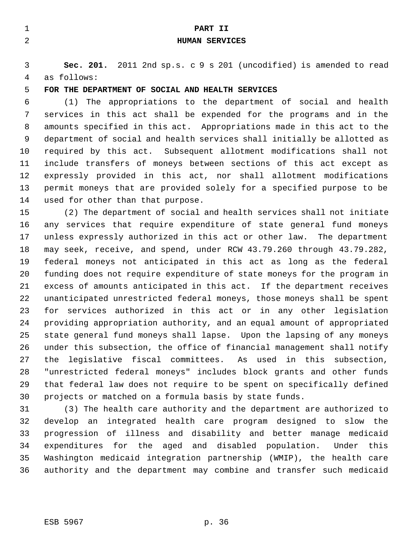| 2       | PART II<br><b>HUMAN SERVICES</b>                                                  |
|---------|-----------------------------------------------------------------------------------|
| 3<br>4  | Sec. 201. 2011 2nd sp.s. c 9 s 201 (uncodified) is amended to read<br>as follows: |
| 5       | FOR THE DEPARTMENT OF SOCIAL AND HEALTH SERVICES                                  |
| 6       | (1) The appropriations to the department of social and health                     |
| 7       | services in this act shall be expended for the programs and in the                |
| 8       | amounts specified in this act. Appropriations made in this act to the             |
| 9       | department of social and health services shall initially be allotted as           |
| $10 \,$ | required by this act. Subsequent allotment modifications shall not                |
| 11      | include transfers of moneys between sections of this act except as                |

expressly provided in this act, nor shall allotment modifications

 permit moneys that are provided solely for a specified purpose to be used for other than that purpose.

 (2) The department of social and health services shall not initiate any services that require expenditure of state general fund moneys unless expressly authorized in this act or other law. The department may seek, receive, and spend, under RCW 43.79.260 through 43.79.282, federal moneys not anticipated in this act as long as the federal funding does not require expenditure of state moneys for the program in excess of amounts anticipated in this act. If the department receives unanticipated unrestricted federal moneys, those moneys shall be spent for services authorized in this act or in any other legislation providing appropriation authority, and an equal amount of appropriated state general fund moneys shall lapse. Upon the lapsing of any moneys under this subsection, the office of financial management shall notify the legislative fiscal committees. As used in this subsection, "unrestricted federal moneys" includes block grants and other funds that federal law does not require to be spent on specifically defined projects or matched on a formula basis by state funds.

 (3) The health care authority and the department are authorized to develop an integrated health care program designed to slow the progression of illness and disability and better manage medicaid expenditures for the aged and disabled population. Under this Washington medicaid integration partnership (WMIP), the health care authority and the department may combine and transfer such medicaid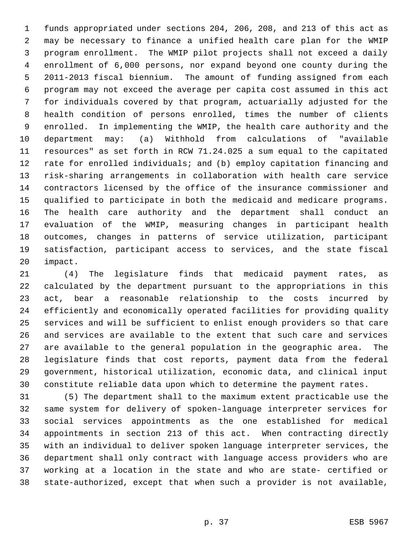funds appropriated under sections 204, 206, 208, and 213 of this act as may be necessary to finance a unified health care plan for the WMIP program enrollment. The WMIP pilot projects shall not exceed a daily enrollment of 6,000 persons, nor expand beyond one county during the 2011-2013 fiscal biennium. The amount of funding assigned from each program may not exceed the average per capita cost assumed in this act for individuals covered by that program, actuarially adjusted for the health condition of persons enrolled, times the number of clients enrolled. In implementing the WMIP, the health care authority and the department may: (a) Withhold from calculations of "available resources" as set forth in RCW 71.24.025 a sum equal to the capitated rate for enrolled individuals; and (b) employ capitation financing and risk-sharing arrangements in collaboration with health care service contractors licensed by the office of the insurance commissioner and qualified to participate in both the medicaid and medicare programs. The health care authority and the department shall conduct an evaluation of the WMIP, measuring changes in participant health outcomes, changes in patterns of service utilization, participant satisfaction, participant access to services, and the state fiscal impact.

 (4) The legislature finds that medicaid payment rates, as calculated by the department pursuant to the appropriations in this act, bear a reasonable relationship to the costs incurred by efficiently and economically operated facilities for providing quality services and will be sufficient to enlist enough providers so that care and services are available to the extent that such care and services are available to the general population in the geographic area. The legislature finds that cost reports, payment data from the federal government, historical utilization, economic data, and clinical input constitute reliable data upon which to determine the payment rates.

 (5) The department shall to the maximum extent practicable use the same system for delivery of spoken-language interpreter services for social services appointments as the one established for medical appointments in section 213 of this act. When contracting directly with an individual to deliver spoken language interpreter services, the department shall only contract with language access providers who are working at a location in the state and who are state- certified or state-authorized, except that when such a provider is not available,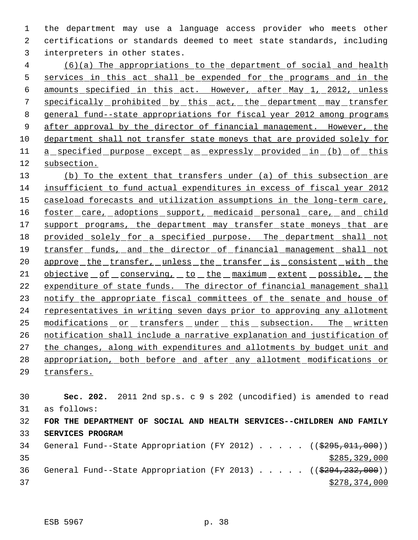the department may use a language access provider who meets other certifications or standards deemed to meet state standards, including interpreters in other states.

 (6)(a) The appropriations to the department of social and health services in this act shall be expended for the programs and in the amounts specified in this act. However, after May 1, 2012, unless 7 specifically prohibited by this act, the department may transfer general fund--state appropriations for fiscal year 2012 among programs 9 after approval by the director of financial management. However, the department shall not transfer state moneys that are provided solely for 11 a specified purpose except as expressly provided in (b) of this subsection.

13 (b) To the extent that transfers under (a) of this subsection are insufficient to fund actual expenditures in excess of fiscal year 2012 15 caseload forecasts and utilization assumptions in the long-term care, 16 foster care, adoptions support, medicaid personal care, and child 17 support programs, the department may transfer state moneys that are 18 provided solely for a specified purpose. The department shall not transfer funds, and the director of financial management shall not 20 approve the transfer, unless the transfer is consistent with the 21 objective of conserving, to the maximum extent possible, the expenditure of state funds. The director of financial management shall 23 notify the appropriate fiscal committees of the senate and house of 24 representatives in writing seven days prior to approving any allotment modifications or transfers under this subsection. The written notification shall include a narrative explanation and justification of the changes, along with expenditures and allotments by budget unit and appropriation, both before and after any allotment modifications or

transfers.

 **Sec. 202.** 2011 2nd sp.s. c 9 s 202 (uncodified) is amended to read as follows: **FOR THE DEPARTMENT OF SOCIAL AND HEALTH SERVICES--CHILDREN AND FAMILY SERVICES PROGRAM** 34 General Fund--State Appropriation (FY 2012) . . . . . ((\$295,011,000))

 \$285,329,000 36 General Fund--State Appropriation (FY 2013) . . . . . ((\$294,232,000))  $\frac{$278,374,000}{2}$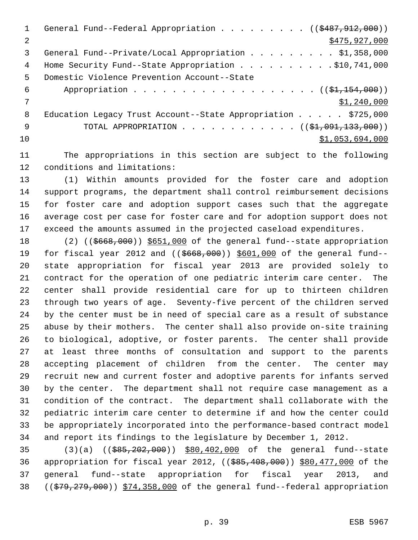1 General Fund--Federal Appropriation . . . . . . . . ((\$487,912,000)) 2 \$475,927,000 \$475,927,000 3 General Fund--Private/Local Appropriation . . . . . . . . \$1,358,000 Home Security Fund--State Appropriation . . . . . . . . . . \$10,741,000 Domestic Violence Prevention Account--State 6 Appropriation . . . . . . . . . . . . . . . .  $($   $(\frac{1}{21}, \frac{154}{100})$  \$1,240,000 8 Education Legacy Trust Account--State Appropriation . . . . \$725,000 9 TOTAL APPROPRIATION . . . . . . . . . . . ((\$<del>1,091,133,000</del>))  $$1,053,694,000$ 

 The appropriations in this section are subject to the following conditions and limitations:

 (1) Within amounts provided for the foster care and adoption support programs, the department shall control reimbursement decisions for foster care and adoption support cases such that the aggregate average cost per case for foster care and for adoption support does not exceed the amounts assumed in the projected caseload expenditures.

18 (2) (( $\frac{6668,000}{1000}$ ) \$651,000 of the general fund--state appropriation 19 for fiscal year 2012 and ((\$668,000)) \$601,000 of the general fund-- state appropriation for fiscal year 2013 are provided solely to contract for the operation of one pediatric interim care center. The center shall provide residential care for up to thirteen children through two years of age. Seventy-five percent of the children served by the center must be in need of special care as a result of substance abuse by their mothers. The center shall also provide on-site training to biological, adoptive, or foster parents. The center shall provide at least three months of consultation and support to the parents accepting placement of children from the center. The center may recruit new and current foster and adoptive parents for infants served by the center. The department shall not require case management as a condition of the contract. The department shall collaborate with the pediatric interim care center to determine if and how the center could be appropriately incorporated into the performance-based contract model and report its findings to the legislature by December 1, 2012.

 (3)(a) ((\$85,202,000)) \$80,402,000 of the general fund--state 36 appropriation for fiscal year 2012, ((\$85,408,000)) \$80,477,000 of the general fund--state appropriation for fiscal year 2013, and ((\$79,279,000)) \$74,358,000 of the general fund--federal appropriation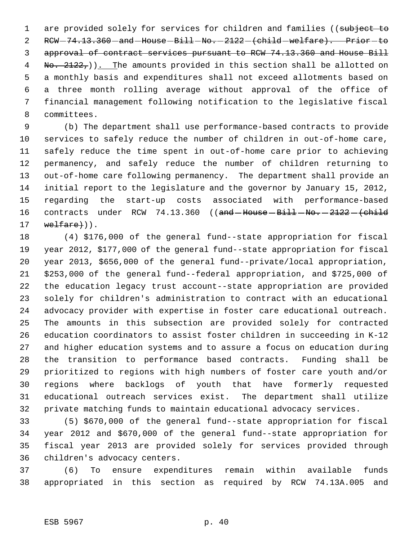1 are provided solely for services for children and families ((subject to 2 RCW-74.13.360-and-House-Bill-No.-2122-(child-welfare). Prior-to approval of contract services pursuant to RCW 74.13.360 and House Bill  $\frac{1}{100}$  No.  $\frac{2122}{100}$ . The amounts provided in this section shall be allotted on a monthly basis and expenditures shall not exceed allotments based on a three month rolling average without approval of the office of financial management following notification to the legislative fiscal committees.

 (b) The department shall use performance-based contracts to provide services to safely reduce the number of children in out-of-home care, safely reduce the time spent in out-of-home care prior to achieving permanency, and safely reduce the number of children returning to out-of-home care following permanency. The department shall provide an initial report to the legislature and the governor by January 15, 2012, regarding the start-up costs associated with performance-based 16 contracts under RCW 74.13.360 ((and House Bill No. - 2122 - (child welfare $)$ ).

 (4) \$176,000 of the general fund--state appropriation for fiscal year 2012, \$177,000 of the general fund--state appropriation for fiscal year 2013, \$656,000 of the general fund--private/local appropriation, \$253,000 of the general fund--federal appropriation, and \$725,000 of the education legacy trust account--state appropriation are provided solely for children's administration to contract with an educational advocacy provider with expertise in foster care educational outreach. The amounts in this subsection are provided solely for contracted education coordinators to assist foster children in succeeding in K-12 and higher education systems and to assure a focus on education during the transition to performance based contracts. Funding shall be prioritized to regions with high numbers of foster care youth and/or regions where backlogs of youth that have formerly requested educational outreach services exist. The department shall utilize private matching funds to maintain educational advocacy services.

 (5) \$670,000 of the general fund--state appropriation for fiscal year 2012 and \$670,000 of the general fund--state appropriation for fiscal year 2013 are provided solely for services provided through children's advocacy centers.

 (6) To ensure expenditures remain within available funds appropriated in this section as required by RCW 74.13A.005 and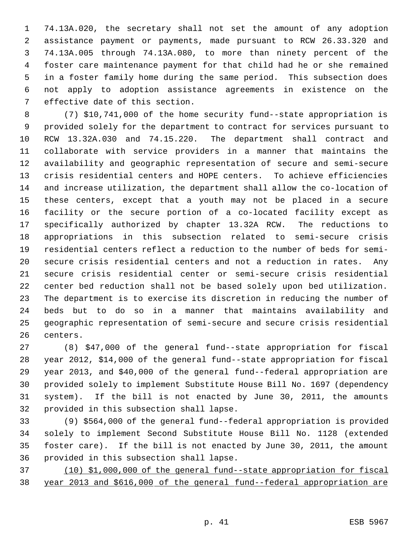74.13A.020, the secretary shall not set the amount of any adoption assistance payment or payments, made pursuant to RCW 26.33.320 and 74.13A.005 through 74.13A.080, to more than ninety percent of the foster care maintenance payment for that child had he or she remained in a foster family home during the same period. This subsection does not apply to adoption assistance agreements in existence on the effective date of this section.

 (7) \$10,741,000 of the home security fund--state appropriation is provided solely for the department to contract for services pursuant to RCW 13.32A.030 and 74.15.220. The department shall contract and collaborate with service providers in a manner that maintains the availability and geographic representation of secure and semi-secure crisis residential centers and HOPE centers. To achieve efficiencies and increase utilization, the department shall allow the co-location of these centers, except that a youth may not be placed in a secure facility or the secure portion of a co-located facility except as specifically authorized by chapter 13.32A RCW. The reductions to appropriations in this subsection related to semi-secure crisis residential centers reflect a reduction to the number of beds for semi- secure crisis residential centers and not a reduction in rates. Any secure crisis residential center or semi-secure crisis residential center bed reduction shall not be based solely upon bed utilization. The department is to exercise its discretion in reducing the number of beds but to do so in a manner that maintains availability and geographic representation of semi-secure and secure crisis residential centers.

 (8) \$47,000 of the general fund--state appropriation for fiscal year 2012, \$14,000 of the general fund--state appropriation for fiscal year 2013, and \$40,000 of the general fund--federal appropriation are provided solely to implement Substitute House Bill No. 1697 (dependency system). If the bill is not enacted by June 30, 2011, the amounts provided in this subsection shall lapse.

 (9) \$564,000 of the general fund--federal appropriation is provided solely to implement Second Substitute House Bill No. 1128 (extended foster care). If the bill is not enacted by June 30, 2011, the amount provided in this subsection shall lapse.

 (10) \$1,000,000 of the general fund--state appropriation for fiscal year 2013 and \$616,000 of the general fund--federal appropriation are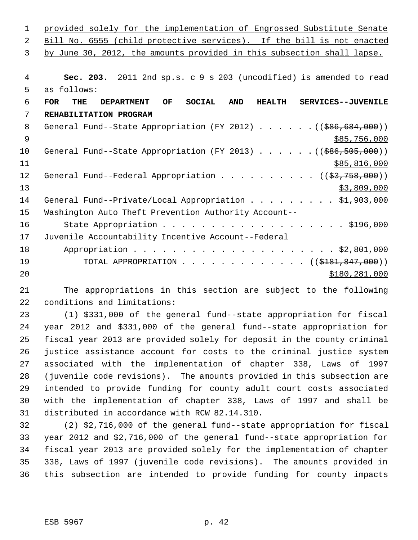| $\mathbf 1$ | provided solely for the implementation of Engrossed Substitute Senate                                                      |
|-------------|----------------------------------------------------------------------------------------------------------------------------|
| 2           | Bill No. 6555 (child protective services). If the bill is not enacted                                                      |
| 3           | by June 30, 2012, the amounts provided in this subsection shall lapse.                                                     |
|             |                                                                                                                            |
| 4           | Sec. 203. 2011 2nd sp.s. c 9 s 203 (uncodified) is amended to read                                                         |
| 5           | as follows:                                                                                                                |
| 6           | <b>SOCIAL</b><br><b>FOR</b><br><b>THE</b><br>OF.<br><b>AND</b><br>SERVICES--JUVENILE<br><b>DEPARTMENT</b><br><b>HEALTH</b> |
| 7           | REHABILITATION PROGRAM                                                                                                     |
| 8           | General Fund--State Appropriation (FY 2012) $($ $($ $\frac{266}{684}, 000)$ )                                              |
| 9           | \$85,756,000                                                                                                               |
| 10          | General Fund--State Appropriation (FY 2013) ( $(\frac{266}{505}, \frac{505}{000})$ )                                       |
| 11          | \$85,816,000                                                                                                               |
| 12          | General Fund--Federal Appropriation $($ $($ \$3,758,000) $)$                                                               |
| 13          | \$3,809,000                                                                                                                |
| 14          | General Fund--Private/Local Appropriation \$1,903,000                                                                      |
| 15          | Washington Auto Theft Prevention Authority Account--                                                                       |
| 16          |                                                                                                                            |
| 17          | Juvenile Accountability Incentive Account--Federal                                                                         |
| 18          |                                                                                                                            |
| 19          | TOTAL APPROPRIATION ( $(\frac{18181, 847, 000}{$ )                                                                         |
| 20          | \$180,281,000                                                                                                              |

 The appropriations in this section are subject to the following conditions and limitations:

 (1) \$331,000 of the general fund--state appropriation for fiscal year 2012 and \$331,000 of the general fund--state appropriation for fiscal year 2013 are provided solely for deposit in the county criminal justice assistance account for costs to the criminal justice system associated with the implementation of chapter 338, Laws of 1997 (juvenile code revisions). The amounts provided in this subsection are intended to provide funding for county adult court costs associated with the implementation of chapter 338, Laws of 1997 and shall be distributed in accordance with RCW 82.14.310.

 (2) \$2,716,000 of the general fund--state appropriation for fiscal year 2012 and \$2,716,000 of the general fund--state appropriation for fiscal year 2013 are provided solely for the implementation of chapter 338, Laws of 1997 (juvenile code revisions). The amounts provided in this subsection are intended to provide funding for county impacts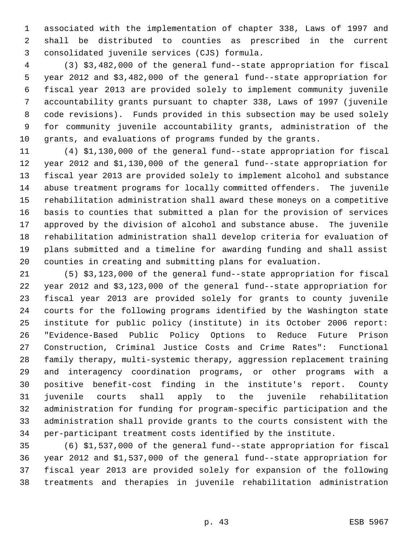associated with the implementation of chapter 338, Laws of 1997 and shall be distributed to counties as prescribed in the current consolidated juvenile services (CJS) formula.

 (3) \$3,482,000 of the general fund--state appropriation for fiscal year 2012 and \$3,482,000 of the general fund--state appropriation for fiscal year 2013 are provided solely to implement community juvenile accountability grants pursuant to chapter 338, Laws of 1997 (juvenile code revisions). Funds provided in this subsection may be used solely for community juvenile accountability grants, administration of the grants, and evaluations of programs funded by the grants.

 (4) \$1,130,000 of the general fund--state appropriation for fiscal year 2012 and \$1,130,000 of the general fund--state appropriation for fiscal year 2013 are provided solely to implement alcohol and substance abuse treatment programs for locally committed offenders. The juvenile rehabilitation administration shall award these moneys on a competitive basis to counties that submitted a plan for the provision of services approved by the division of alcohol and substance abuse. The juvenile rehabilitation administration shall develop criteria for evaluation of plans submitted and a timeline for awarding funding and shall assist counties in creating and submitting plans for evaluation.

 (5) \$3,123,000 of the general fund--state appropriation for fiscal year 2012 and \$3,123,000 of the general fund--state appropriation for fiscal year 2013 are provided solely for grants to county juvenile courts for the following programs identified by the Washington state institute for public policy (institute) in its October 2006 report: "Evidence-Based Public Policy Options to Reduce Future Prison Construction, Criminal Justice Costs and Crime Rates": Functional family therapy, multi-systemic therapy, aggression replacement training and interagency coordination programs, or other programs with a positive benefit-cost finding in the institute's report. County juvenile courts shall apply to the juvenile rehabilitation administration for funding for program-specific participation and the administration shall provide grants to the courts consistent with the per-participant treatment costs identified by the institute.

 (6) \$1,537,000 of the general fund--state appropriation for fiscal year 2012 and \$1,537,000 of the general fund--state appropriation for fiscal year 2013 are provided solely for expansion of the following treatments and therapies in juvenile rehabilitation administration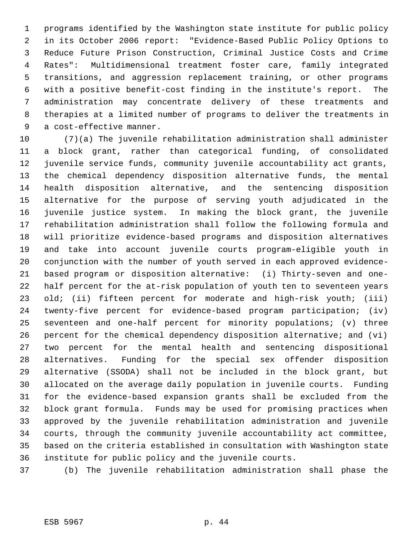programs identified by the Washington state institute for public policy in its October 2006 report: "Evidence-Based Public Policy Options to Reduce Future Prison Construction, Criminal Justice Costs and Crime Rates": Multidimensional treatment foster care, family integrated transitions, and aggression replacement training, or other programs with a positive benefit-cost finding in the institute's report. The administration may concentrate delivery of these treatments and therapies at a limited number of programs to deliver the treatments in a cost-effective manner.

 (7)(a) The juvenile rehabilitation administration shall administer a block grant, rather than categorical funding, of consolidated juvenile service funds, community juvenile accountability act grants, the chemical dependency disposition alternative funds, the mental health disposition alternative, and the sentencing disposition alternative for the purpose of serving youth adjudicated in the juvenile justice system. In making the block grant, the juvenile rehabilitation administration shall follow the following formula and will prioritize evidence-based programs and disposition alternatives and take into account juvenile courts program-eligible youth in conjunction with the number of youth served in each approved evidence- based program or disposition alternative: (i) Thirty-seven and one- half percent for the at-risk population of youth ten to seventeen years 23 old; (ii) fifteen percent for moderate and high-risk youth; (iii) twenty-five percent for evidence-based program participation; (iv) seventeen and one-half percent for minority populations; (v) three percent for the chemical dependency disposition alternative; and (vi) two percent for the mental health and sentencing dispositional alternatives. Funding for the special sex offender disposition alternative (SSODA) shall not be included in the block grant, but allocated on the average daily population in juvenile courts. Funding for the evidence-based expansion grants shall be excluded from the block grant formula. Funds may be used for promising practices when approved by the juvenile rehabilitation administration and juvenile courts, through the community juvenile accountability act committee, based on the criteria established in consultation with Washington state institute for public policy and the juvenile courts.

(b) The juvenile rehabilitation administration shall phase the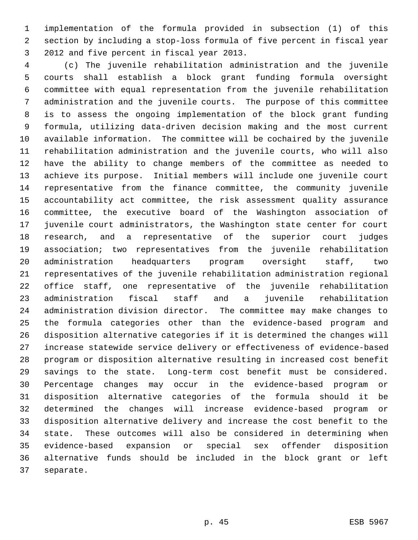implementation of the formula provided in subsection (1) of this section by including a stop-loss formula of five percent in fiscal year 2012 and five percent in fiscal year 2013.

 (c) The juvenile rehabilitation administration and the juvenile courts shall establish a block grant funding formula oversight committee with equal representation from the juvenile rehabilitation administration and the juvenile courts. The purpose of this committee is to assess the ongoing implementation of the block grant funding formula, utilizing data-driven decision making and the most current available information. The committee will be cochaired by the juvenile rehabilitation administration and the juvenile courts, who will also have the ability to change members of the committee as needed to achieve its purpose. Initial members will include one juvenile court representative from the finance committee, the community juvenile accountability act committee, the risk assessment quality assurance committee, the executive board of the Washington association of juvenile court administrators, the Washington state center for court research, and a representative of the superior court judges association; two representatives from the juvenile rehabilitation administration headquarters program oversight staff, two representatives of the juvenile rehabilitation administration regional office staff, one representative of the juvenile rehabilitation administration fiscal staff and a juvenile rehabilitation administration division director. The committee may make changes to the formula categories other than the evidence-based program and disposition alternative categories if it is determined the changes will increase statewide service delivery or effectiveness of evidence-based program or disposition alternative resulting in increased cost benefit savings to the state. Long-term cost benefit must be considered. Percentage changes may occur in the evidence-based program or disposition alternative categories of the formula should it be determined the changes will increase evidence-based program or disposition alternative delivery and increase the cost benefit to the state. These outcomes will also be considered in determining when evidence-based expansion or special sex offender disposition alternative funds should be included in the block grant or left separate.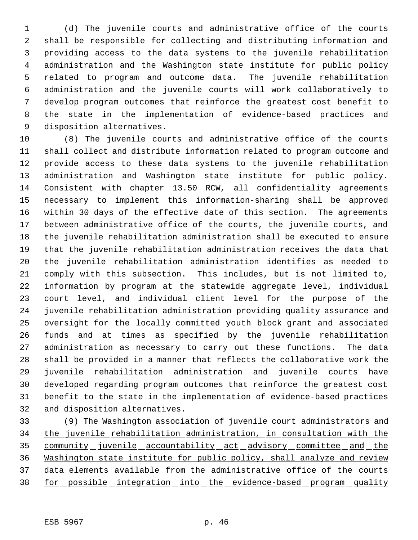(d) The juvenile courts and administrative office of the courts shall be responsible for collecting and distributing information and providing access to the data systems to the juvenile rehabilitation administration and the Washington state institute for public policy related to program and outcome data. The juvenile rehabilitation administration and the juvenile courts will work collaboratively to develop program outcomes that reinforce the greatest cost benefit to the state in the implementation of evidence-based practices and disposition alternatives.

 (8) The juvenile courts and administrative office of the courts shall collect and distribute information related to program outcome and provide access to these data systems to the juvenile rehabilitation administration and Washington state institute for public policy. Consistent with chapter 13.50 RCW, all confidentiality agreements necessary to implement this information-sharing shall be approved within 30 days of the effective date of this section. The agreements between administrative office of the courts, the juvenile courts, and the juvenile rehabilitation administration shall be executed to ensure that the juvenile rehabilitation administration receives the data that the juvenile rehabilitation administration identifies as needed to comply with this subsection. This includes, but is not limited to, information by program at the statewide aggregate level, individual court level, and individual client level for the purpose of the juvenile rehabilitation administration providing quality assurance and oversight for the locally committed youth block grant and associated funds and at times as specified by the juvenile rehabilitation administration as necessary to carry out these functions. The data shall be provided in a manner that reflects the collaborative work the juvenile rehabilitation administration and juvenile courts have developed regarding program outcomes that reinforce the greatest cost benefit to the state in the implementation of evidence-based practices and disposition alternatives.

 (9) The Washington association of juvenile court administrators and the juvenile rehabilitation administration, in consultation with the 35 community juvenile accountability act advisory committee and the Washington state institute for public policy, shall analyze and review 37 data elements available from the administrative office of the courts for possible integration into the evidence-based program quality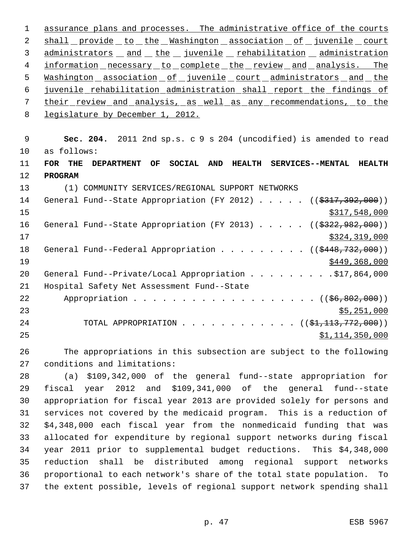assurance plans and processes. The administrative office of the courts 2 shall provide to the Washington association of juvenile court 3 administrators and the juvenile rehabilitation administration 4 information necessary to complete the review and analysis. The 5 Washington association of juvenile court administrators and the juvenile rehabilitation administration shall report the findings of 7 their review and analysis, as well as any recommendations, to the legislature by December 1, 2012. **Sec. 204.** 2011 2nd sp.s. c 9 s 204 (uncodified) is amended to read as follows: **FOR THE DEPARTMENT OF SOCIAL AND HEALTH SERVICES--MENTAL HEALTH PROGRAM** (1) COMMUNITY SERVICES/REGIONAL SUPPORT NETWORKS 14 General Fund--State Appropriation (FY 2012) . . . . . ((\$317,392,000)) \$317,548,000 16 General Fund--State Appropriation (FY 2013) . . . . . ((\$322,982,000)) \$324,319,000 18 General Fund--Federal Appropriation . . . . . . . . ((\$448,732,000))  $\frac{$449,368,000}{ }$ 20 General Fund--Private/Local Appropriation . . . . . . . . . \$17,864,000 Hospital Safety Net Assessment Fund--State 22 Appropriation . . . . . . . . . . . . . . . . . ((\$6,802,000)) \$5,251,000 24 TOTAL APPROPRIATION . . . . . . . . . . . ((<del>\$1,113,772,000</del>))  $51,114,350,000$ The appropriations in this subsection are subject to the following

conditions and limitations:

 (a) \$109,342,000 of the general fund--state appropriation for fiscal year 2012 and \$109,341,000 of the general fund--state appropriation for fiscal year 2013 are provided solely for persons and services not covered by the medicaid program. This is a reduction of \$4,348,000 each fiscal year from the nonmedicaid funding that was allocated for expenditure by regional support networks during fiscal year 2011 prior to supplemental budget reductions. This \$4,348,000 reduction shall be distributed among regional support networks proportional to each network's share of the total state population. To the extent possible, levels of regional support network spending shall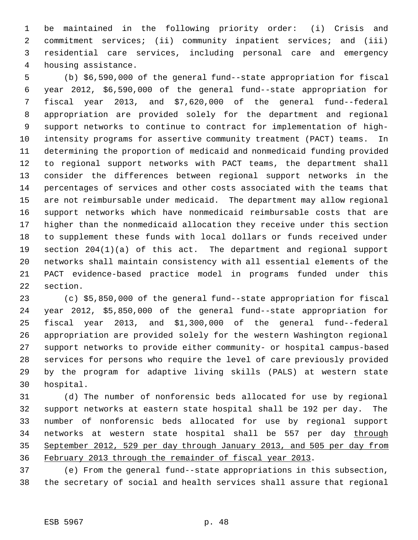be maintained in the following priority order: (i) Crisis and commitment services; (ii) community inpatient services; and (iii) residential care services, including personal care and emergency housing assistance.

 (b) \$6,590,000 of the general fund--state appropriation for fiscal year 2012, \$6,590,000 of the general fund--state appropriation for fiscal year 2013, and \$7,620,000 of the general fund--federal appropriation are provided solely for the department and regional support networks to continue to contract for implementation of high- intensity programs for assertive community treatment (PACT) teams. In determining the proportion of medicaid and nonmedicaid funding provided to regional support networks with PACT teams, the department shall consider the differences between regional support networks in the percentages of services and other costs associated with the teams that are not reimbursable under medicaid. The department may allow regional support networks which have nonmedicaid reimbursable costs that are higher than the nonmedicaid allocation they receive under this section to supplement these funds with local dollars or funds received under section 204(1)(a) of this act. The department and regional support networks shall maintain consistency with all essential elements of the PACT evidence-based practice model in programs funded under this section.

 (c) \$5,850,000 of the general fund--state appropriation for fiscal year 2012, \$5,850,000 of the general fund--state appropriation for fiscal year 2013, and \$1,300,000 of the general fund--federal appropriation are provided solely for the western Washington regional support networks to provide either community- or hospital campus-based services for persons who require the level of care previously provided by the program for adaptive living skills (PALS) at western state hospital.

 (d) The number of nonforensic beds allocated for use by regional support networks at eastern state hospital shall be 192 per day. The number of nonforensic beds allocated for use by regional support 34 networks at western state hospital shall be 557 per day through September 2012, 529 per day through January 2013, and 505 per day from February 2013 through the remainder of fiscal year 2013.

 (e) From the general fund--state appropriations in this subsection, the secretary of social and health services shall assure that regional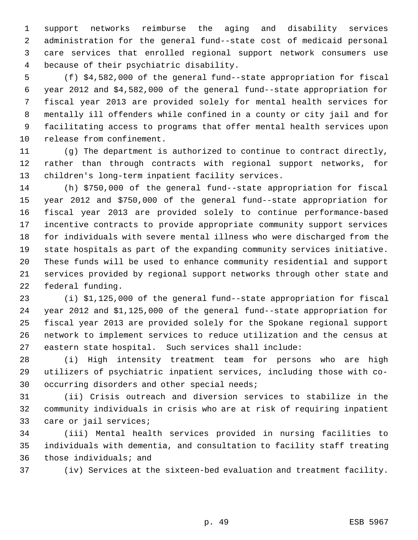support networks reimburse the aging and disability services administration for the general fund--state cost of medicaid personal care services that enrolled regional support network consumers use because of their psychiatric disability.

 (f) \$4,582,000 of the general fund--state appropriation for fiscal year 2012 and \$4,582,000 of the general fund--state appropriation for fiscal year 2013 are provided solely for mental health services for mentally ill offenders while confined in a county or city jail and for facilitating access to programs that offer mental health services upon release from confinement.

 (g) The department is authorized to continue to contract directly, rather than through contracts with regional support networks, for children's long-term inpatient facility services.

 (h) \$750,000 of the general fund--state appropriation for fiscal year 2012 and \$750,000 of the general fund--state appropriation for fiscal year 2013 are provided solely to continue performance-based incentive contracts to provide appropriate community support services for individuals with severe mental illness who were discharged from the state hospitals as part of the expanding community services initiative. These funds will be used to enhance community residential and support services provided by regional support networks through other state and federal funding.

 (i) \$1,125,000 of the general fund--state appropriation for fiscal year 2012 and \$1,125,000 of the general fund--state appropriation for fiscal year 2013 are provided solely for the Spokane regional support network to implement services to reduce utilization and the census at eastern state hospital. Such services shall include:

 (i) High intensity treatment team for persons who are high utilizers of psychiatric inpatient services, including those with co-occurring disorders and other special needs;

 (ii) Crisis outreach and diversion services to stabilize in the community individuals in crisis who are at risk of requiring inpatient care or jail services;

 (iii) Mental health services provided in nursing facilities to individuals with dementia, and consultation to facility staff treating those individuals; and

(iv) Services at the sixteen-bed evaluation and treatment facility.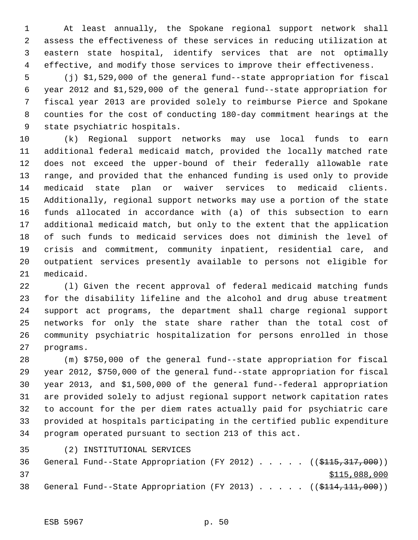At least annually, the Spokane regional support network shall assess the effectiveness of these services in reducing utilization at eastern state hospital, identify services that are not optimally effective, and modify those services to improve their effectiveness.

 (j) \$1,529,000 of the general fund--state appropriation for fiscal year 2012 and \$1,529,000 of the general fund--state appropriation for fiscal year 2013 are provided solely to reimburse Pierce and Spokane counties for the cost of conducting 180-day commitment hearings at the state psychiatric hospitals.

 (k) Regional support networks may use local funds to earn additional federal medicaid match, provided the locally matched rate does not exceed the upper-bound of their federally allowable rate range, and provided that the enhanced funding is used only to provide medicaid state plan or waiver services to medicaid clients. Additionally, regional support networks may use a portion of the state funds allocated in accordance with (a) of this subsection to earn additional medicaid match, but only to the extent that the application of such funds to medicaid services does not diminish the level of crisis and commitment, community inpatient, residential care, and outpatient services presently available to persons not eligible for medicaid.

 (l) Given the recent approval of federal medicaid matching funds for the disability lifeline and the alcohol and drug abuse treatment support act programs, the department shall charge regional support networks for only the state share rather than the total cost of community psychiatric hospitalization for persons enrolled in those programs.

 (m) \$750,000 of the general fund--state appropriation for fiscal year 2012, \$750,000 of the general fund--state appropriation for fiscal year 2013, and \$1,500,000 of the general fund--federal appropriation are provided solely to adjust regional support network capitation rates to account for the per diem rates actually paid for psychiatric care provided at hospitals participating in the certified public expenditure program operated pursuant to section 213 of this act.

(2) INSTITUTIONAL SERVICES

36 General Fund--State Appropriation (FY 2012) . . . . . ((\$115,317,000))  $$115,088,000$ 38 General Fund--State Appropriation (FY 2013) . . . . . ((\$114,111,000))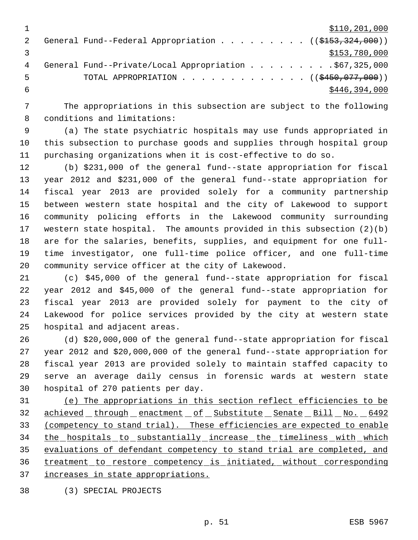|   | \$110, 201, 000                                                                   |
|---|-----------------------------------------------------------------------------------|
|   | General Fund--Federal Appropriation ( $(\frac{\text{0}3153}{\text{0}324}$ , 000)) |
|   | \$153,780,000                                                                     |
| 4 | General Fund--Private/Local Appropriation \$67,325,000                            |
| 5 | TOTAL APPROPRIATION $\ldots$ , ( $(\frac{2450}{1077}, 000)$ )                     |
|   | \$446,394,000                                                                     |

 The appropriations in this subsection are subject to the following conditions and limitations:

 (a) The state psychiatric hospitals may use funds appropriated in this subsection to purchase goods and supplies through hospital group purchasing organizations when it is cost-effective to do so.

 (b) \$231,000 of the general fund--state appropriation for fiscal year 2012 and \$231,000 of the general fund--state appropriation for fiscal year 2013 are provided solely for a community partnership between western state hospital and the city of Lakewood to support community policing efforts in the Lakewood community surrounding western state hospital. The amounts provided in this subsection (2)(b) are for the salaries, benefits, supplies, and equipment for one full- time investigator, one full-time police officer, and one full-time community service officer at the city of Lakewood.

 (c) \$45,000 of the general fund--state appropriation for fiscal year 2012 and \$45,000 of the general fund--state appropriation for fiscal year 2013 are provided solely for payment to the city of Lakewood for police services provided by the city at western state hospital and adjacent areas.

 (d) \$20,000,000 of the general fund--state appropriation for fiscal year 2012 and \$20,000,000 of the general fund--state appropriation for fiscal year 2013 are provided solely to maintain staffed capacity to serve an average daily census in forensic wards at western state hospital of 270 patients per day.

 (e) The appropriations in this section reflect efficiencies to be 32 achieved through enactment of Substitute Senate Bill No. 6492 (competency to stand trial). These efficiencies are expected to enable 34 the hospitals to substantially increase the timeliness with which evaluations of defendant competency to stand trial are completed, and treatment to restore competency is initiated, without corresponding increases in state appropriations.

(3) SPECIAL PROJECTS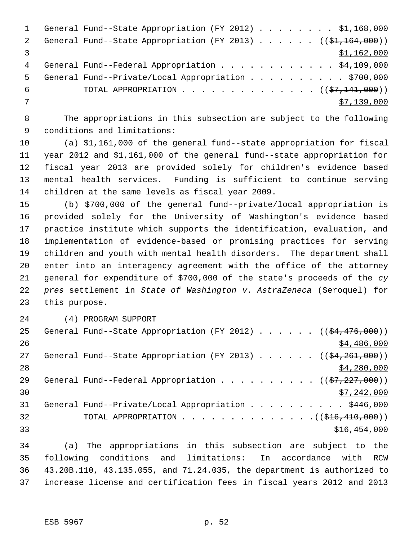|    | General Fund--State Appropriation (FY 2012) \$1,168,000           |
|----|-------------------------------------------------------------------|
| 2  | General Fund--State Appropriation (FY 2013) $($ $($ \$1,164,000)) |
|    | \$1,162,000                                                       |
| 4  | General Fund--Federal Appropriation \$4,109,000                   |
| .5 | General Fund--Private/Local Appropriation \$700,000               |
| 6  | TOTAL APPROPRIATION $($ $(\frac{27}{111},000) )$                  |
|    | \$7,139,000                                                       |
|    |                                                                   |

 The appropriations in this subsection are subject to the following conditions and limitations:

 (a) \$1,161,000 of the general fund--state appropriation for fiscal year 2012 and \$1,161,000 of the general fund--state appropriation for fiscal year 2013 are provided solely for children's evidence based mental health services. Funding is sufficient to continue serving children at the same levels as fiscal year 2009.

 (b) \$700,000 of the general fund--private/local appropriation is provided solely for the University of Washington's evidence based practice institute which supports the identification, evaluation, and implementation of evidence-based or promising practices for serving children and youth with mental health disorders. The department shall enter into an interagency agreement with the office of the attorney general for expenditure of \$700,000 of the state's proceeds of the *cy pres* settlement in *State of Washington v. AstraZeneca* (Seroquel) for this purpose.

(4) PROGRAM SUPPORT

| 25 | General Fund--State Appropriation (FY 2012) $($ $($ \$4,476,000))          |
|----|----------------------------------------------------------------------------|
| 26 | \$4,486,000                                                                |
| 27 | General Fund--State Appropriation (FY 2013) $($ $($ \$4,261,000))          |
| 28 | \$4,280,000                                                                |
| 29 | General Fund--Federal Appropriation ( $(\frac{27}{27}, \frac{227}{100})$ ) |
| 30 | \$7,242,000                                                                |
| 31 | General Fund--Private/Local Appropriation \$446,000                        |
| 32 |                                                                            |
| 33 | \$16,454,000                                                               |
|    |                                                                            |

 (a) The appropriations in this subsection are subject to the following conditions and limitations: In accordance with RCW 43.20B.110, 43.135.055, and 71.24.035, the department is authorized to increase license and certification fees in fiscal years 2012 and 2013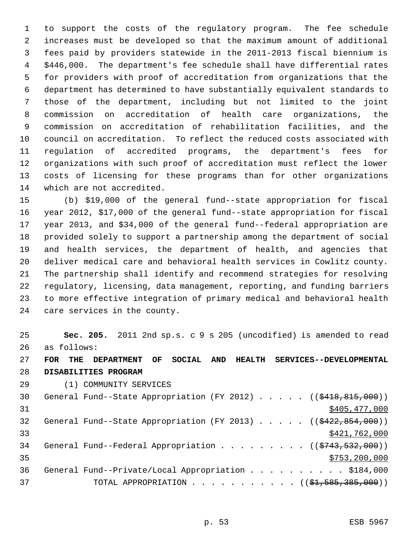to support the costs of the regulatory program. The fee schedule increases must be developed so that the maximum amount of additional fees paid by providers statewide in the 2011-2013 fiscal biennium is \$446,000. The department's fee schedule shall have differential rates for providers with proof of accreditation from organizations that the department has determined to have substantially equivalent standards to those of the department, including but not limited to the joint commission on accreditation of health care organizations, the commission on accreditation of rehabilitation facilities, and the council on accreditation. To reflect the reduced costs associated with regulation of accredited programs, the department's fees for organizations with such proof of accreditation must reflect the lower costs of licensing for these programs than for other organizations which are not accredited.

 (b) \$19,000 of the general fund--state appropriation for fiscal year 2012, \$17,000 of the general fund--state appropriation for fiscal year 2013, and \$34,000 of the general fund--federal appropriation are provided solely to support a partnership among the department of social and health services, the department of health, and agencies that deliver medical care and behavioral health services in Cowlitz county. The partnership shall identify and recommend strategies for resolving regulatory, licensing, data management, reporting, and funding barriers to more effective integration of primary medical and behavioral health care services in the county.

 **Sec. 205.** 2011 2nd sp.s. c 9 s 205 (uncodified) is amended to read as follows:

 **FOR THE DEPARTMENT OF SOCIAL AND HEALTH SERVICES--DEVELOPMENTAL DISABILITIES PROGRAM**

(1) COMMUNITY SERVICES

| 30 | General Fund--State Appropriation (FY 2012) ( $(\frac{2418}{815}, \frac{815}{100})$ ) |
|----|---------------------------------------------------------------------------------------|
| 31 | \$405,477,000                                                                         |
| 32 | General Fund--State Appropriation (FY 2013) $($ $($ $$422, 854, 000)$ )               |
| 33 | \$421,762,000                                                                         |
| 34 | General Fund--Federal Appropriation ( $(\frac{1}{2743}, \frac{532}{100})$ )           |
| 35 | \$753, 200, 000                                                                       |
| 36 | General Fund--Private/Local Appropriation \$184,000                                   |
| 37 | TOTAL APPROPRIATION ( $(\frac{1}{24}, \frac{585}{385}, \frac{300}{90})$ )             |
|    |                                                                                       |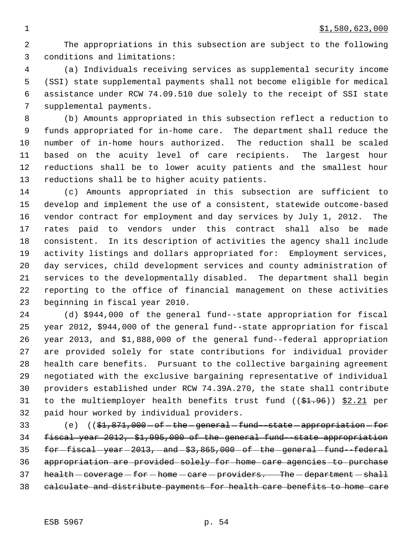The appropriations in this subsection are subject to the following conditions and limitations:

 (a) Individuals receiving services as supplemental security income (SSI) state supplemental payments shall not become eligible for medical assistance under RCW 74.09.510 due solely to the receipt of SSI state supplemental payments.

 (b) Amounts appropriated in this subsection reflect a reduction to funds appropriated for in-home care. The department shall reduce the number of in-home hours authorized. The reduction shall be scaled based on the acuity level of care recipients. The largest hour reductions shall be to lower acuity patients and the smallest hour reductions shall be to higher acuity patients.

 (c) Amounts appropriated in this subsection are sufficient to develop and implement the use of a consistent, statewide outcome-based vendor contract for employment and day services by July 1, 2012. The rates paid to vendors under this contract shall also be made consistent. In its description of activities the agency shall include activity listings and dollars appropriated for: Employment services, day services, child development services and county administration of services to the developmentally disabled. The department shall begin reporting to the office of financial management on these activities beginning in fiscal year 2010.

 (d) \$944,000 of the general fund--state appropriation for fiscal year 2012, \$944,000 of the general fund--state appropriation for fiscal year 2013, and \$1,888,000 of the general fund--federal appropriation are provided solely for state contributions for individual provider health care benefits. Pursuant to the collective bargaining agreement negotiated with the exclusive bargaining representative of individual providers established under RCW 74.39A.270, the state shall contribute 31 to the multiemployer health benefits trust fund ((\$1.96)) \$2.21 per paid hour worked by individual providers.

33 (e)  $($ \$1,871,000 of the general fund-state appropriation for fiscal year 2012, \$1,995,000 of the general fund--state appropriation 35 for-fiscal-year-2013, and-\$3,865,000 of-the general fund-federal appropriation are provided solely for home care agencies to purchase 37 health - coverage - for - home - care - providers. The - department - shall calculate and distribute payments for health care benefits to home care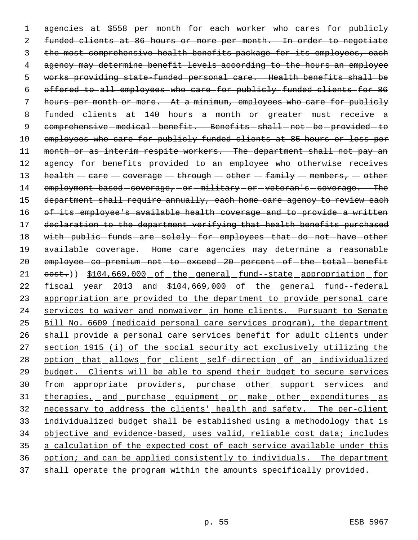1 agencies - at - \$558 - per - month - for - each - worker - who - cares - for - publicly 2 funded clients at 86 hours or more per month. In order to negotiate 3 the most comprehensive health benefits package for its employees, each 4 agency may determine benefit levels according to the hours an employee 5 works providing state-funded personal care. Health benefits shall be 6 offered to all employees who care for publicly funded clients for 86 7 hours per month or more. At a minimum, employees who care for publicly 8  $f$ unded  $-$  clients  $-$  at  $-140$   $-$  hours  $-$  a  $-$  month  $-$  or  $-$  greater  $-$  must  $-$  receive  $-$  a 9 comprehensive medical - benefit. Benefits - shall - not - be - provided - to 10 employees who care for publicly funded clients at 85 hours or less per 11 month or as interim respite workers. The department shall not pay an 12 agency-for-benefits-provided-to-an-employee-who-otherwise-receives 13 health  $-$  care  $-$  coverage  $-$  through  $-$  other  $-$  family  $-$  members,  $-$  other 14 employment-based-coverage, or military or veteran's coverage. The 15 department shall require annually, each home care agency to review each 16 of its employee's available health coverage and to provide a written 17 declaration to the department verifying that health benefits purchased 18 with-public-funds-are-solely-for-employees-that-do-not-have-other 19 available-coverage. Home-care-agencies-may-determine-a-reasonable 20 employee-co-premium-not-to-exceed-20-percent-of-the-total-benefit 21 <del>cost.</del>)) \$104,669,000 of the general fund--state appropriation for 22 <u>fiscal year 2013 and \$104,669,000 of the general fund--federal</u> 23 appropriation are provided to the department to provide personal care 24 services to waiver and nonwaiver in home clients. Pursuant to Senate 25 Bill No. 6609 (medicaid personal care services program), the department 26 shall provide a personal care services benefit for adult clients under 27 section 1915 (i) of the social security act exclusively utilizing the 28 option that allows for client self-direction of an individualized 29 budget. Clients will be able to spend their budget to secure services 30 from appropriate providers, purchase other support services and 31 therapies, and purchase equipment or make other expenditures as 32 necessary to address the clients' health and safety. The per-client 33 individualized budget shall be established using a methodology that is 34 objective and evidence-based, uses valid, reliable cost data; includes 35 a calculation of the expected cost of each service available under this 36 option; and can be applied consistently to individuals. The department 37 shall operate the program within the amounts specifically provided.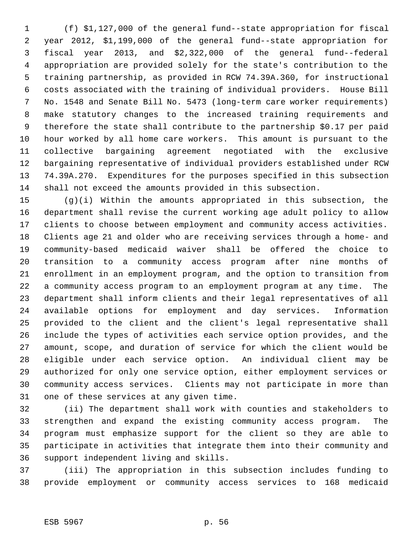(f) \$1,127,000 of the general fund--state appropriation for fiscal year 2012, \$1,199,000 of the general fund--state appropriation for fiscal year 2013, and \$2,322,000 of the general fund--federal appropriation are provided solely for the state's contribution to the training partnership, as provided in RCW 74.39A.360, for instructional costs associated with the training of individual providers. House Bill No. 1548 and Senate Bill No. 5473 (long-term care worker requirements) make statutory changes to the increased training requirements and therefore the state shall contribute to the partnership \$0.17 per paid hour worked by all home care workers. This amount is pursuant to the collective bargaining agreement negotiated with the exclusive bargaining representative of individual providers established under RCW 74.39A.270. Expenditures for the purposes specified in this subsection shall not exceed the amounts provided in this subsection.

 (g)(i) Within the amounts appropriated in this subsection, the department shall revise the current working age adult policy to allow clients to choose between employment and community access activities. Clients age 21 and older who are receiving services through a home- and community-based medicaid waiver shall be offered the choice to transition to a community access program after nine months of enrollment in an employment program, and the option to transition from a community access program to an employment program at any time. The department shall inform clients and their legal representatives of all available options for employment and day services. Information provided to the client and the client's legal representative shall include the types of activities each service option provides, and the amount, scope, and duration of service for which the client would be eligible under each service option. An individual client may be authorized for only one service option, either employment services or community access services. Clients may not participate in more than one of these services at any given time.

 (ii) The department shall work with counties and stakeholders to strengthen and expand the existing community access program. The program must emphasize support for the client so they are able to participate in activities that integrate them into their community and support independent living and skills.

 (iii) The appropriation in this subsection includes funding to provide employment or community access services to 168 medicaid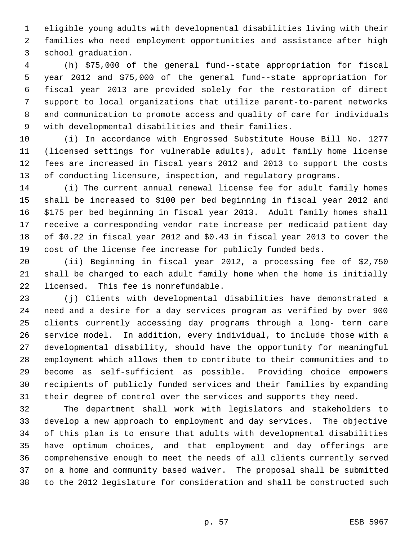eligible young adults with developmental disabilities living with their families who need employment opportunities and assistance after high school graduation.

 (h) \$75,000 of the general fund--state appropriation for fiscal year 2012 and \$75,000 of the general fund--state appropriation for fiscal year 2013 are provided solely for the restoration of direct support to local organizations that utilize parent-to-parent networks and communication to promote access and quality of care for individuals with developmental disabilities and their families.

 (i) In accordance with Engrossed Substitute House Bill No. 1277 (licensed settings for vulnerable adults), adult family home license fees are increased in fiscal years 2012 and 2013 to support the costs of conducting licensure, inspection, and regulatory programs.

 (i) The current annual renewal license fee for adult family homes shall be increased to \$100 per bed beginning in fiscal year 2012 and \$175 per bed beginning in fiscal year 2013. Adult family homes shall receive a corresponding vendor rate increase per medicaid patient day of \$0.22 in fiscal year 2012 and \$0.43 in fiscal year 2013 to cover the cost of the license fee increase for publicly funded beds.

 (ii) Beginning in fiscal year 2012, a processing fee of \$2,750 shall be charged to each adult family home when the home is initially licensed. This fee is nonrefundable.

 (j) Clients with developmental disabilities have demonstrated a need and a desire for a day services program as verified by over 900 clients currently accessing day programs through a long- term care service model. In addition, every individual, to include those with a developmental disability, should have the opportunity for meaningful employment which allows them to contribute to their communities and to become as self-sufficient as possible. Providing choice empowers recipients of publicly funded services and their families by expanding their degree of control over the services and supports they need.

 The department shall work with legislators and stakeholders to develop a new approach to employment and day services. The objective of this plan is to ensure that adults with developmental disabilities have optimum choices, and that employment and day offerings are comprehensive enough to meet the needs of all clients currently served on a home and community based waiver. The proposal shall be submitted to the 2012 legislature for consideration and shall be constructed such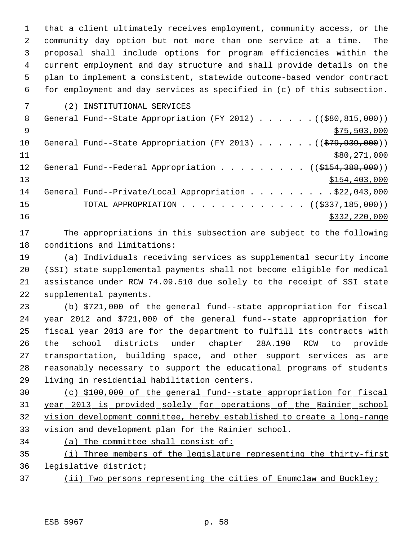that a client ultimately receives employment, community access, or the community day option but not more than one service at a time. The proposal shall include options for program efficiencies within the current employment and day structure and shall provide details on the plan to implement a consistent, statewide outcome-based vendor contract for employment and day services as specified in (c) of this subsection.

(2) INSTITUTIONAL SERVICES

| 8   |                                                                    |
|-----|--------------------------------------------------------------------|
| - 9 | \$75,503,000                                                       |
| 10  | General Fund--State Appropriation (FY 2013) $($ $($ \$79,939,000)) |
| 11  | \$80,271,000                                                       |
| 12  | General Fund--Federal Appropriation ( $(\frac{15454}{388},000)$ )  |
| 13  | \$154,403,000                                                      |
| 14  | General Fund--Private/Local Appropriation \$22,043,000             |
| 15  | TOTAL APPROPRIATION ( $(\frac{2337}{185},000)$ )                   |
| 16  | \$332,220,000                                                      |

 The appropriations in this subsection are subject to the following conditions and limitations:

 (a) Individuals receiving services as supplemental security income (SSI) state supplemental payments shall not become eligible for medical assistance under RCW 74.09.510 due solely to the receipt of SSI state supplemental payments.

 (b) \$721,000 of the general fund--state appropriation for fiscal year 2012 and \$721,000 of the general fund--state appropriation for fiscal year 2013 are for the department to fulfill its contracts with the school districts under chapter 28A.190 RCW to provide transportation, building space, and other support services as are reasonably necessary to support the educational programs of students living in residential habilitation centers.

 (c) \$100,000 of the general fund--state appropriation for fiscal year 2013 is provided solely for operations of the Rainier school vision development committee, hereby established to create a long-range vision and development plan for the Rainier school.

- (a) The committee shall consist of:
- (i) Three members of the legislature representing the thirty-first legislative district;
- 37 (ii) Two persons representing the cities of Enumclaw and Buckley;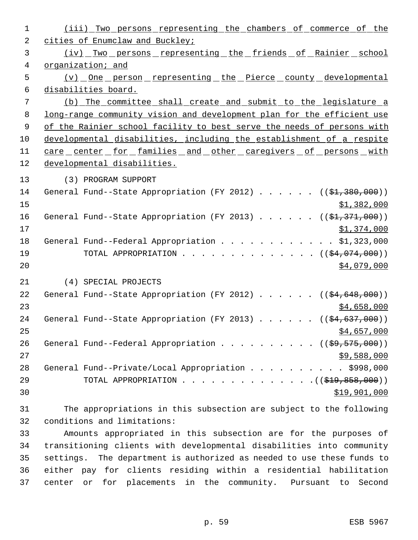| $\mathbf{1}$   | (iii) Two persons representing the chambers of commerce of the                   |
|----------------|----------------------------------------------------------------------------------|
| 2              | cities of Enumclaw and Buckley;                                                  |
| 3              | <u>(iv) Two persons representing the friends of Rainier school</u>               |
| $\overline{4}$ | organization; and                                                                |
| 5              | <u>(v) _ One _ person _ representing _ the _ Pierce _ county _ developmental</u> |
| 6              | disabilities board.                                                              |
| 7              | (b) The committee shall create and submit to the legislature a                   |
| 8              | long-range community vision and development plan for the efficient use           |
| $\overline{9}$ | of the Rainier school facility to best serve the needs of persons with           |
| 10             | developmental disabilities, including the establishment of a respite             |
| 11             | <u>care center for families and other caregivers of persons with</u>             |
| 12             | developmental disabilities.                                                      |
| 13             | (3) PROGRAM SUPPORT                                                              |
| 14             | General Fund--State Appropriation (FY 2012) $($ $($ \$1,380,000))                |
| 15             | \$1,382,000                                                                      |
| 16             | General Fund--State Appropriation (FY 2013) $($ $($ \$1,371,000))                |
| 17             | \$1,374,000                                                                      |
| 18             | General Fund--Federal Appropriation \$1,323,000                                  |
| 19             | TOTAL APPROPRIATION $($ $($ \$4,074,000) $)$                                     |
| 20             | \$4,079,000                                                                      |
| 21             | (4) SPECIAL PROJECTS                                                             |
| 22             | General Fund--State Appropriation (FY 2012) $($ $($ \$4,648,000))                |
| 23             | \$4,658,000                                                                      |
| 24             | General Fund--State Appropriation (FY 2013) ( $(\frac{24,637,000}{s})$           |
| 25             | <u>\$4,657,000</u>                                                               |
| 26             | General Fund--Federal Appropriation ( $(\frac{29}{59}, \frac{575}{600})$ )       |
| 27             | \$9,588,000                                                                      |
| 28             | General Fund--Private/Local Appropriation \$998,000                              |
| 29             | TOTAL APPROPRIATION $($ $($ $\frac{219}{1000}$ $,$ $858$ $,000$ $)$              |
| 30             | \$19,901,000                                                                     |
| 31             | The appropriations in this subsection are subject to the following               |
|                |                                                                                  |

conditions and limitations:

 Amounts appropriated in this subsection are for the purposes of transitioning clients with developmental disabilities into community settings. The department is authorized as needed to use these funds to either pay for clients residing within a residential habilitation center or for placements in the community. Pursuant to Second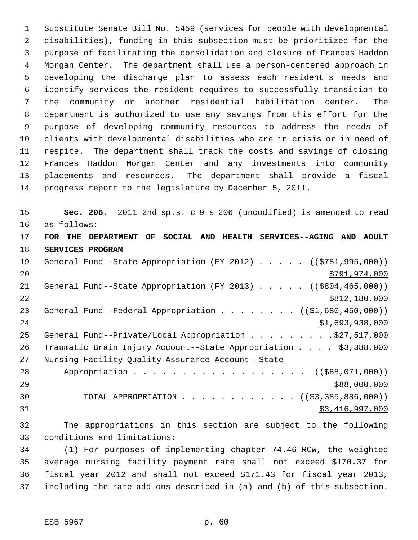Substitute Senate Bill No. 5459 (services for people with developmental disabilities), funding in this subsection must be prioritized for the purpose of facilitating the consolidation and closure of Frances Haddon Morgan Center. The department shall use a person-centered approach in developing the discharge plan to assess each resident's needs and identify services the resident requires to successfully transition to the community or another residential habilitation center. The department is authorized to use any savings from this effort for the purpose of developing community resources to address the needs of clients with developmental disabilities who are in crisis or in need of respite. The department shall track the costs and savings of closing Frances Haddon Morgan Center and any investments into community placements and resources. The department shall provide a fiscal progress report to the legislature by December 5, 2011.

 **Sec. 206.** 2011 2nd sp.s. c 9 s 206 (uncodified) is amended to read as follows: **FOR THE DEPARTMENT OF SOCIAL AND HEALTH SERVICES--AGING AND ADULT SERVICES PROGRAM** 19 General Fund--State Appropriation (FY 2012) . . . . ((\$781,995,000)) \$791,974,000 21 General Fund--State Appropriation (FY 2013) . . . . . ((\$804,465,000))  $\frac{$812,180,000}{2}$ 23 General Fund--Federal Appropriation . . . . . . . ((\$1,680,450,000))  $51,693,938,000$ 25 General Fund--Private/Local Appropriation . . . . . . . . . \$27,517,000 Traumatic Brain Injury Account--State Appropriation . . . . \$3,388,000 Nursing Facility Quality Assurance Account--State 28 Appropriation . . . . . . . . . . . . . . . . ((\$88,071,000))  $588,000,000$ 30 TOTAL APPROPRIATION . . . . . . . . . . . ((<del>\$3,385,886,000</del>)) \$3,416,997,000

 The appropriations in this section are subject to the following conditions and limitations:

 (1) For purposes of implementing chapter 74.46 RCW, the weighted average nursing facility payment rate shall not exceed \$170.37 for fiscal year 2012 and shall not exceed \$171.43 for fiscal year 2013, including the rate add-ons described in (a) and (b) of this subsection.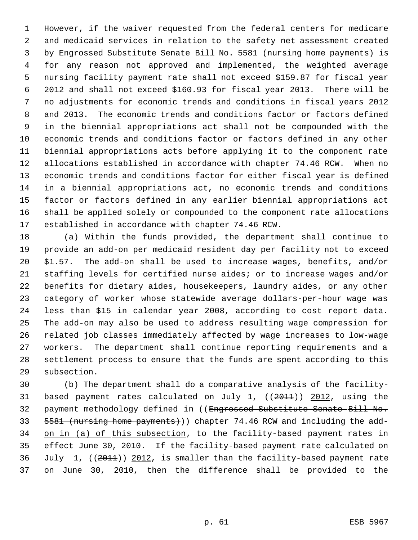However, if the waiver requested from the federal centers for medicare and medicaid services in relation to the safety net assessment created by Engrossed Substitute Senate Bill No. 5581 (nursing home payments) is for any reason not approved and implemented, the weighted average nursing facility payment rate shall not exceed \$159.87 for fiscal year 2012 and shall not exceed \$160.93 for fiscal year 2013. There will be no adjustments for economic trends and conditions in fiscal years 2012 and 2013. The economic trends and conditions factor or factors defined in the biennial appropriations act shall not be compounded with the economic trends and conditions factor or factors defined in any other biennial appropriations acts before applying it to the component rate allocations established in accordance with chapter 74.46 RCW. When no economic trends and conditions factor for either fiscal year is defined in a biennial appropriations act, no economic trends and conditions factor or factors defined in any earlier biennial appropriations act shall be applied solely or compounded to the component rate allocations established in accordance with chapter 74.46 RCW.

 (a) Within the funds provided, the department shall continue to provide an add-on per medicaid resident day per facility not to exceed \$1.57. The add-on shall be used to increase wages, benefits, and/or staffing levels for certified nurse aides; or to increase wages and/or benefits for dietary aides, housekeepers, laundry aides, or any other category of worker whose statewide average dollars-per-hour wage was less than \$15 in calendar year 2008, according to cost report data. The add-on may also be used to address resulting wage compression for related job classes immediately affected by wage increases to low-wage workers. The department shall continue reporting requirements and a settlement process to ensure that the funds are spent according to this subsection.

 (b) The department shall do a comparative analysis of the facility-31 based payment rates calculated on July 1, ((2011)) 2012, using the payment methodology defined in ((Engrossed Substitute Senate Bill No. 5581 (nursing home payments))) chapter 74.46 RCW and including the add-34 on in (a) of this subsection, to the facility-based payment rates in effect June 30, 2010. If the facility-based payment rate calculated on 36 July 1, ((2011)) 2012, is smaller than the facility-based payment rate on June 30, 2010, then the difference shall be provided to the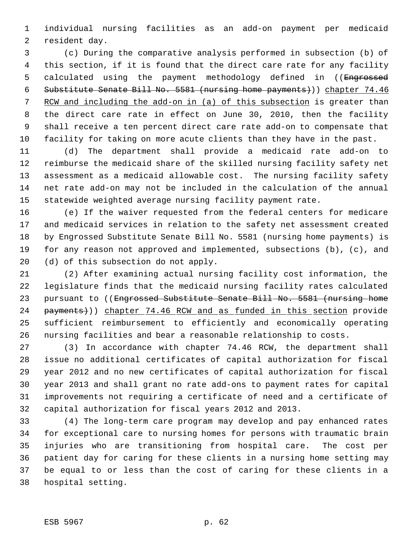individual nursing facilities as an add-on payment per medicaid resident day.

 (c) During the comparative analysis performed in subsection (b) of this section, if it is found that the direct care rate for any facility 5 calculated using the payment methodology defined in ((Engrossed Substitute Senate Bill No. 5581 (nursing home payments))) chapter 74.46 7 RCW and including the add-on in (a) of this subsection is greater than the direct care rate in effect on June 30, 2010, then the facility shall receive a ten percent direct care rate add-on to compensate that facility for taking on more acute clients than they have in the past.

 (d) The department shall provide a medicaid rate add-on to reimburse the medicaid share of the skilled nursing facility safety net assessment as a medicaid allowable cost. The nursing facility safety net rate add-on may not be included in the calculation of the annual statewide weighted average nursing facility payment rate.

 (e) If the waiver requested from the federal centers for medicare and medicaid services in relation to the safety net assessment created by Engrossed Substitute Senate Bill No. 5581 (nursing home payments) is for any reason not approved and implemented, subsections (b), (c), and (d) of this subsection do not apply.

 (2) After examining actual nursing facility cost information, the legislature finds that the medicaid nursing facility rates calculated 23 pursuant to ((Engrossed Substitute Senate Bill No. 5581 (nursing home 24 payments)) chapter 74.46 RCW and as funded in this section provide sufficient reimbursement to efficiently and economically operating nursing facilities and bear a reasonable relationship to costs.

 (3) In accordance with chapter 74.46 RCW, the department shall issue no additional certificates of capital authorization for fiscal year 2012 and no new certificates of capital authorization for fiscal year 2013 and shall grant no rate add-ons to payment rates for capital improvements not requiring a certificate of need and a certificate of capital authorization for fiscal years 2012 and 2013.

 (4) The long-term care program may develop and pay enhanced rates for exceptional care to nursing homes for persons with traumatic brain injuries who are transitioning from hospital care. The cost per patient day for caring for these clients in a nursing home setting may be equal to or less than the cost of caring for these clients in a hospital setting.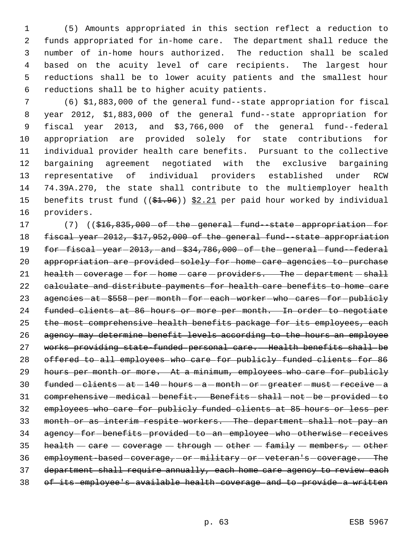(5) Amounts appropriated in this section reflect a reduction to funds appropriated for in-home care. The department shall reduce the number of in-home hours authorized. The reduction shall be scaled based on the acuity level of care recipients. The largest hour reductions shall be to lower acuity patients and the smallest hour reductions shall be to higher acuity patients.

 (6) \$1,883,000 of the general fund--state appropriation for fiscal year 2012, \$1,883,000 of the general fund--state appropriation for fiscal year 2013, and \$3,766,000 of the general fund--federal appropriation are provided solely for state contributions for individual provider health care benefits. Pursuant to the collective bargaining agreement negotiated with the exclusive bargaining representative of individual providers established under RCW 74.39A.270, the state shall contribute to the multiemployer health 15 benefits trust fund  $((\$1.96))$  \$2.21 per paid hour worked by individual providers.

17 (7) ((\$16,835,000 - of - the - general - fund--state - appropriation - for fiscal year 2012, \$17,952,000 of the general fund--state appropriation 19 for-fiscal-year-2013, and-\$34,786,000 of the general fund-federal appropriation are provided solely for home care agencies to purchase 21 health - coverage - for - home - care - providers. The - department - shall calculate and distribute payments for health care benefits to home care 23 agencies - at - \$558 - per - month - for - each - worker - who - cares - for - publicly funded clients at 86 hours or more per month. In order to negotiate 25 the most comprehensive health benefits package for its employees, each agency may determine benefit levels according to the hours an employee works providing state-funded personal care. Health benefits shall be offered to all employees who care for publicly funded clients for 86 29 hours per month or more. At a minimum, employees who care for publicly funded  $-$  clients  $-$  at  $-140$   $-$  hours  $-$  a  $-$  month  $-$  or  $-$  greater  $-$  must  $-$  receive  $-$  a 31 comprehensive-medical-benefit. Benefits-shall-not-be-provided-to employees who care for publicly funded clients at 85 hours or less per month or as interim respite workers. The department shall not pay an 34 agency-for-benefits-provided-to-an-employee-who-otherwise-receives 35 health  $-$  care  $-$  coverage  $-$  through  $-$  other  $-$  family  $-$  members,  $-$  other 36 employment-based-coverage, or -military or veteran's coverage. The 37 department shall require annually, each home care agency to review each of its employee's available health coverage and to provide a written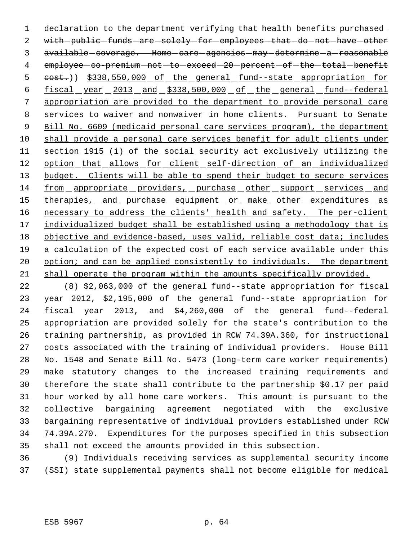1 declaration to the department verifying that health benefits purchased 2 with-public-funds-are-solely-for-employees-that-do-not-have-other 3 available coverage. Home care agencies may determine a reasonable 4 employee-co-premium-not-to-exceed-20-percent-of-the-total-benefit 5 cost.)) \$338,550,000 of the general fund--state appropriation for fiscal year 2013 and \$338,500,000 of the general fund--federal appropriation are provided to the department to provide personal care services to waiver and nonwaiver in home clients. Pursuant to Senate 9 Bill No. 6609 (medicaid personal care services program), the department shall provide a personal care services benefit for adult clients under section 1915 (i) of the social security act exclusively utilizing the 12 option that allows for client self-direction of an individualized 13 budget. Clients will be able to spend their budget to secure services from appropriate providers, purchase other support services and 15 therapies, and purchase equipment or make other expenditures as 16 necessary to address the clients' health and safety. The per-client 17 individualized budget shall be established using a methodology that is 18 objective and evidence-based, uses valid, reliable cost data; includes a calculation of the expected cost of each service available under this 20 option; and can be applied consistently to individuals. The department shall operate the program within the amounts specifically provided.

 (8) \$2,063,000 of the general fund--state appropriation for fiscal year 2012, \$2,195,000 of the general fund--state appropriation for fiscal year 2013, and \$4,260,000 of the general fund--federal appropriation are provided solely for the state's contribution to the training partnership, as provided in RCW 74.39A.360, for instructional costs associated with the training of individual providers. House Bill No. 1548 and Senate Bill No. 5473 (long-term care worker requirements) make statutory changes to the increased training requirements and therefore the state shall contribute to the partnership \$0.17 per paid hour worked by all home care workers. This amount is pursuant to the collective bargaining agreement negotiated with the exclusive bargaining representative of individual providers established under RCW 74.39A.270. Expenditures for the purposes specified in this subsection shall not exceed the amounts provided in this subsection.

 (9) Individuals receiving services as supplemental security income (SSI) state supplemental payments shall not become eligible for medical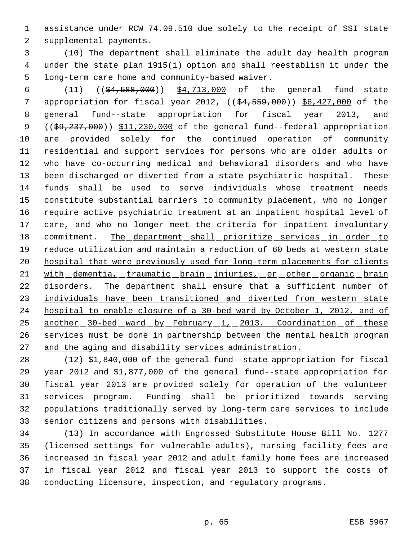assistance under RCW 74.09.510 due solely to the receipt of SSI state supplemental payments.

 (10) The department shall eliminate the adult day health program under the state plan 1915(i) option and shall reestablish it under the long-term care home and community-based waiver.

 (11) ((\$4,588,000)) \$4,713,000 of the general fund--state 7 appropriation for fiscal year 2012, ((\$4,559,000)) \$6,427,000 of the general fund--state appropriation for fiscal year 2013, and 9 ((\$9,237,000)) \$11,230,000 of the general fund--federal appropriation are provided solely for the continued operation of community residential and support services for persons who are older adults or who have co-occurring medical and behavioral disorders and who have been discharged or diverted from a state psychiatric hospital. These funds shall be used to serve individuals whose treatment needs constitute substantial barriers to community placement, who no longer require active psychiatric treatment at an inpatient hospital level of care, and who no longer meet the criteria for inpatient involuntary 18 commitment. The department shall prioritize services in order to reduce utilization and maintain a reduction of 60 beds at western state 20 hospital that were previously used for long-term placements for clients 21 with dementia, traumatic brain injuries, or other organic brain 22 disorders. The department shall ensure that a sufficient number of 23 individuals have been transitioned and diverted from western state hospital to enable closure of a 30-bed ward by October 1, 2012, and of 25 another 30-bed ward by February 1, 2013. Coordination of these services must be done in partnership between the mental health program and the aging and disability services administration.

 (12) \$1,840,000 of the general fund--state appropriation for fiscal year 2012 and \$1,877,000 of the general fund--state appropriation for fiscal year 2013 are provided solely for operation of the volunteer services program. Funding shall be prioritized towards serving populations traditionally served by long-term care services to include senior citizens and persons with disabilities.

 (13) In accordance with Engrossed Substitute House Bill No. 1277 (licensed settings for vulnerable adults), nursing facility fees are increased in fiscal year 2012 and adult family home fees are increased in fiscal year 2012 and fiscal year 2013 to support the costs of conducting licensure, inspection, and regulatory programs.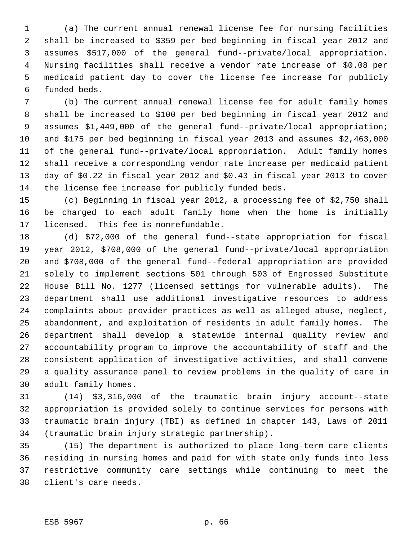(a) The current annual renewal license fee for nursing facilities shall be increased to \$359 per bed beginning in fiscal year 2012 and assumes \$517,000 of the general fund--private/local appropriation. Nursing facilities shall receive a vendor rate increase of \$0.08 per medicaid patient day to cover the license fee increase for publicly funded beds.

 (b) The current annual renewal license fee for adult family homes shall be increased to \$100 per bed beginning in fiscal year 2012 and assumes \$1,449,000 of the general fund--private/local appropriation; and \$175 per bed beginning in fiscal year 2013 and assumes \$2,463,000 of the general fund--private/local appropriation. Adult family homes shall receive a corresponding vendor rate increase per medicaid patient day of \$0.22 in fiscal year 2012 and \$0.43 in fiscal year 2013 to cover the license fee increase for publicly funded beds.

 (c) Beginning in fiscal year 2012, a processing fee of \$2,750 shall be charged to each adult family home when the home is initially licensed. This fee is nonrefundable.

 (d) \$72,000 of the general fund--state appropriation for fiscal year 2012, \$708,000 of the general fund--private/local appropriation and \$708,000 of the general fund--federal appropriation are provided solely to implement sections 501 through 503 of Engrossed Substitute House Bill No. 1277 (licensed settings for vulnerable adults). The department shall use additional investigative resources to address complaints about provider practices as well as alleged abuse, neglect, abandonment, and exploitation of residents in adult family homes. The department shall develop a statewide internal quality review and accountability program to improve the accountability of staff and the consistent application of investigative activities, and shall convene a quality assurance panel to review problems in the quality of care in adult family homes.

 (14) \$3,316,000 of the traumatic brain injury account--state appropriation is provided solely to continue services for persons with traumatic brain injury (TBI) as defined in chapter 143, Laws of 2011 (traumatic brain injury strategic partnership).

 (15) The department is authorized to place long-term care clients residing in nursing homes and paid for with state only funds into less restrictive community care settings while continuing to meet the client's care needs.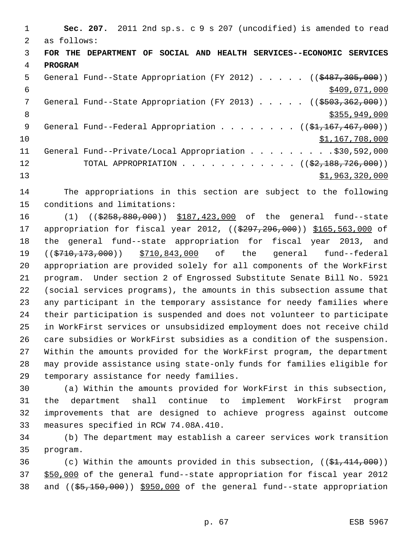| 1  |                | Sec. 207. 2011 2nd sp.s. c 9 s 207 (uncodified) is amended to read          |
|----|----------------|-----------------------------------------------------------------------------|
| 2  | as follows:    |                                                                             |
| 3  |                | FOR THE DEPARTMENT OF SOCIAL AND HEALTH SERVICES--ECONOMIC SERVICES         |
| 4  | <b>PROGRAM</b> |                                                                             |
| 5  |                | General Fund--State Appropriation (FY 2012) $($ $($ \$487,305,000))         |
| 6  |                | \$409,071,000                                                               |
| 7  |                | General Fund--State Appropriation (FY 2013) $($ $($ \$503,362,000))         |
| 8  |                | \$355,949,000                                                               |
| 9  |                | General Fund--Federal Appropriation ( $(\frac{21}{100}, \frac{167}{100})$ ) |
| 10 |                | \$1,167,708,000                                                             |
| 11 |                | General Fund--Private/Local Appropriation \$30,592,000                      |
| 12 |                | TOTAL APPROPRIATION ( $(\frac{2}{2}, 188, 726, 000)$ )                      |
| 13 |                | \$1,963,320,000                                                             |

 The appropriations in this section are subject to the following conditions and limitations:

16 (1) ((\$258,880,000)) \$187,423,000 of the general fund--state 17 appropriation for fiscal year 2012, ((\$297,296,000)) \$165,563,000 of the general fund--state appropriation for fiscal year 2013, and 19 ((\$710,173,000)) \$710,843,000 of the general fund--federal appropriation are provided solely for all components of the WorkFirst program. Under section 2 of Engrossed Substitute Senate Bill No. 5921 (social services programs), the amounts in this subsection assume that any participant in the temporary assistance for needy families where their participation is suspended and does not volunteer to participate in WorkFirst services or unsubsidized employment does not receive child care subsidies or WorkFirst subsidies as a condition of the suspension. Within the amounts provided for the WorkFirst program, the department may provide assistance using state-only funds for families eligible for temporary assistance for needy families.

 (a) Within the amounts provided for WorkFirst in this subsection, the department shall continue to implement WorkFirst program improvements that are designed to achieve progress against outcome measures specified in RCW 74.08A.410.

 (b) The department may establish a career services work transition program.

36 (c) Within the amounts provided in this subsection,  $((\frac{21}{21}, \frac{414}{200}))$  \$50,000 of the general fund--state appropriation for fiscal year 2012 and ((\$5,150,000)) \$950,000 of the general fund--state appropriation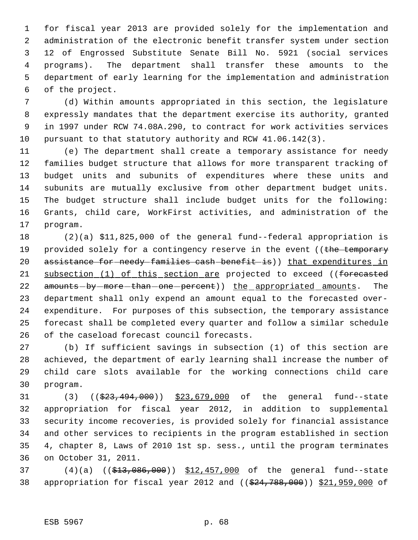for fiscal year 2013 are provided solely for the implementation and administration of the electronic benefit transfer system under section 12 of Engrossed Substitute Senate Bill No. 5921 (social services programs). The department shall transfer these amounts to the department of early learning for the implementation and administration of the project.

 (d) Within amounts appropriated in this section, the legislature expressly mandates that the department exercise its authority, granted in 1997 under RCW 74.08A.290, to contract for work activities services pursuant to that statutory authority and RCW 41.06.142(3).

 (e) The department shall create a temporary assistance for needy families budget structure that allows for more transparent tracking of budget units and subunits of expenditures where these units and subunits are mutually exclusive from other department budget units. The budget structure shall include budget units for the following: Grants, child care, WorkFirst activities, and administration of the program.

 (2)(a) \$11,825,000 of the general fund--federal appropriation is 19 provided solely for a contingency reserve in the event ((the temporary 20 assistance for needy families cash benefit is)) that expenditures in 21 subsection (1) of this section are projected to exceed ((forecasted 22 amounts-by-more-than-one-percent)) the appropriated amounts. The department shall only expend an amount equal to the forecasted over- expenditure. For purposes of this subsection, the temporary assistance forecast shall be completed every quarter and follow a similar schedule of the caseload forecast council forecasts.

 (b) If sufficient savings in subsection (1) of this section are achieved, the department of early learning shall increase the number of child care slots available for the working connections child care program.

31 (3) ((\$23,494,000)) \$23,679,000 of the general fund--state appropriation for fiscal year 2012, in addition to supplemental security income recoveries, is provided solely for financial assistance and other services to recipients in the program established in section 4, chapter 8, Laws of 2010 1st sp. sess., until the program terminates on October 31, 2011.

37 (4)(a) ((\$13,086,000)) \$12,457,000 of the general fund--state 38 appropriation for fiscal year 2012 and ((\$24,788,000)) \$21,959,000 of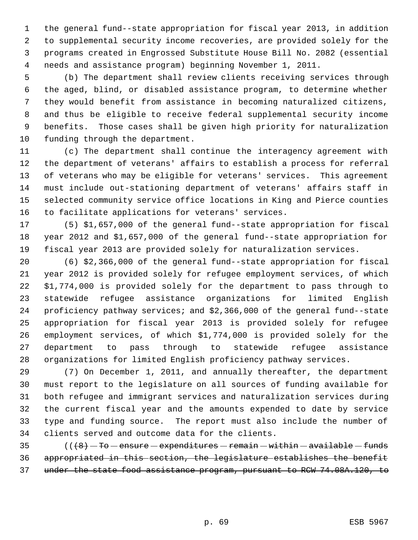the general fund--state appropriation for fiscal year 2013, in addition to supplemental security income recoveries, are provided solely for the programs created in Engrossed Substitute House Bill No. 2082 (essential needs and assistance program) beginning November 1, 2011.

 (b) The department shall review clients receiving services through the aged, blind, or disabled assistance program, to determine whether they would benefit from assistance in becoming naturalized citizens, and thus be eligible to receive federal supplemental security income benefits. Those cases shall be given high priority for naturalization funding through the department.

 (c) The department shall continue the interagency agreement with the department of veterans' affairs to establish a process for referral of veterans who may be eligible for veterans' services. This agreement must include out-stationing department of veterans' affairs staff in selected community service office locations in King and Pierce counties to facilitate applications for veterans' services.

 (5) \$1,657,000 of the general fund--state appropriation for fiscal year 2012 and \$1,657,000 of the general fund--state appropriation for fiscal year 2013 are provided solely for naturalization services.

 (6) \$2,366,000 of the general fund--state appropriation for fiscal year 2012 is provided solely for refugee employment services, of which \$1,774,000 is provided solely for the department to pass through to statewide refugee assistance organizations for limited English proficiency pathway services; and \$2,366,000 of the general fund--state appropriation for fiscal year 2013 is provided solely for refugee employment services, of which \$1,774,000 is provided solely for the department to pass through to statewide refugee assistance organizations for limited English proficiency pathway services.

 (7) On December 1, 2011, and annually thereafter, the department must report to the legislature on all sources of funding available for both refugee and immigrant services and naturalization services during the current fiscal year and the amounts expended to date by service type and funding source. The report must also include the number of clients served and outcome data for the clients.

 (( $\left(8\right)$  - To - ensure - expenditures - remain - within - available - funds appropriated in this section, the legislature establishes the benefit under the state food assistance program, pursuant to RCW 74.08A.120, to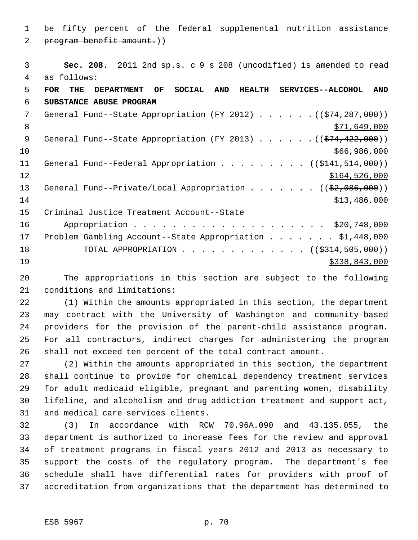1 be fifty percent of the federal supplemental nutrition assistance program benefit amount.))

 **Sec. 208.** 2011 2nd sp.s. c 9 s 208 (uncodified) is amended to read as follows: **FOR THE DEPARTMENT OF SOCIAL AND HEALTH SERVICES--ALCOHOL AND SUBSTANCE ABUSE PROGRAM** 7 General Fund--State Appropriation (FY 2012) . . . . . . ((\$74,287,000))  $8 \times 71,649,000$ 9 General Fund--State Appropriation (FY 2013) . . . . . . ((\$74,422,000)) \$66,986,000 11 General Fund--Federal Appropriation . . . . . . . . ((\$141,514,000)) 12 \$164,526,000 13 General Fund--Private/Local Appropriation . . . . . . ((\$2,086,000))  $$13,486,000$  Criminal Justice Treatment Account--State 16 Appropriation . . . . . . . . . . . . . . . . . . \$20,748,000 Problem Gambling Account--State Appropriation . . . . . . . \$1,448,000 18 TOTAL APPROPRIATION . . . . . . . . . . . . . ((\$314,505,000)) \$338,843,000

 The appropriations in this section are subject to the following conditions and limitations:

 (1) Within the amounts appropriated in this section, the department may contract with the University of Washington and community-based providers for the provision of the parent-child assistance program. For all contractors, indirect charges for administering the program shall not exceed ten percent of the total contract amount.

 (2) Within the amounts appropriated in this section, the department shall continue to provide for chemical dependency treatment services for adult medicaid eligible, pregnant and parenting women, disability lifeline, and alcoholism and drug addiction treatment and support act, and medical care services clients.

 (3) In accordance with RCW 70.96A.090 and 43.135.055, the department is authorized to increase fees for the review and approval of treatment programs in fiscal years 2012 and 2013 as necessary to support the costs of the regulatory program. The department's fee schedule shall have differential rates for providers with proof of accreditation from organizations that the department has determined to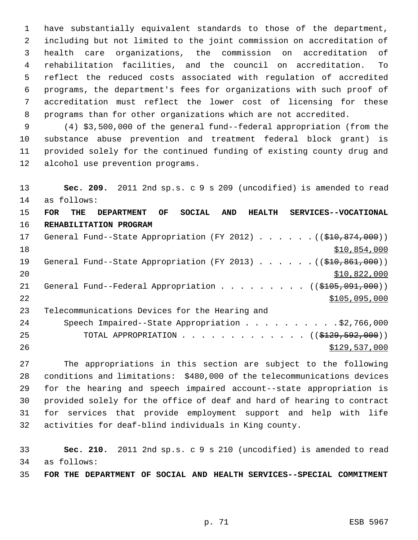have substantially equivalent standards to those of the department, including but not limited to the joint commission on accreditation of health care organizations, the commission on accreditation of rehabilitation facilities, and the council on accreditation. To reflect the reduced costs associated with regulation of accredited programs, the department's fees for organizations with such proof of accreditation must reflect the lower cost of licensing for these programs than for other organizations which are not accredited.

 (4) \$3,500,000 of the general fund--federal appropriation (from the substance abuse prevention and treatment federal block grant) is provided solely for the continued funding of existing county drug and alcohol use prevention programs.

 **Sec. 209.** 2011 2nd sp.s. c 9 s 209 (uncodified) is amended to read as follows: **FOR THE DEPARTMENT OF SOCIAL AND HEALTH SERVICES--VOCATIONAL REHABILITATION PROGRAM** 17 General Fund--State Appropriation (FY 2012) . . . . . . ((\$10,874,000)) \$10,854,000 19 General Fund--State Appropriation (FY 2013) . . . . . . ((\$10,861,000)) \$10,822,000 21 General Fund--Federal Appropriation . . . . . . . . ((\$105,091,000))  $5105,095,000$  Telecommunications Devices for the Hearing and 24 Speech Impaired--State Appropriation . . . . . . . . . \$2,766,000 25 TOTAL APPROPRIATION . . . . . . . . . . . . ((\$<del>129,592,000</del>)) 26 \$129,537,000 \$129,537,000

 The appropriations in this section are subject to the following conditions and limitations: \$480,000 of the telecommunications devices for the hearing and speech impaired account--state appropriation is provided solely for the office of deaf and hard of hearing to contract for services that provide employment support and help with life activities for deaf-blind individuals in King county.

 **Sec. 210.** 2011 2nd sp.s. c 9 s 210 (uncodified) is amended to read as follows:

**FOR THE DEPARTMENT OF SOCIAL AND HEALTH SERVICES--SPECIAL COMMITMENT**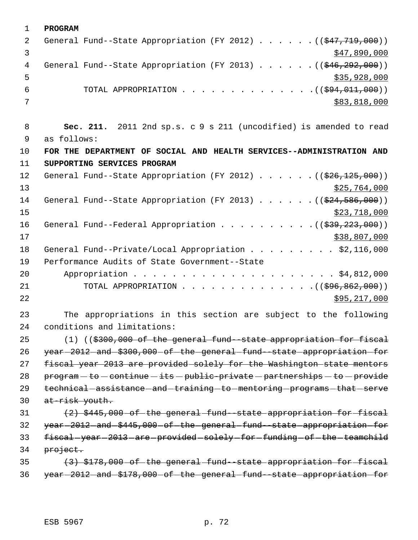| $\mathbf 1$  | <b>PROGRAM</b>                                                                                  |
|--------------|-------------------------------------------------------------------------------------------------|
| 2            | General Fund--State Appropriation (FY 2012) $($ $($ $\frac{247}{779}$ , 000))                   |
| $\mathbf{3}$ | \$47,890,000                                                                                    |
| 4            | General Fund--State Appropriation (FY 2013) ( $(\frac{246}{292}, 000)$ )                        |
| 5            | \$35,928,000                                                                                    |
| 6            | TOTAL APPROPRIATION $($ $($ $\frac{294}{11}$ ,000) $)$                                          |
| 7            | \$83,818,000                                                                                    |
| 8            | Sec. 211. 2011 2nd sp.s. c 9 s 211 (uncodified) is amended to read                              |
| 9            | as follows:                                                                                     |
| 10           | FOR THE DEPARTMENT OF SOCIAL AND HEALTH SERVICES--ADMINISTRATION AND                            |
| 11           | SUPPORTING SERVICES PROGRAM                                                                     |
| 12           | General Fund--State Appropriation (FY 2012) $($ $($ $\frac{26}{26}$ , $\frac{125}{125}$ , 000)) |
| 13           | \$25,764,000                                                                                    |
| 14           | General Fund--State Appropriation (FY 2013) ( $(\frac{24}{524}, \frac{586}{500})$ )             |
| 15           | \$23,718,000                                                                                    |
| 16           | General Fund--Federal Appropriation $($ $($ $\frac{239}{723}, 000)$                             |
| 17           | \$38,807,000                                                                                    |
| 18           | General Fund--Private/Local Appropriation \$2,116,000                                           |
| 19           | Performance Audits of State Government--State                                                   |
| 20           |                                                                                                 |
| 21           | TOTAL APPROPRIATION ( $(\frac{296}{896}, \frac{862}{100})$ )                                    |
| 22           | \$95,217,000                                                                                    |
| 23           | The appropriations in this section are subject to the following                                 |
| 24           | conditions and limitations:                                                                     |
| 25           | $(1)$ ((\$300,000 of the general fund -state appropriation for fiscal                           |
| 26           | year-2012-and-\$300,000-of-the-general-fund--state-appropriation-for                            |
| 27           | fiscal year 2013 are provided solely for the Washington state mentors                           |
| 28           | program - to - continue - its - public-private - partnerships - to - provide                    |
| 29           | technical-assistance-and-training-to-mentoring-programs-that-serve                              |
| 30           | at-risk youth.                                                                                  |
| 31           | $(2)$ \$445,000 of the general fund state appropriation for fiscal                              |
| 32           | year-2012-and-\$445,000-of-the-general-fund-state-appropriation-for                             |
| 33           | fiscal-year-2013-are-provided-solely-for-funding-of-the-teamchild                               |
| 34           | project.                                                                                        |
| 35           | (3) \$178,000 of the general fund state appropriation for fiscal                                |
| 36           | year-2012-and-\$178,000-of-the-general-fund-state-appropriation-for                             |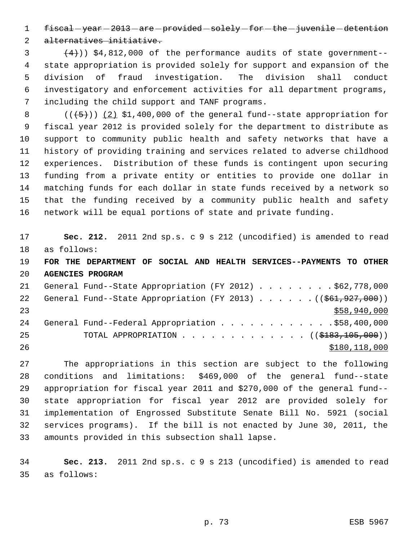1 fiscal-year-2013-are-provided-solely-for-the-juvenile-detention

alternatives initiative.

 $(4)$ ) \$4,812,000 of the performance audits of state government-- state appropriation is provided solely for support and expansion of the division of fraud investigation. The division shall conduct investigatory and enforcement activities for all department programs, including the child support and TANF programs.

 $((+5))$   $(2)$  \$1,400,000 of the general fund--state appropriation for fiscal year 2012 is provided solely for the department to distribute as support to community public health and safety networks that have a history of providing training and services related to adverse childhood experiences. Distribution of these funds is contingent upon securing funding from a private entity or entities to provide one dollar in matching funds for each dollar in state funds received by a network so that the funding received by a community public health and safety network will be equal portions of state and private funding.

 **Sec. 212.** 2011 2nd sp.s. c 9 s 212 (uncodified) is amended to read as follows:

 **FOR THE DEPARTMENT OF SOCIAL AND HEALTH SERVICES--PAYMENTS TO OTHER AGENCIES PROGRAM**

| 21 | General Fund--State Appropriation (FY 2012) \$62,778,000               |
|----|------------------------------------------------------------------------|
| 22 | General Fund--State Appropriation (FY 2013) $($ $($ $$61, 927, 000)$ ) |
| 23 | \$58,940,000                                                           |
| 24 | General Fund--Federal Appropriation \$58,400,000                       |
| 25 | TOTAL APPROPRIATION $\ldots$ , ( $(\frac{18183}{105}, 105, 000)$ )     |
| 26 | \$180,118,000                                                          |

 The appropriations in this section are subject to the following conditions and limitations: \$469,000 of the general fund--state appropriation for fiscal year 2011 and \$270,000 of the general fund-- state appropriation for fiscal year 2012 are provided solely for implementation of Engrossed Substitute Senate Bill No. 5921 (social services programs). If the bill is not enacted by June 30, 2011, the amounts provided in this subsection shall lapse.

 **Sec. 213.** 2011 2nd sp.s. c 9 s 213 (uncodified) is amended to read as follows: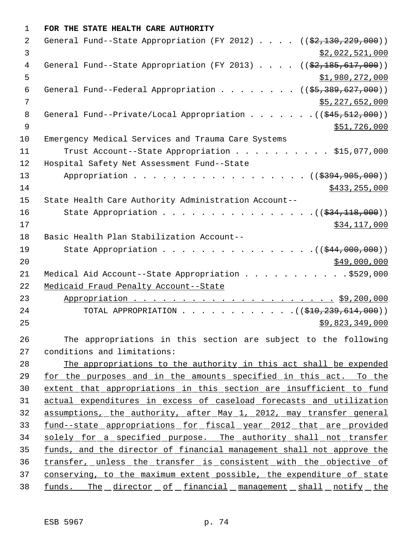| 1              | FOR THE STATE HEALTH CARE AUTHORITY                                                              |
|----------------|--------------------------------------------------------------------------------------------------|
| 2              | General Fund--State Appropriation (FY 2012) $($ $($ $\frac{22,130,229,000)}{2})$                 |
| 3              | \$2,022,521,000                                                                                  |
| 4              | General Fund--State Appropriation (FY 2013) $($ $($ $\frac{2}{7}$ , $\frac{185}{617}$ , $000)$ ) |
| 5              | \$1,980,272,000                                                                                  |
| 6              | General Fund--Federal Appropriation ( $(\frac{25}{39}, \frac{389}{627}, \frac{600}{90})$ )       |
| 7              | \$5,227,652,000                                                                                  |
| 8              | General Fund--Private/Local Appropriation $($ $($ $\frac{45}{7512},000)$ )                       |
| $\overline{9}$ | \$51,726,000                                                                                     |
| 10             | Emergency Medical Services and Trauma Care Systems                                               |
| 11             | Trust Account--State Appropriation \$15,077,000                                                  |
| 12             | Hospital Safety Net Assessment Fund--State                                                       |
| 13             | Appropriation ((\$394,905,000))                                                                  |
| 14             | \$433, 255, 000                                                                                  |
| 15             | State Health Care Authority Administration Account--                                             |
| 16             | State Appropriation $($ $(\frac{234}{118},000))$                                                 |
| 17             | \$34,117,000                                                                                     |
| 18             | Basic Health Plan Stabilization Account--                                                        |
| 19             | State Appropriation $($ $($ $\frac{244}{000},000)$                                               |
| 20             | \$49,000,000                                                                                     |
| 21             | Medical Aid Account--State Appropriation \$529,000                                               |
| 22             | Medicaid Fraud Penalty Account--State                                                            |
| 23             |                                                                                                  |
| 24             | TOTAL APPROPRIATION $($ $($ \$10,239,614,000) $)$                                                |
| 25             | \$9,823,349,000                                                                                  |
| 26             | The appropriations in this section are subject to the following                                  |
| 27             | conditions and limitations:                                                                      |
| 28             | The appropriations to the authority in this act shall be expended                                |
| 29             | <u>for the purposes and in the amounts specified in this act. To the</u>                         |
| 30             | extent that appropriations in this section are insufficient to fund                              |
| 31             | actual expenditures in excess of caseload forecasts and utilization                              |
| 32             | assumptions, the authority, after May 1, 2012, may transfer general                              |
| 33             | fund--state appropriations for fiscal year 2012 that are provided                                |
| 34             | solely for a specified purpose. The authority shall not transfer                                 |
| 35             | funds, and the director of financial management shall not approve the                            |
| 36             | transfer, unless the transfer is consistent with the objective of                                |
| 37             | conserving, to the maximum extent possible, the expenditure of state                             |
| 38             | funds. The director of financial management shall notify the                                     |
|                |                                                                                                  |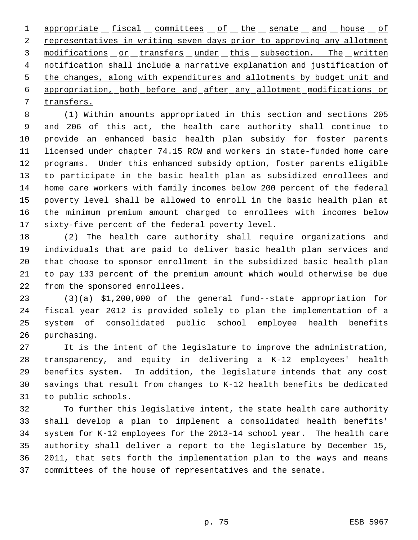1 appropriate fiscal committees of the senate and house of 2 representatives in writing seven days prior to approving any allotment 3 modifications or transfers under this subsection. The written notification shall include a narrative explanation and justification of 5 the changes, along with expenditures and allotments by budget unit and appropriation, both before and after any allotment modifications or transfers.

 (1) Within amounts appropriated in this section and sections 205 and 206 of this act, the health care authority shall continue to provide an enhanced basic health plan subsidy for foster parents licensed under chapter 74.15 RCW and workers in state-funded home care programs. Under this enhanced subsidy option, foster parents eligible to participate in the basic health plan as subsidized enrollees and home care workers with family incomes below 200 percent of the federal poverty level shall be allowed to enroll in the basic health plan at the minimum premium amount charged to enrollees with incomes below sixty-five percent of the federal poverty level.

 (2) The health care authority shall require organizations and individuals that are paid to deliver basic health plan services and that choose to sponsor enrollment in the subsidized basic health plan to pay 133 percent of the premium amount which would otherwise be due from the sponsored enrollees.

 (3)(a) \$1,200,000 of the general fund--state appropriation for fiscal year 2012 is provided solely to plan the implementation of a system of consolidated public school employee health benefits purchasing.

 It is the intent of the legislature to improve the administration, transparency, and equity in delivering a K-12 employees' health benefits system. In addition, the legislature intends that any cost savings that result from changes to K-12 health benefits be dedicated to public schools.

 To further this legislative intent, the state health care authority shall develop a plan to implement a consolidated health benefits' system for K-12 employees for the 2013-14 school year. The health care authority shall deliver a report to the legislature by December 15, 2011, that sets forth the implementation plan to the ways and means committees of the house of representatives and the senate.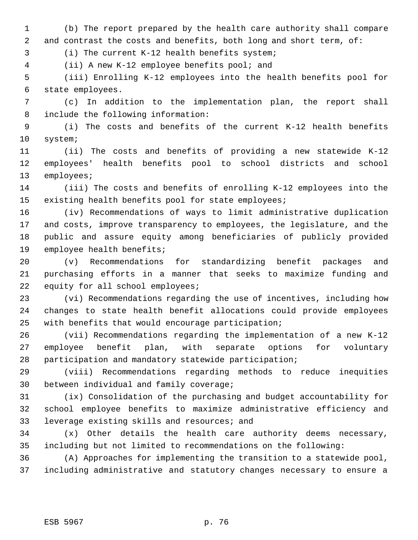(b) The report prepared by the health care authority shall compare 2 and contrast the costs and benefits, both long and short term, of:

(i) The current K-12 health benefits system;

(ii) A new K-12 employee benefits pool; and

 (iii) Enrolling K-12 employees into the health benefits pool for state employees.

 (c) In addition to the implementation plan, the report shall include the following information:

 (i) The costs and benefits of the current K-12 health benefits system;

 (ii) The costs and benefits of providing a new statewide K-12 employees' health benefits pool to school districts and school employees;

 (iii) The costs and benefits of enrolling K-12 employees into the existing health benefits pool for state employees;

 (iv) Recommendations of ways to limit administrative duplication and costs, improve transparency to employees, the legislature, and the public and assure equity among beneficiaries of publicly provided employee health benefits;

 (v) Recommendations for standardizing benefit packages and purchasing efforts in a manner that seeks to maximize funding and 22 equity for all school employees;

 (vi) Recommendations regarding the use of incentives, including how changes to state health benefit allocations could provide employees with benefits that would encourage participation;

 (vii) Recommendations regarding the implementation of a new K-12 employee benefit plan, with separate options for voluntary participation and mandatory statewide participation;

 (viii) Recommendations regarding methods to reduce inequities between individual and family coverage;

 (ix) Consolidation of the purchasing and budget accountability for school employee benefits to maximize administrative efficiency and leverage existing skills and resources; and

 (x) Other details the health care authority deems necessary, including but not limited to recommendations on the following:

 (A) Approaches for implementing the transition to a statewide pool, including administrative and statutory changes necessary to ensure a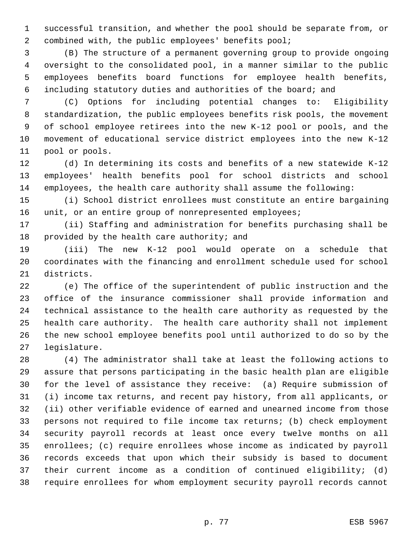successful transition, and whether the pool should be separate from, or combined with, the public employees' benefits pool;

 (B) The structure of a permanent governing group to provide ongoing oversight to the consolidated pool, in a manner similar to the public employees benefits board functions for employee health benefits, including statutory duties and authorities of the board; and

 (C) Options for including potential changes to: Eligibility standardization, the public employees benefits risk pools, the movement of school employee retirees into the new K-12 pool or pools, and the movement of educational service district employees into the new K-12 pool or pools.

 (d) In determining its costs and benefits of a new statewide K-12 employees' health benefits pool for school districts and school employees, the health care authority shall assume the following:

 (i) School district enrollees must constitute an entire bargaining 16 unit, or an entire group of nonrepresented employees;

 (ii) Staffing and administration for benefits purchasing shall be provided by the health care authority; and

 (iii) The new K-12 pool would operate on a schedule that coordinates with the financing and enrollment schedule used for school districts.

 (e) The office of the superintendent of public instruction and the office of the insurance commissioner shall provide information and technical assistance to the health care authority as requested by the health care authority. The health care authority shall not implement the new school employee benefits pool until authorized to do so by the legislature.

 (4) The administrator shall take at least the following actions to assure that persons participating in the basic health plan are eligible for the level of assistance they receive: (a) Require submission of (i) income tax returns, and recent pay history, from all applicants, or (ii) other verifiable evidence of earned and unearned income from those persons not required to file income tax returns; (b) check employment security payroll records at least once every twelve months on all enrollees; (c) require enrollees whose income as indicated by payroll records exceeds that upon which their subsidy is based to document their current income as a condition of continued eligibility; (d) require enrollees for whom employment security payroll records cannot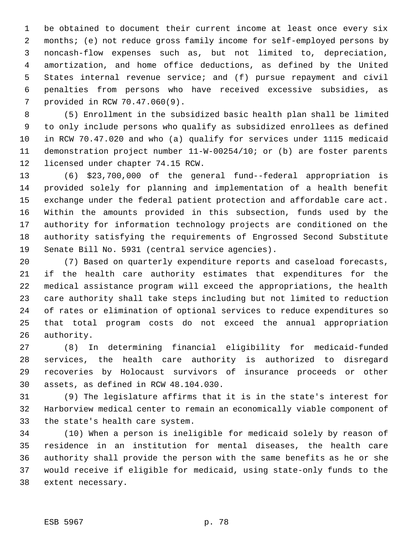be obtained to document their current income at least once every six months; (e) not reduce gross family income for self-employed persons by noncash-flow expenses such as, but not limited to, depreciation, amortization, and home office deductions, as defined by the United States internal revenue service; and (f) pursue repayment and civil penalties from persons who have received excessive subsidies, as provided in RCW 70.47.060(9).

 (5) Enrollment in the subsidized basic health plan shall be limited to only include persons who qualify as subsidized enrollees as defined in RCW 70.47.020 and who (a) qualify for services under 1115 medicaid demonstration project number 11-W-00254/10; or (b) are foster parents licensed under chapter 74.15 RCW.

 (6) \$23,700,000 of the general fund--federal appropriation is provided solely for planning and implementation of a health benefit exchange under the federal patient protection and affordable care act. Within the amounts provided in this subsection, funds used by the authority for information technology projects are conditioned on the authority satisfying the requirements of Engrossed Second Substitute Senate Bill No. 5931 (central service agencies).

 (7) Based on quarterly expenditure reports and caseload forecasts, if the health care authority estimates that expenditures for the medical assistance program will exceed the appropriations, the health care authority shall take steps including but not limited to reduction of rates or elimination of optional services to reduce expenditures so that total program costs do not exceed the annual appropriation authority.

 (8) In determining financial eligibility for medicaid-funded services, the health care authority is authorized to disregard recoveries by Holocaust survivors of insurance proceeds or other assets, as defined in RCW 48.104.030.

 (9) The legislature affirms that it is in the state's interest for Harborview medical center to remain an economically viable component of the state's health care system.

 (10) When a person is ineligible for medicaid solely by reason of residence in an institution for mental diseases, the health care authority shall provide the person with the same benefits as he or she would receive if eligible for medicaid, using state-only funds to the extent necessary.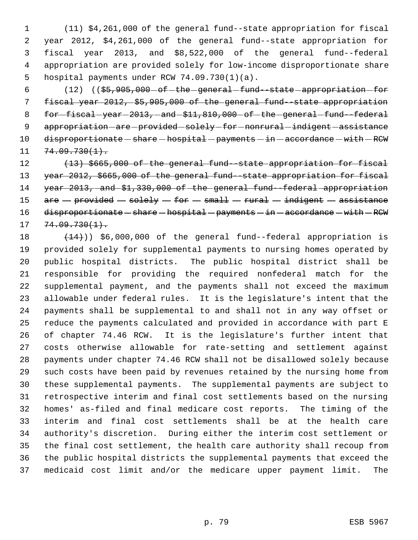(11) \$4,261,000 of the general fund--state appropriation for fiscal year 2012, \$4,261,000 of the general fund--state appropriation for fiscal year 2013, and \$8,522,000 of the general fund--federal appropriation are provided solely for low-income disproportionate share hospital payments under RCW 74.09.730(1)(a).

6 (12) ((\$5,905,000 - of - the - general -fund--state - appropriation - for fiscal year 2012, \$5,905,000 of the general fund--state appropriation 8 for-fiscal-year-2013, and  $$11,810,000$  of-the general fund-federal 9 appropriation-are-provided-solely-for-nonrural-indigent-assistance 10 disproportionate - share - hospital - payments - in - accordance - with - RCW  $11 \quad 74.09.730(1).$ 

12 (13) \$665,000 of the general fund state appropriation for fiscal year 2012, \$665,000 of the general fund--state appropriation for fiscal year 2013, and \$1,330,000 of the general fund--federal appropriation 15  $are$   $-$  provided  $-$  solely  $-$  for  $-$  small  $-$  rural  $-$  indigent  $-$  assistance 16 disproportionate - share - hospital - payments - in - accordance - with - RCW  $17 \quad 74.09.730(1).$ 

 $(14)$ ) \$6,000,000 of the general fund--federal appropriation is provided solely for supplemental payments to nursing homes operated by public hospital districts. The public hospital district shall be responsible for providing the required nonfederal match for the supplemental payment, and the payments shall not exceed the maximum allowable under federal rules. It is the legislature's intent that the payments shall be supplemental to and shall not in any way offset or reduce the payments calculated and provided in accordance with part E of chapter 74.46 RCW. It is the legislature's further intent that costs otherwise allowable for rate-setting and settlement against payments under chapter 74.46 RCW shall not be disallowed solely because such costs have been paid by revenues retained by the nursing home from these supplemental payments. The supplemental payments are subject to retrospective interim and final cost settlements based on the nursing homes' as-filed and final medicare cost reports. The timing of the interim and final cost settlements shall be at the health care authority's discretion. During either the interim cost settlement or the final cost settlement, the health care authority shall recoup from the public hospital districts the supplemental payments that exceed the medicaid cost limit and/or the medicare upper payment limit. The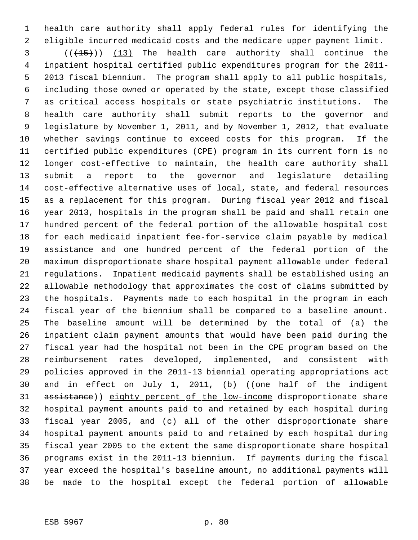health care authority shall apply federal rules for identifying the eligible incurred medicaid costs and the medicare upper payment limit.

3 (( $(15)$ )) (13) The health care authority shall continue the inpatient hospital certified public expenditures program for the 2011- 2013 fiscal biennium. The program shall apply to all public hospitals, including those owned or operated by the state, except those classified as critical access hospitals or state psychiatric institutions. The health care authority shall submit reports to the governor and legislature by November 1, 2011, and by November 1, 2012, that evaluate whether savings continue to exceed costs for this program. If the certified public expenditures (CPE) program in its current form is no longer cost-effective to maintain, the health care authority shall submit a report to the governor and legislature detailing cost-effective alternative uses of local, state, and federal resources as a replacement for this program. During fiscal year 2012 and fiscal year 2013, hospitals in the program shall be paid and shall retain one hundred percent of the federal portion of the allowable hospital cost for each medicaid inpatient fee-for-service claim payable by medical assistance and one hundred percent of the federal portion of the maximum disproportionate share hospital payment allowable under federal regulations. Inpatient medicaid payments shall be established using an allowable methodology that approximates the cost of claims submitted by the hospitals. Payments made to each hospital in the program in each fiscal year of the biennium shall be compared to a baseline amount. The baseline amount will be determined by the total of (a) the inpatient claim payment amounts that would have been paid during the fiscal year had the hospital not been in the CPE program based on the reimbursement rates developed, implemented, and consistent with policies approved in the 2011-13 biennial operating appropriations act 30 and in effect on July 1, 2011, (b) ((one-half-of-the-indigent 31 assistance)) eighty percent of the low-income disproportionate share hospital payment amounts paid to and retained by each hospital during fiscal year 2005, and (c) all of the other disproportionate share hospital payment amounts paid to and retained by each hospital during fiscal year 2005 to the extent the same disproportionate share hospital programs exist in the 2011-13 biennium. If payments during the fiscal year exceed the hospital's baseline amount, no additional payments will be made to the hospital except the federal portion of allowable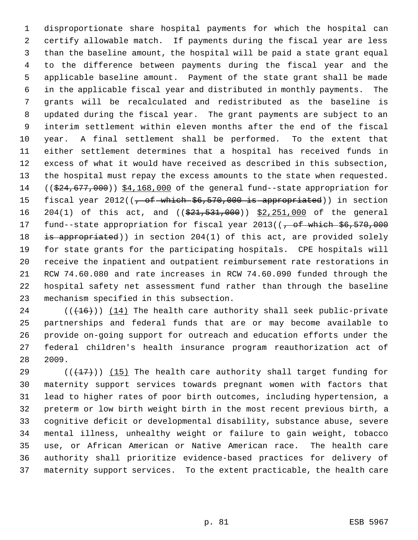disproportionate share hospital payments for which the hospital can certify allowable match. If payments during the fiscal year are less than the baseline amount, the hospital will be paid a state grant equal to the difference between payments during the fiscal year and the applicable baseline amount. Payment of the state grant shall be made in the applicable fiscal year and distributed in monthly payments. The grants will be recalculated and redistributed as the baseline is updated during the fiscal year. The grant payments are subject to an interim settlement within eleven months after the end of the fiscal year. A final settlement shall be performed. To the extent that either settlement determines that a hospital has received funds in excess of what it would have received as described in this subsection, the hospital must repay the excess amounts to the state when requested. 14 ((\$24,677,000)) \$4,168,000 of the general fund--state appropriation for 15 fiscal year 2012((<del>, of which \$6,570,000 is appropriated</del>)) in section 16 204(1) of this act, and (( $\frac{21}{531}$ , 000)) \$2, 251, 000 of the general 17 fund--state appropriation for fiscal year 2013((, of which \$6,570,000 18 is appropriated)) in section 204(1) of this act, are provided solely for state grants for the participating hospitals. CPE hospitals will receive the inpatient and outpatient reimbursement rate restorations in RCW 74.60.080 and rate increases in RCW 74.60.090 funded through the hospital safety net assessment fund rather than through the baseline mechanism specified in this subsection.

 $((+16))$   $(14)$  The health care authority shall seek public-private partnerships and federal funds that are or may become available to provide on-going support for outreach and education efforts under the federal children's health insurance program reauthorization act of 2009.

 $((+17))$  (15) The health care authority shall target funding for maternity support services towards pregnant women with factors that lead to higher rates of poor birth outcomes, including hypertension, a preterm or low birth weight birth in the most recent previous birth, a cognitive deficit or developmental disability, substance abuse, severe mental illness, unhealthy weight or failure to gain weight, tobacco use, or African American or Native American race. The health care authority shall prioritize evidence-based practices for delivery of maternity support services. To the extent practicable, the health care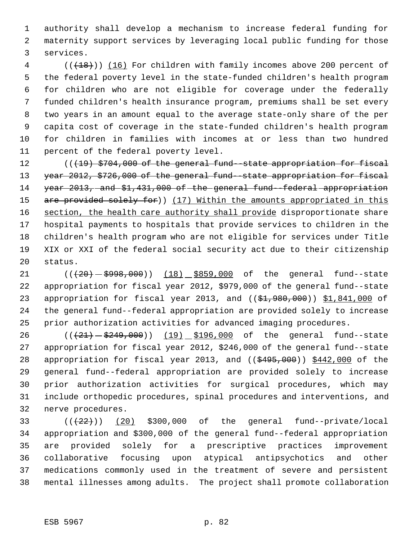authority shall develop a mechanism to increase federal funding for maternity support services by leveraging local public funding for those services.

4 (( $(18)$ )) (16) For children with family incomes above 200 percent of the federal poverty level in the state-funded children's health program for children who are not eligible for coverage under the federally funded children's health insurance program, premiums shall be set every two years in an amount equal to the average state-only share of the per capita cost of coverage in the state-funded children's health program for children in families with incomes at or less than two hundred percent of the federal poverty level.

 $((19)$  \$704,000 of the general fund-state appropriation for fiscal year 2012, \$726,000 of the general fund--state appropriation for fiscal 14 year 2013, and \$1,431,000 of the general fund-federal appropriation 15 are provided solely for)) (17) Within the amounts appropriated in this 16 section, the health care authority shall provide disproportionate share hospital payments to hospitals that provide services to children in the children's health program who are not eligible for services under Title XIX or XXI of the federal social security act due to their citizenship status.

 $((+20) - $998,000)$  (18) \$859,000 of the general fund--state appropriation for fiscal year 2012, \$979,000 of the general fund--state 23 appropriation for fiscal year 2013, and ((\$1,980,000)) \$1,841,000 of the general fund--federal appropriation are provided solely to increase prior authorization activities for advanced imaging procedures.

26 (( $(21)$   $5249$ , 000)) (19)  $\frac{190}{196}$ , 000 of the general fund--state appropriation for fiscal year 2012, \$246,000 of the general fund--state 28 appropriation for fiscal year 2013, and  $($   $(*495,000)$   $$442,000$  of the general fund--federal appropriation are provided solely to increase prior authorization activities for surgical procedures, which may include orthopedic procedures, spinal procedures and interventions, and nerve procedures.

 $((22))$   $(20)$  \$300,000 of the general fund--private/local appropriation and \$300,000 of the general fund--federal appropriation are provided solely for a prescriptive practices improvement collaborative focusing upon atypical antipsychotics and other medications commonly used in the treatment of severe and persistent mental illnesses among adults. The project shall promote collaboration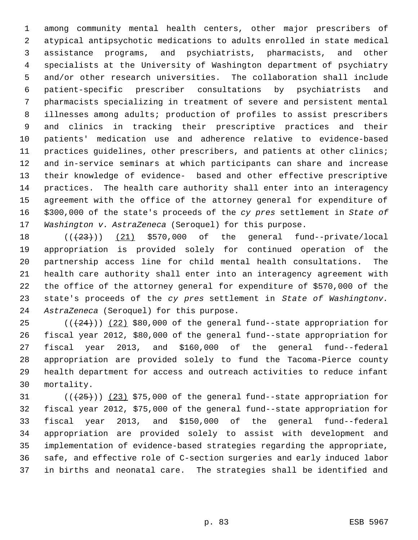among community mental health centers, other major prescribers of atypical antipsychotic medications to adults enrolled in state medical assistance programs, and psychiatrists, pharmacists, and other specialists at the University of Washington department of psychiatry and/or other research universities. The collaboration shall include patient-specific prescriber consultations by psychiatrists and pharmacists specializing in treatment of severe and persistent mental illnesses among adults; production of profiles to assist prescribers and clinics in tracking their prescriptive practices and their patients' medication use and adherence relative to evidence-based practices guidelines, other prescribers, and patients at other clinics; and in-service seminars at which participants can share and increase their knowledge of evidence- based and other effective prescriptive practices. The health care authority shall enter into an interagency agreement with the office of the attorney general for expenditure of \$300,000 of the state's proceeds of the *cy pres* settlement in *State of Washington v. AstraZeneca* (Seroquel) for this purpose.

 $((+23+))$   $(21)$  \$570,000 of the general fund--private/local appropriation is provided solely for continued operation of the partnership access line for child mental health consultations. The health care authority shall enter into an interagency agreement with the office of the attorney general for expenditure of \$570,000 of the state's proceeds of the *cy pres* settlement in *State of Washingtonv. AstraZeneca* (Seroquel) for this purpose.

 $((+24))$   $(22)$  \$80,000 of the general fund--state appropriation for fiscal year 2012, \$80,000 of the general fund--state appropriation for fiscal year 2013, and \$160,000 of the general fund--federal appropriation are provided solely to fund the Tacoma-Pierce county health department for access and outreach activities to reduce infant mortality.

 $((+25))$   $(23)$  \$75,000 of the general fund--state appropriation for fiscal year 2012, \$75,000 of the general fund--state appropriation for fiscal year 2013, and \$150,000 of the general fund--federal appropriation are provided solely to assist with development and implementation of evidence-based strategies regarding the appropriate, safe, and effective role of C-section surgeries and early induced labor in births and neonatal care. The strategies shall be identified and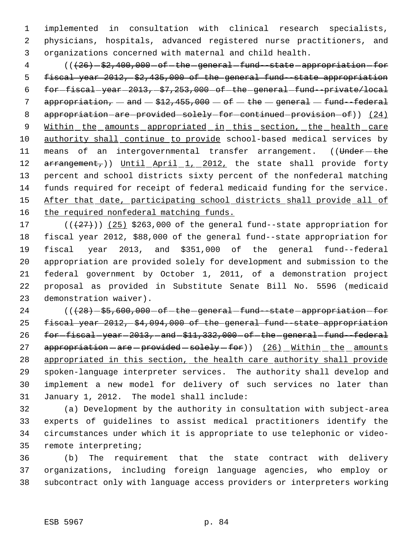implemented in consultation with clinical research specialists, physicians, hospitals, advanced registered nurse practitioners, and organizations concerned with maternal and child health.

4 (( $\{26\}$ -\$2,400,000-of-the-general-fund--state-appropriation-for fiscal year 2012, \$2,435,000 of the general fund--state appropriation  $for$  for  $fise$ al  $-ye$ ar  $-2013$ ,  $-$ \$7,253,000  $-$ of  $-$ the  $-general$   $-fund$   $-private/local$ 7 appropriation,  $-$  and  $-$  \$12,455,000  $-$  of  $-$  the  $-$  general  $-$  fund--federal 8 appropriation-are-provided-solely-for-continued-provision-of)) (24) 9 Within the amounts appropriated in this section, the health care 10 authority shall continue to provide school-based medical services by 11 means of an intergovernmental transfer arrangement. ((Under-the 12 arrangement,)) Until April 1, 2012, the state shall provide forty percent and school districts sixty percent of the nonfederal matching funds required for receipt of federal medicaid funding for the service. 15 After that date, participating school districts shall provide all of 16 the required nonfederal matching funds.

 $((+27))$   $(25)$  \$263,000 of the general fund--state appropriation for fiscal year 2012, \$88,000 of the general fund--state appropriation for fiscal year 2013, and \$351,000 of the general fund--federal appropriation are provided solely for development and submission to the federal government by October 1, 2011, of a demonstration project proposal as provided in Substitute Senate Bill No. 5596 (medicaid demonstration waiver).

24 (() - \$5,600,000 - of - the - general -fund--state - appropriation - for fiscal year 2012, \$4,094,000 of the general fund--state appropriation 26 for-fiscal-year-2013, and  $$11,332,000$  of the general fund-federal 27 appropriation - are - provided - solely - for) (26) \_ Within \_ the \_ amounts appropriated in this section, the health care authority shall provide spoken-language interpreter services. The authority shall develop and implement a new model for delivery of such services no later than January 1, 2012. The model shall include:

 (a) Development by the authority in consultation with subject-area experts of guidelines to assist medical practitioners identify the circumstances under which it is appropriate to use telephonic or video-remote interpreting;

 (b) The requirement that the state contract with delivery organizations, including foreign language agencies, who employ or subcontract only with language access providers or interpreters working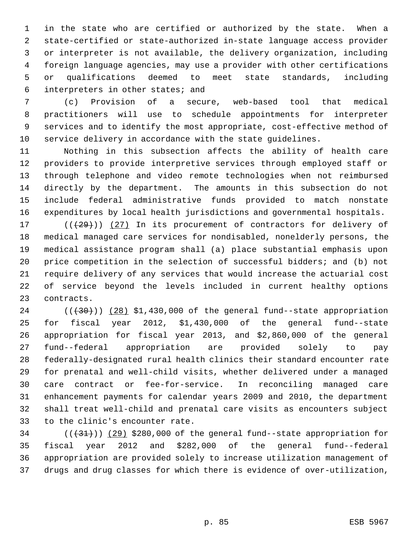in the state who are certified or authorized by the state. When a state-certified or state-authorized in-state language access provider or interpreter is not available, the delivery organization, including foreign language agencies, may use a provider with other certifications or qualifications deemed to meet state standards, including interpreters in other states; and

 (c) Provision of a secure, web-based tool that medical practitioners will use to schedule appointments for interpreter services and to identify the most appropriate, cost-effective method of service delivery in accordance with the state guidelines.

 Nothing in this subsection affects the ability of health care providers to provide interpretive services through employed staff or through telephone and video remote technologies when not reimbursed directly by the department. The amounts in this subsection do not include federal administrative funds provided to match nonstate expenditures by local health jurisdictions and governmental hospitals.

 $((+29))$   $(27)$  In its procurement of contractors for delivery of medical managed care services for nondisabled, nonelderly persons, the medical assistance program shall (a) place substantial emphasis upon price competition in the selection of successful bidders; and (b) not require delivery of any services that would increase the actuarial cost of service beyond the levels included in current healthy options contracts.

 ( $(\overline{30})$ )  $(28)$  \$1,430,000 of the general fund--state appropriation for fiscal year 2012, \$1,430,000 of the general fund--state appropriation for fiscal year 2013, and \$2,860,000 of the general fund--federal appropriation are provided solely to pay federally-designated rural health clinics their standard encounter rate for prenatal and well-child visits, whether delivered under a managed care contract or fee-for-service. In reconciling managed care enhancement payments for calendar years 2009 and 2010, the department shall treat well-child and prenatal care visits as encounters subject to the clinic's encounter rate.

 $((+31))$   $(29)$  \$280,000 of the general fund--state appropriation for fiscal year 2012 and \$282,000 of the general fund--federal appropriation are provided solely to increase utilization management of drugs and drug classes for which there is evidence of over-utilization,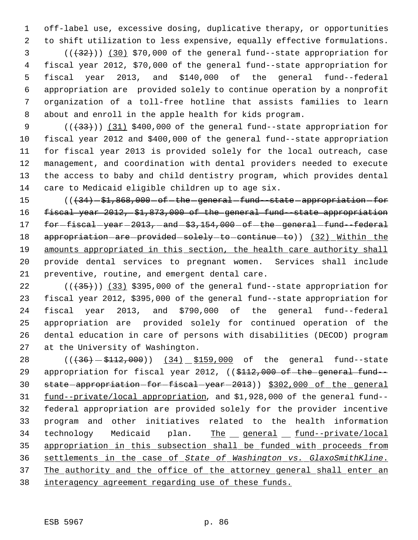off-label use, excessive dosing, duplicative therapy, or opportunities to shift utilization to less expensive, equally effective formulations.

 ( $(\frac{1}{32})$ ) (30) \$70,000 of the general fund--state appropriation for fiscal year 2012, \$70,000 of the general fund--state appropriation for fiscal year 2013, and \$140,000 of the general fund--federal appropriation are provided solely to continue operation by a nonprofit organization of a toll-free hotline that assists families to learn about and enroll in the apple health for kids program.

9 (( $(33)$ ) (31) \$400,000 of the general fund--state appropriation for fiscal year 2012 and \$400,000 of the general fund--state appropriation for fiscal year 2013 is provided solely for the local outreach, case management, and coordination with dental providers needed to execute the access to baby and child dentistry program, which provides dental care to Medicaid eligible children up to age six.

15 (( $\left(434\right)-\$1,868,000$  - of -the -general -fund--state -appropriation -for 16 fiscal year 2012, \$1,873,000 of the general fund-state appropriation 17 for-fiscal-year-2013, and-\$3,154,000 - of-the general fund-federal 18 appropriation are provided solely to continue to)) (32) Within the amounts appropriated in this section, the health care authority shall provide dental services to pregnant women. Services shall include preventive, routine, and emergent dental care.

 $((+35))$   $(33)$  \$395,000 of the general fund--state appropriation for fiscal year 2012, \$395,000 of the general fund--state appropriation for fiscal year 2013, and \$790,000 of the general fund--federal appropriation are provided solely for continued operation of the dental education in care of persons with disabilities (DECOD) program at the University of Washington.

28 (( $(36) - $112,000$ )) (34) \$159,000 of the general fund--state 29 appropriation for fiscal year 2012, ((\$112,000 of the general fund-30 state-appropriation-for-fiscal-year-2013)) \$302,000 of the general fund--private/local appropriation, and \$1,928,000 of the general fund-- federal appropriation are provided solely for the provider incentive program and other initiatives related to the health information 34 technology Medicaid plan. The general fund--private/local appropriation in this subsection shall be funded with proceeds from settlements in the case of *State of Washington vs. GlaxoSmithKline*. 37 The authority and the office of the attorney general shall enter an interagency agreement regarding use of these funds.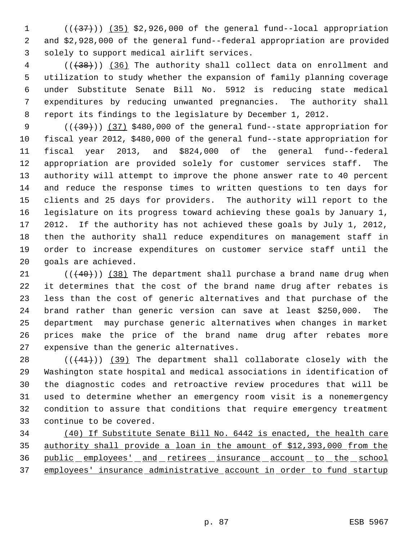1  $((+37))$   $(35)$  \$2,926,000 of the general fund--local appropriation and \$2,928,000 of the general fund--federal appropriation are provided solely to support medical airlift services.

4 (( $(38)$ )) (36) The authority shall collect data on enrollment and utilization to study whether the expansion of family planning coverage under Substitute Senate Bill No. 5912 is reducing state medical expenditures by reducing unwanted pregnancies. The authority shall report its findings to the legislature by December 1, 2012.

9 (( $(39)$ )) (37) \$480,000 of the general fund--state appropriation for fiscal year 2012, \$480,000 of the general fund--state appropriation for fiscal year 2013, and \$824,000 of the general fund--federal appropriation are provided solely for customer services staff. The authority will attempt to improve the phone answer rate to 40 percent and reduce the response times to written questions to ten days for clients and 25 days for providers. The authority will report to the legislature on its progress toward achieving these goals by January 1, 2012. If the authority has not achieved these goals by July 1, 2012, then the authority shall reduce expenditures on management staff in order to increase expenditures on customer service staff until the goals are achieved.

 $((40))$  (38) The department shall purchase a brand name drug when it determines that the cost of the brand name drug after rebates is less than the cost of generic alternatives and that purchase of the brand rather than generic version can save at least \$250,000. The department may purchase generic alternatives when changes in market prices make the price of the brand name drug after rebates more expensive than the generic alternatives.

 $((+41))$   $(39)$  The department shall collaborate closely with the Washington state hospital and medical associations in identification of the diagnostic codes and retroactive review procedures that will be used to determine whether an emergency room visit is a nonemergency condition to assure that conditions that require emergency treatment continue to be covered.

 (40) If Substitute Senate Bill No. 6442 is enacted, the health care authority shall provide a loan in the amount of \$12,393,000 from the 36 public employees' and retirees insurance account to the school employees' insurance administrative account in order to fund startup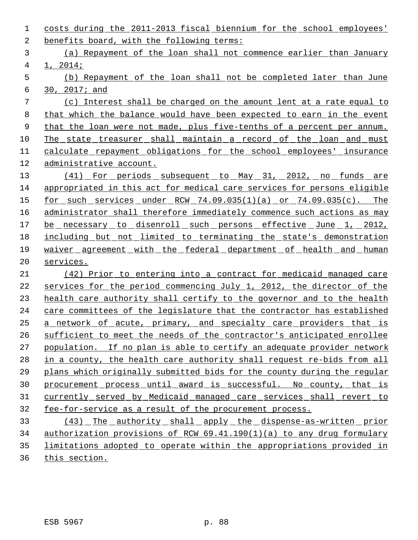costs during the 2011-2013 fiscal biennium for the school employees' benefits board, with the following terms: (a) Repayment of the loan shall not commence earlier than January 1, 2014; (b) Repayment of the loan shall not be completed later than June 30, 2017; and (c) Interest shall be charged on the amount lent at a rate equal to that which the balance would have been expected to earn in the event 9 that the loan were not made, plus five-tenths of a percent per annum. The state treasurer shall maintain a record of the loan and must calculate repayment obligations for the school employees' insurance administrative account. 13 (41) For periods subsequent to May 31, 2012, no funds are appropriated in this act for medical care services for persons eligible for such services under RCW 74.09.035(1)(a) or 74.09.035(c). The 16 administrator shall therefore immediately commence such actions as may 17 be necessary to disenroll such persons effective June 1, 2012, including but not limited to terminating the state's demonstration waiver agreement with the federal department of health and human services. (42) Prior to entering into a contract for medicaid managed care 22 services for the period commencing July 1, 2012, the director of the health care authority shall certify to the governor and to the health care committees of the legislature that the contractor has established a network of acute, primary, and specialty care providers that is sufficient to meet the needs of the contractor's anticipated enrollee population. If no plan is able to certify an adequate provider network in a county, the health care authority shall request re-bids from all plans which originally submitted bids for the county during the regular procurement process until award is successful. No county, that is currently served by Medicaid managed care services shall revert to fee-for-service as a result of the procurement process. (43) The authority shall apply the dispense-as-written prior authorization provisions of RCW 69.41.190(1)(a) to any drug formulary limitations adopted to operate within the appropriations provided in

this section.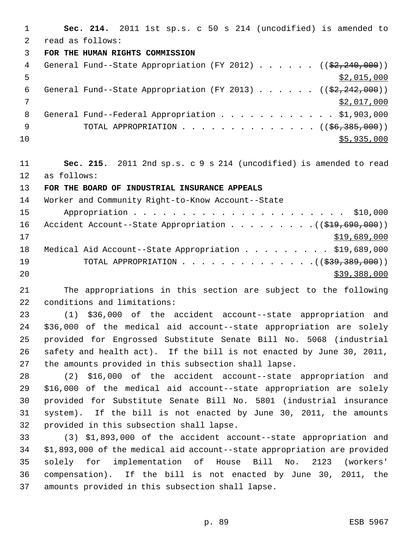**Sec. 214.** 2011 1st sp.s. c 50 s 214 (uncodified) is amended to read as follows: **FOR THE HUMAN RIGHTS COMMISSION** 4 General Fund--State Appropriation (FY 2012) . . . . . . ((\$2,240,000))  $\frac{1}{2}$ ,015,000 6 General Fund--State Appropriation (FY 2013)  $\ldots$  . . . (( $\frac{2}{2}$ , 242, 000)) \$2,017,000 8 General Fund--Federal Appropriation . . . . . . . . . . . \$1,903,000 9 TOTAL APPROPRIATION . . . . . . . . . . . . . . ((\$6,385,000)) \$5,935,000

 **Sec. 215.** 2011 2nd sp.s. c 9 s 214 (uncodified) is amended to read as follows:

## **FOR THE BOARD OF INDUSTRIAL INSURANCE APPEALS**

| 14 | Worker and Community Right-to-Know Account--State               |
|----|-----------------------------------------------------------------|
| 15 |                                                                 |
| 16 | Accident Account--State Appropriation $($ $($ \$19,690,000) $)$ |
| 17 | \$19,689,000                                                    |
| 18 | Medical Aid Account--State Appropriation \$19,689,000           |
| 19 | TOTAL APPROPRIATION $($ $($ $\frac{239}{29}, \frac{389}{200})$  |
| 20 | \$39,388,000                                                    |

 The appropriations in this section are subject to the following conditions and limitations:

 (1) \$36,000 of the accident account--state appropriation and \$36,000 of the medical aid account--state appropriation are solely provided for Engrossed Substitute Senate Bill No. 5068 (industrial safety and health act). If the bill is not enacted by June 30, 2011, the amounts provided in this subsection shall lapse.

 (2) \$16,000 of the accident account--state appropriation and \$16,000 of the medical aid account--state appropriation are solely provided for Substitute Senate Bill No. 5801 (industrial insurance system). If the bill is not enacted by June 30, 2011, the amounts provided in this subsection shall lapse.

 (3) \$1,893,000 of the accident account--state appropriation and \$1,893,000 of the medical aid account--state appropriation are provided solely for implementation of House Bill No. 2123 (workers' compensation). If the bill is not enacted by June 30, 2011, the amounts provided in this subsection shall lapse.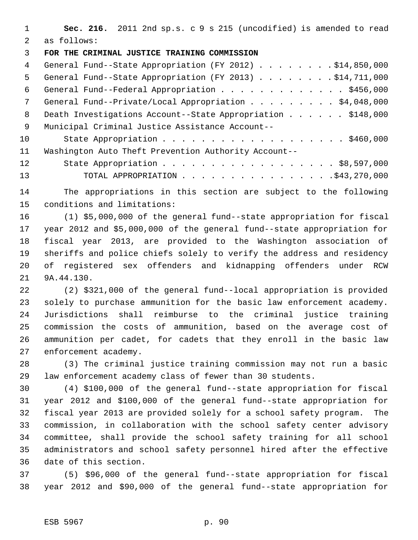**Sec. 216.** 2011 2nd sp.s. c 9 s 215 (uncodified) is amended to read as follows:

## **FOR THE CRIMINAL JUSTICE TRAINING COMMISSION**

| $\overline{4}$ | General Fund--State Appropriation (FY 2012) \$14,850,000    |
|----------------|-------------------------------------------------------------|
| 5              | General Fund--State Appropriation (FY 2013) \$14,711,000    |
| 6              | General Fund--Federal Appropriation \$456,000               |
| 7              | General Fund--Private/Local Appropriation \$4,048,000       |
| 8              | Death Investigations Account--State Appropriation \$148,000 |
| 9              | Municipal Criminal Justice Assistance Account--             |
| 10             |                                                             |
| 11             | Washington Auto Theft Prevention Authority Account--        |
| 12             | State Appropriation \$8,597,000                             |
| 13             |                                                             |

 The appropriations in this section are subject to the following conditions and limitations:

 (1) \$5,000,000 of the general fund--state appropriation for fiscal year 2012 and \$5,000,000 of the general fund--state appropriation for fiscal year 2013, are provided to the Washington association of sheriffs and police chiefs solely to verify the address and residency of registered sex offenders and kidnapping offenders under RCW 9A.44.130.

 (2) \$321,000 of the general fund--local appropriation is provided solely to purchase ammunition for the basic law enforcement academy. Jurisdictions shall reimburse to the criminal justice training commission the costs of ammunition, based on the average cost of ammunition per cadet, for cadets that they enroll in the basic law enforcement academy.

 (3) The criminal justice training commission may not run a basic law enforcement academy class of fewer than 30 students.

 (4) \$100,000 of the general fund--state appropriation for fiscal year 2012 and \$100,000 of the general fund--state appropriation for fiscal year 2013 are provided solely for a school safety program. The commission, in collaboration with the school safety center advisory committee, shall provide the school safety training for all school administrators and school safety personnel hired after the effective date of this section.

 (5) \$96,000 of the general fund--state appropriation for fiscal year 2012 and \$90,000 of the general fund--state appropriation for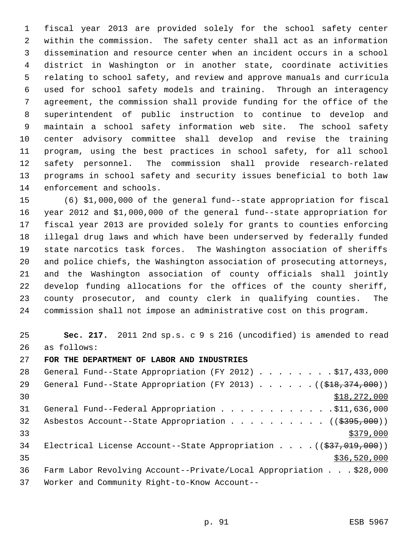fiscal year 2013 are provided solely for the school safety center within the commission. The safety center shall act as an information dissemination and resource center when an incident occurs in a school district in Washington or in another state, coordinate activities relating to school safety, and review and approve manuals and curricula used for school safety models and training. Through an interagency agreement, the commission shall provide funding for the office of the superintendent of public instruction to continue to develop and maintain a school safety information web site. The school safety center advisory committee shall develop and revise the training program, using the best practices in school safety, for all school safety personnel. The commission shall provide research-related programs in school safety and security issues beneficial to both law enforcement and schools.

 (6) \$1,000,000 of the general fund--state appropriation for fiscal year 2012 and \$1,000,000 of the general fund--state appropriation for fiscal year 2013 are provided solely for grants to counties enforcing illegal drug laws and which have been underserved by federally funded state narcotics task forces. The Washington association of sheriffs and police chiefs, the Washington association of prosecuting attorneys, and the Washington association of county officials shall jointly develop funding allocations for the offices of the county sheriff, county prosecutor, and county clerk in qualifying counties. The commission shall not impose an administrative cost on this program.

 **Sec. 217.** 2011 2nd sp.s. c 9 s 216 (uncodified) is amended to read as follows:

**FOR THE DEPARTMENT OF LABOR AND INDUSTRIES**

| 28 | General Fund--State Appropriation (FY 2012) \$17,433,000                             |
|----|--------------------------------------------------------------------------------------|
| 29 | General Fund--State Appropriation (FY 2013) $($ $($ $\frac{278}{7374}$ , 000))       |
| 30 | \$18,272,000                                                                         |
| 31 | General Fund--Federal Appropriation \$11,636,000                                     |
| 32 | Asbestos Account--State Appropriation $($ $($ $\frac{2995}{100})$                    |
| 33 | \$379,000                                                                            |
| 34 | Electrical License Account--State Appropriation $($ $($ $\frac{27}{27}, 019, 000)$ ) |
| 35 | \$36,520,000                                                                         |
| 36 | Farm Labor Revolving Account--Private/Local Appropriation \$28,000                   |
| 37 | Worker and Community Right-to-Know Account--                                         |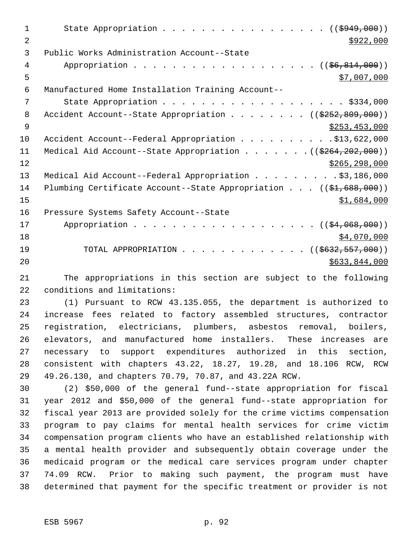| 1              | State Appropriation ( $(\frac{2949}{100})$ )                                   |
|----------------|--------------------------------------------------------------------------------|
| $\overline{a}$ | \$922,000                                                                      |
| 3              | Public Works Administration Account--State                                     |
| 4              | Appropriation ((\$6,814,000))                                                  |
| 5              | \$7,007,000                                                                    |
| 6              | Manufactured Home Installation Training Account--                              |
| 7              |                                                                                |
| 8              | Accident Account--State Appropriation ( $(\frac{2252}{809}, 000)$ )            |
| 9              | \$253,453,000                                                                  |
| 10             | Accident Account--Federal Appropriation \$13,622,000                           |
| 11             | Medical Aid Account--State Appropriation $($ $($ \$264,202,000))               |
| 12             | \$265, 298, 000                                                                |
| 13             | Medical Aid Account--Federal Appropriation \$3,186,000                         |
| 14             | Plumbing Certificate Account--State Appropriation $((\frac{1}{21}, 688, 000))$ |
| 15             | \$1,684,000                                                                    |
| 16             | Pressure Systems Safety Account--State                                         |
| 17             | Appropriation $($ $(\frac{1}{24},068,000))$                                    |
| 18             | \$4,070,000                                                                    |
| 19             | TOTAL APPROPRIATION<br>$((\$632,557,000))$                                     |
| 20             | \$633,844,000                                                                  |
|                |                                                                                |

 The appropriations in this section are subject to the following conditions and limitations:

 (1) Pursuant to RCW 43.135.055, the department is authorized to increase fees related to factory assembled structures, contractor registration, electricians, plumbers, asbestos removal, boilers, elevators, and manufactured home installers. These increases are necessary to support expenditures authorized in this section, consistent with chapters 43.22, 18.27, 19.28, and 18.106 RCW, RCW 49.26.130, and chapters 70.79, 70.87, and 43.22A RCW.

 (2) \$50,000 of the general fund--state appropriation for fiscal year 2012 and \$50,000 of the general fund--state appropriation for fiscal year 2013 are provided solely for the crime victims compensation program to pay claims for mental health services for crime victim compensation program clients who have an established relationship with a mental health provider and subsequently obtain coverage under the medicaid program or the medical care services program under chapter 74.09 RCW. Prior to making such payment, the program must have determined that payment for the specific treatment or provider is not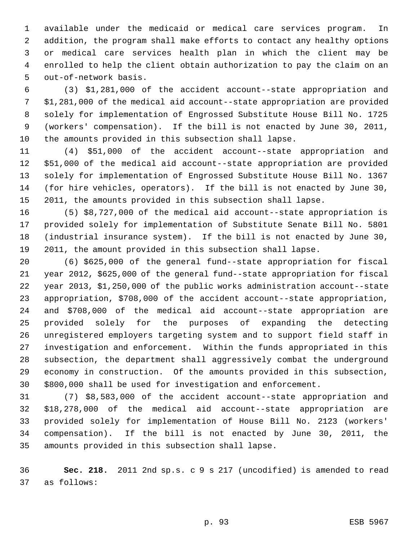available under the medicaid or medical care services program. In addition, the program shall make efforts to contact any healthy options or medical care services health plan in which the client may be enrolled to help the client obtain authorization to pay the claim on an out-of-network basis.

 (3) \$1,281,000 of the accident account--state appropriation and \$1,281,000 of the medical aid account--state appropriation are provided solely for implementation of Engrossed Substitute House Bill No. 1725 (workers' compensation). If the bill is not enacted by June 30, 2011, the amounts provided in this subsection shall lapse.

 (4) \$51,000 of the accident account--state appropriation and \$51,000 of the medical aid account--state appropriation are provided solely for implementation of Engrossed Substitute House Bill No. 1367 (for hire vehicles, operators). If the bill is not enacted by June 30, 2011, the amounts provided in this subsection shall lapse.

 (5) \$8,727,000 of the medical aid account--state appropriation is provided solely for implementation of Substitute Senate Bill No. 5801 (industrial insurance system). If the bill is not enacted by June 30, 2011, the amount provided in this subsection shall lapse.

 (6) \$625,000 of the general fund--state appropriation for fiscal year 2012, \$625,000 of the general fund--state appropriation for fiscal year 2013, \$1,250,000 of the public works administration account--state appropriation, \$708,000 of the accident account--state appropriation, and \$708,000 of the medical aid account--state appropriation are provided solely for the purposes of expanding the detecting unregistered employers targeting system and to support field staff in investigation and enforcement. Within the funds appropriated in this subsection, the department shall aggressively combat the underground economy in construction. Of the amounts provided in this subsection, \$800,000 shall be used for investigation and enforcement.

 (7) \$8,583,000 of the accident account--state appropriation and \$18,278,000 of the medical aid account--state appropriation are provided solely for implementation of House Bill No. 2123 (workers' compensation). If the bill is not enacted by June 30, 2011, the amounts provided in this subsection shall lapse.

 **Sec. 218.** 2011 2nd sp.s. c 9 s 217 (uncodified) is amended to read as follows: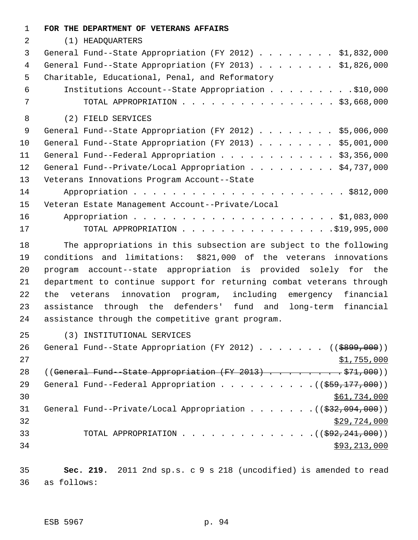| 1  | FOR THE DEPARTMENT OF VETERANS AFFAIRS                               |
|----|----------------------------------------------------------------------|
| 2  | (1) HEADQUARTERS                                                     |
| 3  | General Fund--State Appropriation (FY 2012) \$1,832,000              |
| 4  | General Fund--State Appropriation (FY 2013) \$1,826,000              |
| 5  | Charitable, Educational, Penal, and Reformatory                      |
| 6  | Institutions Account--State Appropriation \$10,000                   |
| 7  | TOTAL APPROPRIATION $\ldots$ , \$3,668,000                           |
| 8  | (2) FIELD SERVICES                                                   |
| 9  | General Fund--State Appropriation (FY 2012) \$5,006,000              |
| 10 | General Fund--State Appropriation (FY 2013) \$5,001,000              |
| 11 | General Fund--Federal Appropriation \$3,356,000                      |
| 12 | General Fund--Private/Local Appropriation \$4,737,000                |
| 13 | Veterans Innovations Program Account--State                          |
| 14 |                                                                      |
| 15 | Veteran Estate Management Account--Private/Local                     |
| 16 |                                                                      |
| 17 | TOTAL APPROPRIATION $\ldots$ , 995,000                               |
| 18 | The appropriations in this subsection are subject to the following   |
| 19 | \$821,000 of the veterans innovations<br>conditions and limitations: |
| 20 | program account--state appropriation is provided solely for the      |
| 21 | department to continue support for returning combat veterans through |
| 22 | innovation program, including emergency<br>the veterans<br>financial |
| 23 | assistance through the defenders' fund and<br>financial<br>long-term |
| 24 | assistance through the competitive grant program.                    |
| 25 | (3) INSTITUTIONAL SERVICES                                           |
| 26 | General Fund--State Appropriation (FY 2012) ( $(\frac{2099}{100})$ ) |
| 27 | \$1,755,000                                                          |
| 28 | $((General Fund-State Approxation (FY 2013) 571,000))$               |
| 29 | General Fund--Federal Appropriation $($ $($ \$59,177,000) $)$        |
| 30 | \$61,734,000                                                         |
| 31 | General Fund--Private/Local Appropriation $($ $($ $\frac{232}{100})$ |
| 32 | \$29,724,000                                                         |
| 33 | TOTAL APPROPRIATION ( $(\frac{292,241,000}{s})$ )                    |
| 34 | \$93,213,000                                                         |
|    |                                                                      |
| 35 | Sec. 219. 2011 2nd sp.s. c 9 s 218 (uncodified) is amended to read   |

as follows: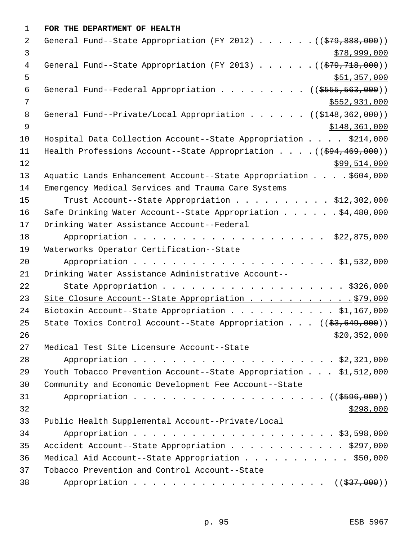| $\mathbf{1}$   | FOR THE DEPARTMENT OF HEALTH                                                   |
|----------------|--------------------------------------------------------------------------------|
| 2              | General Fund--State Appropriation (FY 2012) $($ $($ $\frac{279}{1000})$        |
| 3              | \$78,999,000                                                                   |
| 4              | General Fund--State Appropriation (FY 2013) $($ $($ $\frac{279}{718},000)$ )   |
| 5              | \$51,357,000                                                                   |
| 6              | General Fund--Federal Appropriation ((\$555,563,000))                          |
| $\overline{7}$ | \$552,931,000                                                                  |
| 8              | General Fund--Private/Local Appropriation ((\$148,362,000))                    |
| $\overline{9}$ | \$148,361,000                                                                  |
| 10             | Hospital Data Collection Account--State Appropriation \$214,000                |
| 11             | Health Professions Account--State Appropriation $($ $($ $\frac{694}{100})$     |
| 12             | \$99,514,000                                                                   |
| 13             | Aquatic Lands Enhancement Account--State Appropriation \$604,000               |
| 14             | Emergency Medical Services and Trauma Care Systems                             |
| 15             | Trust Account--State Appropriation \$12,302,000                                |
| 16             | Safe Drinking Water Account--State Appropriation \$4,480,000                   |
| 17             | Drinking Water Assistance Account--Federal                                     |
| 18             |                                                                                |
| 19             | Waterworks Operator Certification--State                                       |
| 20             |                                                                                |
| 21             | Drinking Water Assistance Administrative Account--                             |
| 22             | State Appropriation \$326,000                                                  |
| 23             | Site Closure Account--State Appropriation 979,000                              |
| 24             | Biotoxin Account--State Appropriation \$1,167,000                              |
| 25             | State Toxics Control Account--State Appropriation $((\frac{2}{53}, 649, 000))$ |
| 26             | \$20, 352, 000                                                                 |
| 27             | Medical Test Site Licensure Account--State                                     |
| 28             |                                                                                |
| 29             | Youth Tobacco Prevention Account--State Appropriation \$1,512,000              |
| 30             | Community and Economic Development Fee Account--State                          |
| 31             | Appropriation $($ $)$ $)$                                                      |
| 32             | \$298,000                                                                      |
| 33             | Public Health Supplemental Account--Private/Local                              |
| 34             |                                                                                |
| 35             | Accident Account--State Appropriation \$297,000                                |
| 36             | Medical Aid Account--State Appropriation \$50,000                              |
| 37             | Tobacco Prevention and Control Account--State                                  |
| 38             |                                                                                |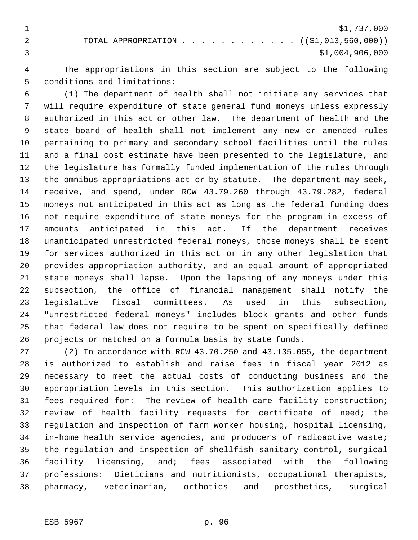$\frac{$1,737,000}{ }$ 2 TOTAL APPROPRIATION . . . . . . . . . . . . ((\$1,013,560,000)) \$1,004,906,000

 The appropriations in this section are subject to the following conditions and limitations:

 (1) The department of health shall not initiate any services that will require expenditure of state general fund moneys unless expressly authorized in this act or other law. The department of health and the state board of health shall not implement any new or amended rules pertaining to primary and secondary school facilities until the rules and a final cost estimate have been presented to the legislature, and the legislature has formally funded implementation of the rules through the omnibus appropriations act or by statute. The department may seek, receive, and spend, under RCW 43.79.260 through 43.79.282, federal moneys not anticipated in this act as long as the federal funding does not require expenditure of state moneys for the program in excess of amounts anticipated in this act. If the department receives unanticipated unrestricted federal moneys, those moneys shall be spent for services authorized in this act or in any other legislation that provides appropriation authority, and an equal amount of appropriated state moneys shall lapse. Upon the lapsing of any moneys under this subsection, the office of financial management shall notify the legislative fiscal committees. As used in this subsection, "unrestricted federal moneys" includes block grants and other funds that federal law does not require to be spent on specifically defined projects or matched on a formula basis by state funds.

 (2) In accordance with RCW 43.70.250 and 43.135.055, the department is authorized to establish and raise fees in fiscal year 2012 as necessary to meet the actual costs of conducting business and the appropriation levels in this section. This authorization applies to fees required for: The review of health care facility construction; review of health facility requests for certificate of need; the regulation and inspection of farm worker housing, hospital licensing, in-home health service agencies, and producers of radioactive waste; the regulation and inspection of shellfish sanitary control, surgical facility licensing, and; fees associated with the following professions: Dieticians and nutritionists, occupational therapists, pharmacy, veterinarian, orthotics and prosthetics, surgical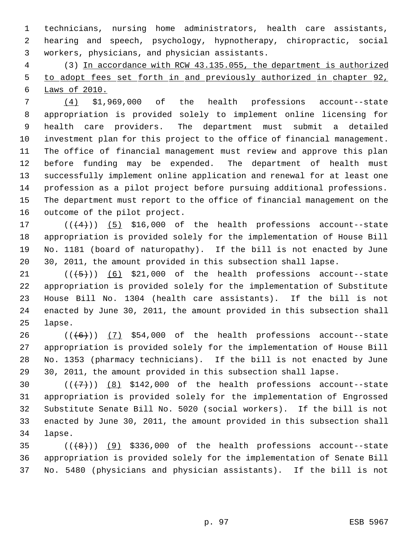technicians, nursing home administrators, health care assistants, hearing and speech, psychology, hypnotherapy, chiropractic, social workers, physicians, and physician assistants.

 (3) In accordance with RCW 43.135.055, the department is authorized to adopt fees set forth in and previously authorized in chapter 92, Laws of 2010.

 (4) \$1,969,000 of the health professions account--state appropriation is provided solely to implement online licensing for health care providers. The department must submit a detailed investment plan for this project to the office of financial management. The office of financial management must review and approve this plan before funding may be expended. The department of health must successfully implement online application and renewal for at least one profession as a pilot project before pursuing additional professions. The department must report to the office of financial management on the outcome of the pilot project.

 $((+4))$   $(5)$  \$16,000 of the health professions account--state appropriation is provided solely for the implementation of House Bill No. 1181 (board of naturopathy). If the bill is not enacted by June 30, 2011, the amount provided in this subsection shall lapse.

 $((\lbrace 5 \rbrace))$  (6) \$21,000 of the health professions account--state appropriation is provided solely for the implementation of Substitute House Bill No. 1304 (health care assistants). If the bill is not enacted by June 30, 2011, the amount provided in this subsection shall lapse.

 $((+6))$   $(7)$  \$54,000 of the health professions account--state appropriation is provided solely for the implementation of House Bill No. 1353 (pharmacy technicians). If the bill is not enacted by June 30, 2011, the amount provided in this subsection shall lapse.

 $((+7+))$   $(8)$  \$142,000 of the health professions account--state appropriation is provided solely for the implementation of Engrossed Substitute Senate Bill No. 5020 (social workers). If the bill is not enacted by June 30, 2011, the amount provided in this subsection shall lapse.

 ( $(\frac{48}{})$ ) (9) \$336,000 of the health professions account--state appropriation is provided solely for the implementation of Senate Bill No. 5480 (physicians and physician assistants). If the bill is not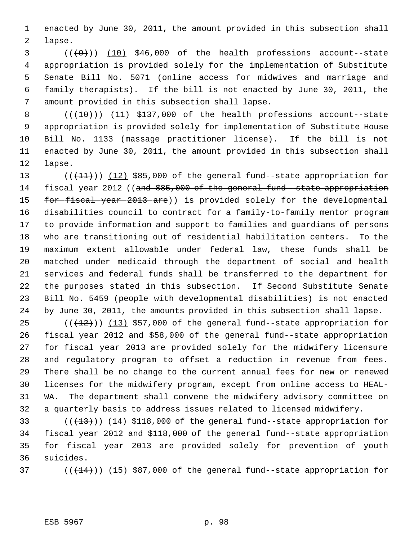enacted by June 30, 2011, the amount provided in this subsection shall lapse.

 $(1+9)$  (10) \$46,000 of the health professions account--state appropriation is provided solely for the implementation of Substitute Senate Bill No. 5071 (online access for midwives and marriage and family therapists). If the bill is not enacted by June 30, 2011, the amount provided in this subsection shall lapse.

 $((+10))$   $(11)$  \$137,000 of the health professions account--state appropriation is provided solely for implementation of Substitute House Bill No. 1133 (massage practitioner license). If the bill is not enacted by June 30, 2011, the amount provided in this subsection shall lapse.

13 (( $(11)$ )) (12) \$85,000 of the general fund--state appropriation for 14 fiscal year 2012 ((and \$85,000 of the general fund -state appropriation 15 for fiscal year 2013 are)) is provided solely for the developmental disabilities council to contract for a family-to-family mentor program to provide information and support to families and guardians of persons who are transitioning out of residential habilitation centers. To the maximum extent allowable under federal law, these funds shall be matched under medicaid through the department of social and health services and federal funds shall be transferred to the department for the purposes stated in this subsection. If Second Substitute Senate Bill No. 5459 (people with developmental disabilities) is not enacted by June 30, 2011, the amounts provided in this subsection shall lapse.

 $((+12))$   $(13)$  \$57,000 of the general fund--state appropriation for fiscal year 2012 and \$58,000 of the general fund--state appropriation for fiscal year 2013 are provided solely for the midwifery licensure and regulatory program to offset a reduction in revenue from fees. There shall be no change to the current annual fees for new or renewed licenses for the midwifery program, except from online access to HEAL- WA. The department shall convene the midwifery advisory committee on a quarterly basis to address issues related to licensed midwifery.

33 (( $(13)$ )) (14) \$118,000 of the general fund--state appropriation for fiscal year 2012 and \$118,000 of the general fund--state appropriation for fiscal year 2013 are provided solely for prevention of youth suicides.

37  $((+14))$   $(15)$  \$87,000 of the general fund--state appropriation for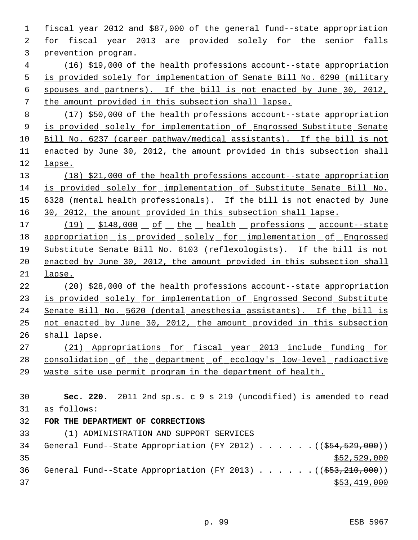fiscal year 2012 and \$87,000 of the general fund--state appropriation for fiscal year 2013 are provided solely for the senior falls prevention program. (16) \$19,000 of the health professions account--state appropriation is provided solely for implementation of Senate Bill No. 6290 (military spouses and partners). If the bill is not enacted by June 30, 2012, the amount provided in this subsection shall lapse. (17) \$50,000 of the health professions account--state appropriation 9 is provided solely for implementation of Engrossed Substitute Senate Bill No. 6237 (career pathway/medical assistants). If the bill is not enacted by June 30, 2012, the amount provided in this subsection shall lapse. (18) \$21,000 of the health professions account--state appropriation is provided solely for implementation of Substitute Senate Bill No. 6328 (mental health professionals). If the bill is not enacted by June 30, 2012, the amount provided in this subsection shall lapse. 17 (19)  $$148,000 of$  of the health professions account--state appropriation is provided solely for implementation of Engrossed Substitute Senate Bill No. 6103 (reflexologists). If the bill is not enacted by June 30, 2012, the amount provided in this subsection shall lapse. (20) \$28,000 of the health professions account--state appropriation is provided solely for implementation of Engrossed Second Substitute Senate Bill No. 5620 (dental anesthesia assistants). If the bill is not enacted by June 30, 2012, the amount provided in this subsection shall lapse. (21) Appropriations for fiscal year 2013 include funding for 28 consolidation of the department of ecology's low-level radioactive waste site use permit program in the department of health. **Sec. 220.** 2011 2nd sp.s. c 9 s 219 (uncodified) is amended to read as follows: **FOR THE DEPARTMENT OF CORRECTIONS** (1) ADMINISTRATION AND SUPPORT SERVICES 34 General Fund--State Appropriation (FY 2012) . . . . . . ((\$54,529,000))  $35 - 52,529,000$ 36 General Fund--State Appropriation (FY 2013) . . . . . . ((\$53,210,000)) \$53,419,000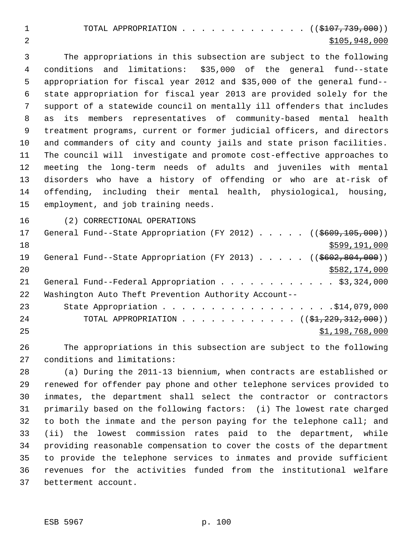1 TOTAL APPROPRIATION . . . . . . . . . . . . (  $(\frac{107}{107}, \frac{739}{100})$  ) \$105,948,000

 The appropriations in this subsection are subject to the following conditions and limitations: \$35,000 of the general fund--state appropriation for fiscal year 2012 and \$35,000 of the general fund-- state appropriation for fiscal year 2013 are provided solely for the support of a statewide council on mentally ill offenders that includes as its members representatives of community-based mental health treatment programs, current or former judicial officers, and directors and commanders of city and county jails and state prison facilities. The council will investigate and promote cost-effective approaches to meeting the long-term needs of adults and juveniles with mental disorders who have a history of offending or who are at-risk of offending, including their mental health, physiological, housing, employment, and job training needs.

(2) CORRECTIONAL OPERATIONS

| 17 | General Fund--State Appropriation (FY 2012) $($ (\$609,105,000))                       |
|----|----------------------------------------------------------------------------------------|
| 18 | \$599,191,000                                                                          |
| 19 | General Fund--State Appropriation (FY 2013) ( $(\frac{26602}{602}, \frac{804}{600})$ ) |
| 20 | \$582,174,000                                                                          |
| 21 | General Fund--Federal Appropriation \$3,324,000                                        |
| 22 | Washington Auto Theft Prevention Authority Account--                                   |
| 23 |                                                                                        |
| 24 | TOTAL APPROPRIATION ( $(\frac{229}{3120})$                                             |
| 25 | \$1,198,768,000                                                                        |

 The appropriations in this subsection are subject to the following conditions and limitations:

 (a) During the 2011-13 biennium, when contracts are established or renewed for offender pay phone and other telephone services provided to inmates, the department shall select the contractor or contractors primarily based on the following factors: (i) The lowest rate charged 32 to both the inmate and the person paying for the telephone call; and (ii) the lowest commission rates paid to the department, while providing reasonable compensation to cover the costs of the department to provide the telephone services to inmates and provide sufficient revenues for the activities funded from the institutional welfare betterment account.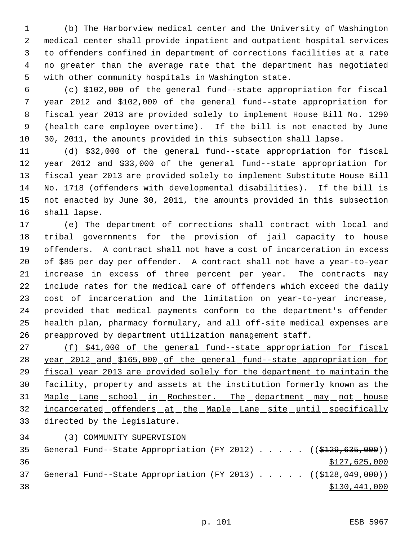(b) The Harborview medical center and the University of Washington medical center shall provide inpatient and outpatient hospital services to offenders confined in department of corrections facilities at a rate no greater than the average rate that the department has negotiated with other community hospitals in Washington state.

 (c) \$102,000 of the general fund--state appropriation for fiscal year 2012 and \$102,000 of the general fund--state appropriation for fiscal year 2013 are provided solely to implement House Bill No. 1290 (health care employee overtime). If the bill is not enacted by June 30, 2011, the amounts provided in this subsection shall lapse.

 (d) \$32,000 of the general fund--state appropriation for fiscal year 2012 and \$33,000 of the general fund--state appropriation for fiscal year 2013 are provided solely to implement Substitute House Bill No. 1718 (offenders with developmental disabilities). If the bill is not enacted by June 30, 2011, the amounts provided in this subsection shall lapse.

 (e) The department of corrections shall contract with local and tribal governments for the provision of jail capacity to house offenders. A contract shall not have a cost of incarceration in excess of \$85 per day per offender. A contract shall not have a year-to-year increase in excess of three percent per year. The contracts may include rates for the medical care of offenders which exceed the daily cost of incarceration and the limitation on year-to-year increase, provided that medical payments conform to the department's offender health plan, pharmacy formulary, and all off-site medical expenses are preapproved by department utilization management staff.

 (f) \$41,000 of the general fund--state appropriation for fiscal year 2012 and \$165,000 of the general fund--state appropriation for fiscal year 2013 are provided solely for the department to maintain the facility, property and assets at the institution formerly known as the Maple Lane school in Rochester. The department may not house 32 incarcerated offenders at the Maple Lane site until specifically directed by the legislature.

(3) COMMUNITY SUPERVISION

35 General Fund--State Appropriation (FY 2012) . . . . . ((\$129,635,000)) \$127,625,000 37 General Fund--State Appropriation (FY 2013) . . . . . ((\$128,049,000))  $$130,441,000$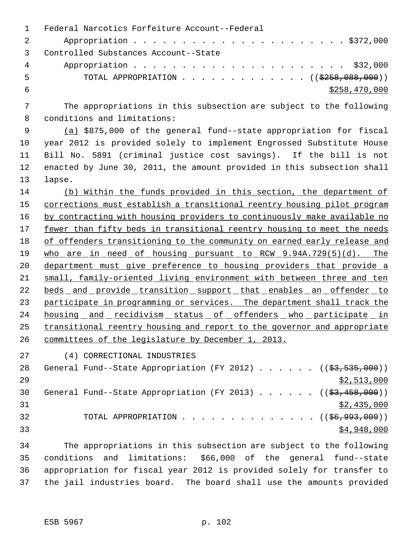|    | Federal Narcotics Forfeiture Account--Federal                            |
|----|--------------------------------------------------------------------------|
|    |                                                                          |
|    | Controlled Substances Account--State                                     |
| 4  |                                                                          |
| .5 | TOTAL APPROPRIATION $\ldots$ , ( $(\frac{2258}{100}, \frac{088}{100})$ ) |
|    | \$258,470,000                                                            |
|    |                                                                          |

 The appropriations in this subsection are subject to the following conditions and limitations:

 (a) \$875,000 of the general fund--state appropriation for fiscal year 2012 is provided solely to implement Engrossed Substitute House Bill No. 5891 (criminal justice cost savings). If the bill is not enacted by June 30, 2011, the amount provided in this subsection shall lapse.

 (b) Within the funds provided in this section, the department of corrections must establish a transitional reentry housing pilot program 16 by contracting with housing providers to continuously make available no fewer than fifty beds in transitional reentry housing to meet the needs 18 of offenders transitioning to the community on earned early release and 19 who are in need of housing pursuant to RCW 9.94A.729(5)(d). The department must give preference to housing providers that provide a small, family-oriented living environment with between three and ten 22 beds and provide transition support that enables an offender to 23 participate in programming or services. The department shall track the 24 housing and recidivism status of offenders who participate in transitional reentry housing and report to the governor and appropriate committees of the legislature by December 1, 2013.

(4) CORRECTIONAL INDUSTRIES

28 General Fund--State Appropriation (FY 2012) . . . . . . ((\$3,535,000)) \$2,513,000 30 General Fund--State Appropriation (FY 2013) . . . . . ((\$3,458,000))  $\frac{$2,435,000}{ }$ 32 TOTAL APPROPRIATION . . . . . . . . . . . . . ((<del>\$6,993,000</del>)) \$4,948,000

 The appropriations in this subsection are subject to the following conditions and limitations: \$66,000 of the general fund--state appropriation for fiscal year 2012 is provided solely for transfer to the jail industries board. The board shall use the amounts provided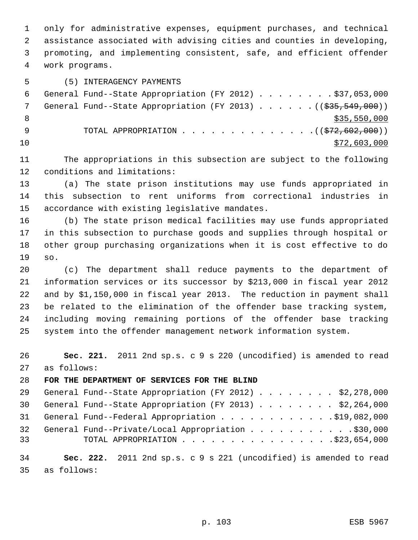only for administrative expenses, equipment purchases, and technical assistance associated with advising cities and counties in developing, promoting, and implementing consistent, safe, and efficient offender work programs.

## (5) INTERAGENCY PAYMENTS

 General Fund--State Appropriation (FY 2012) . . . . . . . . \$37,053,000 7 General Fund--State Appropriation (FY 2013) . . . . . . ((\$35,549,000)) 8  $\frac{$35,550,000}{2}$ 9 TOTAL APPROPRIATION . . . . . . . . . . . . . . ((\$72,602,000))  $\frac{10}{272,603,000}$ 

 The appropriations in this subsection are subject to the following conditions and limitations:

 (a) The state prison institutions may use funds appropriated in this subsection to rent uniforms from correctional industries in accordance with existing legislative mandates.

 (b) The state prison medical facilities may use funds appropriated in this subsection to purchase goods and supplies through hospital or other group purchasing organizations when it is cost effective to do so.

 (c) The department shall reduce payments to the department of information services or its successor by \$213,000 in fiscal year 2012 and by \$1,150,000 in fiscal year 2013. The reduction in payment shall be related to the elimination of the offender base tracking system, including moving remaining portions of the offender base tracking system into the offender management network information system.

 **Sec. 221.** 2011 2nd sp.s. c 9 s 220 (uncodified) is amended to read as follows:

## **FOR THE DEPARTMENT OF SERVICES FOR THE BLIND**

|    | 29 General Fund--State Appropriation (FY 2012) \$2,278,000 |
|----|------------------------------------------------------------|
|    | 30 General Fund--State Appropriation (FY 2013) \$2,264,000 |
|    | 31 General Fund--Federal Appropriation \$19,082,000        |
|    | 32 General Fund--Private/Local Appropriation \$30,000      |
| 33 | TOTAL APPROPRIATION 523,654,000                            |
|    |                                                            |

 **Sec. 222.** 2011 2nd sp.s. c 9 s 221 (uncodified) is amended to read as follows: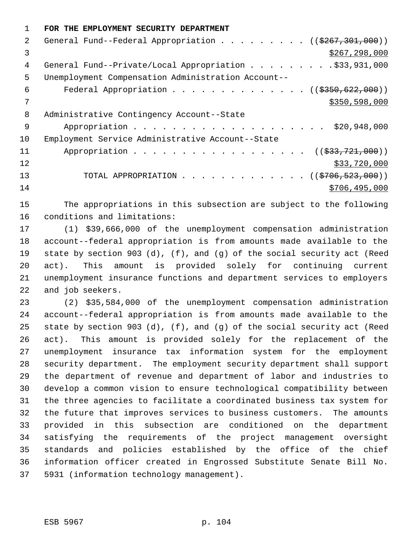|               | FOR THE EMPLOYMENT SECURITY DEPARTMENT                                |
|---------------|-----------------------------------------------------------------------|
| $\mathcal{L}$ | General Fund--Federal Appropriation ( $(\frac{267}{301}, 301, 000)$ ) |
| 3             | \$267, 298, 000                                                       |
| 4             | General Fund--Private/Local Appropriation \$33,931,000                |
| 5             | Unemployment Compensation Administration Account--                    |
| 6             | Federal Appropriation ( $($350, 622, 000))$                           |
| 7             | \$350,598,000                                                         |
| 8             | Administrative Contingency Account--State                             |
| 9             | \$20,948,000                                                          |
| 10            | Employment Service Administrative Account--State                      |
| 11            | Appropriation<br>$((\frac{233}{721},000))$                            |
| 12            | \$33,720,000                                                          |
| 13            | TOTAL APPROPRIATION ( $(\frac{2706}{523},000)$ )                      |
| 14            | \$706,495,000                                                         |

 The appropriations in this subsection are subject to the following conditions and limitations:

 (1) \$39,666,000 of the unemployment compensation administration account--federal appropriation is from amounts made available to the state by section 903 (d), (f), and (g) of the social security act (Reed act). This amount is provided solely for continuing current unemployment insurance functions and department services to employers and job seekers.

 (2) \$35,584,000 of the unemployment compensation administration account--federal appropriation is from amounts made available to the state by section 903 (d), (f), and (g) of the social security act (Reed act). This amount is provided solely for the replacement of the unemployment insurance tax information system for the employment security department. The employment security department shall support the department of revenue and department of labor and industries to develop a common vision to ensure technological compatibility between the three agencies to facilitate a coordinated business tax system for the future that improves services to business customers. The amounts provided in this subsection are conditioned on the department satisfying the requirements of the project management oversight standards and policies established by the office of the chief information officer created in Engrossed Substitute Senate Bill No. 5931 (information technology management).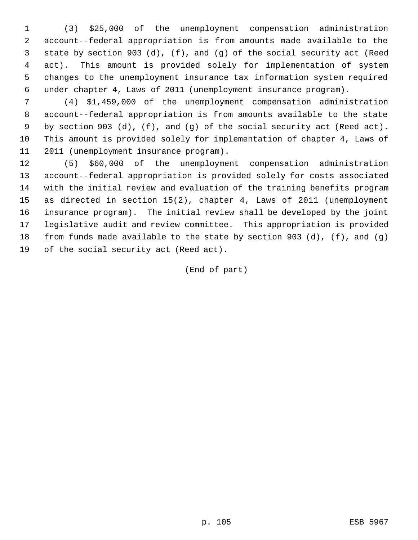(3) \$25,000 of the unemployment compensation administration account--federal appropriation is from amounts made available to the state by section 903 (d), (f), and (g) of the social security act (Reed act). This amount is provided solely for implementation of system changes to the unemployment insurance tax information system required under chapter 4, Laws of 2011 (unemployment insurance program).

 (4) \$1,459,000 of the unemployment compensation administration account--federal appropriation is from amounts available to the state by section 903 (d), (f), and (g) of the social security act (Reed act). This amount is provided solely for implementation of chapter 4, Laws of 2011 (unemployment insurance program).

 (5) \$60,000 of the unemployment compensation administration account--federal appropriation is provided solely for costs associated with the initial review and evaluation of the training benefits program as directed in section 15(2), chapter 4, Laws of 2011 (unemployment insurance program). The initial review shall be developed by the joint legislative audit and review committee. This appropriation is provided from funds made available to the state by section 903 (d), (f), and (g) of the social security act (Reed act).

(End of part)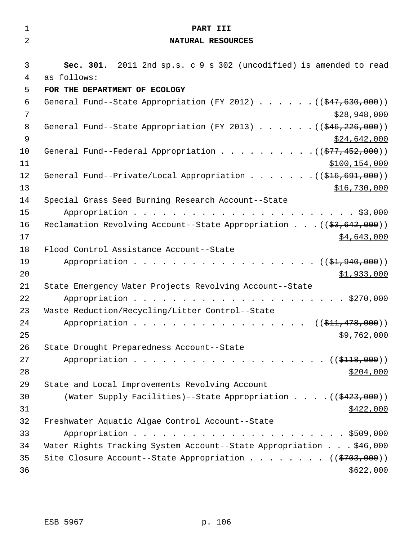| $\mathbf 1$    | PART III                                                                              |
|----------------|---------------------------------------------------------------------------------------|
| 2              | NATURAL RESOURCES                                                                     |
|                |                                                                                       |
| 3              | Sec. 301. 2011 2nd sp.s. c 9 s 302 (uncodified) is amended to read                    |
| 4              | as follows:                                                                           |
| 5              | FOR THE DEPARTMENT OF ECOLOGY                                                         |
| 6              | General Fund--State Appropriation (FY 2012) $($ $($ $\frac{47}{630}$ , 000))          |
| 7              | \$28,948,000                                                                          |
| 8              | General Fund--State Appropriation (FY 2013) $($ $($ $$46, 226, 000)$ )                |
| $\overline{9}$ | \$24,642,000                                                                          |
| 10             | General Fund--Federal Appropriation $($ $($ $\frac{277}{100})$                        |
| 11             | \$100, 154, 000                                                                       |
| 12             | General Fund--Private/Local Appropriation $($ $($ $\frac{216}{691}, \frac{691}{100})$ |
| 13             | \$16,730,000                                                                          |
| 14             | Special Grass Seed Burning Research Account--State                                    |
| 15             |                                                                                       |
| 16             | Reclamation Revolving Account--State Appropriation ( $(\frac{27}{53}, 642, 000)$ )    |
| 17             | \$4,643,000                                                                           |
| 18<br>19       | Flood Control Assistance Account--State<br>Appropriation ((\$1,940,000))              |
| 20             | \$1,933,000                                                                           |
| 21             | State Emergency Water Projects Revolving Account--State                               |
| 22             |                                                                                       |
| 23             | Waste Reduction/Recycling/Litter Control--State                                       |
| 24             | Appropriation ( $(\frac{111}{712}, 478, 000)$ )                                       |
| 25             | \$9,762,000                                                                           |
| 26             | State Drought Preparedness Account--State                                             |
| 27             |                                                                                       |
| 28             | \$204,000                                                                             |
| 29             | State and Local Improvements Revolving Account                                        |
| 30             | (Water Supply Facilities)--State Appropriation ( $(\frac{2423}{100})$ )               |
| 31             | \$422,000                                                                             |
| 32             | Freshwater Aquatic Algae Control Account--State                                       |
| 33             |                                                                                       |
| 34             | Water Rights Tracking System Account--State Appropriation \$46,000                    |
| 35             | Site Closure Account--State Appropriation ( $(\frac{2703}{100})$ )                    |
| 36             | \$622,000                                                                             |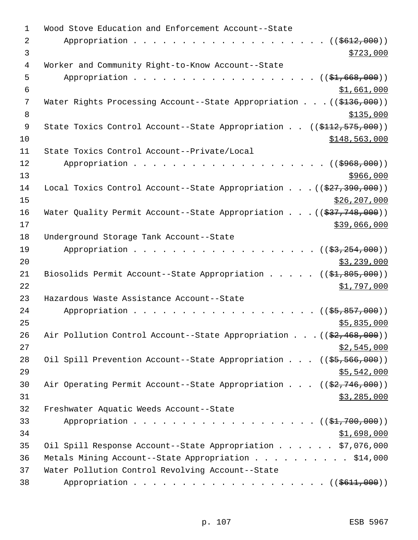| 1           | Wood Stove Education and Enforcement Account--State                                        |
|-------------|--------------------------------------------------------------------------------------------|
| 2           | Appropriation<br>(( <del>5612,000</del> ))                                                 |
| 3           | \$723,000                                                                                  |
| 4           | Worker and Community Right-to-Know Account--State                                          |
| 5           | Appropriation<br>$((\$1,668,000))$                                                         |
| 6           | \$1,661,000                                                                                |
| 7           | Water Rights Processing Account--State Appropriation ( $(\frac{2136}{100})$ )              |
| 8           | \$135,000                                                                                  |
| $\mathsf 9$ | State Toxics Control Account--State Appropriation ((\$112,575,000))                        |
| 10          | \$148,563,000                                                                              |
| 11          | State Toxics Control Account--Private/Local                                                |
| 12          | Appropriation<br>((\$968,000))                                                             |
| 13          | \$966,000                                                                                  |
| 14          | Local Toxics Control Account--State Appropriation ( $(\frac{277}{390}, \frac{390}{000})$ ) |
| 15          | \$26, 207, 000                                                                             |
| 16          | Water Quality Permit Account--State Appropriation ( $(\frac{237}{748},000)$ )              |
| 17          | \$39,066,000                                                                               |
| 18          | Underground Storage Tank Account--State                                                    |
| 19          | Appropriation<br>$((\frac{25}{7}, \frac{254}{7}, 000))$                                    |
| 20          | \$3,239,000                                                                                |
| 21          | Biosolids Permit Account--State Appropriation $($ $($ \$1,805,000))                        |
| 22          | \$1,797,000                                                                                |
| 23          | Hazardous Waste Assistance Account--State                                                  |
| 24          | $($ (\$5,857,000))<br>Appropriation                                                        |
| 25          | \$5,835,000                                                                                |
| 26          | Air Pollution Control Account--State Appropriation ( $(\frac{2}{7}, 468, 000)$ )           |
| 27          | \$2,545,000                                                                                |
| 28          | Oil Spill Prevention Account--State Appropriation ((\$5,566,000))                          |
| 29          | \$5,542,000                                                                                |
| 30          | Air Operating Permit Account--State Appropriation $((\frac{27.746}{000}))$                 |
| 31          | \$3,285,000                                                                                |
| 32          | Freshwater Aquatic Weeds Account--State                                                    |
| 33          | Appropriation ( (\$1,700,000))                                                             |
| 34          | \$1,698,000                                                                                |
| 35          | Oil Spill Response Account--State Appropriation \$7,076,000                                |
| 36          | Metals Mining Account--State Appropriation \$14,000                                        |
| 37          | Water Pollution Control Revolving Account--State                                           |
| 38          |                                                                                            |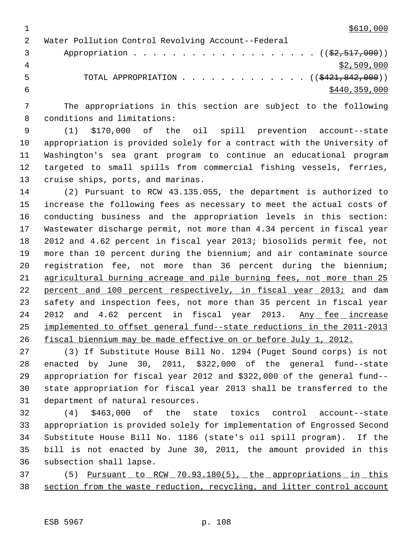$1 \frac{$610,000}{ }$ 

|                | Water Pollution Control Revolving Account--Federal                        |
|----------------|---------------------------------------------------------------------------|
| $\overline{3}$ | Appropriation $($ $(\frac{2}{2}, 517, 000))$                              |
| 4              | \$2,509,000                                                               |
| . 5            | TOTAL APPROPRIATION $\ldots$ , ( $(\frac{1221}{6421}, \frac{842}{600})$ ) |
|                | \$440,359,000                                                             |

 The appropriations in this section are subject to the following conditions and limitations:

 (1) \$170,000 of the oil spill prevention account--state appropriation is provided solely for a contract with the University of Washington's sea grant program to continue an educational program targeted to small spills from commercial fishing vessels, ferries, cruise ships, ports, and marinas.

 (2) Pursuant to RCW 43.135.055, the department is authorized to increase the following fees as necessary to meet the actual costs of conducting business and the appropriation levels in this section: Wastewater discharge permit, not more than 4.34 percent in fiscal year 2012 and 4.62 percent in fiscal year 2013; biosolids permit fee, not more than 10 percent during the biennium; and air contaminate source registration fee, not more than 36 percent during the biennium; agricultural burning acreage and pile burning fees, not more than 25 22 percent and 100 percent respectively, in fiscal year 2013; and dam safety and inspection fees, not more than 35 percent in fiscal year 24 2012 and 4.62 percent in fiscal year 2013. Any fee increase implemented to offset general fund--state reductions in the 2011-2013 fiscal biennium may be made effective on or before July 1, 2012.

 (3) If Substitute House Bill No. 1294 (Puget Sound corps) is not enacted by June 30, 2011, \$322,000 of the general fund--state appropriation for fiscal year 2012 and \$322,000 of the general fund-- state appropriation for fiscal year 2013 shall be transferred to the department of natural resources.

 (4) \$463,000 of the state toxics control account--state appropriation is provided solely for implementation of Engrossed Second Substitute House Bill No. 1186 (state's oil spill program). If the bill is not enacted by June 30, 2011, the amount provided in this subsection shall lapse.

37 (5) <u>Pursuant to RCW 70.93.180(5), the appropriations in this</u> section from the waste reduction, recycling, and litter control account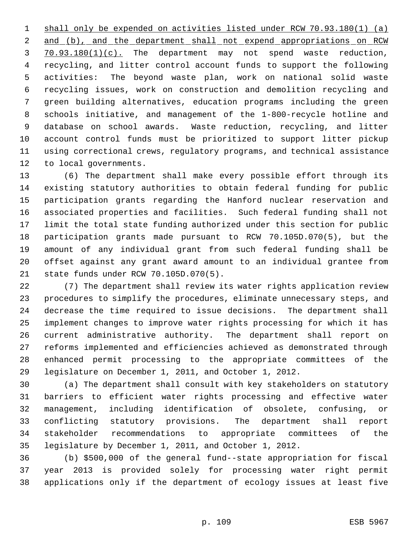shall only be expended on activities listed under RCW 70.93.180(1) (a) 2 and (b), and the department shall not expend appropriations on RCW 70.93.180(1)(c). The department may not spend waste reduction, recycling, and litter control account funds to support the following activities: The beyond waste plan, work on national solid waste recycling issues, work on construction and demolition recycling and green building alternatives, education programs including the green schools initiative, and management of the 1-800-recycle hotline and database on school awards. Waste reduction, recycling, and litter account control funds must be prioritized to support litter pickup using correctional crews, regulatory programs, and technical assistance to local governments.

 (6) The department shall make every possible effort through its existing statutory authorities to obtain federal funding for public participation grants regarding the Hanford nuclear reservation and associated properties and facilities. Such federal funding shall not limit the total state funding authorized under this section for public participation grants made pursuant to RCW 70.105D.070(5), but the amount of any individual grant from such federal funding shall be offset against any grant award amount to an individual grantee from state funds under RCW 70.105D.070(5).

 (7) The department shall review its water rights application review procedures to simplify the procedures, eliminate unnecessary steps, and decrease the time required to issue decisions. The department shall implement changes to improve water rights processing for which it has current administrative authority. The department shall report on reforms implemented and efficiencies achieved as demonstrated through enhanced permit processing to the appropriate committees of the legislature on December 1, 2011, and October 1, 2012.

 (a) The department shall consult with key stakeholders on statutory barriers to efficient water rights processing and effective water management, including identification of obsolete, confusing, or conflicting statutory provisions. The department shall report stakeholder recommendations to appropriate committees of the legislature by December 1, 2011, and October 1, 2012.

 (b) \$500,000 of the general fund--state appropriation for fiscal year 2013 is provided solely for processing water right permit applications only if the department of ecology issues at least five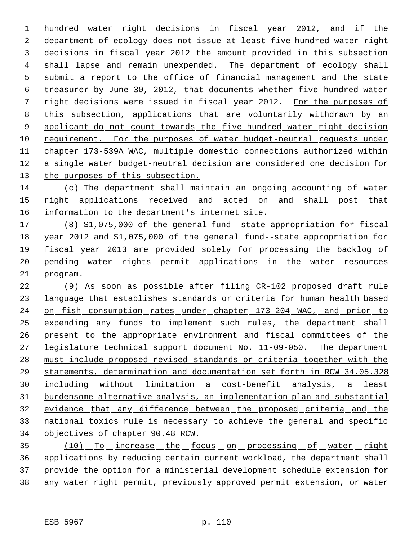hundred water right decisions in fiscal year 2012, and if the department of ecology does not issue at least five hundred water right decisions in fiscal year 2012 the amount provided in this subsection shall lapse and remain unexpended. The department of ecology shall submit a report to the office of financial management and the state treasurer by June 30, 2012, that documents whether five hundred water right decisions were issued in fiscal year 2012. For the purposes of 8 this subsection, applications that are voluntarily withdrawn by an 9 applicant do not count towards the five hundred water right decision requirement. For the purposes of water budget-neutral requests under chapter 173-539A WAC, multiple domestic connections authorized within a single water budget-neutral decision are considered one decision for the purposes of this subsection.

 (c) The department shall maintain an ongoing accounting of water right applications received and acted on and shall post that information to the department's internet site.

 (8) \$1,075,000 of the general fund--state appropriation for fiscal year 2012 and \$1,075,000 of the general fund--state appropriation for fiscal year 2013 are provided solely for processing the backlog of pending water rights permit applications in the water resources program.

 (9) As soon as possible after filing CR-102 proposed draft rule language that establishes standards or criteria for human health based 24 on fish consumption rates under chapter 173-204 WAC, and prior to expending any funds to implement such rules, the department shall present to the appropriate environment and fiscal committees of the 27 legislature technical support document No. 11-09-050. The department must include proposed revised standards or criteria together with the statements, determination and documentation set forth in RCW 34.05.328 30 including without limitation a cost-benefit analysis, a least burdensome alternative analysis, an implementation plan and substantial evidence that any difference between the proposed criteria and the national toxics rule is necessary to achieve the general and specific objectives of chapter 90.48 RCW.

35 (10) To increase the focus on processing of water right applications by reducing certain current workload, the department shall provide the option for a ministerial development schedule extension for any water right permit, previously approved permit extension, or water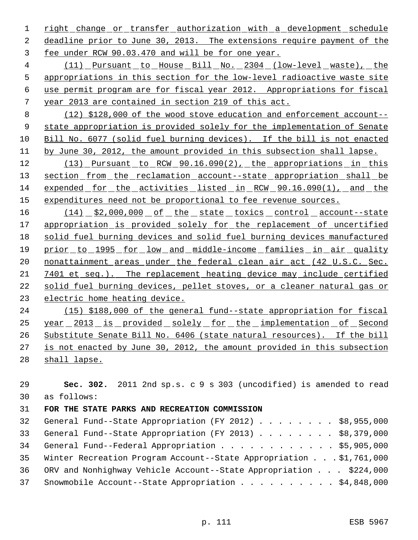1 right change or transfer authorization with a development schedule deadline prior to June 30, 2013. The extensions require payment of the fee under RCW 90.03.470 and will be for one year.

 (11) Pursuant to House Bill No. 2304 (low-level waste), the appropriations in this section for the low-level radioactive waste site use permit program are for fiscal year 2012. Appropriations for fiscal year 2013 are contained in section 219 of this act.

 (12) \$128,000 of the wood stove education and enforcement account-- state appropriation is provided solely for the implementation of Senate Bill No. 6077 (solid fuel burning devices). If the bill is not enacted by June 30, 2012, the amount provided in this subsection shall lapse.

12 (13) Pursuant to RCW 90.16.090(2), the appropriations in this 13 section from the reclamation account--state appropriation shall be expended for the activities listed in RCW 90.16.090(1), and the 15 expenditures need not be proportional to fee revenue sources.

16 (14) \$2,000,000 of the state toxics control account--state 17 appropriation is provided solely for the replacement of uncertified solid fuel burning devices and solid fuel burning devices manufactured prior to 1995 for low and middle-income families in air quality 20 nonattainment areas under the federal clean air act (42 U.S.C. Sec. 7401 et seq.). The replacement heating device may include certified solid fuel burning devices, pellet stoves, or a cleaner natural gas or electric home heating device.

 (15) \$188,000 of the general fund--state appropriation for fiscal year 2013 is provided solely for the implementation of Second Substitute Senate Bill No. 6406 (state natural resources). If the bill 27 is not enacted by June 30, 2012, the amount provided in this subsection 28 shall lapse.

 **Sec. 302.** 2011 2nd sp.s. c 9 s 303 (uncodified) is amended to read as follows: **FOR THE STATE PARKS AND RECREATION COMMISSION**  General Fund--State Appropriation (FY 2012) . . . . . . . . \$8,955,000 General Fund--State Appropriation (FY 2013) . . . . . . . . \$8,379,000 34 General Fund--Federal Appropriation . . . . . . . . . . . \$5,905,000 Winter Recreation Program Account--State Appropriation . . . \$1,761,000 ORV and Nonhighway Vehicle Account--State Appropriation . . . \$224,000 Snowmobile Account--State Appropriation . . . . . . . . . . \$4,848,000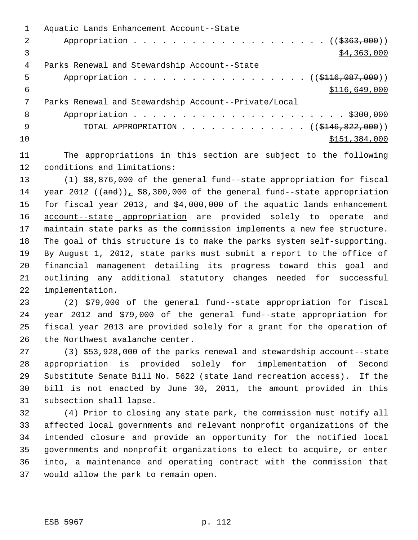|    | Aquatic Lands Enhancement Account--State                     |
|----|--------------------------------------------------------------|
| 2  | Appropriation $($ $(*363,000))$                              |
|    | \$4,363,000                                                  |
| 4  | Parks Renewal and Stewardship Account--State                 |
| 5  | Appropriation ((\$116,087,000))                              |
| 6  | \$116,649,000                                                |
| 7  | Parks Renewal and Stewardship Account--Private/Local         |
| 8  |                                                              |
| 9  | TOTAL APPROPRIATION $\ldots$ , ( $(\frac{1446}{122}, 000)$ ) |
| 10 | \$151,384,000                                                |
|    |                                                              |

 The appropriations in this section are subject to the following conditions and limitations:

 (1) \$8,876,000 of the general fund--state appropriation for fiscal 14 year 2012  $((and))_+$  \$8,300,000 of the general fund--state appropriation 15 for fiscal year 2013, and \$4,000,000 of the aquatic lands enhancement 16 account--state appropriation are provided solely to operate and maintain state parks as the commission implements a new fee structure. The goal of this structure is to make the parks system self-supporting. By August 1, 2012, state parks must submit a report to the office of financial management detailing its progress toward this goal and outlining any additional statutory changes needed for successful implementation.

 (2) \$79,000 of the general fund--state appropriation for fiscal year 2012 and \$79,000 of the general fund--state appropriation for fiscal year 2013 are provided solely for a grant for the operation of the Northwest avalanche center.

 (3) \$53,928,000 of the parks renewal and stewardship account--state appropriation is provided solely for implementation of Second Substitute Senate Bill No. 5622 (state land recreation access). If the bill is not enacted by June 30, 2011, the amount provided in this subsection shall lapse.

 (4) Prior to closing any state park, the commission must notify all affected local governments and relevant nonprofit organizations of the intended closure and provide an opportunity for the notified local governments and nonprofit organizations to elect to acquire, or enter into, a maintenance and operating contract with the commission that would allow the park to remain open.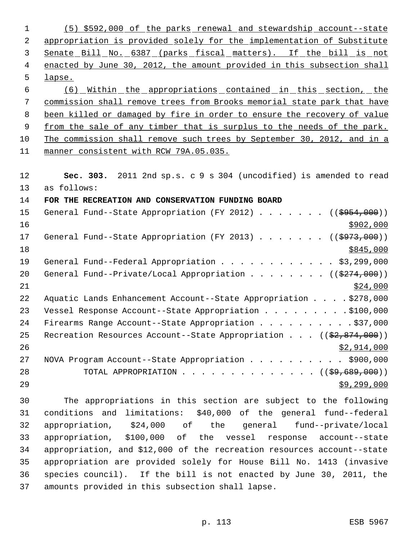| 1  | (5) \$592,000 of the parks renewal and stewardship account--state             |
|----|-------------------------------------------------------------------------------|
| 2  | appropriation is provided solely for the implementation of Substitute         |
| 3  | Senate Bill No. 6387 (parks fiscal matters). If the bill is not               |
| 4  | enacted by June 30, 2012, the amount provided in this subsection shall        |
| 5  | lapse.                                                                        |
| 6  | <u>(6) Within the appropriations contained in this section, the</u>           |
| 7  | commission shall remove trees from Brooks memorial state park that have       |
| 8  | been killed or damaged by fire in order to ensure the recovery of value       |
| 9  | from the sale of any timber that is surplus to the needs of the park.         |
| 10 | The commission shall remove such trees by September 30, 2012, and in a        |
| 11 | manner consistent with RCW 79A.05.035.                                        |
|    |                                                                               |
| 12 | Sec. 303. 2011 2nd sp.s. c 9 s 304 (uncodified) is amended to read            |
| 13 | as follows:                                                                   |
| 14 | FOR THE RECREATION AND CONSERVATION FUNDING BOARD                             |
| 15 | General Fund--State Appropriation (FY 2012) ( $(\frac{2954}{100})$ )          |
| 16 | \$902,000                                                                     |
| 17 | General Fund--State Appropriation (FY 2013)<br>((\$973,000))                  |
| 18 | \$845,000                                                                     |
| 19 | General Fund--Federal Appropriation \$3,299,000                               |
| 20 | General Fund--Private/Local Appropriation ((\$274,000))                       |
| 21 | \$24,000                                                                      |
| 22 | Aquatic Lands Enhancement Account--State Appropriation \$278,000              |
| 23 | Vessel Response Account--State Appropriation \$100,000                        |
| 24 | Firearms Range Account--State Appropriation \$37,000                          |
| 25 | Recreation Resources Account--State Appropriation $((\frac{2}{7}, 874, 000))$ |
| 26 | \$2,914,000                                                                   |
| 27 | NOVA Program Account--State Appropriation \$900,000                           |
| 28 | TOTAL APPROPRIATION $($ $($ $\frac{69}{69}, \frac{689}{600})$                 |
| 29 | \$9,299,000                                                                   |
| 30 | The appropriations in this section are subject to the following               |
| 31 | conditions and limitations: \$40,000 of the general fund--federal             |
| 32 | appropriation,<br>\$24,000 of the general<br>fund--private/local              |
| 33 | appropriation, \$100,000 of the vessel response account--state                |
| 34 | appropriation, and \$12,000 of the recreation resources account--state        |
| 35 | appropriation are provided solely for House Bill No. 1413 (invasive           |
| 36 | species council). If the bill is not enacted by June 30, 2011, the            |

amounts provided in this subsection shall lapse.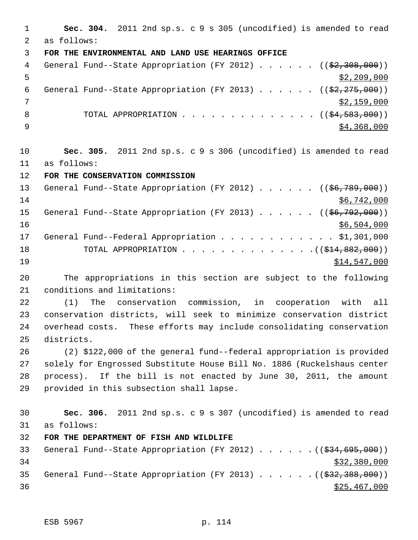**Sec. 304.** 2011 2nd sp.s. c 9 s 305 (uncodified) is amended to read as follows: **FOR THE ENVIRONMENTAL AND LAND USE HEARINGS OFFICE** 4 General Fund--State Appropriation (FY 2012) . . . . . . ((\$2,308,000))  $\frac{1}{2}$ , 209, 000 6 General Fund--State Appropriation (FY 2013) . . . . .  $($   $($ \$2,275,000))  $7 \times 2,159,000$ 8 TOTAL APPROPRIATION . . . . . . . . . . . . . ((<del>\$4,583,000</del>))  $\frac{1}{2}$   $\frac{1}{2}$   $\frac{1}{2}$   $\frac{1}{2}$   $\frac{1}{2}$   $\frac{1}{2}$   $\frac{1}{2}$   $\frac{1}{2}$   $\frac{1}{2}$   $\frac{1}{2}$   $\frac{1}{2}$   $\frac{1}{2}$   $\frac{1}{2}$   $\frac{1}{2}$   $\frac{1}{2}$   $\frac{1}{2}$   $\frac{1}{2}$   $\frac{1}{2}$   $\frac{1}{2}$   $\frac{1}{2}$   $\frac{1}{2}$   $\frac{1}{2}$  **Sec. 305.** 2011 2nd sp.s. c 9 s 306 (uncodified) is amended to read as follows: **FOR THE CONSERVATION COMMISSION** 13 General Fund--State Appropriation (FY 2012) . . . . . . ((\$6,789,000)) \$6,742,000 15 General Fund--State Appropriation (FY 2013) . . . . . ((\$6,792,000)) \$6,504,000 General Fund--Federal Appropriation . . . . . . . . . . . . \$1,301,000 18 TOTAL APPROPRIATION . . . . . . . . . . . . . ((\$14,882,000))  $514,547,000$  The appropriations in this section are subject to the following conditions and limitations: (1) The conservation commission, in cooperation with all conservation districts, will seek to minimize conservation district overhead costs. These efforts may include consolidating conservation districts. (2) \$122,000 of the general fund--federal appropriation is provided solely for Engrossed Substitute House Bill No. 1886 (Ruckelshaus center process). If the bill is not enacted by June 30, 2011, the amount provided in this subsection shall lapse. **Sec. 306.** 2011 2nd sp.s. c 9 s 307 (uncodified) is amended to read as follows: **FOR THE DEPARTMENT OF FISH AND WILDLIFE** 33 General Fund--State Appropriation (FY 2012) . . . . . . ((\$34,695,000)) \$32,380,000 35 General Fund--State Appropriation (FY 2013) . . . . . . ((\$32,388,000))  $\frac{$25,467,000}{200}$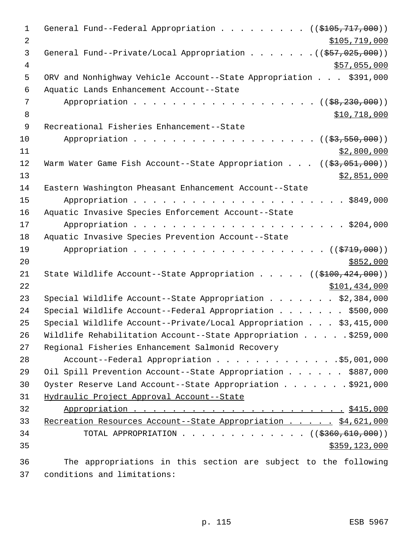| $\mathbf 1$    | General Fund--Federal Appropriation ( $(\frac{2105}{717},000)$ )               |
|----------------|--------------------------------------------------------------------------------|
| $\overline{2}$ | \$105,719,000                                                                  |
| 3              | General Fund--Private/Local Appropriation $($ $($ \$57,025,000))               |
| $\overline{4}$ | \$57,055,000                                                                   |
| 5              | ORV and Nonhighway Vehicle Account--State Appropriation \$391,000              |
| 6              | Aquatic Lands Enhancement Account--State                                       |
| 7              | $($ (\$8,230,000))                                                             |
| 8              | \$10,718,000                                                                   |
| 9              | Recreational Fisheries Enhancement--State                                      |
| 10             | Appropriation<br>$((\frac{23}{73}, \frac{550}{7}, \frac{000}{7})$              |
| 11             | \$2,800,000                                                                    |
| 12             | Warm Water Game Fish Account--State Appropriation $((\frac{2}{53}, 051, 000))$ |
| 13             | <u>\$2,851,000</u>                                                             |
| 14             | Eastern Washington Pheasant Enhancement Account--State                         |
| 15             |                                                                                |
| 16             | Aquatic Invasive Species Enforcement Account--State                            |
| 17             |                                                                                |
| 18             | Aquatic Invasive Species Prevention Account--State                             |
| 19             | Appropriation $($ $)$ $)$                                                      |
| 20             | \$852,000                                                                      |
| 21             | State Wildlife Account--State Appropriation ((\$100,424,000))                  |
| 22             | \$101,434,000                                                                  |
| 23             | Special Wildlife Account--State Appropriation $\ldots$ \$2,384,000             |
| 24             | Special Wildlife Account--Federal Appropriation \$500,000                      |
| 25             | Special Wildlife Account--Private/Local Appropriation \$3,415,000              |
| 26             | Wildlife Rehabilitation Account--State Appropriation \$259,000                 |
| 27             | Regional Fisheries Enhancement Salmonid Recovery                               |
| 28             | Account--Federal Appropriation 55,001,000                                      |
| 29             | Oil Spill Prevention Account--State Appropriation \$887,000                    |
| 30             | Oyster Reserve Land Account--State Appropriation \$921,000                     |
| 31             | Hydraulic Project Approval Account--State                                      |
| 32             |                                                                                |
| 33             | Recreation Resources Account--State Appropriation \$4,621,000                  |
| 34             | TOTAL APPROPRIATION $\ldots$ , ( $(\frac{2360,610,000}{2})$                    |
| 35             | \$359,123,000                                                                  |
| 36             | The appropriations in this section are subject to the following                |

conditions and limitations: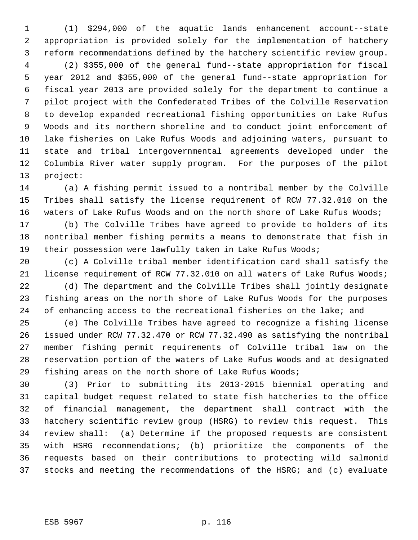(1) \$294,000 of the aquatic lands enhancement account--state appropriation is provided solely for the implementation of hatchery reform recommendations defined by the hatchery scientific review group.

 (2) \$355,000 of the general fund--state appropriation for fiscal year 2012 and \$355,000 of the general fund--state appropriation for fiscal year 2013 are provided solely for the department to continue a pilot project with the Confederated Tribes of the Colville Reservation to develop expanded recreational fishing opportunities on Lake Rufus Woods and its northern shoreline and to conduct joint enforcement of lake fisheries on Lake Rufus Woods and adjoining waters, pursuant to state and tribal intergovernmental agreements developed under the Columbia River water supply program. For the purposes of the pilot project:

 (a) A fishing permit issued to a nontribal member by the Colville Tribes shall satisfy the license requirement of RCW 77.32.010 on the waters of Lake Rufus Woods and on the north shore of Lake Rufus Woods;

 (b) The Colville Tribes have agreed to provide to holders of its nontribal member fishing permits a means to demonstrate that fish in 19 their possession were lawfully taken in Lake Rufus Woods;

 (c) A Colville tribal member identification card shall satisfy the license requirement of RCW 77.32.010 on all waters of Lake Rufus Woods;

 (d) The department and the Colville Tribes shall jointly designate fishing areas on the north shore of Lake Rufus Woods for the purposes 24 of enhancing access to the recreational fisheries on the lake; and

 (e) The Colville Tribes have agreed to recognize a fishing license issued under RCW 77.32.470 or RCW 77.32.490 as satisfying the nontribal member fishing permit requirements of Colville tribal law on the reservation portion of the waters of Lake Rufus Woods and at designated fishing areas on the north shore of Lake Rufus Woods;

 (3) Prior to submitting its 2013-2015 biennial operating and capital budget request related to state fish hatcheries to the office of financial management, the department shall contract with the hatchery scientific review group (HSRG) to review this request. This review shall: (a) Determine if the proposed requests are consistent with HSRG recommendations; (b) prioritize the components of the requests based on their contributions to protecting wild salmonid stocks and meeting the recommendations of the HSRG; and (c) evaluate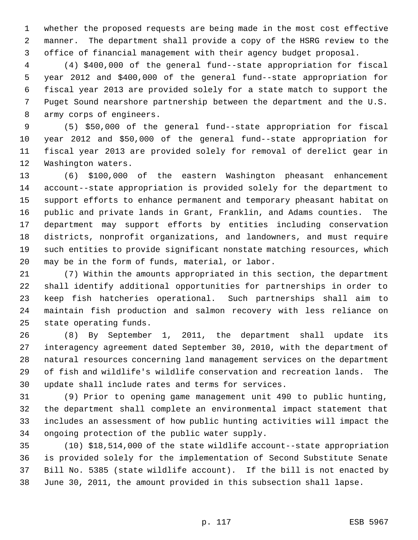whether the proposed requests are being made in the most cost effective manner. The department shall provide a copy of the HSRG review to the office of financial management with their agency budget proposal.

 (4) \$400,000 of the general fund--state appropriation for fiscal year 2012 and \$400,000 of the general fund--state appropriation for fiscal year 2013 are provided solely for a state match to support the Puget Sound nearshore partnership between the department and the U.S. army corps of engineers.

 (5) \$50,000 of the general fund--state appropriation for fiscal year 2012 and \$50,000 of the general fund--state appropriation for fiscal year 2013 are provided solely for removal of derelict gear in Washington waters.

 (6) \$100,000 of the eastern Washington pheasant enhancement account--state appropriation is provided solely for the department to support efforts to enhance permanent and temporary pheasant habitat on public and private lands in Grant, Franklin, and Adams counties. The department may support efforts by entities including conservation districts, nonprofit organizations, and landowners, and must require such entities to provide significant nonstate matching resources, which may be in the form of funds, material, or labor.

 (7) Within the amounts appropriated in this section, the department shall identify additional opportunities for partnerships in order to keep fish hatcheries operational. Such partnerships shall aim to maintain fish production and salmon recovery with less reliance on state operating funds.

 (8) By September 1, 2011, the department shall update its interagency agreement dated September 30, 2010, with the department of natural resources concerning land management services on the department of fish and wildlife's wildlife conservation and recreation lands. The update shall include rates and terms for services.

 (9) Prior to opening game management unit 490 to public hunting, the department shall complete an environmental impact statement that includes an assessment of how public hunting activities will impact the ongoing protection of the public water supply.

 (10) \$18,514,000 of the state wildlife account--state appropriation is provided solely for the implementation of Second Substitute Senate Bill No. 5385 (state wildlife account). If the bill is not enacted by June 30, 2011, the amount provided in this subsection shall lapse.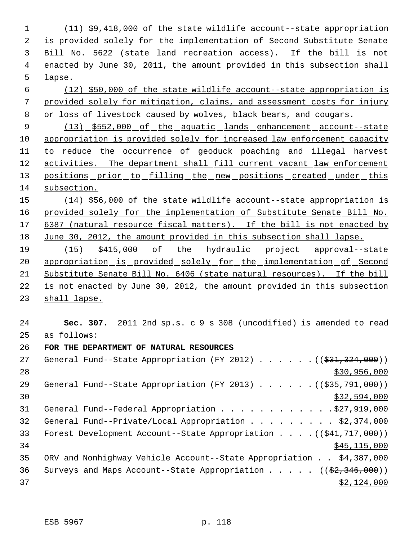(11) \$9,418,000 of the state wildlife account--state appropriation is provided solely for the implementation of Second Substitute Senate Bill No. 5622 (state land recreation access). If the bill is not enacted by June 30, 2011, the amount provided in this subsection shall 5 lapse.

 6 (12) \$50,000 of the state wildlife account--state appropriation is 7 provided solely for mitigation, claims, and assessment costs for injury 8 or loss of livestock caused by wolves, black bears, and cougars.

9 (13) \$552,000 of the aquatic lands enhancement account--state 10 appropriation is provided solely for increased law enforcement capacity 11 to reduce the occurrence of geoduck poaching and illegal harvest 12 activities. The department shall fill current vacant law enforcement 13 positions prior to filling the new positions created under this 14 subsection.

15 (14) \$56,000 of the state wildlife account--state appropriation is 16 provided solely for the implementation of Substitute Senate Bill No. 17 6387 (natural resource fiscal matters). If the bill is not enacted by 18 June 30, 2012, the amount provided in this subsection shall lapse.

19 (15)  $$415,000 of$  <u>of the hydraulic project</u> approval--state 20 appropriation is provided solely for the implementation of Second 21 Substitute Senate Bill No. 6406 (state natural resources). If the bill 22 is not enacted by June 30, 2012, the amount provided in this subsection 23 shall lapse.

24 **Sec. 307.** 2011 2nd sp.s. c 9 s 308 (uncodified) is amended to read 25 as follows:

26 **FOR THE DEPARTMENT OF NATURAL RESOURCES**

| 27 | General Fund--State Appropriation (FY 2012) ( $(\frac{231}{324}, \frac{324}{100})$ ) |
|----|--------------------------------------------------------------------------------------|
| 28 | \$30,956,000                                                                         |
| 29 | General Fund--State Appropriation (FY 2013) $($ $($ $\frac{255}{791},000)$ )         |
| 30 | \$32,594,000                                                                         |
| 31 | General Fund--Federal Appropriation \$27,919,000                                     |
| 32 | General Fund--Private/Local Appropriation \$2,374,000                                |
| 33 | Forest Development Account--State Appropriation $((\frac{641}{717}, 000))$           |
| 34 | \$45, 115, 000                                                                       |
| 35 | ORV and Nonhighway Vehicle Account--State Appropriation \$4,387,000                  |
| 36 | Surveys and Maps Account--State Appropriation $($ $($ \$2,346,000) $)$               |
| 37 | \$2,124,000                                                                          |
|    |                                                                                      |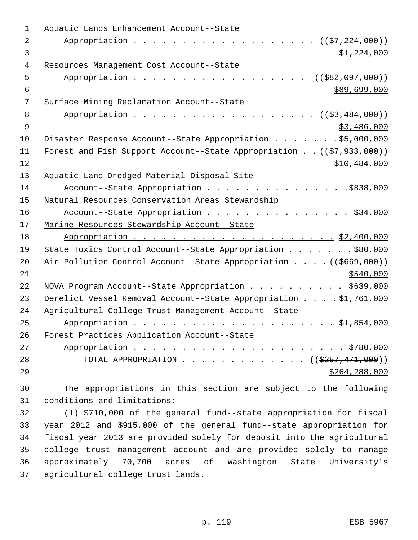| 1  | Aquatic Lands Enhancement Account--State                                            |
|----|-------------------------------------------------------------------------------------|
| 2  | Appropriation ( $(\frac{27}{224},000)$ )                                            |
| 3  | \$1,224,000                                                                         |
| 4  | Resources Management Cost Account--State                                            |
| 5  | Appropriation<br>$(($ \$82,097,000))                                                |
| 6  | \$89,699,000                                                                        |
| 7  | Surface Mining Reclamation Account--State                                           |
| 8  | Appropriation ( $(\frac{2}{53}, \frac{484}{100})$ )                                 |
| 9  | \$3,486,000                                                                         |
| 10 | Disaster Response Account--State Appropriation \$5,000,000                          |
| 11 | Forest and Fish Support Account--State Appropriation ( $(\frac{27}{7}, 933, 000)$ ) |
| 12 | \$10,484,000                                                                        |
| 13 | Aquatic Land Dredged Material Disposal Site                                         |
| 14 | Account--State Appropriation \$838,000                                              |
| 15 | Natural Resources Conservation Areas Stewardship                                    |
| 16 | Account--State Appropriation \$34,000                                               |
| 17 | Marine Resources Stewardship Account--State                                         |
| 18 |                                                                                     |
| 19 | State Toxics Control Account--State Appropriation \$80,000                          |
| 20 | Air Pollution Control Account--State Appropriation ((\$669,000))                    |
| 21 | \$540,000                                                                           |
| 22 | NOVA Program Account--State Appropriation \$639,000                                 |
| 23 | Derelict Vessel Removal Account--State Appropriation \$1,761,000                    |
| 24 | Agricultural College Trust Management Account--State                                |
| 25 |                                                                                     |
| 26 | Forest Practices Application Account--State                                         |
| 27 |                                                                                     |
| 28 | TOTAL APPROPRIATION ( $(\frac{2557}{1000})$ )                                       |
| 29 | \$264, 288, 000                                                                     |
|    |                                                                                     |

 The appropriations in this section are subject to the following conditions and limitations:

 (1) \$710,000 of the general fund--state appropriation for fiscal year 2012 and \$915,000 of the general fund--state appropriation for fiscal year 2013 are provided solely for deposit into the agricultural college trust management account and are provided solely to manage approximately 70,700 acres of Washington State University's agricultural college trust lands.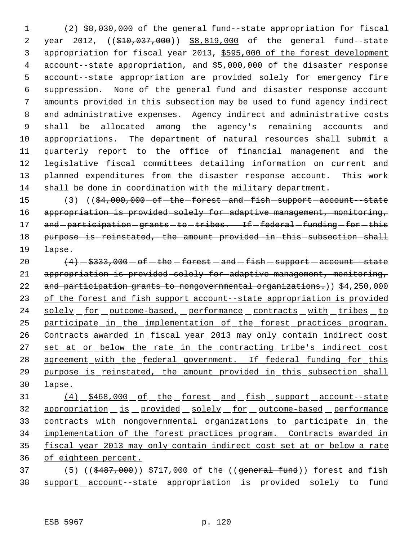(2) \$8,030,000 of the general fund--state appropriation for fiscal year 2012, ((\$10,037,000)) \$8,819,000 of the general fund--state appropriation for fiscal year 2013, \$595,000 of the forest development account--state appropriation, and \$5,000,000 of the disaster response account--state appropriation are provided solely for emergency fire suppression. None of the general fund and disaster response account amounts provided in this subsection may be used to fund agency indirect and administrative expenses. Agency indirect and administrative costs shall be allocated among the agency's remaining accounts and appropriations. The department of natural resources shall submit a quarterly report to the office of financial management and the legislative fiscal committees detailing information on current and planned expenditures from the disaster response account. This work shall be done in coordination with the military department.

15 (3) (( $\frac{64,000,000 - of - the - forest - and - fish - support - account - state}{}$ 16 appropriation is provided solely for adaptive management, monitoring, 17 and -participation -grants -to -tribes. If -federal -funding -for -this 18 purpose-is-reinstated, the amount provided in this subsection shall 19 <del>lapse.</del>

 $(4)$   $-$  \$333,000  $-$  of  $-$  the  $-$  forest  $-$  and  $-$  fish  $-$  support  $-$  account--state appropriation is provided solely for adaptive management, monitoring, 22 and participation grants to nongovernmental organizations.)) \$4,250,000 of the forest and fish support account--state appropriation is provided 24 solely for outcome-based, performance contracts with tribes to 25 participate in the implementation of the forest practices program. Contracts awarded in fiscal year 2013 may only contain indirect cost 27 set at or below the rate in the contracting tribe's indirect cost agreement with the federal government. If federal funding for this purpose is reinstated, the amount provided in this subsection shall lapse.

31 (4) \$468,000 of the forest and fish support account--state 32 appropriation is provided solely for outcome-based performance 33 contracts with nongovernmental organizations to participate in the implementation of the forest practices program. Contracts awarded in fiscal year 2013 may only contain indirect cost set at or below a rate of eighteen percent.

37 (5) ((\$487,000)) \$717,000 of the ((general fund)) forest and fish 38 support account--state appropriation is provided solely to fund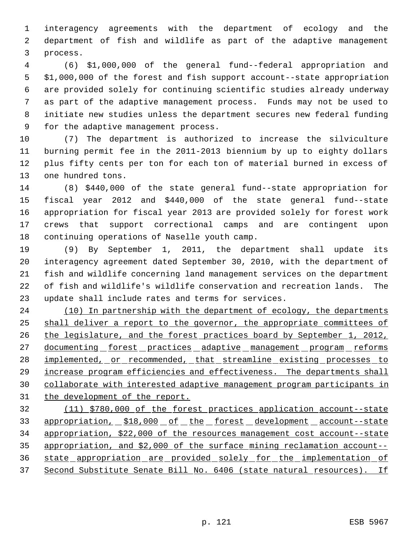interagency agreements with the department of ecology and the department of fish and wildlife as part of the adaptive management process.

 (6) \$1,000,000 of the general fund--federal appropriation and \$1,000,000 of the forest and fish support account--state appropriation are provided solely for continuing scientific studies already underway as part of the adaptive management process. Funds may not be used to initiate new studies unless the department secures new federal funding for the adaptive management process.

 (7) The department is authorized to increase the silviculture burning permit fee in the 2011-2013 biennium by up to eighty dollars plus fifty cents per ton for each ton of material burned in excess of one hundred tons.

 (8) \$440,000 of the state general fund--state appropriation for fiscal year 2012 and \$440,000 of the state general fund--state appropriation for fiscal year 2013 are provided solely for forest work crews that support correctional camps and are contingent upon continuing operations of Naselle youth camp.

 (9) By September 1, 2011, the department shall update its interagency agreement dated September 30, 2010, with the department of fish and wildlife concerning land management services on the department of fish and wildlife's wildlife conservation and recreation lands. The update shall include rates and terms for services.

24 (10) In partnership with the department of ecology, the departments 25 shall deliver a report to the governor, the appropriate committees of the legislature, and the forest practices board by September 1, 2012, 27 documenting forest practices adaptive management program reforms 28 implemented, or recommended, that streamline existing processes to increase program efficiencies and effectiveness. The departments shall collaborate with interested adaptive management program participants in 31 the development of the report.

 (11) \$780,000 of the forest practices application account--state 33 appropriation, \$18,000 of the forest development account--state appropriation, \$22,000 of the resources management cost account--state appropriation, and \$2,000 of the surface mining reclamation account-- state appropriation are provided solely for the implementation of Second Substitute Senate Bill No. 6406 (state natural resources). If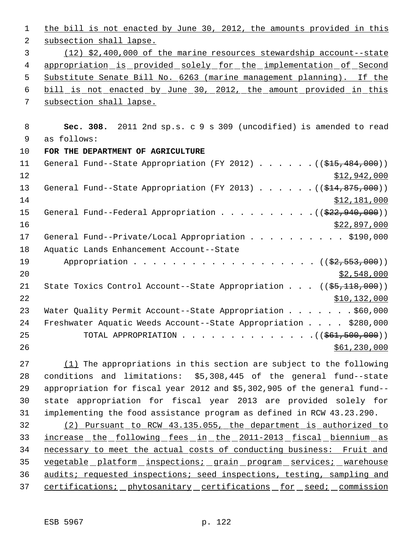| $\mathbf{1}$   | the bill is not enacted by June 30, 2012, the amounts provided in this         |
|----------------|--------------------------------------------------------------------------------|
| 2              | subsection shall lapse.                                                        |
| 3              | (12) \$2,400,000 of the marine resources stewardship account--state            |
| $\overline{4}$ | <u>appropriation is provided solely for the implementation of Second</u>       |
| 5              | Substitute Senate Bill No. 6263 (marine management planning). If the           |
| 6              | bill is not enacted by June 30, 2012, the amount provided in this              |
| 7              | subsection shall lapse.                                                        |
| 8              | Sec. 308. 2011 2nd sp.s. c 9 s 309 (uncodified) is amended to read             |
| 9              | as follows:                                                                    |
| 10             | FOR THE DEPARTMENT OF AGRICULTURE                                              |
| 11             | General Fund--State Appropriation (FY 2012) $($ $($ $$15,484,000)$ )           |
| 12             | \$12,942,000                                                                   |
| 13             | General Fund--State Appropriation (FY 2013) $($ $($ \$14,875,000))             |
| 14             | \$12,181,000                                                                   |
| 15             | General Fund--Federal Appropriation $($ $($ $\frac{222,940,000)}{200})$        |
| 16             | \$22,897,000                                                                   |
| 17             | General Fund--Private/Local Appropriation \$190,000                            |
| 18             | Aquatic Lands Enhancement Account--State                                       |
| 19             | Appropriation ((\$2,553,000))                                                  |
| 20             | \$2,548,000                                                                    |
| 21             | State Toxics Control Account--State Appropriation $((\frac{25}{118}, 000))$    |
| 22             | \$10,132,000                                                                   |
| 23             | Water Quality Permit Account--State Appropriation \$60,000                     |
| 24             | Freshwater Aquatic Weeds Account--State Appropriation \$280,000                |
| 25             | TOTAL APPROPRIATION $($ $($ $\frac{261}{100000})$                              |
| 26             | \$61,230,000                                                                   |
| 27             | $(1)$ The appropriations in this section are subject to the following          |
| 28             | \$5,308,445 of the general fund--state<br>conditions and limitations:          |
| 29             | appropriation for fiscal year $2012$ and $55$ $302$ $905$ of the general fund- |

 appropriation for fiscal year  $2012$  and  $\$5,302,905$  of the  $\overline{a}$  state appropriation for fiscal year 2013 are provided solely for implementing the food assistance program as defined in RCW 43.23.290.

 (2) Pursuant to RCW 43.135.055, the department is authorized to 33 increase the following fees in the 2011-2013 fiscal biennium as necessary to meet the actual costs of conducting business: Fruit and 35 vegetable platform inspections; grain program services; warehouse 36 audits; requested inspections; seed inspections, testing, sampling and 37 certifications; phytosanitary certifications for seed; commission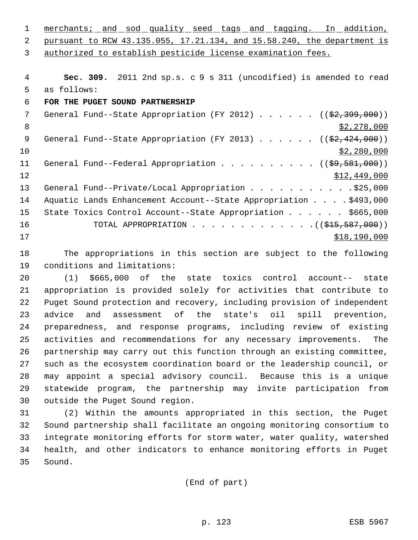1 merchants; and sod quality seed tags and tagging. In addition, pursuant to RCW 43.135.055, 17.21.134, and 15.58.240, the department is authorized to establish pesticide license examination fees.

 **Sec. 309.** 2011 2nd sp.s. c 9 s 311 (uncodified) is amended to read as follows: **FOR THE PUGET SOUND PARTNERSHIP** 7 General Fund--State Appropriation (FY 2012) . . . . . . ((\$2,399,000))  $\frac{1}{2}$ , 278,000 9 General Fund--State Appropriation (FY 2013) . . . . . . ((\$2,424,000))  $\frac{10}{2}$   $\frac{10}{2}$   $\frac{280}{000}$ 11 General Fund--Federal Appropriation . . . . . . . . . . ((\$9,581,000)) 12 \$12,449,000 13 General Fund--Private/Local Appropriation . . . . . . . . . . . \$25,000 14 Aquatic Lands Enhancement Account--State Appropriation . . . . \$493,000 State Toxics Control Account--State Appropriation . . . . . . \$665,000 16 TOTAL APPROPRIATION . . . . . . . . . . . . . ((\$15,587,000)) \$18,190,000

 The appropriations in this section are subject to the following conditions and limitations:

 (1) \$665,000 of the state toxics control account-- state appropriation is provided solely for activities that contribute to Puget Sound protection and recovery, including provision of independent advice and assessment of the state's oil spill prevention, preparedness, and response programs, including review of existing activities and recommendations for any necessary improvements. The partnership may carry out this function through an existing committee, such as the ecosystem coordination board or the leadership council, or may appoint a special advisory council. Because this is a unique statewide program, the partnership may invite participation from outside the Puget Sound region.

 (2) Within the amounts appropriated in this section, the Puget Sound partnership shall facilitate an ongoing monitoring consortium to integrate monitoring efforts for storm water, water quality, watershed health, and other indicators to enhance monitoring efforts in Puget Sound.

(End of part)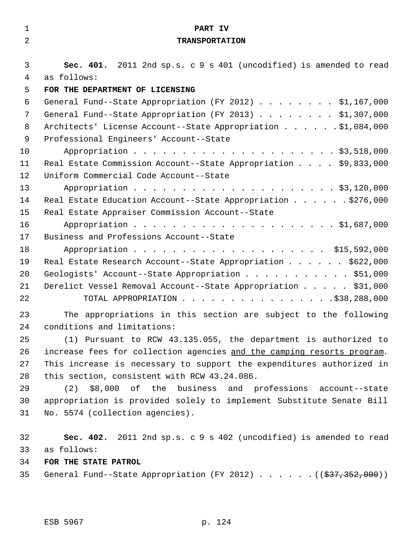| $\mathbf{1}$   | PART IV                                                                             |
|----------------|-------------------------------------------------------------------------------------|
| $\overline{2}$ | <b>TRANSPORTATION</b>                                                               |
|                |                                                                                     |
| 3              | Sec. 401. 2011 2nd sp.s. c 9 s 401 (uncodified) is amended to read                  |
| 4              | as follows:                                                                         |
| 5              | FOR THE DEPARTMENT OF LICENSING                                                     |
| 6              | General Fund--State Appropriation (FY 2012) \$1,167,000                             |
| 7              | General Fund--State Appropriation (FY 2013) \$1,307,000                             |
| 8              | Architects' License Account--State Appropriation \$1,084,000                        |
| 9              | Professional Engineers' Account--State                                              |
| 10             |                                                                                     |
| 11             | Real Estate Commission Account--State Appropriation \$9,833,000                     |
| 12             | Uniform Commercial Code Account--State                                              |
| 13             |                                                                                     |
| 14             | Real Estate Education Account--State Appropriation \$276,000                        |
| 15             | Real Estate Appraiser Commission Account--State                                     |
| 16             |                                                                                     |
| 17             | Business and Professions Account--State                                             |
| 18             |                                                                                     |
| 19             | Real Estate Research Account--State Appropriation \$622,000                         |
| 20             | Geologists' Account--State Appropriation \$51,000                                   |
| 21             | Derelict Vessel Removal Account--State Appropriation \$31,000                       |
| 22             |                                                                                     |
| 23             | The appropriations in this section are subject to the following                     |
| 24             | conditions and limitations:                                                         |
| 25             | (1) Pursuant to RCW 43.135.055, the department is authorized to                     |
| 26             | increase fees for collection agencies and the camping resorts program.              |
| 27             | This increase is necessary to support the expenditures authorized in                |
| 28             | this section, consistent with RCW 43.24.086.                                        |
| 29             | (2) \$8,000 of the business and professions account--state                          |
| 30             | appropriation is provided solely to implement Substitute Senate Bill                |
| 31             | No. 5574 (collection agencies).                                                     |
|                |                                                                                     |
| 32             | Sec. 402. 2011 2nd sp.s. c 9 s 402 (uncodified) is amended to read                  |
| 33             | as follows:                                                                         |
| 34             | FOR THE STATE PATROL                                                                |
| 35             | General Fund--State Appropriation (FY 2012) ( $(\frac{27}{337}, \frac{352}{300})$ ) |
|                |                                                                                     |
|                |                                                                                     |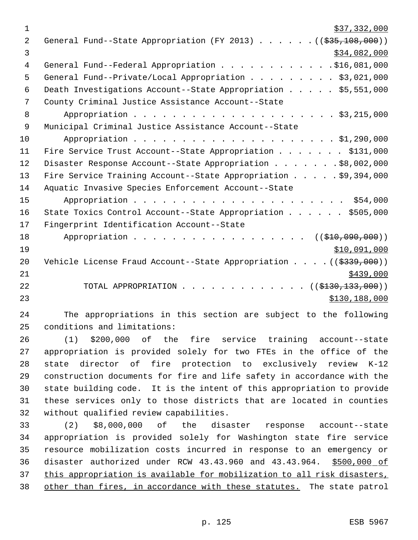| $\mathbf 1$ | \$37,332,000                                                                 |
|-------------|------------------------------------------------------------------------------|
| 2           | General Fund--State Appropriation (FY 2013) $($ $($ $\frac{255}{108},000)$ ) |
| 3           | \$34,082,000                                                                 |
| 4           | General Fund--Federal Appropriation \$16,081,000                             |
| 5           | General Fund--Private/Local Appropriation \$3,021,000                        |
| 6           | Death Investigations Account--State Appropriation \$5,551,000                |
| 7           | County Criminal Justice Assistance Account--State                            |
| 8           |                                                                              |
| 9           | Municipal Criminal Justice Assistance Account--State                         |
| 10          |                                                                              |
| 11          | Fire Service Trust Account--State Appropriation \$131,000                    |
| 12          | Disaster Response Account--State Appropriation \$8,002,000                   |
| 13          | Fire Service Training Account--State Appropriation \$9,394,000               |
| 14          | Aquatic Invasive Species Enforcement Account--State                          |
| 15          |                                                                              |
| 16          | State Toxics Control Account--State Appropriation \$505,000                  |
| 17          | Fingerprint Identification Account--State                                    |
| 18          | Appropriation ((\$10,090,000))                                               |
| 19          | \$10,091,000                                                                 |
| 20          | Vehicle License Fraud Account--State Appropriation ( $(\frac{2339}{100})$ )  |
| 21          | \$439,000                                                                    |
| 22          | TOTAL APPROPRIATION ( $(\frac{1330}{13300})$ )                               |
| 23          | \$130,188,000                                                                |

 The appropriations in this section are subject to the following conditions and limitations:

 (1) \$200,000 of the fire service training account--state appropriation is provided solely for two FTEs in the office of the state director of fire protection to exclusively review K-12 construction documents for fire and life safety in accordance with the state building code. It is the intent of this appropriation to provide these services only to those districts that are located in counties without qualified review capabilities.

 (2) \$8,000,000 of the disaster response account--state appropriation is provided solely for Washington state fire service resource mobilization costs incurred in response to an emergency or disaster authorized under RCW 43.43.960 and 43.43.964. \$500,000 of 37 this appropriation is available for mobilization to all risk disasters, 38 other than fires, in accordance with these statutes. The state patrol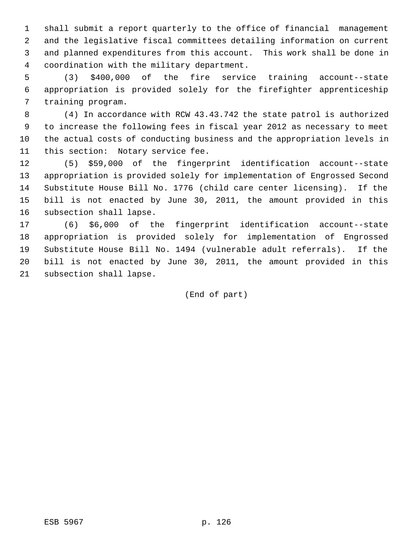shall submit a report quarterly to the office of financial management and the legislative fiscal committees detailing information on current and planned expenditures from this account. This work shall be done in coordination with the military department.

 (3) \$400,000 of the fire service training account--state appropriation is provided solely for the firefighter apprenticeship training program.

 (4) In accordance with RCW 43.43.742 the state patrol is authorized to increase the following fees in fiscal year 2012 as necessary to meet the actual costs of conducting business and the appropriation levels in this section: Notary service fee.

 (5) \$59,000 of the fingerprint identification account--state appropriation is provided solely for implementation of Engrossed Second Substitute House Bill No. 1776 (child care center licensing). If the bill is not enacted by June 30, 2011, the amount provided in this subsection shall lapse.

 (6) \$6,000 of the fingerprint identification account--state appropriation is provided solely for implementation of Engrossed Substitute House Bill No. 1494 (vulnerable adult referrals). If the bill is not enacted by June 30, 2011, the amount provided in this subsection shall lapse.

(End of part)

ESB 5967 p. 126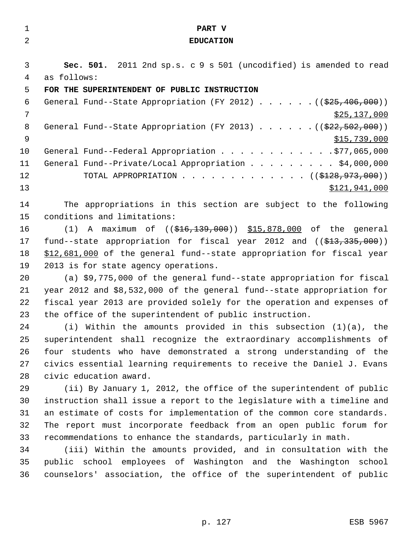| $\mathbf 1$    | PART V                                                                                     |  |  |  |
|----------------|--------------------------------------------------------------------------------------------|--|--|--|
| $\overline{a}$ | <b>EDUCATION</b>                                                                           |  |  |  |
|                |                                                                                            |  |  |  |
| 3              | Sec. 501. 2011 2nd sp.s. c 9 s 501 (uncodified) is amended to read                         |  |  |  |
| 4              | as follows:                                                                                |  |  |  |
| 5              | FOR THE SUPERINTENDENT OF PUBLIC INSTRUCTION                                               |  |  |  |
| 6              | General Fund--State Appropriation (FY 2012) $($ $($ $\frac{25}{7}$ , 406, 000))            |  |  |  |
| 7              | \$25,137,000                                                                               |  |  |  |
| 8              | General Fund--State Appropriation (FY 2013) $($ $($ $\frac{222}{502}, 502, 000)$ )         |  |  |  |
| $\mathsf 9$    | \$15,739,000                                                                               |  |  |  |
| 10             | General Fund--Federal Appropriation \$77,065,000                                           |  |  |  |
| 11             | General Fund--Private/Local Appropriation \$4,000,000                                      |  |  |  |
| 12             | TOTAL APPROPRIATION ( $( $128, 973, 000)$ )                                                |  |  |  |
| 13             | \$121,941,000                                                                              |  |  |  |
| 14             | The appropriations in this section are subject to the following                            |  |  |  |
| 15             | conditions and limitations:                                                                |  |  |  |
| 16             | (1) A maximum of $((\frac{216}{139}, 000))$ $\frac{15}{15}, 878, 000$ of the general       |  |  |  |
| 17             | fund--state appropriation for fiscal year 2012 and $($ $\frac{213}{737}, \frac{335}{900})$ |  |  |  |
| 18             | \$12,681,000 of the general fund--state appropriation for fiscal year                      |  |  |  |
| 19             | 2013 is for state agency operations.                                                       |  |  |  |
| 20             | (a) \$9,775,000 of the general fund--state appropriation for fiscal                        |  |  |  |
| 21             | year 2012 and \$8,532,000 of the general fund--state appropriation for                     |  |  |  |
| 22             | fiscal year 2013 are provided solely for the operation and expenses of                     |  |  |  |
| 23             | the office of the superintendent of public instruction.                                    |  |  |  |
| 24             | (i) Within the amounts provided in this subsection $(1)(a)$ , the                          |  |  |  |
| 25             | superintendent shall recognize the extraordinary accomplishments of                        |  |  |  |
| 26             | four students who have demonstrated a strong understanding of the                          |  |  |  |
| 27             | civics essential learning requirements to receive the Daniel J. Evans                      |  |  |  |
| 28             | civic education award.                                                                     |  |  |  |
| 29             | (ii) By January 1, 2012, the office of the superintendent of public                        |  |  |  |
| 30             | instruction shall issue a report to the legislature with a timeline and                    |  |  |  |
| 31             | an estimate of costs for implementation of the common core standards.                      |  |  |  |
| 32             | The report must incorporate feedback from an open public forum for                         |  |  |  |
| 33             | recommendations to enhance the standards, particularly in math.                            |  |  |  |
| 34             | (iii) Within the amounts provided, and in consultation with the                            |  |  |  |
| 35             | public school employees of Washington and the Washington school                            |  |  |  |
| 36             | counselors' association, the office of the superintendent of public                        |  |  |  |
|                |                                                                                            |  |  |  |
|                |                                                                                            |  |  |  |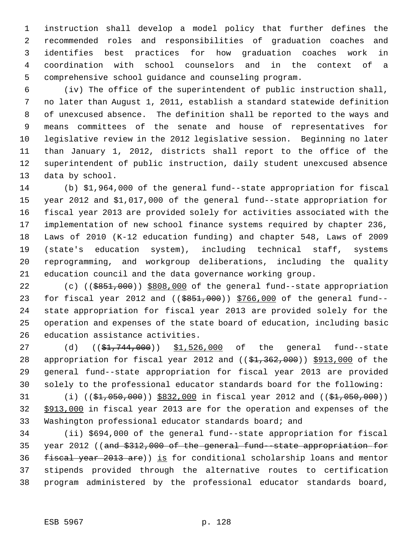instruction shall develop a model policy that further defines the recommended roles and responsibilities of graduation coaches and identifies best practices for how graduation coaches work in coordination with school counselors and in the context of a comprehensive school guidance and counseling program.

 (iv) The office of the superintendent of public instruction shall, no later than August 1, 2011, establish a standard statewide definition of unexcused absence. The definition shall be reported to the ways and means committees of the senate and house of representatives for legislative review in the 2012 legislative session. Beginning no later than January 1, 2012, districts shall report to the office of the superintendent of public instruction, daily student unexcused absence data by school.

 (b) \$1,964,000 of the general fund--state appropriation for fiscal year 2012 and \$1,017,000 of the general fund--state appropriation for fiscal year 2013 are provided solely for activities associated with the implementation of new school finance systems required by chapter 236, Laws of 2010 (K-12 education funding) and chapter 548, Laws of 2009 (state's education system), including technical staff, systems reprogramming, and workgroup deliberations, including the quality education council and the data governance working group.

22 (c) (( $\frac{25851,000}{1000}$ ) \$808,000 of the general fund--state appropriation 23 for fiscal year 2012 and ((\$851,000)) \$766,000 of the general fund-- state appropriation for fiscal year 2013 are provided solely for the operation and expenses of the state board of education, including basic education assistance activities.

27 (d) ((\$1,744,000)) \$1,526,000 of the general fund--state 28 appropriation for fiscal year 2012 and  $((\frac{1}{2}, 362, 000))$  \$913,000 of the general fund--state appropriation for fiscal year 2013 are provided solely to the professional educator standards board for the following:

31 (i) ((\$1,050,000)) \$832,000 in fiscal year 2012 and ((\$1,050,000)) \$913,000 in fiscal year 2013 are for the operation and expenses of the Washington professional educator standards board; and

 (ii) \$694,000 of the general fund--state appropriation for fiscal year 2012 ((and \$312,000 of the general fund--state appropriation for 36 fiscal year 2013 are)) is for conditional scholarship loans and mentor stipends provided through the alternative routes to certification program administered by the professional educator standards board,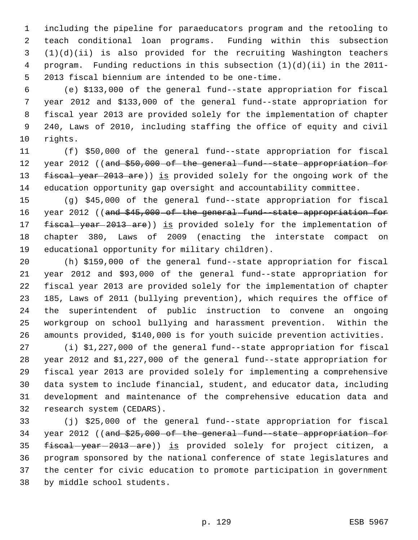including the pipeline for paraeducators program and the retooling to teach conditional loan programs. Funding within this subsection (1)(d)(ii) is also provided for the recruiting Washington teachers program. Funding reductions in this subsection (1)(d)(ii) in the 2011- 2013 fiscal biennium are intended to be one-time.

 (e) \$133,000 of the general fund--state appropriation for fiscal year 2012 and \$133,000 of the general fund--state appropriation for fiscal year 2013 are provided solely for the implementation of chapter 240, Laws of 2010, including staffing the office of equity and civil rights.

 (f) \$50,000 of the general fund--state appropriation for fiscal 12 year 2012 ((and \$50,000 of the general fund state appropriation for 13 fiscal year 2013 are)) is provided solely for the ongoing work of the education opportunity gap oversight and accountability committee.

 (g) \$45,000 of the general fund--state appropriation for fiscal 16 year 2012 ((and \$45,000 of the general fund state appropriation for 17 fiscal year 2013 are)) is provided solely for the implementation of chapter 380, Laws of 2009 (enacting the interstate compact on educational opportunity for military children).

 (h) \$159,000 of the general fund--state appropriation for fiscal year 2012 and \$93,000 of the general fund--state appropriation for fiscal year 2013 are provided solely for the implementation of chapter 185, Laws of 2011 (bullying prevention), which requires the office of the superintendent of public instruction to convene an ongoing workgroup on school bullying and harassment prevention. Within the amounts provided, \$140,000 is for youth suicide prevention activities.

 (i) \$1,227,000 of the general fund--state appropriation for fiscal year 2012 and \$1,227,000 of the general fund--state appropriation for fiscal year 2013 are provided solely for implementing a comprehensive data system to include financial, student, and educator data, including development and maintenance of the comprehensive education data and research system (CEDARS).

 (j) \$25,000 of the general fund--state appropriation for fiscal 34 year 2012 ((and \$25,000 of the general fund-state appropriation for 35 fiscal-year-2013-are)) is provided solely for project citizen, a program sponsored by the national conference of state legislatures and the center for civic education to promote participation in government by middle school students.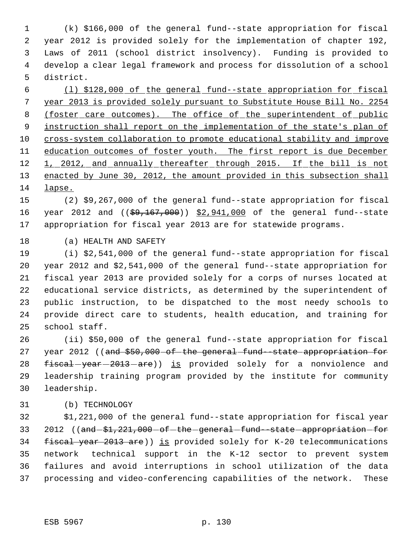(k) \$166,000 of the general fund--state appropriation for fiscal year 2012 is provided solely for the implementation of chapter 192, Laws of 2011 (school district insolvency). Funding is provided to develop a clear legal framework and process for dissolution of a school district.

 (l) \$128,000 of the general fund--state appropriation for fiscal year 2013 is provided solely pursuant to Substitute House Bill No. 2254 8 (foster care outcomes). The office of the superintendent of public instruction shall report on the implementation of the state's plan of cross-system collaboration to promote educational stability and improve 11 education outcomes of foster youth. The first report is due December 12 1, 2012, and annually thereafter through 2015. If the bill is not 13 enacted by June 30, 2012, the amount provided in this subsection shall lapse.

 (2) \$9,267,000 of the general fund--state appropriation for fiscal 16 year 2012 and ((\$9,167,000)) \$2,941,000 of the general fund--state appropriation for fiscal year 2013 are for statewide programs.

(a) HEALTH AND SAFETY

 (i) \$2,541,000 of the general fund--state appropriation for fiscal year 2012 and \$2,541,000 of the general fund--state appropriation for fiscal year 2013 are provided solely for a corps of nurses located at educational service districts, as determined by the superintendent of public instruction, to be dispatched to the most needy schools to provide direct care to students, health education, and training for school staff.

 (ii) \$50,000 of the general fund--state appropriation for fiscal 27 year 2012 ((and \$50,000 of the general fund state appropriation for 28 fiscal-year-2013-are)) is provided solely for a nonviolence and leadership training program provided by the institute for community leadership.

(b) TECHNOLOGY

 \$1,221,000 of the general fund--state appropriation for fiscal year 33 2012 ((and -\$1,221,000 - of - the - general - fund--state - appropriation - for 34 fiscal year 2013 are)) is provided solely for K-20 telecommunications network technical support in the K-12 sector to prevent system failures and avoid interruptions in school utilization of the data processing and video-conferencing capabilities of the network. These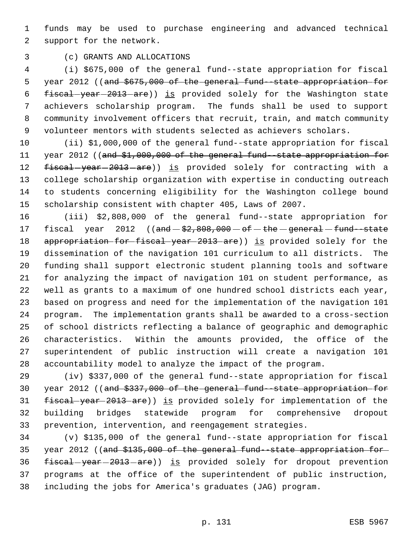funds may be used to purchase engineering and advanced technical support for the network.

(c) GRANTS AND ALLOCATIONS

 (i) \$675,000 of the general fund--state appropriation for fiscal 5 year 2012 ((and \$675,000 of the general fund -state appropriation for 6 fiscal-year-2013-are)) is provided solely for the Washington state achievers scholarship program. The funds shall be used to support community involvement officers that recruit, train, and match community volunteer mentors with students selected as achievers scholars.

 (ii) \$1,000,000 of the general fund--state appropriation for fiscal 11 year 2012 ((and \$1,000,000 of the general fund--state appropriation for 12 fiscal-year-2013-are)) is provided solely for contracting with a college scholarship organization with expertise in conducting outreach to students concerning eligibility for the Washington college bound scholarship consistent with chapter 405, Laws of 2007.

 (iii) \$2,808,000 of the general fund--state appropriation for 17 fiscal year (( $\theta$ md  $\theta$ 2,808,000  $-\theta$ f  $-\theta$ the  $-\theta$ eneral  $-\theta$ fund  $-\theta$ state 18 appropriation for fiscal year 2013 are)) is provided solely for the dissemination of the navigation 101 curriculum to all districts. The funding shall support electronic student planning tools and software for analyzing the impact of navigation 101 on student performance, as well as grants to a maximum of one hundred school districts each year, based on progress and need for the implementation of the navigation 101 program. The implementation grants shall be awarded to a cross-section of school districts reflecting a balance of geographic and demographic characteristics. Within the amounts provided, the office of the superintendent of public instruction will create a navigation 101 accountability model to analyze the impact of the program.

 (iv) \$337,000 of the general fund--state appropriation for fiscal year 2012 ((and \$337,000 of the general fund--state appropriation for fiscal year 2013 are)) is provided solely for implementation of the building bridges statewide program for comprehensive dropout prevention, intervention, and reengagement strategies.

 (v) \$135,000 of the general fund--state appropriation for fiscal year 2012 ((and \$135,000 of the general fund--state appropriation for 36 fiscal-year-2013-are)) is provided solely for dropout prevention programs at the office of the superintendent of public instruction, including the jobs for America's graduates (JAG) program.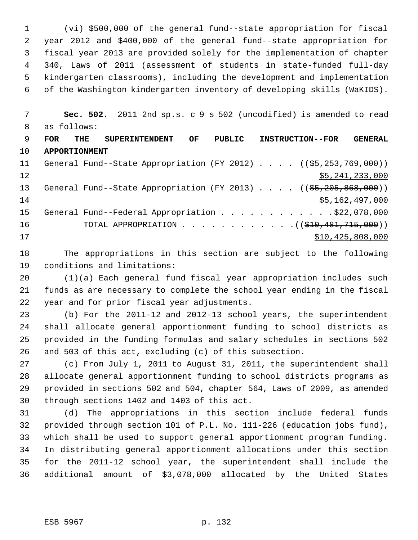(vi) \$500,000 of the general fund--state appropriation for fiscal year 2012 and \$400,000 of the general fund--state appropriation for fiscal year 2013 are provided solely for the implementation of chapter 340, Laws of 2011 (assessment of students in state-funded full-day kindergarten classrooms), including the development and implementation of the Washington kindergarten inventory of developing skills (WaKIDS).

 **Sec. 502.** 2011 2nd sp.s. c 9 s 502 (uncodified) is amended to read as follows: **FOR THE SUPERINTENDENT OF PUBLIC INSTRUCTION--FOR GENERAL APPORTIONMENT** 11 General Fund--State Appropriation (FY 2012) . . . . ((\$5,253,769,000)) 12 \$5,241,233,000 13 General Fund--State Appropriation (FY 2013) . . . . ((\$5,205,868,000))

  $\frac{$5,162,497,000}{5}$ 15 General Fund--Federal Appropriation . . . . . . . . . . . . \$22,078,000 16 TOTAL APPROPRIATION . . . . . . . . . . . . ((\$<del>10,481,715,000</del>)) \$10,425,808,000

 The appropriations in this section are subject to the following conditions and limitations:

 (1)(a) Each general fund fiscal year appropriation includes such funds as are necessary to complete the school year ending in the fiscal year and for prior fiscal year adjustments.

 (b) For the 2011-12 and 2012-13 school years, the superintendent shall allocate general apportionment funding to school districts as provided in the funding formulas and salary schedules in sections 502 and 503 of this act, excluding (c) of this subsection.

 (c) From July 1, 2011 to August 31, 2011, the superintendent shall allocate general apportionment funding to school districts programs as provided in sections 502 and 504, chapter 564, Laws of 2009, as amended through sections 1402 and 1403 of this act.

 (d) The appropriations in this section include federal funds provided through section 101 of P.L. No. 111-226 (education jobs fund), which shall be used to support general apportionment program funding. In distributing general apportionment allocations under this section for the 2011-12 school year, the superintendent shall include the additional amount of \$3,078,000 allocated by the United States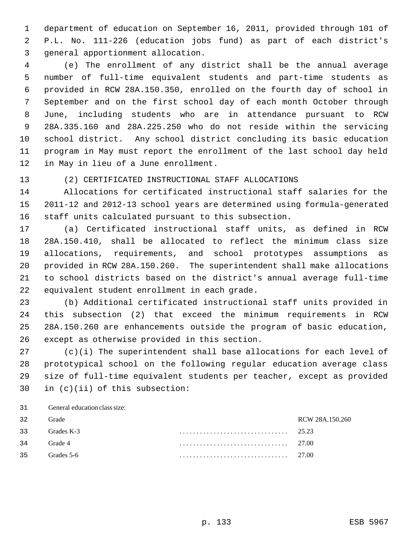department of education on September 16, 2011, provided through 101 of P.L. No. 111-226 (education jobs fund) as part of each district's general apportionment allocation.

 (e) The enrollment of any district shall be the annual average number of full-time equivalent students and part-time students as provided in RCW 28A.150.350, enrolled on the fourth day of school in September and on the first school day of each month October through June, including students who are in attendance pursuant to RCW 28A.335.160 and 28A.225.250 who do not reside within the servicing school district. Any school district concluding its basic education program in May must report the enrollment of the last school day held in May in lieu of a June enrollment.

(2) CERTIFICATED INSTRUCTIONAL STAFF ALLOCATIONS

 Allocations for certificated instructional staff salaries for the 2011-12 and 2012-13 school years are determined using formula-generated staff units calculated pursuant to this subsection.

 (a) Certificated instructional staff units, as defined in RCW 28A.150.410, shall be allocated to reflect the minimum class size allocations, requirements, and school prototypes assumptions as provided in RCW 28A.150.260. The superintendent shall make allocations to school districts based on the district's annual average full-time equivalent student enrollment in each grade.

 (b) Additional certificated instructional staff units provided in this subsection (2) that exceed the minimum requirements in RCW 28A.150.260 are enhancements outside the program of basic education, except as otherwise provided in this section.

 (c)(i) The superintendent shall base allocations for each level of prototypical school on the following regular education average class size of full-time equivalent students per teacher, except as provided in (c)(ii) of this subsection:

General education class size:

| 32 | Grade      | RCW 28A.150.260 |
|----|------------|-----------------|
| 33 | Grades K-3 | 25.23           |
| 34 | Grade 4    | 27.00           |
| 35 | Grades 5-6 | 27.00           |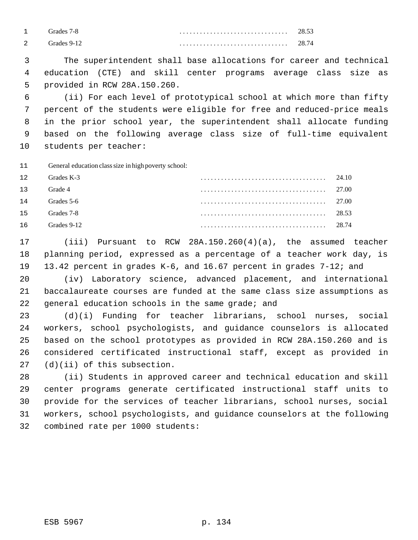|                | Grades 7-8  | . | 28.53 |
|----------------|-------------|---|-------|
| $\overline{2}$ | Grades 9-12 |   | 28.74 |

 The superintendent shall base allocations for career and technical education (CTE) and skill center programs average class size as provided in RCW 28A.150.260.

 (ii) For each level of prototypical school at which more than fifty percent of the students were eligible for free and reduced-price meals in the prior school year, the superintendent shall allocate funding based on the following average class size of full-time equivalent students per teacher:

General education class size in high poverty school:

| 12 | Grades K-3  | 24.10 |
|----|-------------|-------|
| 13 | Grade 4     | 27.00 |
| 14 | Grades 5-6  | 27.00 |
| 15 | Grades 7-8  | 28.53 |
| 16 | Grades 9-12 | 28.74 |

 (iii) Pursuant to RCW 28A.150.260(4)(a), the assumed teacher planning period, expressed as a percentage of a teacher work day, is 13.42 percent in grades K-6, and 16.67 percent in grades 7-12; and

 (iv) Laboratory science, advanced placement, and international baccalaureate courses are funded at the same class size assumptions as general education schools in the same grade; and

 (d)(i) Funding for teacher librarians, school nurses, social workers, school psychologists, and guidance counselors is allocated based on the school prototypes as provided in RCW 28A.150.260 and is considered certificated instructional staff, except as provided in (d)(ii) of this subsection.

 (ii) Students in approved career and technical education and skill center programs generate certificated instructional staff units to provide for the services of teacher librarians, school nurses, social workers, school psychologists, and guidance counselors at the following combined rate per 1000 students: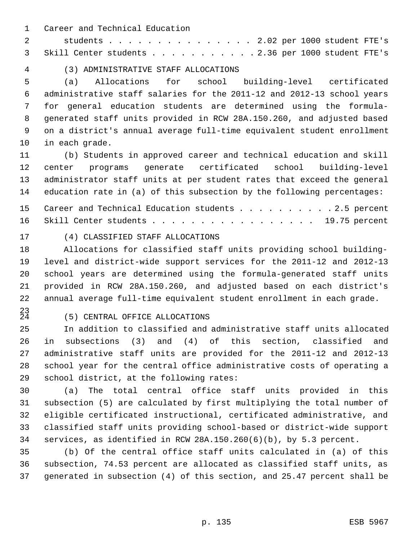Career and Technical Education

 students . . . . . . . . . . . . . . . 2.02 per 1000 student FTE's Skill Center students . . . . . . . . . . . 2.36 per 1000 student FTE's

(3) ADMINISTRATIVE STAFF ALLOCATIONS

 (a) Allocations for school building-level certificated administrative staff salaries for the 2011-12 and 2012-13 school years for general education students are determined using the formula- generated staff units provided in RCW 28A.150.260, and adjusted based on a district's annual average full-time equivalent student enrollment in each grade.

 (b) Students in approved career and technical education and skill center programs generate certificated school building-level administrator staff units at per student rates that exceed the general education rate in (a) of this subsection by the following percentages:

15 Career and Technical Education students . . . . . . . . . 2.5 percent 16 Skill Center students . . . . . . . . . . . . . . . . . 19.75 percent

#### (4) CLASSIFIED STAFF ALLOCATIONS

 Allocations for classified staff units providing school building- level and district-wide support services for the 2011-12 and 2012-13 school years are determined using the formula-generated staff units provided in RCW 28A.150.260, and adjusted based on each district's annual average full-time equivalent student enrollment in each grade.

 $^{23}_{24}$ 

# (5) CENTRAL OFFICE ALLOCATIONS

 In addition to classified and administrative staff units allocated in subsections (3) and (4) of this section, classified and administrative staff units are provided for the 2011-12 and 2012-13 school year for the central office administrative costs of operating a school district, at the following rates:

 (a) The total central office staff units provided in this subsection (5) are calculated by first multiplying the total number of eligible certificated instructional, certificated administrative, and classified staff units providing school-based or district-wide support services, as identified in RCW 28A.150.260(6)(b), by 5.3 percent.

 (b) Of the central office staff units calculated in (a) of this subsection, 74.53 percent are allocated as classified staff units, as generated in subsection (4) of this section, and 25.47 percent shall be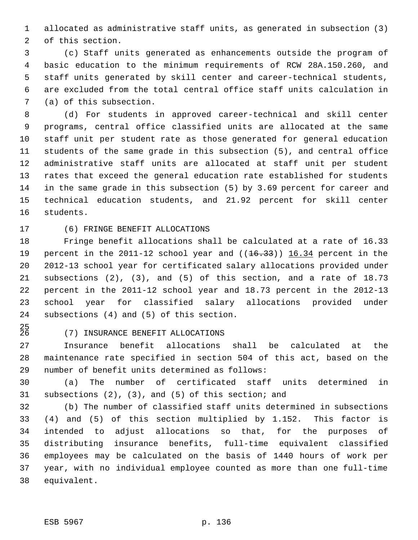allocated as administrative staff units, as generated in subsection (3) of this section.

 (c) Staff units generated as enhancements outside the program of basic education to the minimum requirements of RCW 28A.150.260, and staff units generated by skill center and career-technical students, are excluded from the total central office staff units calculation in (a) of this subsection.

 (d) For students in approved career-technical and skill center programs, central office classified units are allocated at the same staff unit per student rate as those generated for general education students of the same grade in this subsection (5), and central office administrative staff units are allocated at staff unit per student rates that exceed the general education rate established for students in the same grade in this subsection (5) by 3.69 percent for career and technical education students, and 21.92 percent for skill center students.

# (6) FRINGE BENEFIT ALLOCATIONS

 Fringe benefit allocations shall be calculated at a rate of 16.33 19 percent in the 2011-12 school year and  $((16.33))$   $16.34$  percent in the 2012-13 school year for certificated salary allocations provided under subsections (2), (3), and (5) of this section, and a rate of 18.73 percent in the 2011-12 school year and 18.73 percent in the 2012-13 school year for classified salary allocations provided under subsections (4) and (5) of this section.

 $^{25}_{26}$ 

# (7) INSURANCE BENEFIT ALLOCATIONS

 Insurance benefit allocations shall be calculated at the maintenance rate specified in section 504 of this act, based on the number of benefit units determined as follows:

 (a) The number of certificated staff units determined in subsections (2), (3), and (5) of this section; and

 (b) The number of classified staff units determined in subsections (4) and (5) of this section multiplied by 1.152. This factor is intended to adjust allocations so that, for the purposes of distributing insurance benefits, full-time equivalent classified employees may be calculated on the basis of 1440 hours of work per year, with no individual employee counted as more than one full-time equivalent.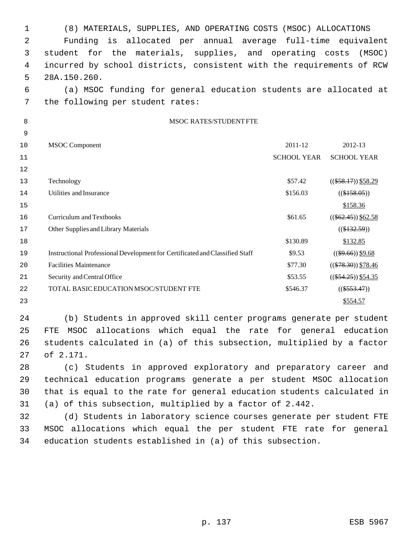| 1    | (8) MATERIALS, SUPPLIES, AND OPERATING COSTS (MSOC) ALLOCATIONS              |                    |                        |  |  |  |  |  |  |
|------|------------------------------------------------------------------------------|--------------------|------------------------|--|--|--|--|--|--|
| 2    | is allocated per annual average full-time equivalent<br>Funding              |                    |                        |  |  |  |  |  |  |
| 3    | for the materials, supplies, and operating costs<br>student                  |                    | (MSOC)                 |  |  |  |  |  |  |
| 4    | incurred by school districts, consistent with the requirements of RCW        |                    |                        |  |  |  |  |  |  |
| 5    | 28A.150.260.                                                                 |                    |                        |  |  |  |  |  |  |
| 6    | (a) MSOC funding for general education students are allocated at             |                    |                        |  |  |  |  |  |  |
| 7    | the following per student rates:                                             |                    |                        |  |  |  |  |  |  |
| 8    | <b>MSOC RATES/STUDENT FTE</b>                                                |                    |                        |  |  |  |  |  |  |
| 9    |                                                                              |                    |                        |  |  |  |  |  |  |
| 10   | <b>MSOC</b> Component                                                        | 2011-12            | 2012-13                |  |  |  |  |  |  |
| 11   |                                                                              | <b>SCHOOL YEAR</b> | <b>SCHOOL YEAR</b>     |  |  |  |  |  |  |
| 12   |                                                                              |                    |                        |  |  |  |  |  |  |
| 13   | Technology                                                                   | \$57.42            | $((\$58.17))$ \\$58.29 |  |  |  |  |  |  |
| 14   | Utilities and Insurance                                                      | \$156.03           | $((\$158.05))$         |  |  |  |  |  |  |
| 15   |                                                                              |                    | \$158.36               |  |  |  |  |  |  |
| 16   | <b>Curriculum and Textbooks</b>                                              | \$61.65            | $((\$62.45))$ \$62.58  |  |  |  |  |  |  |
| $17$ | Other Supplies and Library Materials                                         |                    | $((\$132.59))$         |  |  |  |  |  |  |
| 18   |                                                                              | \$130.89           | \$132.85               |  |  |  |  |  |  |
| 19   | Instructional Professional Development for Certificated and Classified Staff | \$9.53             | $((\$9.66))$ \$9.68    |  |  |  |  |  |  |
| 20   | <b>Facilities Maintenance</b>                                                | \$77.30            | $((\$78.30))$ \$78.46  |  |  |  |  |  |  |
| 21   | Security and Central Office                                                  | \$53.55            | $((\$54.25))$ \$54.35  |  |  |  |  |  |  |
| 22   | TOTAL BASIC EDUCATION MSOC/STUDENT FTE                                       | \$546.37           | $((\$553.47))$         |  |  |  |  |  |  |
| 23   |                                                                              |                    | \$554.57               |  |  |  |  |  |  |
| 24   | (b) Students in approved skill center programs generate per student          |                    |                        |  |  |  |  |  |  |
| 25   | MSOC allocations which equal the rate for general education<br>FTE           |                    |                        |  |  |  |  |  |  |
| 26   | students calculated in (a) of this subsection, multiplied by a factor        |                    |                        |  |  |  |  |  |  |
| 27   | of 2.171.                                                                    |                    |                        |  |  |  |  |  |  |
| 28   | (c) Students in approved exploratory and preparatory career and              |                    |                        |  |  |  |  |  |  |
| 29   | technical education programs generate a per student MSOC allocation          |                    |                        |  |  |  |  |  |  |
| 30   | that is equal to the rate for general education students calculated in       |                    |                        |  |  |  |  |  |  |
| 31   | (a) of this subsection, multiplied by a factor of 2.442.                     |                    |                        |  |  |  |  |  |  |

32 (d) Students in laboratory science courses generate per student FTE 33 MSOC allocations which equal the per student FTE rate for general 34 education students established in (a) of this subsection.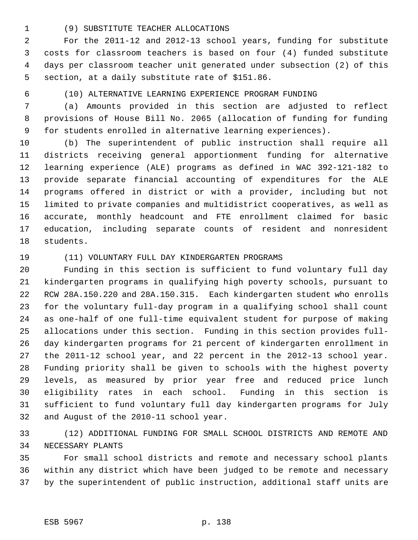## (9) SUBSTITUTE TEACHER ALLOCATIONS

 For the 2011-12 and 2012-13 school years, funding for substitute costs for classroom teachers is based on four (4) funded substitute days per classroom teacher unit generated under subsection (2) of this section, at a daily substitute rate of \$151.86.

(10) ALTERNATIVE LEARNING EXPERIENCE PROGRAM FUNDING

 (a) Amounts provided in this section are adjusted to reflect provisions of House Bill No. 2065 (allocation of funding for funding for students enrolled in alternative learning experiences).

 (b) The superintendent of public instruction shall require all districts receiving general apportionment funding for alternative learning experience (ALE) programs as defined in WAC 392-121-182 to provide separate financial accounting of expenditures for the ALE programs offered in district or with a provider, including but not limited to private companies and multidistrict cooperatives, as well as accurate, monthly headcount and FTE enrollment claimed for basic education, including separate counts of resident and nonresident students.

## (11) VOLUNTARY FULL DAY KINDERGARTEN PROGRAMS

 Funding in this section is sufficient to fund voluntary full day kindergarten programs in qualifying high poverty schools, pursuant to RCW 28A.150.220 and 28A.150.315. Each kindergarten student who enrolls for the voluntary full-day program in a qualifying school shall count as one-half of one full-time equivalent student for purpose of making allocations under this section. Funding in this section provides full- day kindergarten programs for 21 percent of kindergarten enrollment in the 2011-12 school year, and 22 percent in the 2012-13 school year. Funding priority shall be given to schools with the highest poverty levels, as measured by prior year free and reduced price lunch eligibility rates in each school. Funding in this section is sufficient to fund voluntary full day kindergarten programs for July and August of the 2010-11 school year.

 (12) ADDITIONAL FUNDING FOR SMALL SCHOOL DISTRICTS AND REMOTE AND NECESSARY PLANTS

 For small school districts and remote and necessary school plants within any district which have been judged to be remote and necessary by the superintendent of public instruction, additional staff units are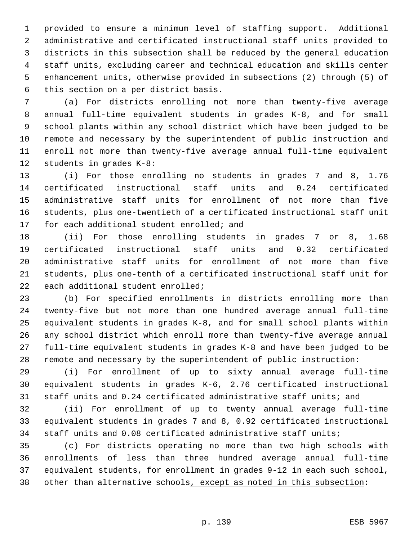provided to ensure a minimum level of staffing support. Additional administrative and certificated instructional staff units provided to districts in this subsection shall be reduced by the general education staff units, excluding career and technical education and skills center enhancement units, otherwise provided in subsections (2) through (5) of this section on a per district basis.

 (a) For districts enrolling not more than twenty-five average annual full-time equivalent students in grades K-8, and for small school plants within any school district which have been judged to be remote and necessary by the superintendent of public instruction and enroll not more than twenty-five average annual full-time equivalent students in grades K-8:

 (i) For those enrolling no students in grades 7 and 8, 1.76 certificated instructional staff units and 0.24 certificated administrative staff units for enrollment of not more than five students, plus one-twentieth of a certificated instructional staff unit for each additional student enrolled; and

 (ii) For those enrolling students in grades 7 or 8, 1.68 certificated instructional staff units and 0.32 certificated administrative staff units for enrollment of not more than five students, plus one-tenth of a certificated instructional staff unit for each additional student enrolled;

 (b) For specified enrollments in districts enrolling more than twenty-five but not more than one hundred average annual full-time equivalent students in grades K-8, and for small school plants within any school district which enroll more than twenty-five average annual full-time equivalent students in grades K-8 and have been judged to be remote and necessary by the superintendent of public instruction:

 (i) For enrollment of up to sixty annual average full-time equivalent students in grades K-6, 2.76 certificated instructional staff units and 0.24 certificated administrative staff units; and

 (ii) For enrollment of up to twenty annual average full-time equivalent students in grades 7 and 8, 0.92 certificated instructional staff units and 0.08 certificated administrative staff units;

 (c) For districts operating no more than two high schools with enrollments of less than three hundred average annual full-time equivalent students, for enrollment in grades 9-12 in each such school, other than alternative schools, except as noted in this subsection: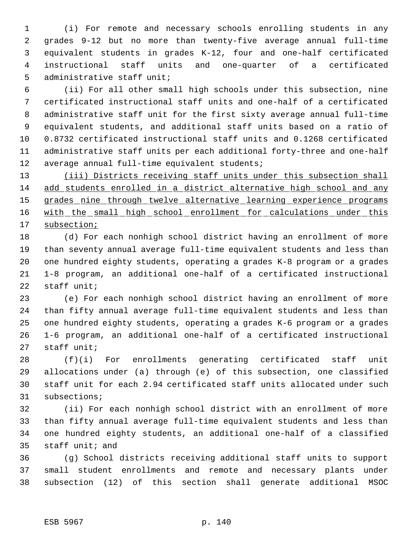(i) For remote and necessary schools enrolling students in any grades 9-12 but no more than twenty-five average annual full-time equivalent students in grades K-12, four and one-half certificated instructional staff units and one-quarter of a certificated administrative staff unit;

 (ii) For all other small high schools under this subsection, nine certificated instructional staff units and one-half of a certificated administrative staff unit for the first sixty average annual full-time equivalent students, and additional staff units based on a ratio of 0.8732 certificated instructional staff units and 0.1268 certificated administrative staff units per each additional forty-three and one-half 12 average annual full-time equivalent students;

13 (iii) Districts receiving staff units under this subsection shall add students enrolled in a district alternative high school and any 15 grades nine through twelve alternative learning experience programs 16 with the small high school enrollment for calculations under this subsection;

 (d) For each nonhigh school district having an enrollment of more than seventy annual average full-time equivalent students and less than one hundred eighty students, operating a grades K-8 program or a grades 1-8 program, an additional one-half of a certificated instructional staff unit;

 (e) For each nonhigh school district having an enrollment of more than fifty annual average full-time equivalent students and less than one hundred eighty students, operating a grades K-6 program or a grades 1-6 program, an additional one-half of a certificated instructional staff unit;

 (f)(i) For enrollments generating certificated staff unit allocations under (a) through (e) of this subsection, one classified staff unit for each 2.94 certificated staff units allocated under such subsections;

 (ii) For each nonhigh school district with an enrollment of more than fifty annual average full-time equivalent students and less than one hundred eighty students, an additional one-half of a classified staff unit; and

 (g) School districts receiving additional staff units to support small student enrollments and remote and necessary plants under subsection (12) of this section shall generate additional MSOC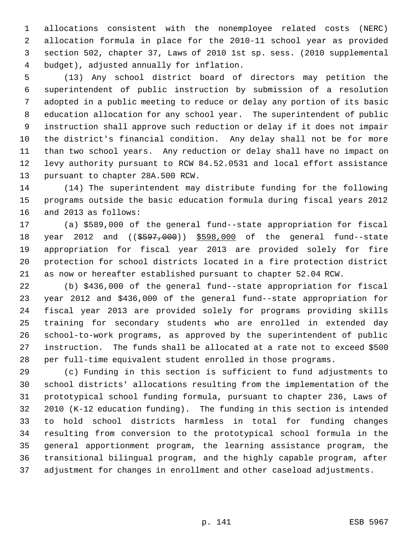allocations consistent with the nonemployee related costs (NERC) allocation formula in place for the 2010-11 school year as provided section 502, chapter 37, Laws of 2010 1st sp. sess. (2010 supplemental budget), adjusted annually for inflation.

 (13) Any school district board of directors may petition the superintendent of public instruction by submission of a resolution adopted in a public meeting to reduce or delay any portion of its basic education allocation for any school year. The superintendent of public instruction shall approve such reduction or delay if it does not impair the district's financial condition. Any delay shall not be for more than two school years. Any reduction or delay shall have no impact on levy authority pursuant to RCW 84.52.0531 and local effort assistance pursuant to chapter 28A.500 RCW.

 (14) The superintendent may distribute funding for the following programs outside the basic education formula during fiscal years 2012 and 2013 as follows:

 (a) \$589,000 of the general fund--state appropriation for fiscal 18 year 2012 and ((\$597,000)) \$598,000 of the general fund--state appropriation for fiscal year 2013 are provided solely for fire protection for school districts located in a fire protection district as now or hereafter established pursuant to chapter 52.04 RCW.

 (b) \$436,000 of the general fund--state appropriation for fiscal year 2012 and \$436,000 of the general fund--state appropriation for fiscal year 2013 are provided solely for programs providing skills training for secondary students who are enrolled in extended day school-to-work programs, as approved by the superintendent of public instruction. The funds shall be allocated at a rate not to exceed \$500 per full-time equivalent student enrolled in those programs.

 (c) Funding in this section is sufficient to fund adjustments to school districts' allocations resulting from the implementation of the prototypical school funding formula, pursuant to chapter 236, Laws of 2010 (K-12 education funding). The funding in this section is intended to hold school districts harmless in total for funding changes resulting from conversion to the prototypical school formula in the general apportionment program, the learning assistance program, the transitional bilingual program, and the highly capable program, after adjustment for changes in enrollment and other caseload adjustments.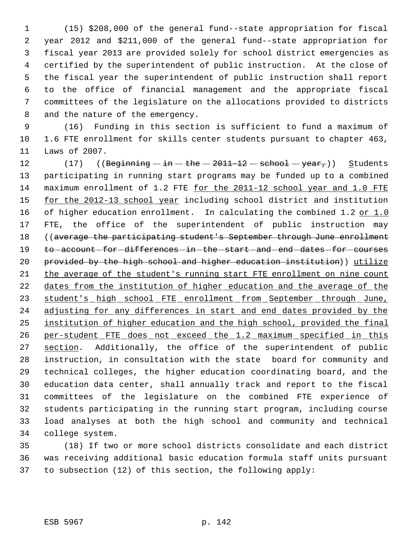(15) \$208,000 of the general fund--state appropriation for fiscal year 2012 and \$211,000 of the general fund--state appropriation for fiscal year 2013 are provided solely for school district emergencies as certified by the superintendent of public instruction. At the close of the fiscal year the superintendent of public instruction shall report to the office of financial management and the appropriate fiscal committees of the legislature on the allocations provided to districts and the nature of the emergency.

 (16) Funding in this section is sufficient to fund a maximum of 1.6 FTE enrollment for skills center students pursuant to chapter 463, Laws of 2007.

12 (17)  $((\text{Beginning} - \text{in} - \text{the} - 2011-12 - \text{sehook} - \text{yeary}))$  Students participating in running start programs may be funded up to a combined maximum enrollment of 1.2 FTE for the 2011-12 school year and 1.0 FTE 15 for the 2012-13 school year including school district and institution 16 of higher education enrollment. In calculating the combined 1.2 or 1.0 FTE, the office of the superintendent of public instruction may ((average the participating student's September through June enrollment 19 to -account -for -differences -in -the -start -and -end -dates -for -courses provided by the high school and higher education institution)) utilize the average of the student's running start FTE enrollment on nine count 22 dates from the institution of higher education and the average of the 23 student's high school FTE enrollment from September through June, 24 adjusting for any differences in start and end dates provided by the institution of higher education and the high school, provided the final 26 per-student FTE does not exceed the 1.2 maximum specified in this 27 section. Additionally, the office of the superintendent of public instruction, in consultation with the state board for community and technical colleges, the higher education coordinating board, and the education data center, shall annually track and report to the fiscal committees of the legislature on the combined FTE experience of students participating in the running start program, including course load analyses at both the high school and community and technical college system.

 (18) If two or more school districts consolidate and each district was receiving additional basic education formula staff units pursuant to subsection (12) of this section, the following apply: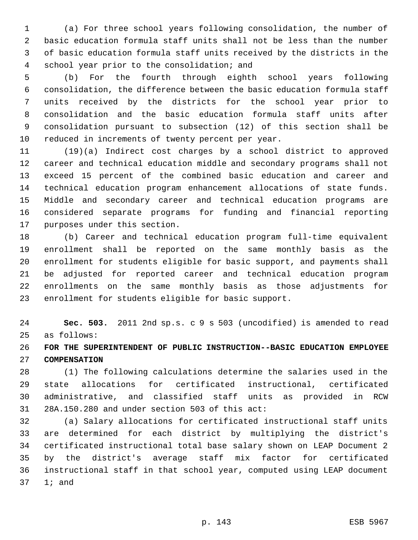(a) For three school years following consolidation, the number of basic education formula staff units shall not be less than the number of basic education formula staff units received by the districts in the school year prior to the consolidation; and

 (b) For the fourth through eighth school years following consolidation, the difference between the basic education formula staff units received by the districts for the school year prior to consolidation and the basic education formula staff units after consolidation pursuant to subsection (12) of this section shall be reduced in increments of twenty percent per year.

 (19)(a) Indirect cost charges by a school district to approved career and technical education middle and secondary programs shall not exceed 15 percent of the combined basic education and career and technical education program enhancement allocations of state funds. Middle and secondary career and technical education programs are considered separate programs for funding and financial reporting purposes under this section.

 (b) Career and technical education program full-time equivalent enrollment shall be reported on the same monthly basis as the enrollment for students eligible for basic support, and payments shall be adjusted for reported career and technical education program enrollments on the same monthly basis as those adjustments for enrollment for students eligible for basic support.

 **Sec. 503.** 2011 2nd sp.s. c 9 s 503 (uncodified) is amended to read as follows:

 **FOR THE SUPERINTENDENT OF PUBLIC INSTRUCTION--BASIC EDUCATION EMPLOYEE COMPENSATION**

 (1) The following calculations determine the salaries used in the state allocations for certificated instructional, certificated administrative, and classified staff units as provided in RCW 28A.150.280 and under section 503 of this act:

 (a) Salary allocations for certificated instructional staff units are determined for each district by multiplying the district's certificated instructional total base salary shown on LEAP Document 2 by the district's average staff mix factor for certificated instructional staff in that school year, computed using LEAP document 1; and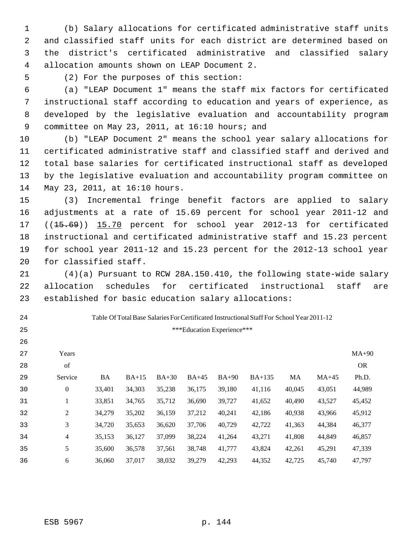(b) Salary allocations for certificated administrative staff units and classified staff units for each district are determined based on the district's certificated administrative and classified salary allocation amounts shown on LEAP Document 2.

 

(2) For the purposes of this section:

 (a) "LEAP Document 1" means the staff mix factors for certificated instructional staff according to education and years of experience, as developed by the legislative evaluation and accountability program 9 committee on May 23, 2011, at 16:10 hours; and

 (b) "LEAP Document 2" means the school year salary allocations for certificated administrative staff and classified staff and derived and total base salaries for certificated instructional staff as developed by the legislative evaluation and accountability program committee on May 23, 2011, at 16:10 hours.

 (3) Incremental fringe benefit factors are applied to salary adjustments at a rate of 15.69 percent for school year 2011-12 and 17 ((15.69)) 15.70 percent for school year 2012-13 for certificated instructional and certificated administrative staff and 15.23 percent for school year 2011-12 and 15.23 percent for the 2012-13 school year for classified staff.

 (4)(a) Pursuant to RCW 28A.150.410, the following state-wide salary allocation schedules for certificated instructional staff are established for basic education salary allocations:

Table Of Total Base Salaries For Certificated Instructional Staff For School Year 2011-12

\*\*\*Education Experience\*\*\*

| 27 | Years   |        |         |         |         |         |          |        |         | $MA+90$   |
|----|---------|--------|---------|---------|---------|---------|----------|--------|---------|-----------|
| 28 | of      |        |         |         |         |         |          |        |         | <b>OR</b> |
| 29 | Service | BA     | $BA+15$ | $BA+30$ | $BA+45$ | $BA+90$ | $BA+135$ | MA     | $MA+45$ | Ph.D.     |
| 30 | 0       | 33,401 | 34,303  | 35,238  | 36,175  | 39,180  | 41,116   | 40,045 | 43,051  | 44,989    |
| 31 | T       | 33,851 | 34,765  | 35,712  | 36,690  | 39,727  | 41,652   | 40,490 | 43,527  | 45,452    |
| 32 | 2       | 34,279 | 35,202  | 36,159  | 37,212  | 40,241  | 42,186   | 40,938 | 43,966  | 45,912    |
| 33 | 3       | 34,720 | 35,653  | 36,620  | 37,706  | 40,729  | 42,722   | 41,363 | 44,384  | 46,377    |
| 34 | 4       | 35,153 | 36,127  | 37,099  | 38,224  | 41,264  | 43,271   | 41,808 | 44,849  | 46,857    |
| 35 | 5       | 35,600 | 36,578  | 37,561  | 38,748  | 41,777  | 43,824   | 42,261 | 45,291  | 47,339    |
| 36 | 6       | 36,060 | 37,017  | 38,032  | 39,279  | 42.293  | 44,352   | 42,725 | 45,740  | 47.797    |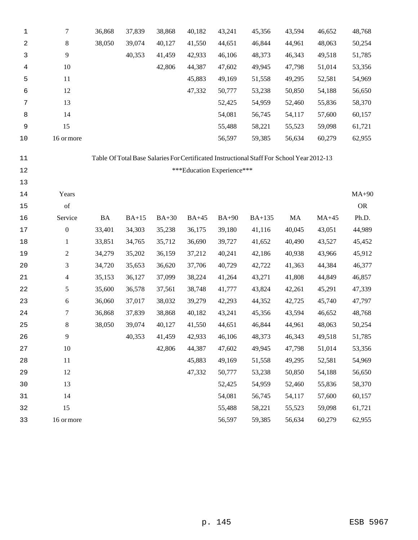| 1           | 7                                                                                                  | 36,868    | 37,839  | 38,868  | 40,182  | 43,241                     | 45,356                                                                                    | 43,594 | 46,652  | 48,768    |
|-------------|----------------------------------------------------------------------------------------------------|-----------|---------|---------|---------|----------------------------|-------------------------------------------------------------------------------------------|--------|---------|-----------|
| 2           | 8                                                                                                  | 38,050    | 39,074  | 40,127  | 41,550  | 44,651                     | 46,844                                                                                    | 44,961 | 48,063  | 50,254    |
| 3           | $\overline{9}$                                                                                     |           | 40,353  | 41,459  | 42,933  | 46,106                     | 48,373                                                                                    | 46,343 | 49,518  | 51,785    |
| 4           | 10                                                                                                 |           |         | 42,806  | 44,387  | 47,602                     | 49,945                                                                                    | 47,798 | 51,014  | 53,356    |
| 5           | 11                                                                                                 |           |         |         | 45,883  | 49,169                     | 51,558                                                                                    | 49,295 | 52,581  | 54,969    |
| 6           | 12                                                                                                 |           |         |         | 47,332  | 50,777                     | 53,238                                                                                    | 50,850 | 54,188  | 56,650    |
| 7           | 13                                                                                                 |           |         |         |         | 52,425                     | 54,959                                                                                    | 52,460 | 55,836  | 58,370    |
| 8           | 14                                                                                                 |           |         |         |         | 54,081                     | 56,745                                                                                    | 54,117 | 57,600  | 60,157    |
| 9           | 15                                                                                                 |           |         |         |         | 55,488                     | 58,221                                                                                    | 55,523 | 59,098  | 61,721    |
| 10          | 16 or more                                                                                         |           |         |         |         | 56,597                     | 59,385                                                                                    | 56,634 | 60,279  | 62,955    |
| 11          |                                                                                                    |           |         |         |         |                            | Table Of Total Base Salaries For Certificated Instructional Staff For School Year 2012-13 |        |         |           |
| 12          |                                                                                                    |           |         |         |         | ***Education Experience*** |                                                                                           |        |         |           |
| 13          |                                                                                                    |           |         |         |         |                            |                                                                                           |        |         |           |
| 14          | Years                                                                                              |           |         |         |         |                            |                                                                                           |        |         | $MA+90$   |
| 15          | $% \left( \left( \mathcal{A},\mathcal{A}\right) \right) =\left( \mathcal{A},\mathcal{A}\right)$ of |           |         |         |         |                            |                                                                                           |        |         | <b>OR</b> |
| 16          | Service                                                                                            | <b>BA</b> | $BA+15$ | $BA+30$ | $BA+45$ | $BA+90$                    | <b>BA+135</b>                                                                             | MA     | $MA+45$ | Ph.D.     |
| $17\,$      | $\boldsymbol{0}$                                                                                   | 33,401    | 34,303  | 35,238  | 36,175  | 39,180                     | 41,116                                                                                    | 40,045 | 43,051  | 44,989    |
| 18          | $\mathbf{1}$                                                                                       | 33,851    | 34,765  | 35,712  | 36,690  | 39,727                     | 41,652                                                                                    | 40,490 | 43,527  | 45,452    |
| 19          | $\overline{c}$                                                                                     | 34,279    | 35,202  | 36,159  | 37,212  | 40,241                     | 42,186                                                                                    | 40,938 | 43,966  | 45,912    |
| 20          | 3                                                                                                  | 34,720    | 35,653  | 36,620  | 37,706  | 40,729                     | 42,722                                                                                    | 41,363 | 44,384  | 46,377    |
| 21          | $\overline{\mathcal{A}}$                                                                           | 35,153    | 36,127  | 37,099  | 38,224  | 41,264                     | 43,271                                                                                    | 41,808 | 44,849  | 46,857    |
| 22          | 5                                                                                                  | 35,600    | 36,578  | 37,561  | 38,748  | 41,777                     | 43,824                                                                                    | 42,261 | 45,291  | 47,339    |
| 23          | 6                                                                                                  | 36,060    | 37,017  | 38,032  | 39,279  | 42,293                     | 44,352                                                                                    | 42,725 | 45,740  | 47,797    |
| $2\sqrt{4}$ | 7                                                                                                  | 36,868    | 37,839  | 38,868  | 40,182  | 43,241                     | 45,356                                                                                    | 43,594 | 46,652  | 48,768    |
| 25          | 8                                                                                                  | 38,050    | 39,074  | 40,127  | 41,550  | 44,651                     | 46,844                                                                                    | 44,961 | 48,063  | 50,254    |
| 26          | 9                                                                                                  |           | 40,353  | 41,459  | 42,933  | 46,106                     | 48,373                                                                                    | 46,343 | 49,518  | 51,785    |
| 27          | $10\,$                                                                                             |           |         | 42,806  | 44,387  | 47,602                     | 49,945                                                                                    | 47,798 | 51,014  | 53,356    |
| 28          | 11                                                                                                 |           |         |         | 45,883  | 49,169                     | 51,558                                                                                    | 49,295 | 52,581  | 54,969    |
| 29          | 12                                                                                                 |           |         |         | 47,332  | 50,777                     | 53,238                                                                                    | 50,850 | 54,188  | 56,650    |
| 30          | 13                                                                                                 |           |         |         |         | 52,425                     | 54,959                                                                                    | 52,460 | 55,836  | 58,370    |
| 31          | 14                                                                                                 |           |         |         |         | 54,081                     | 56,745                                                                                    | 54,117 | 57,600  | 60,157    |
| 32          | 15                                                                                                 |           |         |         |         | 55,488                     | 58,221                                                                                    | 55,523 | 59,098  | 61,721    |
| 33          | 16 or more                                                                                         |           |         |         |         | 56,597                     | 59,385                                                                                    | 56,634 | 60,279  | 62,955    |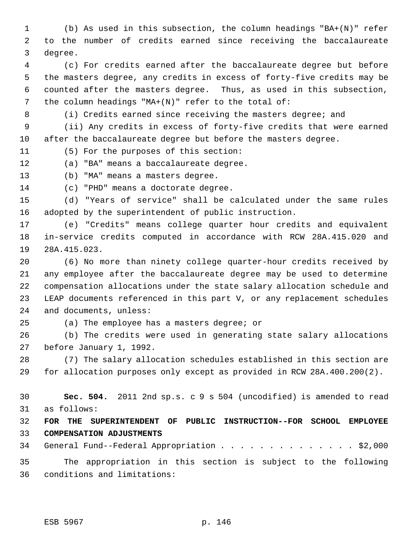(b) As used in this subsection, the column headings "BA+(N)" refer to the number of credits earned since receiving the baccalaureate degree.

 (c) For credits earned after the baccalaureate degree but before the masters degree, any credits in excess of forty-five credits may be counted after the masters degree. Thus, as used in this subsection, 7 the column headings "MA+(N)" refer to the total of:

(i) Credits earned since receiving the masters degree; and

 (ii) Any credits in excess of forty-five credits that were earned after the baccalaureate degree but before the masters degree.

(5) For the purposes of this section:

(a) "BA" means a baccalaureate degree.

(b) "MA" means a masters degree.

(c) "PHD" means a doctorate degree.

 (d) "Years of service" shall be calculated under the same rules adopted by the superintendent of public instruction.

 (e) "Credits" means college quarter hour credits and equivalent in-service credits computed in accordance with RCW 28A.415.020 and 28A.415.023.

 (6) No more than ninety college quarter-hour credits received by any employee after the baccalaureate degree may be used to determine compensation allocations under the state salary allocation schedule and LEAP documents referenced in this part V, or any replacement schedules and documents, unless:

(a) The employee has a masters degree; or

 (b) The credits were used in generating state salary allocations before January 1, 1992.

 (7) The salary allocation schedules established in this section are for allocation purposes only except as provided in RCW 28A.400.200(2).

 **Sec. 504.** 2011 2nd sp.s. c 9 s 504 (uncodified) is amended to read as follows:

 **FOR THE SUPERINTENDENT OF PUBLIC INSTRUCTION--FOR SCHOOL EMPLOYEE COMPENSATION ADJUSTMENTS**

34 General Fund--Federal Appropriation . . . . . . . . . . . . . \$2,000

 The appropriation in this section is subject to the following conditions and limitations: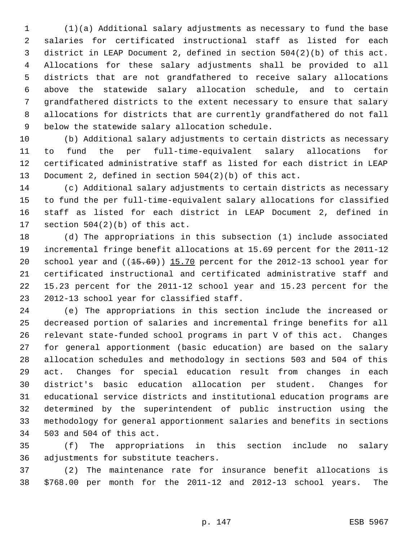(1)(a) Additional salary adjustments as necessary to fund the base salaries for certificated instructional staff as listed for each district in LEAP Document 2, defined in section 504(2)(b) of this act. Allocations for these salary adjustments shall be provided to all districts that are not grandfathered to receive salary allocations above the statewide salary allocation schedule, and to certain grandfathered districts to the extent necessary to ensure that salary allocations for districts that are currently grandfathered do not fall below the statewide salary allocation schedule.

 (b) Additional salary adjustments to certain districts as necessary to fund the per full-time-equivalent salary allocations for certificated administrative staff as listed for each district in LEAP Document 2, defined in section 504(2)(b) of this act.

 (c) Additional salary adjustments to certain districts as necessary to fund the per full-time-equivalent salary allocations for classified staff as listed for each district in LEAP Document 2, defined in section 504(2)(b) of this act.

 (d) The appropriations in this subsection (1) include associated incremental fringe benefit allocations at 15.69 percent for the 2011-12 20 school year and ((15.69)) 15.70 percent for the 2012-13 school year for certificated instructional and certificated administrative staff and 15.23 percent for the 2011-12 school year and 15.23 percent for the 2012-13 school year for classified staff.

 (e) The appropriations in this section include the increased or decreased portion of salaries and incremental fringe benefits for all relevant state-funded school programs in part V of this act. Changes for general apportionment (basic education) are based on the salary allocation schedules and methodology in sections 503 and 504 of this act. Changes for special education result from changes in each district's basic education allocation per student. Changes for educational service districts and institutional education programs are determined by the superintendent of public instruction using the methodology for general apportionment salaries and benefits in sections 503 and 504 of this act.

 (f) The appropriations in this section include no salary adjustments for substitute teachers.

 (2) The maintenance rate for insurance benefit allocations is \$768.00 per month for the 2011-12 and 2012-13 school years. The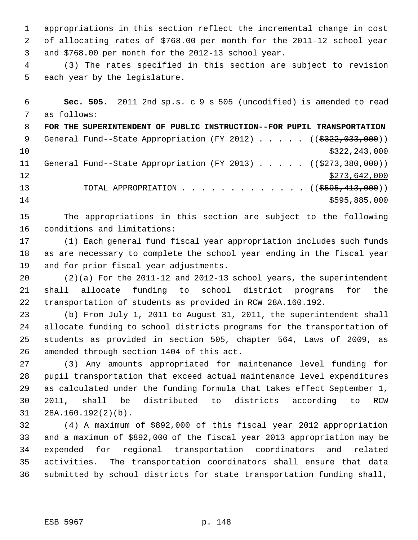appropriations in this section reflect the incremental change in cost of allocating rates of \$768.00 per month for the 2011-12 school year and \$768.00 per month for the 2012-13 school year.

 (3) The rates specified in this section are subject to revision each year by the legislature.

 **Sec. 505.** 2011 2nd sp.s. c 9 s 505 (uncodified) is amended to read as follows:

 **FOR THE SUPERINTENDENT OF PUBLIC INSTRUCTION--FOR PUPIL TRANSPORTATION** 9 General Fund--State Appropriation (FY 2012) . . . . . ((\$322,033,000))  $\frac{10}{322}$ , 243, 000 11 General Fund--State Appropriation (FY 2013) . . . . . ((\$273,380,000)) 12 \$273,642,000 13 TOTAL APPROPRIATION . . . . . . . . . . . . ((<del>\$595,413,000</del>))  $$595,885,000$ 

 The appropriations in this section are subject to the following conditions and limitations:

 (1) Each general fund fiscal year appropriation includes such funds as are necessary to complete the school year ending in the fiscal year and for prior fiscal year adjustments.

 (2)(a) For the 2011-12 and 2012-13 school years, the superintendent shall allocate funding to school district programs for the transportation of students as provided in RCW 28A.160.192.

 (b) From July 1, 2011 to August 31, 2011, the superintendent shall allocate funding to school districts programs for the transportation of students as provided in section 505, chapter 564, Laws of 2009, as amended through section 1404 of this act.

 (3) Any amounts appropriated for maintenance level funding for pupil transportation that exceed actual maintenance level expenditures as calculated under the funding formula that takes effect September 1, 2011, shall be distributed to districts according to RCW 28A.160.192(2)(b).

 (4) A maximum of \$892,000 of this fiscal year 2012 appropriation and a maximum of \$892,000 of the fiscal year 2013 appropriation may be expended for regional transportation coordinators and related activities. The transportation coordinators shall ensure that data submitted by school districts for state transportation funding shall,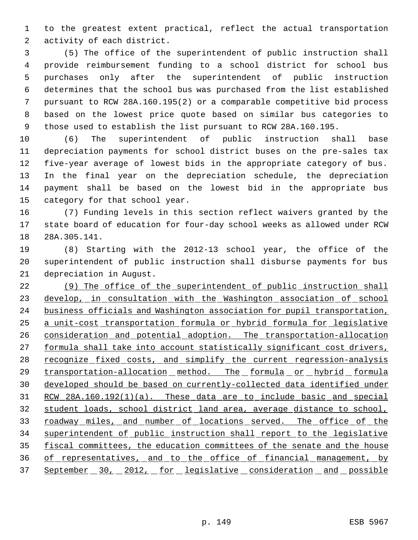to the greatest extent practical, reflect the actual transportation activity of each district.

 (5) The office of the superintendent of public instruction shall provide reimbursement funding to a school district for school bus purchases only after the superintendent of public instruction determines that the school bus was purchased from the list established pursuant to RCW 28A.160.195(2) or a comparable competitive bid process based on the lowest price quote based on similar bus categories to those used to establish the list pursuant to RCW 28A.160.195.

 (6) The superintendent of public instruction shall base depreciation payments for school district buses on the pre-sales tax five-year average of lowest bids in the appropriate category of bus. In the final year on the depreciation schedule, the depreciation payment shall be based on the lowest bid in the appropriate bus category for that school year.

 (7) Funding levels in this section reflect waivers granted by the state board of education for four-day school weeks as allowed under RCW 28A.305.141.

 (8) Starting with the 2012-13 school year, the office of the superintendent of public instruction shall disburse payments for bus depreciation in August.

22 (9) The office of the superintendent of public instruction shall 23 develop, in consultation with the Washington association of school business officials and Washington association for pupil transportation, a unit-cost transportation formula or hybrid formula for legislative consideration and potential adoption. The transportation-allocation 27 formula shall take into account statistically significant cost drivers, 28 recognize fixed costs, and simplify the current regression-analysis 29 transportation-allocation method. The formula or hybrid formula developed should be based on currently-collected data identified under RCW 28A.160.192(1)(a). These data are to include basic and special student loads, school district land area, average distance to school, 33 roadway miles, and number of locations served. The office of the superintendent of public instruction shall report to the legislative 35 fiscal committees, the education committees of the senate and the house of representatives, and to the office of financial management, by 37 September 30, 2012, for legislative consideration and possible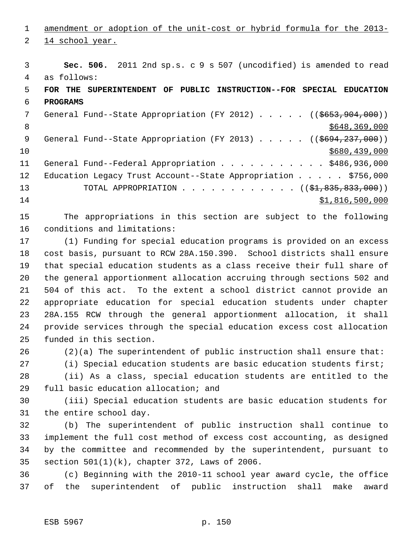amendment or adoption of the unit-cost or hybrid formula for the 2013-

14 school year.

 **Sec. 506.** 2011 2nd sp.s. c 9 s 507 (uncodified) is amended to read as follows:

 **FOR THE SUPERINTENDENT OF PUBLIC INSTRUCTION--FOR SPECIAL EDUCATION PROGRAMS**

7 General Fund--State Appropriation (FY 2012) . . . . . ((\$653,904,000))  $8 \div 8648,369,000$ 9 General Fund--State Appropriation (FY 2013) . . . . . ((\$694,237,000)) \$680,439,000 11 General Fund--Federal Appropriation . . . . . . . . . . \$486,936,000 12 Education Legacy Trust Account--State Appropriation . . . . \$756,000 13 TOTAL APPROPRIATION . . . . . . . . . . . ((<del>\$1,835,833,000</del>))  $51,816,500,000$ 

 The appropriations in this section are subject to the following conditions and limitations:

 (1) Funding for special education programs is provided on an excess cost basis, pursuant to RCW 28A.150.390. School districts shall ensure that special education students as a class receive their full share of the general apportionment allocation accruing through sections 502 and 504 of this act. To the extent a school district cannot provide an appropriate education for special education students under chapter 28A.155 RCW through the general apportionment allocation, it shall provide services through the special education excess cost allocation funded in this section.

(2)(a) The superintendent of public instruction shall ensure that:

(i) Special education students are basic education students first;

 (ii) As a class, special education students are entitled to the full basic education allocation; and

 (iii) Special education students are basic education students for the entire school day.

 (b) The superintendent of public instruction shall continue to implement the full cost method of excess cost accounting, as designed by the committee and recommended by the superintendent, pursuant to section 501(1)(k), chapter 372, Laws of 2006.

 (c) Beginning with the 2010-11 school year award cycle, the office of the superintendent of public instruction shall make award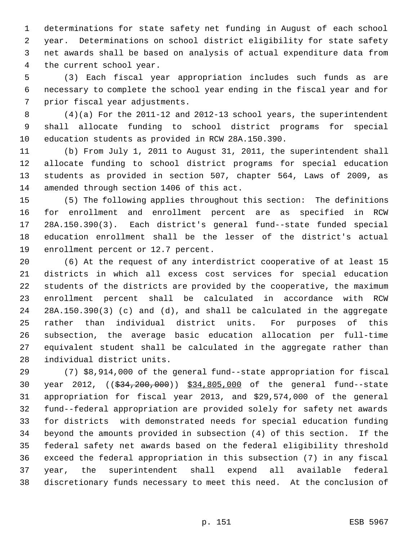determinations for state safety net funding in August of each school year. Determinations on school district eligibility for state safety net awards shall be based on analysis of actual expenditure data from the current school year.

 (3) Each fiscal year appropriation includes such funds as are necessary to complete the school year ending in the fiscal year and for prior fiscal year adjustments.

 (4)(a) For the 2011-12 and 2012-13 school years, the superintendent shall allocate funding to school district programs for special education students as provided in RCW 28A.150.390.

 (b) From July 1, 2011 to August 31, 2011, the superintendent shall allocate funding to school district programs for special education students as provided in section 507, chapter 564, Laws of 2009, as amended through section 1406 of this act.

 (5) The following applies throughout this section: The definitions for enrollment and enrollment percent are as specified in RCW 28A.150.390(3). Each district's general fund--state funded special education enrollment shall be the lesser of the district's actual enrollment percent or 12.7 percent.

 (6) At the request of any interdistrict cooperative of at least 15 districts in which all excess cost services for special education students of the districts are provided by the cooperative, the maximum enrollment percent shall be calculated in accordance with RCW 28A.150.390(3) (c) and (d), and shall be calculated in the aggregate rather than individual district units. For purposes of this subsection, the average basic education allocation per full-time equivalent student shall be calculated in the aggregate rather than individual district units.

 (7) \$8,914,000 of the general fund--state appropriation for fiscal year 2012, ((\$34,200,000)) \$34,805,000 of the general fund--state appropriation for fiscal year 2013, and \$29,574,000 of the general fund--federal appropriation are provided solely for safety net awards for districts with demonstrated needs for special education funding beyond the amounts provided in subsection (4) of this section. If the federal safety net awards based on the federal eligibility threshold exceed the federal appropriation in this subsection (7) in any fiscal year, the superintendent shall expend all available federal discretionary funds necessary to meet this need. At the conclusion of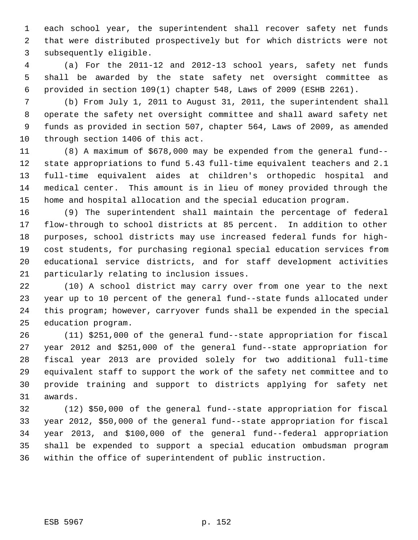each school year, the superintendent shall recover safety net funds that were distributed prospectively but for which districts were not subsequently eligible.

 (a) For the 2011-12 and 2012-13 school years, safety net funds shall be awarded by the state safety net oversight committee as provided in section 109(1) chapter 548, Laws of 2009 (ESHB 2261).

 (b) From July 1, 2011 to August 31, 2011, the superintendent shall operate the safety net oversight committee and shall award safety net funds as provided in section 507, chapter 564, Laws of 2009, as amended through section 1406 of this act.

 (8) A maximum of \$678,000 may be expended from the general fund-- state appropriations to fund 5.43 full-time equivalent teachers and 2.1 full-time equivalent aides at children's orthopedic hospital and medical center. This amount is in lieu of money provided through the home and hospital allocation and the special education program.

 (9) The superintendent shall maintain the percentage of federal flow-through to school districts at 85 percent. In addition to other purposes, school districts may use increased federal funds for high- cost students, for purchasing regional special education services from educational service districts, and for staff development activities particularly relating to inclusion issues.

 (10) A school district may carry over from one year to the next year up to 10 percent of the general fund--state funds allocated under this program; however, carryover funds shall be expended in the special education program.

 (11) \$251,000 of the general fund--state appropriation for fiscal year 2012 and \$251,000 of the general fund--state appropriation for fiscal year 2013 are provided solely for two additional full-time equivalent staff to support the work of the safety net committee and to provide training and support to districts applying for safety net awards.

 (12) \$50,000 of the general fund--state appropriation for fiscal year 2012, \$50,000 of the general fund--state appropriation for fiscal year 2013, and \$100,000 of the general fund--federal appropriation shall be expended to support a special education ombudsman program within the office of superintendent of public instruction.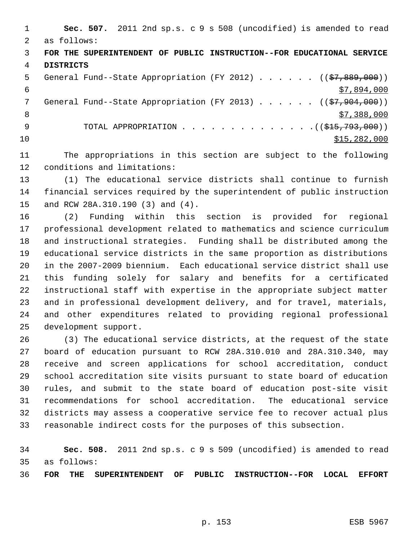**Sec. 507.** 2011 2nd sp.s. c 9 s 508 (uncodified) is amended to read as follows: **FOR THE SUPERINTENDENT OF PUBLIC INSTRUCTION--FOR EDUCATIONAL SERVICE DISTRICTS** 5 General Fund--State Appropriation (FY 2012)  $\ldots$  . . . (( $\frac{27,889,000}{\ldots}$ )  $\frac{1}{57,894,000}$ 7 General Fund--State Appropriation (FY 2013) . . . . . ((\$7,904,000))  $\frac{1}{2}$  8  $\frac{1}{2}$  8  $\frac{1}{2}$  8  $\frac{1}{2}$  8  $\frac{1}{2}$  8  $\frac{1}{2}$  8  $\frac{1}{2}$  8  $\frac{1}{2}$  8  $\frac{1}{2}$  8  $\frac{1}{2}$  8  $\frac{1}{2}$  8  $\frac{1}{2}$  8  $\frac{1}{2}$  8  $\frac{1}{2}$  8  $\frac{1}{2}$  8  $\frac{1}{2}$  8  $\frac{1}{2}$  8  $\frac{1}{2}$  8  $\frac$ 9 TOTAL APPROPRIATION . . . . . . . . . . . . . . ((\$<del>15,793,000</del>)) \$15,282,000

 The appropriations in this section are subject to the following conditions and limitations:

 (1) The educational service districts shall continue to furnish financial services required by the superintendent of public instruction and RCW 28A.310.190 (3) and (4).

 (2) Funding within this section is provided for regional professional development related to mathematics and science curriculum and instructional strategies. Funding shall be distributed among the educational service districts in the same proportion as distributions in the 2007-2009 biennium. Each educational service district shall use this funding solely for salary and benefits for a certificated instructional staff with expertise in the appropriate subject matter and in professional development delivery, and for travel, materials, and other expenditures related to providing regional professional development support.

 (3) The educational service districts, at the request of the state board of education pursuant to RCW 28A.310.010 and 28A.310.340, may receive and screen applications for school accreditation, conduct school accreditation site visits pursuant to state board of education rules, and submit to the state board of education post-site visit recommendations for school accreditation. The educational service districts may assess a cooperative service fee to recover actual plus reasonable indirect costs for the purposes of this subsection.

 **Sec. 508.** 2011 2nd sp.s. c 9 s 509 (uncodified) is amended to read as follows:

**FOR THE SUPERINTENDENT OF PUBLIC INSTRUCTION--FOR LOCAL EFFORT**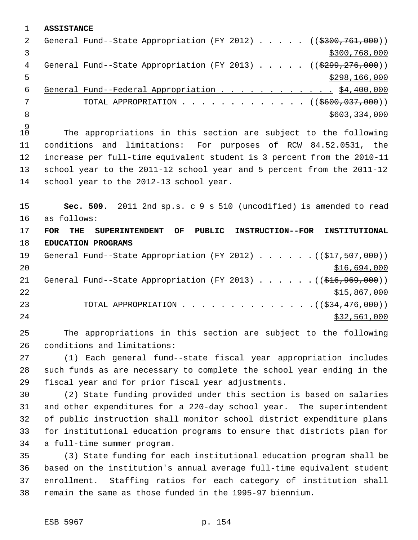**ASSISTANCE** 2 General Fund--State Appropriation (FY 2012) . . . . . ((\$300,761,000))  $\frac{1}{3}$   $\frac{3}{300}$ , 768, 000 4 General Fund--State Appropriation (FY 2013) . . . . . ((\$299,276,000))  $\frac{$298,166,000}{2}$ 6 General Fund--Federal Appropriation . . . . . . . . . . . . \$4,400,000 7 TOTAL APPROPRIATION . . . . . . . . . . . . ((\$600,037,000)) 8 \$603,334,000 \$603,334,000 \$603,334,000 \$603,334,000 \$603,334,000 \$603,334,000 \$

 $\begin{smallmatrix} 9 \\ 10 \end{smallmatrix}$ The appropriations in this section are subject to the following conditions and limitations: For purposes of RCW 84.52.0531, the increase per full-time equivalent student is 3 percent from the 2010-11 school year to the 2011-12 school year and 5 percent from the 2011-12 school year to the 2012-13 school year.

 **Sec. 509.** 2011 2nd sp.s. c 9 s 510 (uncodified) is amended to read as follows: **FOR THE SUPERINTENDENT OF PUBLIC INSTRUCTION--FOR INSTITUTIONAL**

 **EDUCATION PROGRAMS** 19 General Fund--State Appropriation (FY 2012) . . . . . . ((\$17,507,000)) \$16,694,000 21 General Fund--State Appropriation (FY 2013) . . . . . . ((\$16,969,000)) 22 \$15,867,000 23 TOTAL APPROPRIATION . . . . . . . . . . . . . . ((\$34,476,000))  $\frac{$32,561,000}{2}$ 

 The appropriations in this section are subject to the following conditions and limitations:

 (1) Each general fund--state fiscal year appropriation includes such funds as are necessary to complete the school year ending in the fiscal year and for prior fiscal year adjustments.

 (2) State funding provided under this section is based on salaries and other expenditures for a 220-day school year. The superintendent of public instruction shall monitor school district expenditure plans for institutional education programs to ensure that districts plan for a full-time summer program.

 (3) State funding for each institutional education program shall be based on the institution's annual average full-time equivalent student enrollment. Staffing ratios for each category of institution shall remain the same as those funded in the 1995-97 biennium.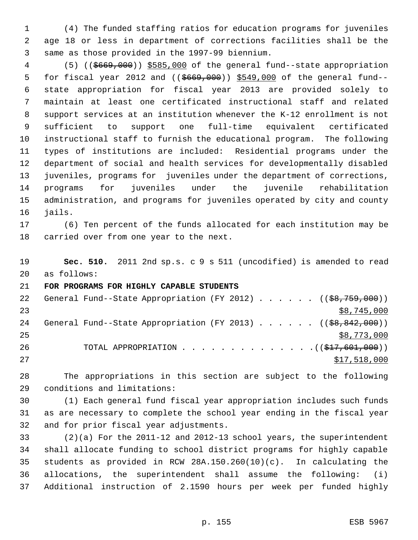(4) The funded staffing ratios for education programs for juveniles age 18 or less in department of corrections facilities shall be the same as those provided in the 1997-99 biennium.

 (5) ((\$669,000)) \$585,000 of the general fund--state appropriation 5 for fiscal year 2012 and ((\$669,000)) \$549,000 of the general fund-- state appropriation for fiscal year 2013 are provided solely to maintain at least one certificated instructional staff and related support services at an institution whenever the K-12 enrollment is not sufficient to support one full-time equivalent certificated instructional staff to furnish the educational program. The following types of institutions are included: Residential programs under the department of social and health services for developmentally disabled juveniles, programs for juveniles under the department of corrections, programs for juveniles under the juvenile rehabilitation administration, and programs for juveniles operated by city and county jails.

 (6) Ten percent of the funds allocated for each institution may be carried over from one year to the next.

 **Sec. 510.** 2011 2nd sp.s. c 9 s 511 (uncodified) is amended to read as follows:

**FOR PROGRAMS FOR HIGHLY CAPABLE STUDENTS**

| 22 | General Fund--State Appropriation (FY 2012) ( $(\frac{68}{759}, \frac{759}{100})$ ) |  |  |  |  |              |
|----|-------------------------------------------------------------------------------------|--|--|--|--|--------------|
| 23 |                                                                                     |  |  |  |  | \$8,745,000  |
| 24 | General Fund--State Appropriation (FY 2013) ( $(\frac{68}{66}, \frac{842}{600})$ )  |  |  |  |  |              |
| 25 |                                                                                     |  |  |  |  | \$8,773,000  |
| 26 |                                                                                     |  |  |  |  |              |
| 27 |                                                                                     |  |  |  |  | \$17,518,000 |

 The appropriations in this section are subject to the following conditions and limitations:

 (1) Each general fund fiscal year appropriation includes such funds as are necessary to complete the school year ending in the fiscal year and for prior fiscal year adjustments.

 (2)(a) For the 2011-12 and 2012-13 school years, the superintendent shall allocate funding to school district programs for highly capable students as provided in RCW 28A.150.260(10)(c). In calculating the allocations, the superintendent shall assume the following: (i) Additional instruction of 2.1590 hours per week per funded highly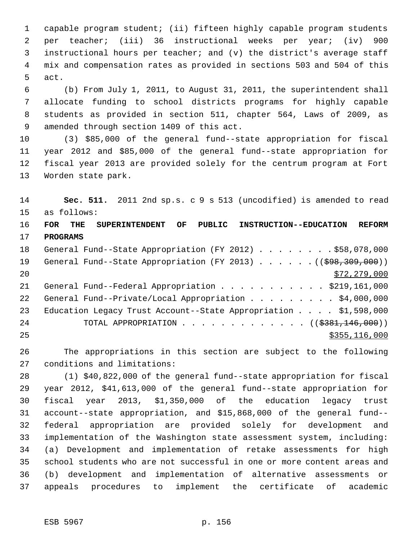capable program student; (ii) fifteen highly capable program students per teacher; (iii) 36 instructional weeks per year; (iv) 900 instructional hours per teacher; and (v) the district's average staff mix and compensation rates as provided in sections 503 and 504 of this act.

 (b) From July 1, 2011, to August 31, 2011, the superintendent shall allocate funding to school districts programs for highly capable students as provided in section 511, chapter 564, Laws of 2009, as amended through section 1409 of this act.

 (3) \$85,000 of the general fund--state appropriation for fiscal year 2012 and \$85,000 of the general fund--state appropriation for fiscal year 2013 are provided solely for the centrum program at Fort Worden state park.

 **Sec. 511.** 2011 2nd sp.s. c 9 s 513 (uncodified) is amended to read as follows:

 **FOR THE SUPERINTENDENT OF PUBLIC INSTRUCTION--EDUCATION REFORM PROGRAMS**

| 18 | General Fund--State Appropriation (FY 2012) \$58,078,000                 |
|----|--------------------------------------------------------------------------|
| 19 | General Fund--State Appropriation (FY 2013) $($ $($ \$98,309,000))       |
| 20 | \$72,279,000                                                             |
| 21 | General Fund--Federal Appropriation \$219,161,000                        |
| 22 | General Fund--Private/Local Appropriation \$4,000,000                    |
| 23 | Education Legacy Trust Account--State Appropriation $\ldots$ \$1,598,000 |
| 24 | TOTAL APPROPRIATION $\ldots$ , ( $(\frac{2381}{146},000)$ )              |
| 25 | \$355,116,000                                                            |

 The appropriations in this section are subject to the following conditions and limitations:

 (1) \$40,822,000 of the general fund--state appropriation for fiscal year 2012, \$41,613,000 of the general fund--state appropriation for fiscal year 2013, \$1,350,000 of the education legacy trust account--state appropriation, and \$15,868,000 of the general fund-- federal appropriation are provided solely for development and implementation of the Washington state assessment system, including: (a) Development and implementation of retake assessments for high school students who are not successful in one or more content areas and (b) development and implementation of alternative assessments or appeals procedures to implement the certificate of academic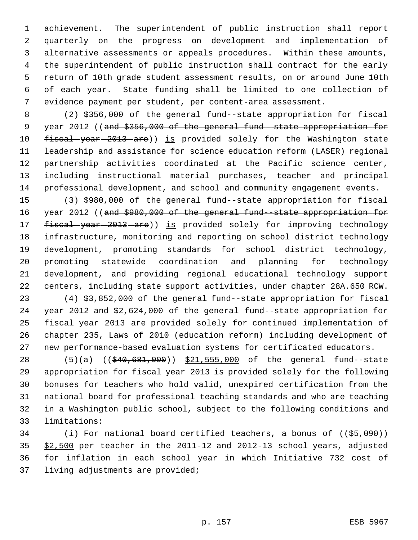achievement. The superintendent of public instruction shall report quarterly on the progress on development and implementation of alternative assessments or appeals procedures. Within these amounts, the superintendent of public instruction shall contract for the early return of 10th grade student assessment results, on or around June 10th of each year. State funding shall be limited to one collection of evidence payment per student, per content-area assessment.

 (2) \$356,000 of the general fund--state appropriation for fiscal 9 year 2012 ((and \$356,000 of the general fund -state appropriation for 10 fiscal-year-2013-are)) is provided solely for the Washington state leadership and assistance for science education reform (LASER) regional partnership activities coordinated at the Pacific science center, including instructional material purchases, teacher and principal professional development, and school and community engagement events.

 (3) \$980,000 of the general fund--state appropriation for fiscal 16 year 2012 ((and \$980,000 of the general fund -state appropriation for 17 fiscal-year-2013-are)) is provided solely for improving technology infrastructure, monitoring and reporting on school district technology development, promoting standards for school district technology, promoting statewide coordination and planning for technology development, and providing regional educational technology support centers, including state support activities, under chapter 28A.650 RCW.

 (4) \$3,852,000 of the general fund--state appropriation for fiscal year 2012 and \$2,624,000 of the general fund--state appropriation for fiscal year 2013 are provided solely for continued implementation of chapter 235, Laws of 2010 (education reform) including development of new performance-based evaluation systems for certificated educators.

28 (5)(a) ((\$40,681,000)) \$21,555,000 of the general fund--state appropriation for fiscal year 2013 is provided solely for the following bonuses for teachers who hold valid, unexpired certification from the national board for professional teaching standards and who are teaching in a Washington public school, subject to the following conditions and limitations:

34 (i) For national board certified teachers, a bonus of  $((\frac{25}{65},090))$  \$2,500 per teacher in the 2011-12 and 2012-13 school years, adjusted for inflation in each school year in which Initiative 732 cost of living adjustments are provided;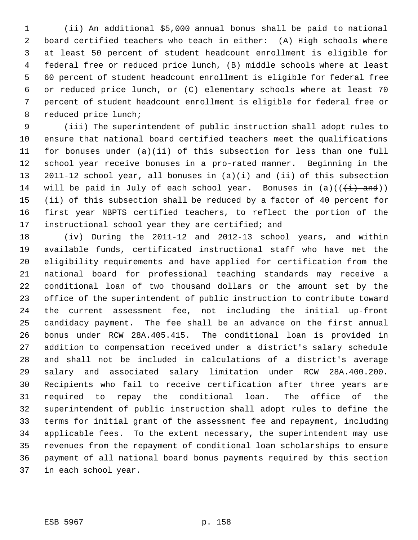(ii) An additional \$5,000 annual bonus shall be paid to national board certified teachers who teach in either: (A) High schools where at least 50 percent of student headcount enrollment is eligible for federal free or reduced price lunch, (B) middle schools where at least 60 percent of student headcount enrollment is eligible for federal free or reduced price lunch, or (C) elementary schools where at least 70 percent of student headcount enrollment is eligible for federal free or reduced price lunch;

 (iii) The superintendent of public instruction shall adopt rules to ensure that national board certified teachers meet the qualifications for bonuses under (a)(ii) of this subsection for less than one full school year receive bonuses in a pro-rated manner. Beginning in the 2011-12 school year, all bonuses in (a)(i) and (ii) of this subsection 14 will be paid in July of each school year. Bonuses in  $(a)((\{\pm\})$  and)) (ii) of this subsection shall be reduced by a factor of 40 percent for first year NBPTS certified teachers, to reflect the portion of the instructional school year they are certified; and

 (iv) During the 2011-12 and 2012-13 school years, and within available funds, certificated instructional staff who have met the eligibility requirements and have applied for certification from the national board for professional teaching standards may receive a conditional loan of two thousand dollars or the amount set by the office of the superintendent of public instruction to contribute toward the current assessment fee, not including the initial up-front candidacy payment. The fee shall be an advance on the first annual bonus under RCW 28A.405.415. The conditional loan is provided in addition to compensation received under a district's salary schedule and shall not be included in calculations of a district's average salary and associated salary limitation under RCW 28A.400.200. Recipients who fail to receive certification after three years are required to repay the conditional loan. The office of the superintendent of public instruction shall adopt rules to define the terms for initial grant of the assessment fee and repayment, including applicable fees. To the extent necessary, the superintendent may use revenues from the repayment of conditional loan scholarships to ensure payment of all national board bonus payments required by this section in each school year.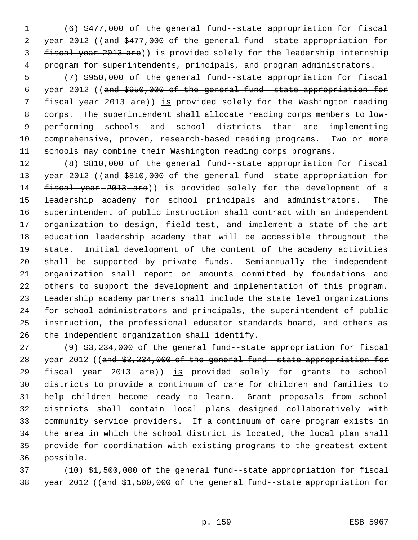(6) \$477,000 of the general fund--state appropriation for fiscal 2 year 2012 ((and \$477,000 of the general fund-state appropriation for 3 fiscal year 2013 are)) is provided solely for the leadership internship program for superintendents, principals, and program administrators.

 (7) \$950,000 of the general fund--state appropriation for fiscal year 2012 ((and \$950,000 of the general fund--state appropriation for 7 fiscal year 2013 are)) is provided solely for the Washington reading corps. The superintendent shall allocate reading corps members to low- performing schools and school districts that are implementing comprehensive, proven, research-based reading programs. Two or more schools may combine their Washington reading corps programs.

 (8) \$810,000 of the general fund--state appropriation for fiscal 13 year 2012 ((and \$810,000 of the general fund--state appropriation for 14 fiscal year 2013 are)) is provided solely for the development of a leadership academy for school principals and administrators. The superintendent of public instruction shall contract with an independent organization to design, field test, and implement a state-of-the-art education leadership academy that will be accessible throughout the state. Initial development of the content of the academy activities shall be supported by private funds. Semiannually the independent organization shall report on amounts committed by foundations and others to support the development and implementation of this program. Leadership academy partners shall include the state level organizations for school administrators and principals, the superintendent of public instruction, the professional educator standards board, and others as the independent organization shall identify.

 (9) \$3,234,000 of the general fund--state appropriation for fiscal 28 year 2012 ((and \$3,234,000 of the general fund-state appropriation for 29 fiscal-year-2013-are)) is provided solely for grants to school districts to provide a continuum of care for children and families to help children become ready to learn. Grant proposals from school districts shall contain local plans designed collaboratively with community service providers. If a continuum of care program exists in the area in which the school district is located, the local plan shall provide for coordination with existing programs to the greatest extent possible.

 (10) \$1,500,000 of the general fund--state appropriation for fiscal 38 year 2012 ((and \$1,500,000 of the general fund -state appropriation for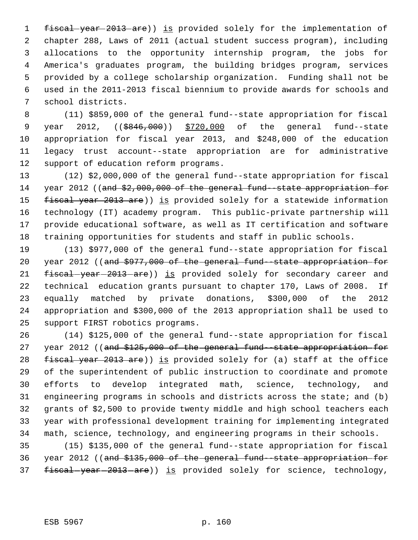1 fiscal year 2013 are)) is provided solely for the implementation of chapter 288, Laws of 2011 (actual student success program), including allocations to the opportunity internship program, the jobs for America's graduates program, the building bridges program, services provided by a college scholarship organization. Funding shall not be used in the 2011-2013 fiscal biennium to provide awards for schools and school districts.

 (11) \$859,000 of the general fund--state appropriation for fiscal 9 year 2012, ((\$846,000)) \$720,000 of the general fund--state appropriation for fiscal year 2013, and \$248,000 of the education legacy trust account--state appropriation are for administrative support of education reform programs.

 (12) \$2,000,000 of the general fund--state appropriation for fiscal 14 year 2012 ((and \$2,000,000 of the general fund-state appropriation for 15 fiscal year 2013 are)) is provided solely for a statewide information technology (IT) academy program. This public-private partnership will provide educational software, as well as IT certification and software training opportunities for students and staff in public schools.

 (13) \$977,000 of the general fund--state appropriation for fiscal 20 year 2012 ((and \$977,000 of the general fund--state appropriation for 21 fiscal-year-2013-are)) is provided solely for secondary career and technical education grants pursuant to chapter 170, Laws of 2008. If equally matched by private donations, \$300,000 of the 2012 appropriation and \$300,000 of the 2013 appropriation shall be used to support FIRST robotics programs.

 (14) \$125,000 of the general fund--state appropriation for fiscal 27 year 2012 ((and \$125,000 of the general fund -state appropriation for 28 fiscal year 2013 are)) is provided solely for (a) staff at the office of the superintendent of public instruction to coordinate and promote efforts to develop integrated math, science, technology, and engineering programs in schools and districts across the state; and (b) grants of \$2,500 to provide twenty middle and high school teachers each year with professional development training for implementing integrated math, science, technology, and engineering programs in their schools.

 (15) \$135,000 of the general fund--state appropriation for fiscal year 2012 ((and \$135,000 of the general fund--state appropriation for 37 fiscal-year-2013-are)) is provided solely for science, technology,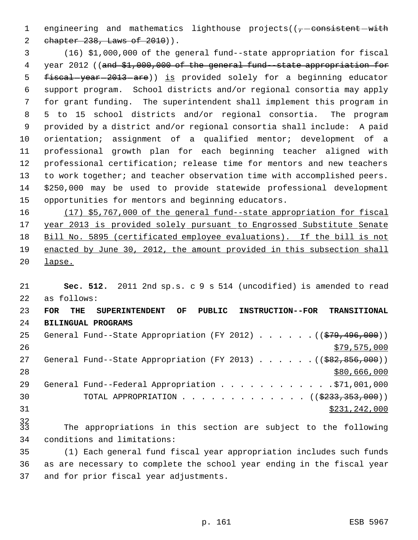1 engineering and mathematics lighthouse  $projects((\tau-consistent-with$ 2 chapter 238, Laws of 2010)).

 (16) \$1,000,000 of the general fund--state appropriation for fiscal 4 year 2012 ((and \$1,000,000 of the general fund--state appropriation for 5 fiscal-year-2013-are)) is provided solely for a beginning educator support program. School districts and/or regional consortia may apply for grant funding. The superintendent shall implement this program in 5 to 15 school districts and/or regional consortia. The program provided by a district and/or regional consortia shall include: A paid orientation; assignment of a qualified mentor; development of a professional growth plan for each beginning teacher aligned with professional certification; release time for mentors and new teachers 13 to work together; and teacher observation time with accomplished peers. \$250,000 may be used to provide statewide professional development opportunities for mentors and beginning educators.

 (17) \$5,767,000 of the general fund--state appropriation for fiscal 17 year 2013 is provided solely pursuant to Engrossed Substitute Senate Bill No. 5895 (certificated employee evaluations). If the bill is not enacted by June 30, 2012, the amount provided in this subsection shall lapse.

 **Sec. 512.** 2011 2nd sp.s. c 9 s 514 (uncodified) is amended to read as follows: **FOR THE SUPERINTENDENT OF PUBLIC INSTRUCTION--FOR TRANSITIONAL BILINGUAL PROGRAMS** 25 General Fund--State Appropriation (FY 2012) . . . . . . ((\$79,496,000))  $\frac{$79,575,000}{20}$ 27 General Fund--State Appropriation (FY 2013) . . . . . . ((\$82,856,000)) \$80,666,000 29 General Fund--Federal Appropriation . . . . . . . . . . . . \$71,001,000 30 TOTAL APPROPRIATION . . . . . . . . . . . . ((\$233,353,000))

\$231,242,000

 The appropriations in this section are subject to the following conditions and limitations:

 (1) Each general fund fiscal year appropriation includes such funds as are necessary to complete the school year ending in the fiscal year and for prior fiscal year adjustments.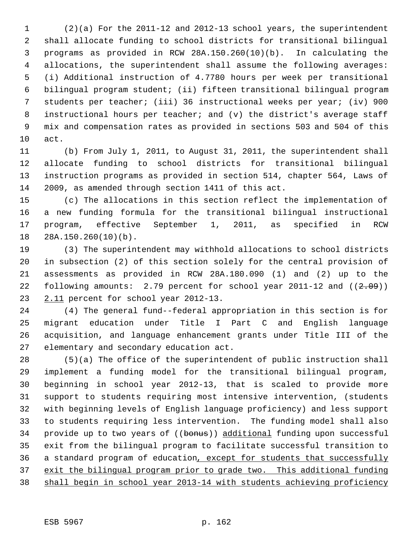(2)(a) For the 2011-12 and 2012-13 school years, the superintendent shall allocate funding to school districts for transitional bilingual programs as provided in RCW 28A.150.260(10)(b). In calculating the allocations, the superintendent shall assume the following averages: (i) Additional instruction of 4.7780 hours per week per transitional bilingual program student; (ii) fifteen transitional bilingual program students per teacher; (iii) 36 instructional weeks per year; (iv) 900 instructional hours per teacher; and (v) the district's average staff mix and compensation rates as provided in sections 503 and 504 of this act.

 (b) From July 1, 2011, to August 31, 2011, the superintendent shall allocate funding to school districts for transitional bilingual instruction programs as provided in section 514, chapter 564, Laws of 2009, as amended through section 1411 of this act.

 (c) The allocations in this section reflect the implementation of a new funding formula for the transitional bilingual instructional program, effective September 1, 2011, as specified in RCW 28A.150.260(10)(b).

 (3) The superintendent may withhold allocations to school districts in subsection (2) of this section solely for the central provision of assessments as provided in RCW 28A.180.090 (1) and (2) up to the 22 following amounts: 2.79 percent for school year 2011-12 and  $((2.09))$ 23 2.11 percent for school year 2012-13.

 (4) The general fund--federal appropriation in this section is for migrant education under Title I Part C and English language acquisition, and language enhancement grants under Title III of the elementary and secondary education act.

 (5)(a) The office of the superintendent of public instruction shall implement a funding model for the transitional bilingual program, beginning in school year 2012-13, that is scaled to provide more support to students requiring most intensive intervention, (students with beginning levels of English language proficiency) and less support to students requiring less intervention. The funding model shall also 34 provide up to two years of ((bonus)) additional funding upon successful exit from the bilingual program to facilitate successful transition to 36 a standard program of education, except for students that successfully exit the bilingual program prior to grade two. This additional funding shall begin in school year 2013-14 with students achieving proficiency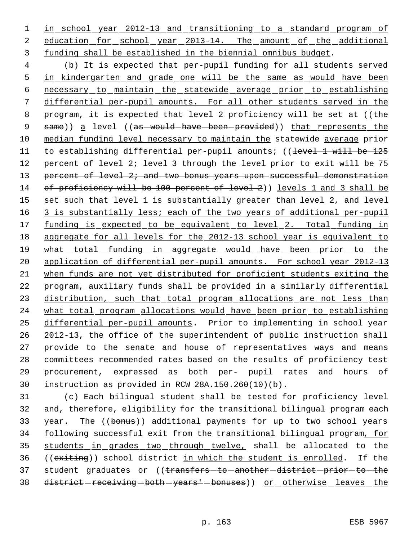1 in school year 2012-13 and transitioning to a standard program of 2 education for school year 2013-14. The amount of the additional 3 funding shall be established in the biennial omnibus budget.

 4 (b) It is expected that per-pupil funding for all students served 5 in kindergarten and grade one will be the same as would have been 6 necessary to maintain the statewide average prior to establishing 7 differential per-pupil amounts. For all other students served in the 8 program, it is expected that level 2 proficiency will be set at ((the 9 same)) a level ((as-would-have-been-provided)) that represents the 10 median funding level necessary to maintain the statewide average prior 11 to establishing differential per-pupil amounts; ((level 1 will be 125 12 percent of level 2; level 3 through the level prior to exit will be 75 13 percent of level 2; and two bonus years upon successful demonstration 14 of proficiency will be 100 percent of level 2)) levels 1 and 3 shall be 15 set such that level 1 is substantially greater than level 2, and level 16 3 is substantially less; each of the two years of additional per-pupil 17 funding is expected to be equivalent to level 2. Total funding in 18 aggregate for all levels for the 2012-13 school year is equivalent to 19 what total funding in aggregate would have been prior to the 20 application of differential per-pupil amounts. For school year 2012-13 21 when funds are not yet distributed for proficient students exiting the 22 program, auxiliary funds shall be provided in a similarly differential 23 distribution, such that total program allocations are not less than 24 what total program allocations would have been prior to establishing 25 differential per-pupil amounts. Prior to implementing in school year 26 2012-13, the office of the superintendent of public instruction shall 27 provide to the senate and house of representatives ways and means 28 committees recommended rates based on the results of proficiency test 29 procurement, expressed as both per- pupil rates and hours of 30 instruction as provided in RCW 28A.150.260(10)(b).

31 (c) Each bilingual student shall be tested for proficiency level 32 and, therefore, eligibility for the transitional bilingual program each 33 year. The ((bonus)) additional payments for up to two school years 34 following successful exit from the transitional bilingual program, for 35 students in grades two through twelve, shall be allocated to the 36 ((exiting)) school district in which the student is enrolled. If the 37 student graduates or ((transfers-to-another-district-prior-to-the 38 district-receiving-both-years'-bonuses)) or otherwise leaves the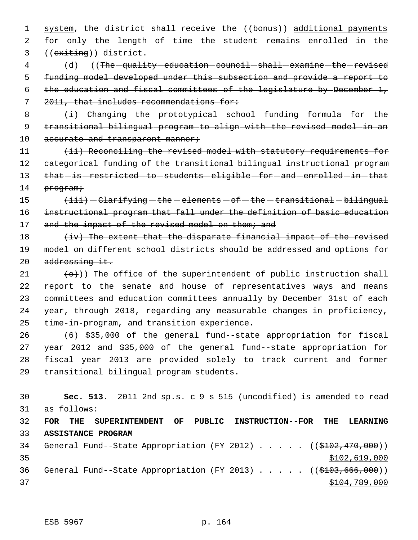1 system, the district shall receive the ((bonus)) additional payments 2 for only the length of time the student remains enrolled in the 3 ((exiting)) district.

4 (d) ((The quality education council shall examine the revised funding model developed under this subsection and provide a report to the education and fiscal committees of the legislature by December 1, 2011, that includes recommendations for:

8  $\langle i\rangle$  -Changing -the -prototypical -school -funding -formula -for -the 9 transitional bilingual program to align with the revised model in an 10 accurate and transparent manner;

11 (ii) Reconciling the revised model with statutory requirements for 12 categorical funding of the transitional bilingual instructional program 13 that-is-restricted-to-students-eligible-for-and-enrolled-in-that 14 program;

15  $\leftarrow$   $\leftarrow$   $\leftarrow$  Clarifying  $-\text{the}$  - elements  $-\text{of}$  - the  $-\text{transitional}$  - bilingual 16 instructional program that fall under the definition of basic education 17 and the impact of the revised model on them; and

 $18$  (iv) The extent that the disparate financial impact of the revised 19 model on different school districts should be addressed and options for 20 addressing it.

 $(e)$ ) The office of the superintendent of public instruction shall report to the senate and house of representatives ways and means committees and education committees annually by December 31st of each year, through 2018, regarding any measurable changes in proficiency, time-in-program, and transition experience.

 (6) \$35,000 of the general fund--state appropriation for fiscal year 2012 and \$35,000 of the general fund--state appropriation for fiscal year 2013 are provided solely to track current and former transitional bilingual program students.

 **Sec. 513.** 2011 2nd sp.s. c 9 s 515 (uncodified) is amended to read as follows: **FOR THE SUPERINTENDENT OF PUBLIC INSTRUCTION--FOR THE LEARNING ASSISTANCE PROGRAM** 34 General Fund--State Appropriation (FY 2012) . . . . . ((\$102,470,000))  $$102,619,000$ 36 General Fund--State Appropriation (FY 2013) . . . . ((\$103,666,000))  $$104,789,000$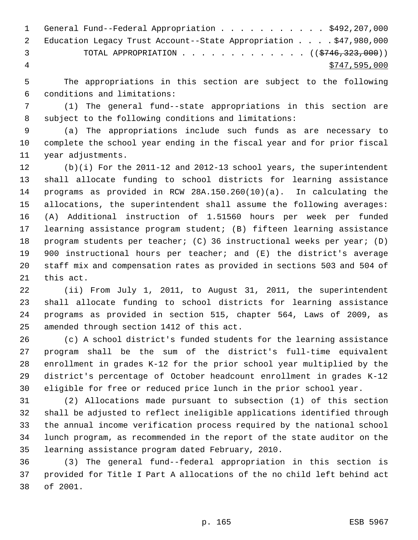|     | 1 General Fund--Federal Appropriation \$492,207,000                |
|-----|--------------------------------------------------------------------|
|     | 2 Education Legacy Trust Account--State Appropriation \$47,980,000 |
| -3. | TOTAL APPROPRIATION ( $(\frac{2746}{323}, 000)$ )                  |
| 4   | \$747,595,000                                                      |

 The appropriations in this section are subject to the following conditions and limitations:

 (1) The general fund--state appropriations in this section are subject to the following conditions and limitations:

 (a) The appropriations include such funds as are necessary to complete the school year ending in the fiscal year and for prior fiscal year adjustments.

 (b)(i) For the 2011-12 and 2012-13 school years, the superintendent shall allocate funding to school districts for learning assistance programs as provided in RCW 28A.150.260(10)(a). In calculating the allocations, the superintendent shall assume the following averages: (A) Additional instruction of 1.51560 hours per week per funded learning assistance program student; (B) fifteen learning assistance program students per teacher; (C) 36 instructional weeks per year; (D) 900 instructional hours per teacher; and (E) the district's average staff mix and compensation rates as provided in sections 503 and 504 of this act.

 (ii) From July 1, 2011, to August 31, 2011, the superintendent shall allocate funding to school districts for learning assistance programs as provided in section 515, chapter 564, Laws of 2009, as amended through section 1412 of this act.

 (c) A school district's funded students for the learning assistance program shall be the sum of the district's full-time equivalent enrollment in grades K-12 for the prior school year multiplied by the district's percentage of October headcount enrollment in grades K-12 eligible for free or reduced price lunch in the prior school year.

 (2) Allocations made pursuant to subsection (1) of this section shall be adjusted to reflect ineligible applications identified through the annual income verification process required by the national school lunch program, as recommended in the report of the state auditor on the learning assistance program dated February, 2010.

 (3) The general fund--federal appropriation in this section is provided for Title I Part A allocations of the no child left behind act of 2001.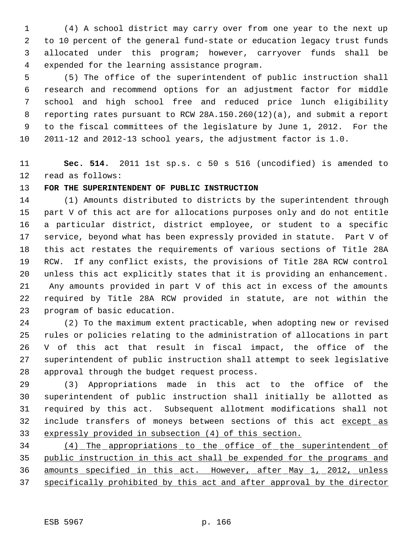(4) A school district may carry over from one year to the next up to 10 percent of the general fund-state or education legacy trust funds allocated under this program; however, carryover funds shall be expended for the learning assistance program.

 (5) The office of the superintendent of public instruction shall research and recommend options for an adjustment factor for middle school and high school free and reduced price lunch eligibility reporting rates pursuant to RCW 28A.150.260(12)(a), and submit a report to the fiscal committees of the legislature by June 1, 2012. For the 2011-12 and 2012-13 school years, the adjustment factor is 1.0.

 **Sec. 514.** 2011 1st sp.s. c 50 s 516 (uncodified) is amended to read as follows:

# **FOR THE SUPERINTENDENT OF PUBLIC INSTRUCTION**

 (1) Amounts distributed to districts by the superintendent through part V of this act are for allocations purposes only and do not entitle a particular district, district employee, or student to a specific service, beyond what has been expressly provided in statute. Part V of this act restates the requirements of various sections of Title 28A RCW. If any conflict exists, the provisions of Title 28A RCW control unless this act explicitly states that it is providing an enhancement. 21 Any amounts provided in part V of this act in excess of the amounts required by Title 28A RCW provided in statute, are not within the program of basic education.

 (2) To the maximum extent practicable, when adopting new or revised rules or policies relating to the administration of allocations in part V of this act that result in fiscal impact, the office of the superintendent of public instruction shall attempt to seek legislative approval through the budget request process.

 (3) Appropriations made in this act to the office of the superintendent of public instruction shall initially be allotted as required by this act. Subsequent allotment modifications shall not 32 include transfers of moneys between sections of this act except as expressly provided in subsection (4) of this section.

 (4) The appropriations to the office of the superintendent of public instruction in this act shall be expended for the programs and 36 amounts specified in this act. However, after May 1, 2012, unless specifically prohibited by this act and after approval by the director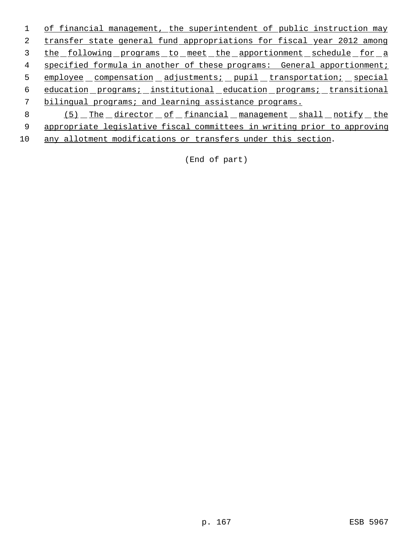1 of financial management, the superintendent of public instruction may 2 transfer state general fund appropriations for fiscal year 2012 among 3 the following programs to meet the apportionment schedule for a 4 specified formula in another of these programs: General apportionment; 5 employee compensation adjustments; pupil transportation; special 6 education programs; institutional education programs; transitional 7 bilingual programs; and learning assistance programs. 8 (5) The director of financial management shall notify the 9 appropriate legislative fiscal committees in writing prior to approving

10 any allotment modifications or transfers under this section.

(End of part)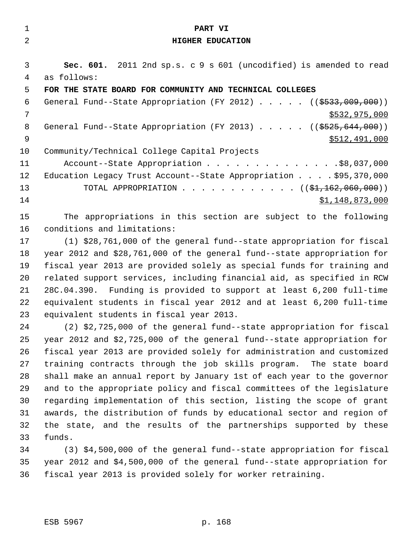| $\mathbf{1}$   | PART VI                                                                 |
|----------------|-------------------------------------------------------------------------|
| $\overline{2}$ | <b>HIGHER EDUCATION</b>                                                 |
|                |                                                                         |
| 3              | Sec. 601. 2011 2nd sp.s. c 9 s 601 (uncodified) is amended to read      |
| 4              | as follows:                                                             |
| 5              | FOR THE STATE BOARD FOR COMMUNITY AND TECHNICAL COLLEGES                |
| 6              | General Fund--State Appropriation (FY 2012) $($ $($ \$533,009,000))     |
| 7              | \$532,975,000                                                           |
| 8              | General Fund--State Appropriation (FY 2013) $($ $($ \$525,644,000))     |
| 9              | \$512,491,000                                                           |
| 10             | Community/Technical College Capital Projects                            |
| 11             | Account--State Appropriation \$8,037,000                                |
| 12             | Education Legacy Trust Account--State Appropriation \$95,370,000        |
| 13             | TOTAL APPROPRIATION ( $(\frac{1}{2}, 162, 060, 000)$ )                  |
| 14             | \$1,148,873,000                                                         |
| 15             | The appropriations in this section are subject to the following         |
| 16             | conditions and limitations:                                             |
| 17             | (1) \$28,761,000 of the general fund--state appropriation for fiscal    |
| 18             | year 2012 and \$28,761,000 of the general fund--state appropriation for |
|                |                                                                         |

 fiscal year 2013 are provided solely as special funds for training and related support services, including financial aid, as specified in RCW 28C.04.390. Funding is provided to support at least 6,200 full-time equivalent students in fiscal year 2012 and at least 6,200 full-time equivalent students in fiscal year 2013.

 (2) \$2,725,000 of the general fund--state appropriation for fiscal year 2012 and \$2,725,000 of the general fund--state appropriation for fiscal year 2013 are provided solely for administration and customized training contracts through the job skills program. The state board shall make an annual report by January 1st of each year to the governor and to the appropriate policy and fiscal committees of the legislature regarding implementation of this section, listing the scope of grant awards, the distribution of funds by educational sector and region of the state, and the results of the partnerships supported by these funds.

 (3) \$4,500,000 of the general fund--state appropriation for fiscal year 2012 and \$4,500,000 of the general fund--state appropriation for fiscal year 2013 is provided solely for worker retraining.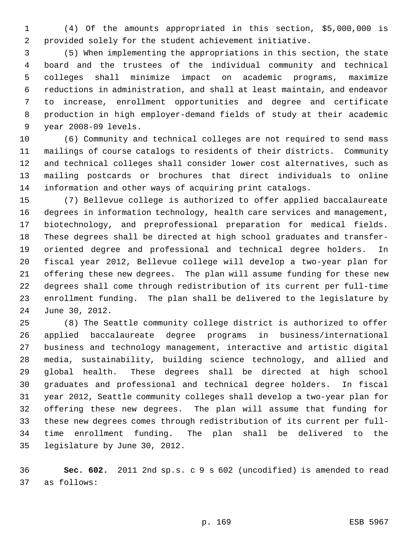(4) Of the amounts appropriated in this section, \$5,000,000 is provided solely for the student achievement initiative.

 (5) When implementing the appropriations in this section, the state board and the trustees of the individual community and technical colleges shall minimize impact on academic programs, maximize reductions in administration, and shall at least maintain, and endeavor to increase, enrollment opportunities and degree and certificate production in high employer-demand fields of study at their academic year 2008-09 levels.

 (6) Community and technical colleges are not required to send mass mailings of course catalogs to residents of their districts. Community and technical colleges shall consider lower cost alternatives, such as mailing postcards or brochures that direct individuals to online information and other ways of acquiring print catalogs.

 (7) Bellevue college is authorized to offer applied baccalaureate degrees in information technology, health care services and management, biotechnology, and preprofessional preparation for medical fields. These degrees shall be directed at high school graduates and transfer- oriented degree and professional and technical degree holders. In fiscal year 2012, Bellevue college will develop a two-year plan for offering these new degrees. The plan will assume funding for these new degrees shall come through redistribution of its current per full-time enrollment funding. The plan shall be delivered to the legislature by June 30, 2012.

 (8) The Seattle community college district is authorized to offer applied baccalaureate degree programs in business/international business and technology management, interactive and artistic digital media, sustainability, building science technology, and allied and global health. These degrees shall be directed at high school graduates and professional and technical degree holders. In fiscal year 2012, Seattle community colleges shall develop a two-year plan for offering these new degrees. The plan will assume that funding for these new degrees comes through redistribution of its current per full- time enrollment funding. The plan shall be delivered to the legislature by June 30, 2012.

 **Sec. 602.** 2011 2nd sp.s. c 9 s 602 (uncodified) is amended to read as follows: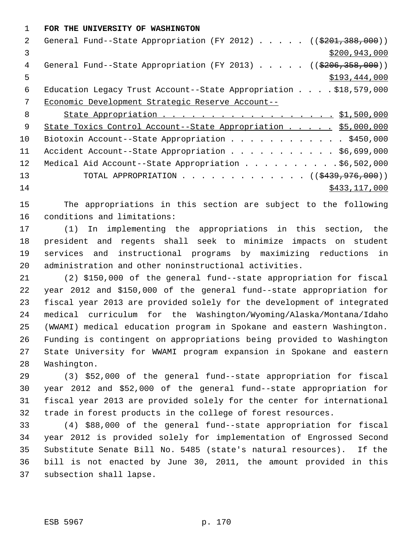**FOR THE UNIVERSITY OF WASHINGTON**

| $\mathcal{L}$ | General Fund--State Appropriation (FY 2012) ( $(\frac{201}{3201}, \frac{388}{100})$ ) |
|---------------|---------------------------------------------------------------------------------------|
| 3             | \$200,943,000                                                                         |
| 4             | General Fund--State Appropriation (FY 2013) ( $(\frac{206}{3206}, \frac{358}{300})$ ) |
| 5             | \$193,444,000                                                                         |
| 6             | Education Legacy Trust Account--State Appropriation \$18,579,000                      |
| 7             | Economic Development Strategic Reserve Account--                                      |
| 8             | State Appropriation 51,500,000                                                        |
| 9             | State Toxics Control Account--State Appropriation \$5,000,000                         |
| 10            | Biotoxin Account--State Appropriation \$450,000                                       |
| 11            | Accident Account--State Appropriation \$6,699,000                                     |
| 12            | Medical Aid Account--State Appropriation \$6,502,000                                  |
| 13            | TOTAL APPROPRIATION $\ldots$ , ( $(\frac{2439}{976}, 000)$ )                          |
| 14            | \$433,117,000                                                                         |

 The appropriations in this section are subject to the following conditions and limitations:

 (1) In implementing the appropriations in this section, the president and regents shall seek to minimize impacts on student services and instructional programs by maximizing reductions in administration and other noninstructional activities.

 (2) \$150,000 of the general fund--state appropriation for fiscal year 2012 and \$150,000 of the general fund--state appropriation for fiscal year 2013 are provided solely for the development of integrated medical curriculum for the Washington/Wyoming/Alaska/Montana/Idaho (WWAMI) medical education program in Spokane and eastern Washington. Funding is contingent on appropriations being provided to Washington State University for WWAMI program expansion in Spokane and eastern Washington.

 (3) \$52,000 of the general fund--state appropriation for fiscal year 2012 and \$52,000 of the general fund--state appropriation for fiscal year 2013 are provided solely for the center for international trade in forest products in the college of forest resources.

 (4) \$88,000 of the general fund--state appropriation for fiscal year 2012 is provided solely for implementation of Engrossed Second Substitute Senate Bill No. 5485 (state's natural resources). If the bill is not enacted by June 30, 2011, the amount provided in this subsection shall lapse.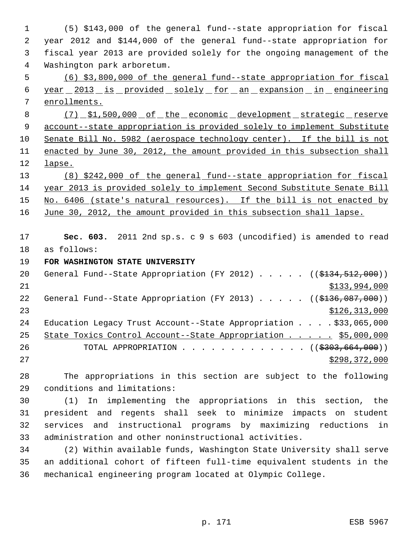(5) \$143,000 of the general fund--state appropriation for fiscal year 2012 and \$144,000 of the general fund--state appropriation for fiscal year 2013 are provided solely for the ongoing management of the Washington park arboretum.

 (6) \$3,800,000 of the general fund--state appropriation for fiscal year 2013 is provided solely for an expansion in engineering enrollments.

8 (7) \$1,500,000 of the economic development strategic reserve 9 account--state appropriation is provided solely to implement Substitute Senate Bill No. 5982 (aerospace technology center). If the bill is not enacted by June 30, 2012, the amount provided in this subsection shall lapse.

 (8) \$242,000 of the general fund--state appropriation for fiscal year 2013 is provided solely to implement Second Substitute Senate Bill 15 No. 6406 (state's natural resources). If the bill is not enacted by 16 June 30, 2012, the amount provided in this subsection shall lapse.

 **Sec. 603.** 2011 2nd sp.s. c 9 s 603 (uncodified) is amended to read as follows:

### **FOR WASHINGTON STATE UNIVERSITY**

| 20 | General Fund--State Appropriation (FY 2012) ((\$134,512,000))             |
|----|---------------------------------------------------------------------------|
| 21 | \$133,994,000                                                             |
| 22 | General Fund--State Appropriation (FY 2013) $($ $($ \$136,087,000))       |
| 23 | \$126, 313, 000                                                           |
| 24 | Education Legacy Trust Account--State Appropriation $\ldots$ \$33,065,000 |
| 25 | State Toxics Control Account--State Appropriation \$5,000,000             |
| 26 | TOTAL APPROPRIATION $\ldots$ , ( $(\frac{2303}{664}, 000)$ )              |
| 27 | \$298,372,000                                                             |

 The appropriations in this section are subject to the following conditions and limitations:

 (1) In implementing the appropriations in this section, the president and regents shall seek to minimize impacts on student services and instructional programs by maximizing reductions in administration and other noninstructional activities.

 (2) Within available funds, Washington State University shall serve an additional cohort of fifteen full-time equivalent students in the mechanical engineering program located at Olympic College.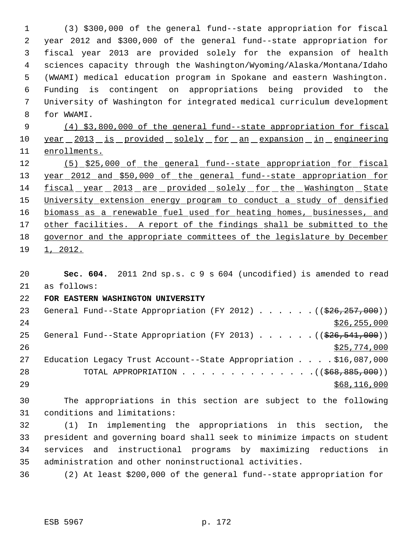(3) \$300,000 of the general fund--state appropriation for fiscal year 2012 and \$300,000 of the general fund--state appropriation for fiscal year 2013 are provided solely for the expansion of health sciences capacity through the Washington/Wyoming/Alaska/Montana/Idaho (WWAMI) medical education program in Spokane and eastern Washington. Funding is contingent on appropriations being provided to the University of Washington for integrated medical curriculum development for WWAMI.

 (4) \$3,800,000 of the general fund--state appropriation for fiscal 10 year 2013 is provided solely for an expansion in engineering enrollments.

 (5) \$25,000 of the general fund--state appropriation for fiscal year 2012 and \$50,000 of the general fund--state appropriation for 14 fiscal year 2013 are provided solely for the Washington State University extension energy program to conduct a study of densified 16 biomass as a renewable fuel used for heating homes, businesses, and 17 other facilities. A report of the findings shall be submitted to the governor and the appropriate committees of the legislature by December 1, 2012.

 **Sec. 604.** 2011 2nd sp.s. c 9 s 604 (uncodified) is amended to read as follows:

## **FOR EASTERN WASHINGTON UNIVERSITY**

23 General Fund--State Appropriation (FY 2012) . . . . . . ((\$26,257,000)) \$26,255,000 25 General Fund--State Appropriation (FY 2013) . . . . . . ((\$26,541,000)) 26 \$25,774,000 Education Legacy Trust Account--State Appropriation . . . . \$16,087,000 28 TOTAL APPROPRIATION . . . . . . . . . . . . . ((<del>\$68,885,000</del>)) \$68,116,000

 The appropriations in this section are subject to the following conditions and limitations:

 (1) In implementing the appropriations in this section, the president and governing board shall seek to minimize impacts on student services and instructional programs by maximizing reductions in administration and other noninstructional activities.

(2) At least \$200,000 of the general fund--state appropriation for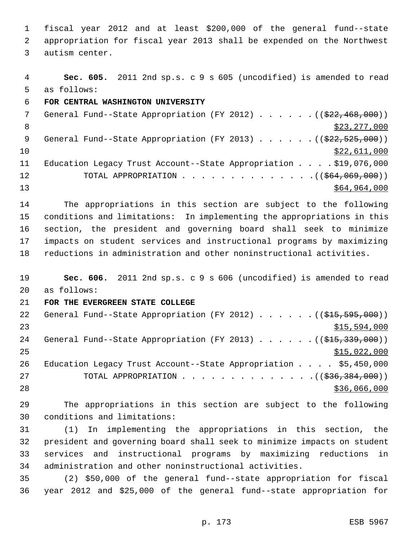fiscal year 2012 and at least \$200,000 of the general fund--state appropriation for fiscal year 2013 shall be expended on the Northwest autism center.

 **Sec. 605.** 2011 2nd sp.s. c 9 s 605 (uncodified) is amended to read as follows:

**FOR CENTRAL WASHINGTON UNIVERSITY**

7 General Fund--State Appropriation (FY 2012) . . . . . . ((\$22,468,000))  $\frac{1}{223,277,000}$ 9 General Fund--State Appropriation (FY 2013) . . . . . . ((\$22,525,000))  $\frac{10}{22,611,000}$  Education Legacy Trust Account--State Appropriation . . . . \$19,076,000 12 TOTAL APPROPRIATION . . . . . . . . . . . . . . ((\$64,069,000)) \$64,964,000

 The appropriations in this section are subject to the following conditions and limitations: In implementing the appropriations in this section, the president and governing board shall seek to minimize impacts on student services and instructional programs by maximizing reductions in administration and other noninstructional activities.

 **Sec. 606.** 2011 2nd sp.s. c 9 s 606 (uncodified) is amended to read as follows:

**FOR THE EVERGREEN STATE COLLEGE**

22 General Fund--State Appropriation (FY 2012) . . . . . . ((\$15,595,000))  $515,594,000$ 24 General Fund--State Appropriation (FY 2013) . . . . . . ((\$15,339,000))  $\frac{$15,022,000}{9}$  Education Legacy Trust Account--State Appropriation . . . . \$5,450,000 27 TOTAL APPROPRIATION . . . . . . . . . . . . . . ((\$36,384,000)) 28 \$36,066,000

 The appropriations in this section are subject to the following conditions and limitations:

 (1) In implementing the appropriations in this section, the president and governing board shall seek to minimize impacts on student services and instructional programs by maximizing reductions in administration and other noninstructional activities.

 (2) \$50,000 of the general fund--state appropriation for fiscal year 2012 and \$25,000 of the general fund--state appropriation for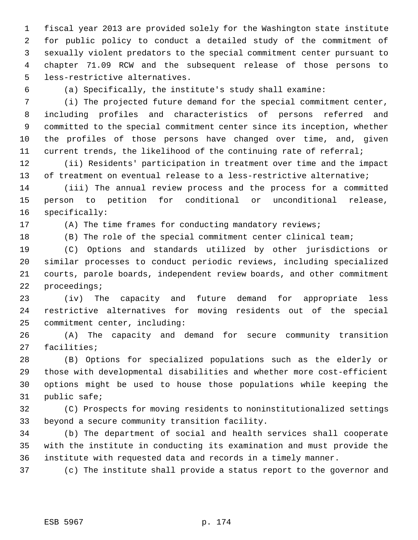fiscal year 2013 are provided solely for the Washington state institute for public policy to conduct a detailed study of the commitment of sexually violent predators to the special commitment center pursuant to chapter 71.09 RCW and the subsequent release of those persons to less-restrictive alternatives.

(a) Specifically, the institute's study shall examine:

 (i) The projected future demand for the special commitment center, including profiles and characteristics of persons referred and committed to the special commitment center since its inception, whether the profiles of those persons have changed over time, and, given current trends, the likelihood of the continuing rate of referral;

 (ii) Residents' participation in treatment over time and the impact of treatment on eventual release to a less-restrictive alternative;

 (iii) The annual review process and the process for a committed person to petition for conditional or unconditional release, specifically:

(A) The time frames for conducting mandatory reviews;

(B) The role of the special commitment center clinical team;

 (C) Options and standards utilized by other jurisdictions or similar processes to conduct periodic reviews, including specialized courts, parole boards, independent review boards, and other commitment proceedings;

 (iv) The capacity and future demand for appropriate less restrictive alternatives for moving residents out of the special commitment center, including:

 (A) The capacity and demand for secure community transition facilities;

 (B) Options for specialized populations such as the elderly or those with developmental disabilities and whether more cost-efficient options might be used to house those populations while keeping the public safe;

 (C) Prospects for moving residents to noninstitutionalized settings beyond a secure community transition facility.

 (b) The department of social and health services shall cooperate with the institute in conducting its examination and must provide the institute with requested data and records in a timely manner.

(c) The institute shall provide a status report to the governor and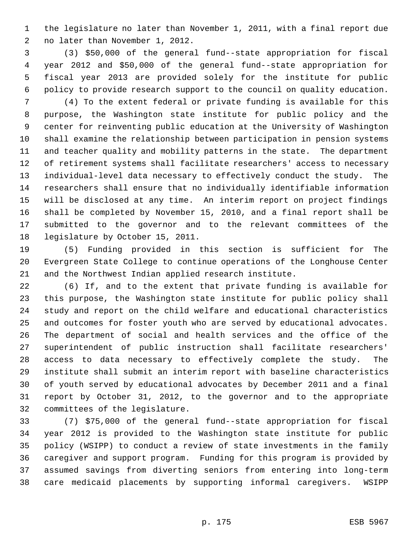the legislature no later than November 1, 2011, with a final report due no later than November 1, 2012.

 (3) \$50,000 of the general fund--state appropriation for fiscal year 2012 and \$50,000 of the general fund--state appropriation for fiscal year 2013 are provided solely for the institute for public policy to provide research support to the council on quality education.

 (4) To the extent federal or private funding is available for this purpose, the Washington state institute for public policy and the center for reinventing public education at the University of Washington shall examine the relationship between participation in pension systems and teacher quality and mobility patterns in the state. The department of retirement systems shall facilitate researchers' access to necessary individual-level data necessary to effectively conduct the study. The researchers shall ensure that no individually identifiable information will be disclosed at any time. An interim report on project findings shall be completed by November 15, 2010, and a final report shall be submitted to the governor and to the relevant committees of the legislature by October 15, 2011.

 (5) Funding provided in this section is sufficient for The Evergreen State College to continue operations of the Longhouse Center and the Northwest Indian applied research institute.

 (6) If, and to the extent that private funding is available for this purpose, the Washington state institute for public policy shall study and report on the child welfare and educational characteristics and outcomes for foster youth who are served by educational advocates. The department of social and health services and the office of the superintendent of public instruction shall facilitate researchers' access to data necessary to effectively complete the study. The institute shall submit an interim report with baseline characteristics of youth served by educational advocates by December 2011 and a final report by October 31, 2012, to the governor and to the appropriate committees of the legislature.

 (7) \$75,000 of the general fund--state appropriation for fiscal year 2012 is provided to the Washington state institute for public policy (WSIPP) to conduct a review of state investments in the family caregiver and support program. Funding for this program is provided by assumed savings from diverting seniors from entering into long-term care medicaid placements by supporting informal caregivers. WSIPP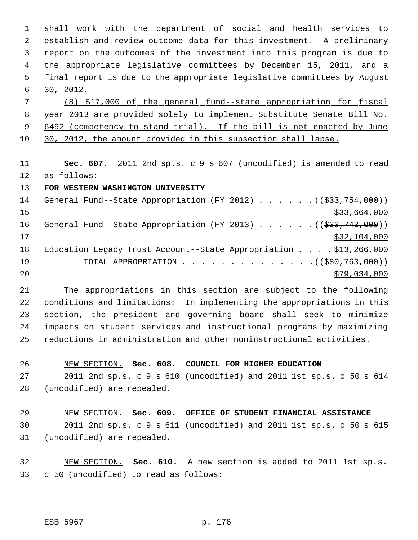shall work with the department of social and health services to establish and review outcome data for this investment. A preliminary report on the outcomes of the investment into this program is due to the appropriate legislative committees by December 15, 2011, and a final report is due to the appropriate legislative committees by August 30, 2012.

 (8) \$17,000 of the general fund--state appropriation for fiscal year 2013 are provided solely to implement Substitute Senate Bill No. 9 6492 (competency to stand trial). If the bill is not enacted by June 30, 2012, the amount provided in this subsection shall lapse.

 **Sec. 607.** 2011 2nd sp.s. c 9 s 607 (uncodified) is amended to read as follows:

### **FOR WESTERN WASHINGTON UNIVERSITY**

14 General Fund--State Appropriation (FY 2012) . . . . . . ((\$33,754,000)) \$33,664,000 \$33,664,000 16 General Fund--State Appropriation (FY 2013) . . . . . . ((\$33,743,000)) \$32,104,000 Education Legacy Trust Account--State Appropriation . . . . \$13,266,000 19 TOTAL APPROPRIATION . . . . . . . . . . . . . . ((\$80,763,000)) \$79,034,000

 The appropriations in this section are subject to the following conditions and limitations: In implementing the appropriations in this section, the president and governing board shall seek to minimize impacts on student services and instructional programs by maximizing reductions in administration and other noninstructional activities.

 NEW SECTION. **Sec. 608. COUNCIL FOR HIGHER EDUCATION** 2011 2nd sp.s. c 9 s 610 (uncodified) and 2011 1st sp.s. c 50 s 614 (uncodified) are repealed.

 NEW SECTION. **Sec. 609. OFFICE OF STUDENT FINANCIAL ASSISTANCE** 2011 2nd sp.s. c 9 s 611 (uncodified) and 2011 1st sp.s. c 50 s 615 (uncodified) are repealed.

 NEW SECTION. **Sec. 610.** A new section is added to 2011 1st sp.s. c 50 (uncodified) to read as follows: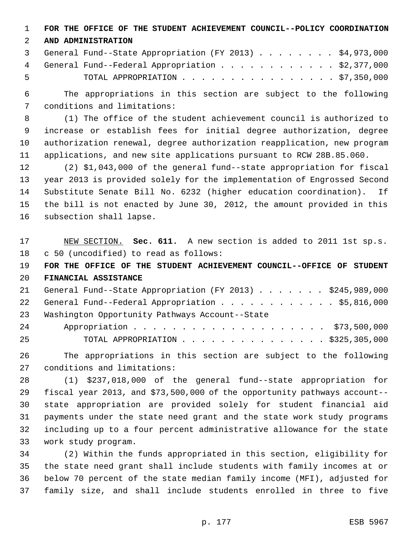**FOR THE OFFICE OF THE STUDENT ACHIEVEMENT COUNCIL--POLICY COORDINATION**

### **AND ADMINISTRATION**

|      | 3 General Fund--State Appropriation (FY 2013) \$4,973,000 |  |
|------|-----------------------------------------------------------|--|
|      | 4 General Fund--Federal Appropriation \$2,377,000         |  |
| $-5$ | TOTAL APPROPRIATION $\ldots$ \$7,350,000                  |  |

 The appropriations in this section are subject to the following conditions and limitations:

 (1) The office of the student achievement council is authorized to increase or establish fees for initial degree authorization, degree authorization renewal, degree authorization reapplication, new program applications, and new site applications pursuant to RCW 28B.85.060.

 (2) \$1,043,000 of the general fund--state appropriation for fiscal year 2013 is provided solely for the implementation of Engrossed Second Substitute Senate Bill No. 6232 (higher education coordination). If the bill is not enacted by June 30, 2012, the amount provided in this subsection shall lapse.

 NEW SECTION. **Sec. 611.** A new section is added to 2011 1st sp.s. c 50 (uncodified) to read as follows:

 **FOR THE OFFICE OF THE STUDENT ACHIEVEMENT COUNCIL--OFFICE OF STUDENT FINANCIAL ASSISTANCE**

| 21 General Fund--State Appropriation (FY 2013) \$245,989,000 |
|--------------------------------------------------------------|
| 22 General Fund--Federal Appropriation \$5,816,000           |
| 23 Washington Opportunity Pathways Account--State            |

|    | 24 Appropriation \$73,500,000     |  |  |  |  |  |  |  |  |
|----|-----------------------------------|--|--|--|--|--|--|--|--|
| 25 | TOTAL APPROPRIATION \$325,305,000 |  |  |  |  |  |  |  |  |

 The appropriations in this section are subject to the following conditions and limitations:

 (1) \$237,018,000 of the general fund--state appropriation for fiscal year 2013, and \$73,500,000 of the opportunity pathways account-- state appropriation are provided solely for student financial aid payments under the state need grant and the state work study programs including up to a four percent administrative allowance for the state work study program.

 (2) Within the funds appropriated in this section, eligibility for the state need grant shall include students with family incomes at or below 70 percent of the state median family income (MFI), adjusted for family size, and shall include students enrolled in three to five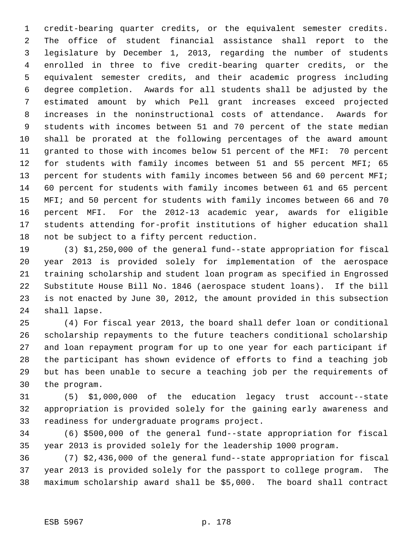credit-bearing quarter credits, or the equivalent semester credits. The office of student financial assistance shall report to the legislature by December 1, 2013, regarding the number of students enrolled in three to five credit-bearing quarter credits, or the equivalent semester credits, and their academic progress including degree completion. Awards for all students shall be adjusted by the estimated amount by which Pell grant increases exceed projected increases in the noninstructional costs of attendance. Awards for students with incomes between 51 and 70 percent of the state median shall be prorated at the following percentages of the award amount granted to those with incomes below 51 percent of the MFI: 70 percent for students with family incomes between 51 and 55 percent MFI; 65 13 percent for students with family incomes between 56 and 60 percent MFI; 60 percent for students with family incomes between 61 and 65 percent MFI; and 50 percent for students with family incomes between 66 and 70 percent MFI. For the 2012-13 academic year, awards for eligible students attending for-profit institutions of higher education shall not be subject to a fifty percent reduction.

 (3) \$1,250,000 of the general fund--state appropriation for fiscal year 2013 is provided solely for implementation of the aerospace training scholarship and student loan program as specified in Engrossed Substitute House Bill No. 1846 (aerospace student loans). If the bill is not enacted by June 30, 2012, the amount provided in this subsection shall lapse.

 (4) For fiscal year 2013, the board shall defer loan or conditional scholarship repayments to the future teachers conditional scholarship and loan repayment program for up to one year for each participant if the participant has shown evidence of efforts to find a teaching job but has been unable to secure a teaching job per the requirements of the program.

 (5) \$1,000,000 of the education legacy trust account--state appropriation is provided solely for the gaining early awareness and readiness for undergraduate programs project.

 (6) \$500,000 of the general fund--state appropriation for fiscal year 2013 is provided solely for the leadership 1000 program.

 (7) \$2,436,000 of the general fund--state appropriation for fiscal year 2013 is provided solely for the passport to college program. The maximum scholarship award shall be \$5,000. The board shall contract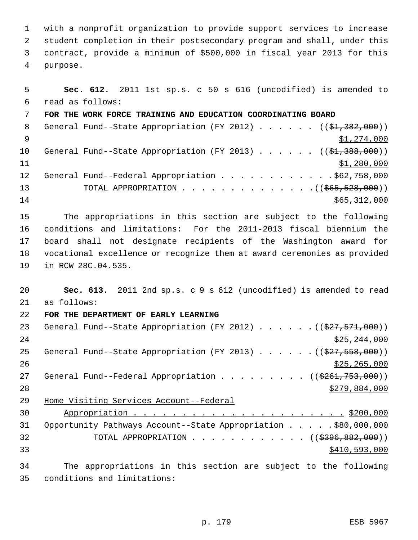with a nonprofit organization to provide support services to increase student completion in their postsecondary program and shall, under this contract, provide a minimum of \$500,000 in fiscal year 2013 for this purpose.

 **Sec. 612.** 2011 1st sp.s. c 50 s 616 (uncodified) is amended to read as follows: **FOR THE WORK FORCE TRAINING AND EDUCATION COORDINATING BOARD** 8 General Fund--State Appropriation (FY 2012) . . . . . . ((\$1,382,000))  $\frac{1}{2}$   $\frac{1}{274}$ ,000 10 General Fund--State Appropriation (FY 2013) . . . . . ((\$1,388,000))  $\frac{$1,280,000}{1}$ 12 General Fund--Federal Appropriation . . . . . . . . . . . . \$62,758,000 13 TOTAL APPROPRIATION . . . . . . . . . . . . . . ((<del>\$65,528,000</del>)) \$65,312,000 The appropriations in this section are subject to the following conditions and limitations: For the 2011-2013 fiscal biennium the board shall not designate recipients of the Washington award for vocational excellence or recognize them at award ceremonies as provided in RCW 28C.04.535. **Sec. 613.** 2011 2nd sp.s. c 9 s 612 (uncodified) is amended to read as follows: **FOR THE DEPARTMENT OF EARLY LEARNING** 23 General Fund--State Appropriation (FY 2012) . . . . . . ((\$27,571,000)) \$25,244,000 25 General Fund--State Appropriation (FY 2013) . . . . . . ((\$27,558,000)) \$25,265,000 27 General Fund--Federal Appropriation . . . . . . . . ((\$261,753,000))  $279,884,000$  Home Visiting Services Account--Federal Appropriation . . . . . . . . . . . . . . . . . . . . . . \$200,000 Opportunity Pathways Account--State Appropriation . . . . . \$80,000,000 32 TOTAL APPROPRIATION . . . . . . . . . . . ((\$396,882,000)) \$410,593,000 The appropriations in this section are subject to the following

conditions and limitations: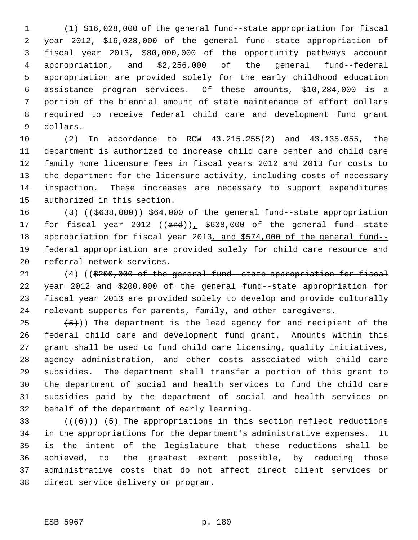(1) \$16,028,000 of the general fund--state appropriation for fiscal year 2012, \$16,028,000 of the general fund--state appropriation of fiscal year 2013, \$80,000,000 of the opportunity pathways account appropriation, and \$2,256,000 of the general fund--federal appropriation are provided solely for the early childhood education assistance program services. Of these amounts, \$10,284,000 is a portion of the biennial amount of state maintenance of effort dollars required to receive federal child care and development fund grant dollars.

 (2) In accordance to RCW 43.215.255(2) and 43.135.055, the department is authorized to increase child care center and child care family home licensure fees in fiscal years 2012 and 2013 for costs to the department for the licensure activity, including costs of necessary inspection. These increases are necessary to support expenditures authorized in this section.

16 (3) ((\$638,000)) \$64,000 of the general fund--state appropriation 17 for fiscal year 2012  $((and))_1$  \$638,000 of the general fund--state 18 appropriation for fiscal year 2013, and \$574,000 of the general fund--19 federal appropriation are provided solely for child care resource and referral network services.

 $(4)$  ((\$200,000 of the general fund -state appropriation for fiscal 22 year-2012-and-\$200,000 of-the-general-fund--state appropriation-for fiscal year 2013 are provided solely to develop and provide culturally 24 relevant supports for parents, family, and other caregivers.

 $(5)$ )) The department is the lead agency for and recipient of the federal child care and development fund grant. Amounts within this grant shall be used to fund child care licensing, quality initiatives, agency administration, and other costs associated with child care subsidies. The department shall transfer a portion of this grant to the department of social and health services to fund the child care subsidies paid by the department of social and health services on behalf of the department of early learning.

 $((+6))$  (5) The appropriations in this section reflect reductions in the appropriations for the department's administrative expenses. It is the intent of the legislature that these reductions shall be achieved, to the greatest extent possible, by reducing those administrative costs that do not affect direct client services or direct service delivery or program.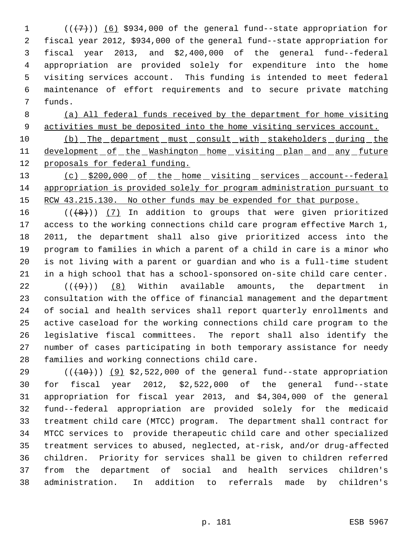$((\langle 7\rangle))$  (6) \$934,000 of the general fund--state appropriation for fiscal year 2012, \$934,000 of the general fund--state appropriation for fiscal year 2013, and \$2,400,000 of the general fund--federal appropriation are provided solely for expenditure into the home visiting services account. This funding is intended to meet federal maintenance of effort requirements and to secure private matching funds.

 (a) All federal funds received by the department for home visiting activities must be deposited into the home visiting services account.

10 (b) The department must consult with stakeholders during the 11 development of the Washington home visiting plan and any future proposals for federal funding.

13 (c) \$200,000 of the home visiting services account--federal appropriation is provided solely for program administration pursuant to 15 RCW 43.215.130. No other funds may be expended for that purpose.

 $((+8))$   $(7)$  In addition to groups that were given prioritized access to the working connections child care program effective March 1, 2011, the department shall also give prioritized access into the program to families in which a parent of a child in care is a minor who is not living with a parent or guardian and who is a full-time student in a high school that has a school-sponsored on-site child care center.

 $((+9))$  (8) Within available amounts, the department in consultation with the office of financial management and the department of social and health services shall report quarterly enrollments and active caseload for the working connections child care program to the legislative fiscal committees. The report shall also identify the number of cases participating in both temporary assistance for needy families and working connections child care.

 $((+10))$  (9) \$2,522,000 of the general fund--state appropriation for fiscal year 2012, \$2,522,000 of the general fund--state appropriation for fiscal year 2013, and \$4,304,000 of the general fund--federal appropriation are provided solely for the medicaid treatment child care (MTCC) program. The department shall contract for MTCC services to provide therapeutic child care and other specialized treatment services to abused, neglected, at-risk, and/or drug-affected children. Priority for services shall be given to children referred from the department of social and health services children's administration. In addition to referrals made by children's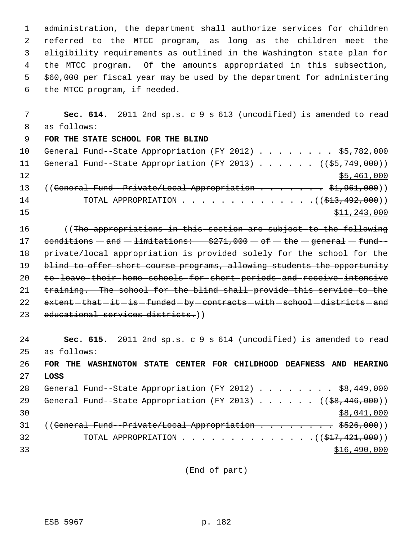administration, the department shall authorize services for children referred to the MTCC program, as long as the children meet the eligibility requirements as outlined in the Washington state plan for the MTCC program. Of the amounts appropriated in this subsection, \$60,000 per fiscal year may be used by the department for administering the MTCC program, if needed.

 7 **Sec. 614.** 2011 2nd sp.s. c 9 s 613 (uncodified) is amended to read 8 as follows: 9 **FOR THE STATE SCHOOL FOR THE BLIND** 10 General Fund--State Appropriation (FY 2012) . . . . . . . . \$5,782,000 11 General Fund--State Appropriation (FY 2013) . . . . . ((\$5,749,000)) 12 \$5,461,000 13 ((General Fund-Private/Local Appropriation . . . . . . \$1,961,000)) 14 TOTAL APPROPRIATION . . . . . . . . . . . . . . ((\$<del>13,492,000</del>))  $\frac{15}{15}$   $\frac{11}{243,000}$ 

16 (The appropriations in this section are subject to the following 17 conditions  $-$  and  $-$  limitations:  $$271,000 - of - the - general - fund-$ 18 private/local appropriation is provided solely for the school for the 19 blind to offer short course programs, allowing students the opportunity 20 to leave their home schools for short periods and receive intensive 21 training. The school for the blind shall provide this service to the 22 extent - that -it -is -funded -by - contracts - with - school - districts - and 23 educational services districts.))

24 **Sec. 615.** 2011 2nd sp.s. c 9 s 614 (uncodified) is amended to read 25 as follows: 26 **FOR THE WASHINGTON STATE CENTER FOR CHILDHOOD DEAFNESS AND HEARING** 27 **LOSS** 28 General Fund--State Appropriation (FY 2012) . . . . . . . . \$8,449,000 29 General Fund--State Appropriation (FY 2013) . . . . . . ((\$8,446,000))  $30$  \$8,041,000 31 ((General Fund-Private/Local Appropriation . . . . . . . \$526,000)) 32 TOTAL APPROPRIATION . . . . . . . . . . . . . . ((\$17,421,000)) 33 \$16,490,000

(End of part)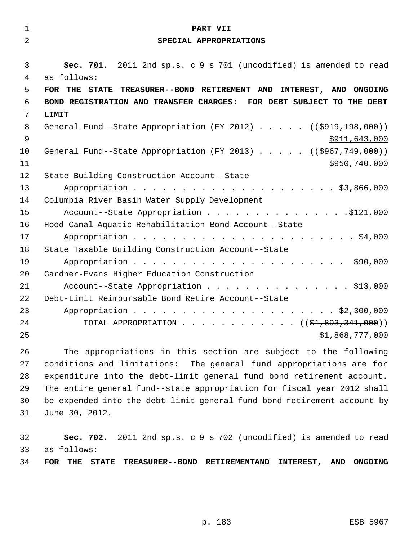| $\mathbf 1$    | PART VII                                                                          |
|----------------|-----------------------------------------------------------------------------------|
| $\overline{2}$ | SPECIAL APPROPRIATIONS                                                            |
|                |                                                                                   |
| 3              | Sec. 701. 2011 2nd sp.s. c 9 s 701 (uncodified) is amended to read                |
| 4              | as follows:                                                                       |
| 5              | FOR THE STATE TREASURER--BOND RETIREMENT AND INTEREST, AND ONGOING                |
| 6              | BOND REGISTRATION AND TRANSFER CHARGES: FOR DEBT SUBJECT TO THE DEBT              |
| 7              | LIMIT                                                                             |
| 8              | General Fund--State Appropriation (FY 2012) $($ $($ \$919,198,000))               |
| 9              | \$911,643,000                                                                     |
| 10             | General Fund--State Appropriation (FY 2013) $($ $($ $\frac{1}{2967}$ , 749, 000)) |
| 11             | \$950,740,000                                                                     |
| 12             | State Building Construction Account--State                                        |
| 13             |                                                                                   |
| 14             | Columbia River Basin Water Supply Development                                     |
| 15             | Account--State Appropriation \$121,000                                            |
| 16             | Hood Canal Aquatic Rehabilitation Bond Account--State                             |
| 17             |                                                                                   |
| 18             | State Taxable Building Construction Account--State                                |
| 19             |                                                                                   |
| 20             | Gardner-Evans Higher Education Construction                                       |
| 21             | Account--State Appropriation \$13,000                                             |
| 22             | Debt-Limit Reimbursable Bond Retire Account--State                                |
| 23             |                                                                                   |
| 24             | TOTAL APPROPRIATION ( $(\frac{1}{2}, 893, 341, 000)$ )                            |
| 25             | \$1,868,777,000                                                                   |
| 26             | The appropriations in this section are subject to the following                   |
| つワ             | conditions and limitations: The general fund appropriations are fer               |

 conditions and limitations: The general fund appropriations are for expenditure into the debt-limit general fund bond retirement account. The entire general fund--state appropriation for fiscal year 2012 shall be expended into the debt-limit general fund bond retirement account by June 30, 2012.

 **Sec. 702.** 2011 2nd sp.s. c 9 s 702 (uncodified) is amended to read as follows: **FOR THE STATE TREASURER--BOND RETIREMENTAND INTEREST, AND ONGOING**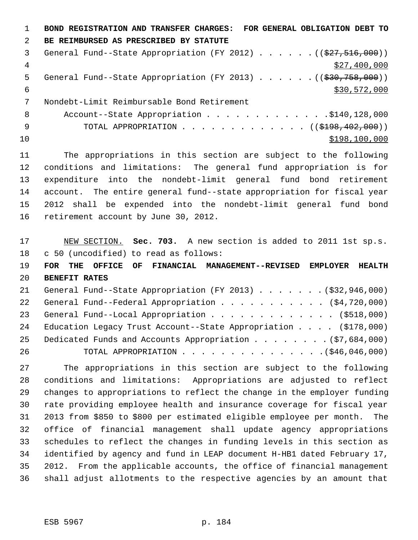**BOND REGISTRATION AND TRANSFER CHARGES: FOR GENERAL OBLIGATION DEBT TO BE REIMBURSED AS PRESCRIBED BY STATUTE**  3 General Fund--State Appropriation (FY 2012) . . . . . ((\$27,516,000))  $\frac{4}{327}$ , 400, 000 5 General Fund--State Appropriation (FY 2013) . . . . . . ((\$30,758,000))  $\frac{$30,572,000}{5}$  Nondebt-Limit Reimbursable Bond Retirement 8 Account--State Appropriation . . . . . . . . . . . . . \$140,128,000 9 TOTAL APPROPRIATION . . . . . . . . . . . . (  $(\frac{198}{198}, \frac{402}{100})$  ) \$198,100,000

 The appropriations in this section are subject to the following conditions and limitations: The general fund appropriation is for expenditure into the nondebt-limit general fund bond retirement account. The entire general fund--state appropriation for fiscal year 2012 shall be expended into the nondebt-limit general fund bond retirement account by June 30, 2012.

 NEW SECTION. **Sec. 703.** A new section is added to 2011 1st sp.s. c 50 (uncodified) to read as follows:

 **FOR THE OFFICE OF FINANCIAL MANAGEMENT--REVISED EMPLOYER HEALTH BENEFIT RATES**

|    | 21 General Fund--State Appropriation (FY 2013) (\$32,946,000)      |
|----|--------------------------------------------------------------------|
|    | 22 General Fund--Federal Appropriation (\$4,720,000)               |
|    | 23 General Fund--Local Appropriation (\$518,000)                   |
|    | 24 Education Legacy Trust Account--State Appropriation (\$178,000) |
|    | 25 Dedicated Funds and Accounts Appropriation (\$7,684,000)        |
| 26 |                                                                    |

 The appropriations in this section are subject to the following conditions and limitations: Appropriations are adjusted to reflect changes to appropriations to reflect the change in the employer funding rate providing employee health and insurance coverage for fiscal year 2013 from \$850 to \$800 per estimated eligible employee per month. The office of financial management shall update agency appropriations schedules to reflect the changes in funding levels in this section as identified by agency and fund in LEAP document H-HB1 dated February 17, 2012. From the applicable accounts, the office of financial management shall adjust allotments to the respective agencies by an amount that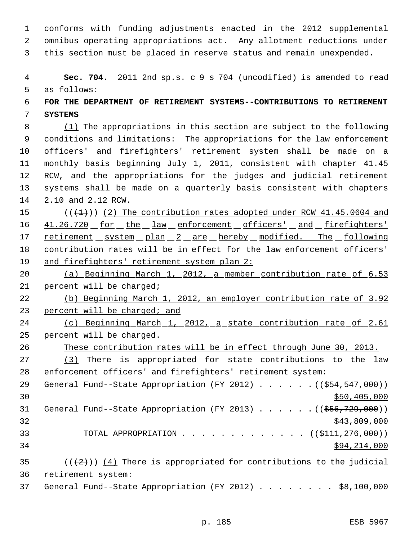conforms with funding adjustments enacted in the 2012 supplemental omnibus operating appropriations act. Any allotment reductions under this section must be placed in reserve status and remain unexpended.

 **Sec. 704.** 2011 2nd sp.s. c 9 s 704 (uncodified) is amended to read as follows:

## **FOR THE DEPARTMENT OF RETIREMENT SYSTEMS--CONTRIBUTIONS TO RETIREMENT SYSTEMS**

8 (1) The appropriations in this section are subject to the following conditions and limitations: The appropriations for the law enforcement officers' and firefighters' retirement system shall be made on a monthly basis beginning July 1, 2011, consistent with chapter 41.45 RCW, and the appropriations for the judges and judicial retirement systems shall be made on a quarterly basis consistent with chapters 2.10 and 2.12 RCW.

 $((+1))$  (2) The contribution rates adopted under RCW 41.45.0604 and 16 41.26.720 for the law enforcement officers' and firefighters' 17 retirement system plan 2 are hereby modified. The following contribution rates will be in effect for the law enforcement officers' 19 and firefighters' retirement system plan 2:

 (a) Beginning March 1, 2012, a member contribution rate of 6.53 percent will be charged;

 (b) Beginning March 1, 2012, an employer contribution rate of 3.92 23 percent will be charged; and

 (c) Beginning March 1, 2012, a state contribution rate of 2.61 percent will be charged.

These contribution rates will be in effect through June 30, 2013.

 (3) There is appropriated for state contributions to the law enforcement officers' and firefighters' retirement system:

29 General Fund--State Appropriation (FY 2012) . . . . . . ((\$54,547,000))  $\frac{1}{20}$  \$50,405,000 31 General Fund--State Appropriation (FY 2013) . . . . . . ((\$56,729,000)) \$43,809,000 33 TOTAL APPROPRIATION . . . . . . . . . . . . ((\$<del>111,276,000</del>)) \$94,214,000

35 ( $(\frac{2}{2})$ ) (4) There is appropriated for contributions to the judicial retirement system:

General Fund--State Appropriation (FY 2012) . . . . . . . . \$8,100,000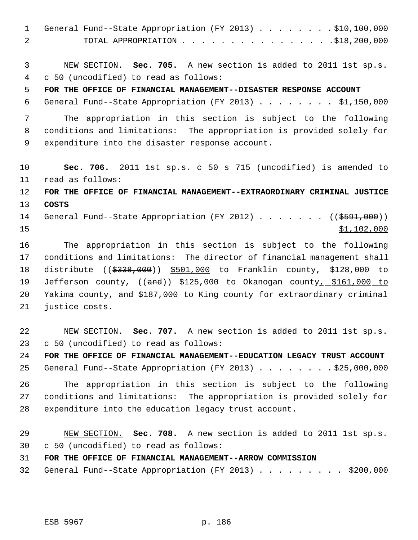| $\mathbf{1}$   | General Fund--State Appropriation (FY 2013) \$10,100,000                |
|----------------|-------------------------------------------------------------------------|
| $\overline{2}$ |                                                                         |
|                |                                                                         |
| 3              | NEW SECTION. Sec. 705. A new section is added to 2011 1st sp.s.         |
| $\overline{4}$ | c 50 (uncodified) to read as follows:                                   |
| 5              | FOR THE OFFICE OF FINANCIAL MANAGEMENT--DISASTER RESPONSE ACCOUNT       |
| 6              | General Fund--State Appropriation (FY 2013) \$1,150,000                 |
| 7              | The appropriation in this section is subject to the following           |
| 8              | conditions and limitations: The appropriation is provided solely for    |
| 9              | expenditure into the disaster response account.                         |
|                |                                                                         |
| 10             | Sec. 706. 2011 1st sp.s. c 50 s 715 (uncodified) is amended to          |
| 11             | read as follows:                                                        |
| 12             | FOR THE OFFICE OF FINANCIAL MANAGEMENT--EXTRAORDINARY CRIMINAL JUSTICE  |
| 13             | <b>COSTS</b>                                                            |
| 14             | General Fund--State Appropriation (FY 2012) ( $(\frac{2591}{100})$ )    |
| 15             | \$1,102,000                                                             |
| 16             | The appropriation in this section is subject to the following           |
| 17             | conditions and limitations: The director of financial management shall  |
| 18             | distribute $($ $(*338,000)$ $*501,000$ to Franklin county, \$128,000 to |
| 19             | Jefferson county, ((and)) \$125,000 to Okanogan county, \$161,000 to    |
| 20             | Yakima county, and \$187,000 to King county for extraordinary criminal  |
| 21             | justice costs.                                                          |
|                |                                                                         |
| 22             | NEW SECTION. Sec. 707. A new section is added to 2011 1st sp.s.         |
| 23             | c 50 (uncodified) to read as follows:                                   |
| 24             | FOR THE OFFICE OF FINANCIAL MANAGEMENT--EDUCATION LEGACY TRUST ACCOUNT  |
| 25             | General Fund--State Appropriation (FY 2013) \$25,000,000                |
| 26             | The appropriation in this section is subject to the following           |
| 27             | conditions and limitations: The appropriation is provided solely for    |
| 28             | expenditure into the education legacy trust account.                    |
|                |                                                                         |
| 29             | NEW SECTION. Sec. 708. A new section is added to 2011 1st sp.s.         |
| 30             | c 50 (uncodified) to read as follows:                                   |
| 31             | FOR THE OFFICE OF FINANCIAL MANAGEMENT--ARROW COMMISSION                |
| 32             | General Fund--State Appropriation (FY 2013) \$200,000                   |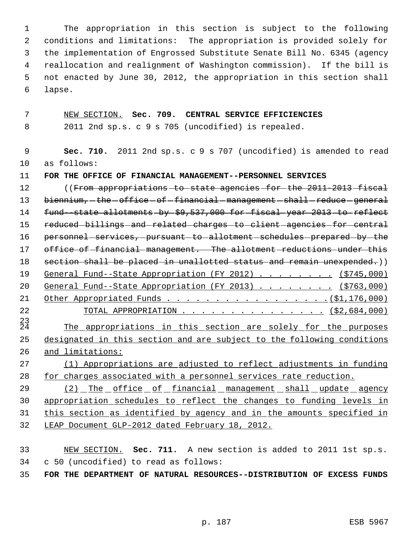The appropriation in this section is subject to the following conditions and limitations: The appropriation is provided solely for the implementation of Engrossed Substitute Senate Bill No. 6345 (agency reallocation and realignment of Washington commission). If the bill is not enacted by June 30, 2012, the appropriation in this section shall lapse.

NEW SECTION. **Sec. 709. CENTRAL SERVICE EFFICIENCIES**

2011 2nd sp.s. c 9 s 705 (uncodified) is repealed.

 **Sec. 710.** 2011 2nd sp.s. c 9 s 707 (uncodified) is amended to read as follows:

**FOR THE OFFICE OF FINANCIAL MANAGEMENT--PERSONNEL SERVICES**

12 ((From appropriations to state agencies for the 2011-2013 fiscal 13 biennium, -the -office -of -financial -management -shall -reduce -general 14 fund--state allotments by \$9,537,000 for fiscal year 2013 to reflect 15 reduced-billings-and-related-charges-to-client-agencies-for-central 16 personnel-services, pursuant-to-allotment-schedules-prepared-by-the 17 office of financial management. The allotment reductions under this 18 section shall be placed in unallotted status and remain unexpended.)) 19 General Fund--State Appropriation (FY 2012) . . . . . . . (\$745,000) 20 General Fund--State Appropriation (FY 2013) . . . . . . . (\$763,000) Other Appropriated Funds . . . . . . . . . . . . . . . . .(\$1,176,000) 22 TOTAL APPROPRIATION . . . . . . . . . . . . . . . (\$2,684,000)  $^{23}_{24}$ The appropriations in this section are solely for the purposes designated in this section and are subject to the following conditions and limitations: (1) Appropriations are adjusted to reflect adjustments in funding for charges associated with a personnel services rate reduction. 29 (2) The office of financial management shall update agency

 appropriation schedules to reflect the changes to funding levels in this section as identified by agency and in the amounts specified in LEAP Document GLP-2012 dated February 18, 2012.

 NEW SECTION. **Sec. 711.** A new section is added to 2011 1st sp.s. c 50 (uncodified) to read as follows:

**FOR THE DEPARTMENT OF NATURAL RESOURCES--DISTRIBUTION OF EXCESS FUNDS**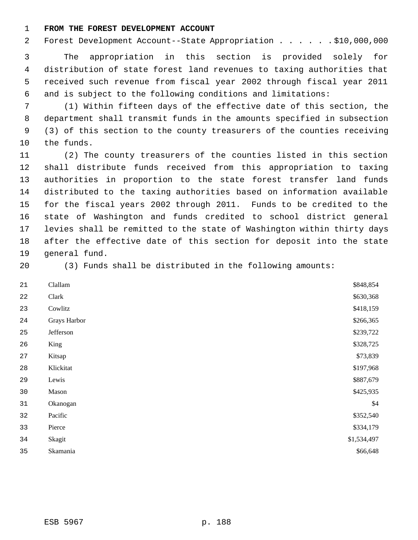#### **FROM THE FOREST DEVELOPMENT ACCOUNT**

2 Forest Development Account--State Appropriation . . . . . . \$10,000,000

 The appropriation in this section is provided solely for distribution of state forest land revenues to taxing authorities that received such revenue from fiscal year 2002 through fiscal year 2011 and is subject to the following conditions and limitations:

 (1) Within fifteen days of the effective date of this section, the department shall transmit funds in the amounts specified in subsection (3) of this section to the county treasurers of the counties receiving the funds.

 (2) The county treasurers of the counties listed in this section shall distribute funds received from this appropriation to taxing authorities in proportion to the state forest transfer land funds distributed to the taxing authorities based on information available for the fiscal years 2002 through 2011. Funds to be credited to the state of Washington and funds credited to school district general levies shall be remitted to the state of Washington within thirty days after the effective date of this section for deposit into the state general fund.

(3) Funds shall be distributed in the following amounts:

| Clallam      | \$848,854   |
|--------------|-------------|
| Clark        | \$630,368   |
| Cowlitz      | \$418,159   |
| Grays Harbor | \$266,365   |
| Jefferson    | \$239,722   |
| King         | \$328,725   |
| Kitsap       | \$73,839    |
| Klickitat    | \$197,968   |
| Lewis        | \$887,679   |
| Mason        | \$425,935   |
| Okanogan     | \$4         |
| Pacific      | \$352,540   |
| Pierce       | \$334,179   |
| Skagit       | \$1,534,497 |
| Skamania     | \$66,648    |
|              |             |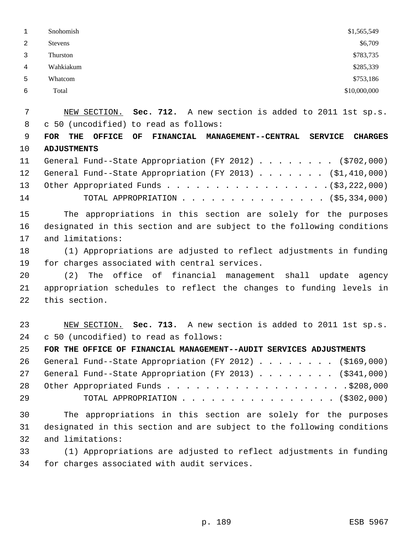|   | Snohomish      | \$1,565,549  |
|---|----------------|--------------|
| 2 | <b>Stevens</b> | \$6,709      |
|   | Thurston       | \$783,735    |
| 4 | Wahkiakum      | \$285,339    |
| 5 | Whatcom        | \$753,186    |
| 6 | Total          | \$10,000,000 |
|   |                |              |

 NEW SECTION. **Sec. 712.** A new section is added to 2011 1st sp.s. c 50 (uncodified) to read as follows:

 **FOR THE OFFICE OF FINANCIAL MANAGEMENT--CENTRAL SERVICE CHARGES ADJUSTMENTS**

|    | 11 General Fund--State Appropriation (FY 2012) (\$702,000)   |
|----|--------------------------------------------------------------|
|    | 12 General Fund--State Appropriation (FY 2013) (\$1,410,000) |
|    |                                                              |
| 14 |                                                              |

 The appropriations in this section are solely for the purposes designated in this section and are subject to the following conditions and limitations:

 (1) Appropriations are adjusted to reflect adjustments in funding for charges associated with central services.

 (2) The office of financial management shall update agency appropriation schedules to reflect the changes to funding levels in this section.

 NEW SECTION. **Sec. 713.** A new section is added to 2011 1st sp.s. c 50 (uncodified) to read as follows:

**FOR THE OFFICE OF FINANCIAL MANAGEMENT--AUDIT SERVICES ADJUSTMENTS**

|    | 26 General Fund--State Appropriation (FY 2012) (\$169,000) |
|----|------------------------------------------------------------|
|    | 27 General Fund--State Appropriation (FY 2013) (\$341,000) |
|    |                                                            |
| 29 | TOTAL APPROPRIATION (\$302,000)                            |

 The appropriations in this section are solely for the purposes designated in this section and are subject to the following conditions and limitations:

 (1) Appropriations are adjusted to reflect adjustments in funding for charges associated with audit services.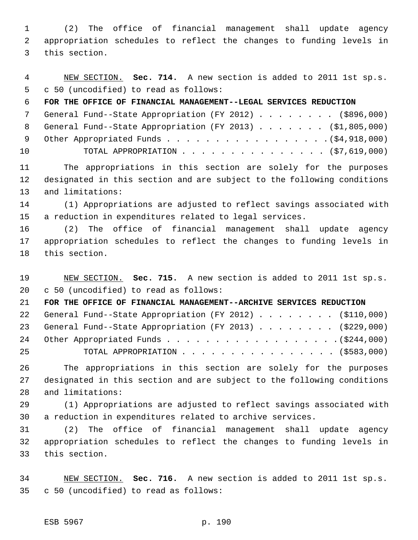(2) The office of financial management shall update agency appropriation schedules to reflect the changes to funding levels in this section.

 NEW SECTION. **Sec. 714.** A new section is added to 2011 1st sp.s. c 50 (uncodified) to read as follows:

**FOR THE OFFICE OF FINANCIAL MANAGEMENT--LEGAL SERVICES REDUCTION**

|    | 7 General Fund--State Appropriation (FY 2012) (\$896,000)   |
|----|-------------------------------------------------------------|
|    | 8 General Fund--State Appropriation (FY 2013) (\$1,805,000) |
|    |                                                             |
| 10 | TOTAL APPROPRIATION $(57,619,000)$                          |

 The appropriations in this section are solely for the purposes designated in this section and are subject to the following conditions and limitations:

 (1) Appropriations are adjusted to reflect savings associated with a reduction in expenditures related to legal services.

 (2) The office of financial management shall update agency appropriation schedules to reflect the changes to funding levels in this section.

 NEW SECTION. **Sec. 715.** A new section is added to 2011 1st sp.s. c 50 (uncodified) to read as follows:

**FOR THE OFFICE OF FINANCIAL MANAGEMENT--ARCHIVE SERVICES REDUCTION**

|    | 22 General Fund--State Appropriation (FY 2012) (\$110,000) |
|----|------------------------------------------------------------|
|    | 23 General Fund--State Appropriation (FY 2013) (\$229,000) |
|    |                                                            |
| 25 | TOTAL APPROPRIATION (\$583,000)                            |

 The appropriations in this section are solely for the purposes designated in this section and are subject to the following conditions and limitations:

 (1) Appropriations are adjusted to reflect savings associated with a reduction in expenditures related to archive services.

 (2) The office of financial management shall update agency appropriation schedules to reflect the changes to funding levels in this section.

 NEW SECTION. **Sec. 716.** A new section is added to 2011 1st sp.s. c 50 (uncodified) to read as follows: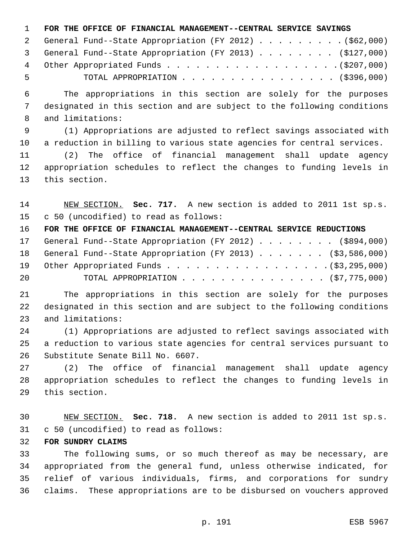#### **FOR THE OFFICE OF FINANCIAL MANAGEMENT--CENTRAL SERVICE SAVINGS**

|     | 2 General Fund--State Appropriation (FY 2012) (\$62,000)  |
|-----|-----------------------------------------------------------|
|     | 3 General Fund--State Appropriation (FY 2013) (\$127,000) |
|     |                                                           |
| - 5 | TOTAL APPROPRIATION (\$396,000)                           |

 The appropriations in this section are solely for the purposes designated in this section and are subject to the following conditions and limitations:

 (1) Appropriations are adjusted to reflect savings associated with a reduction in billing to various state agencies for central services.

 (2) The office of financial management shall update agency appropriation schedules to reflect the changes to funding levels in this section.

 NEW SECTION. **Sec. 717.** A new section is added to 2011 1st sp.s. c 50 (uncodified) to read as follows:

 **FOR THE OFFICE OF FINANCIAL MANAGEMENT--CENTRAL SERVICE REDUCTIONS** 17 General Fund--State Appropriation (FY 2012) . . . . . . . (\$894,000) General Fund--State Appropriation (FY 2013) . . . . . . . (\$3,586,000) 19 Other Appropriated Funds . . . . . . . . . . . . . . . . . (\$3,295,000) TOTAL APPROPRIATION . . . . . . . . . . . . . . . (\$7,775,000)

 The appropriations in this section are solely for the purposes designated in this section and are subject to the following conditions and limitations:

 (1) Appropriations are adjusted to reflect savings associated with a reduction to various state agencies for central services pursuant to Substitute Senate Bill No. 6607.

 (2) The office of financial management shall update agency appropriation schedules to reflect the changes to funding levels in this section.

 NEW SECTION. **Sec. 718.** A new section is added to 2011 1st sp.s. c 50 (uncodified) to read as follows:

#### **FOR SUNDRY CLAIMS**

 The following sums, or so much thereof as may be necessary, are appropriated from the general fund, unless otherwise indicated, for relief of various individuals, firms, and corporations for sundry claims. These appropriations are to be disbursed on vouchers approved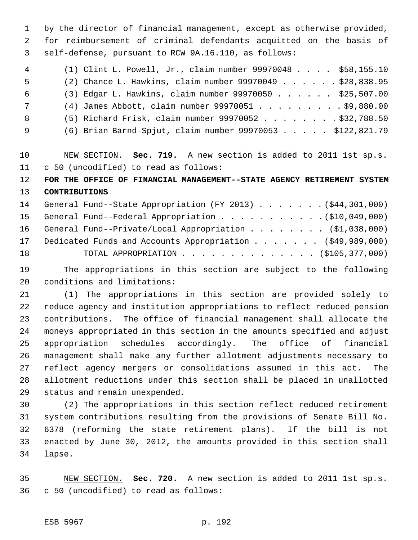by the director of financial management, except as otherwise provided, for reimbursement of criminal defendants acquitted on the basis of self-defense, pursuant to RCW 9A.16.110, as follows:

| 4               | (1) Clint L. Powell, Jr., claim number $99970048$ \$58,155.10 |  |
|-----------------|---------------------------------------------------------------|--|
| -5              | (2) Chance L. Hawkins, claim number 99970049 \$28,838.95      |  |
| - 6             | (3) Edgar L. Hawkins, claim number 99970050 \$25,507.00       |  |
| $7\overline{ }$ | $(4)$ James Abbott, claim number 99970051 \$9,880.00          |  |
| - 8             | $(5)$ Richard Frisk, claim number 99970052 \$32,788.50        |  |
| - 9             | (6) Brian Barnd-Spjut, claim number 99970053 \$122,821.79     |  |

 NEW SECTION. **Sec. 719.** A new section is added to 2011 1st sp.s. c 50 (uncodified) to read as follows:

 **FOR THE OFFICE OF FINANCIAL MANAGEMENT--STATE AGENCY RETIREMENT SYSTEM CONTRIBUTIONS**

|    | 14 General Fund--State Appropriation (FY 2013) (\$44,301,000) |  |
|----|---------------------------------------------------------------|--|
|    |                                                               |  |
|    | 16 General Fund--Private/Local Appropriation (\$1,038,000)    |  |
|    | 17 Dedicated Funds and Accounts Appropriation (\$49,989,000)  |  |
| 18 |                                                               |  |

 The appropriations in this section are subject to the following conditions and limitations:

 (1) The appropriations in this section are provided solely to reduce agency and institution appropriations to reflect reduced pension contributions. The office of financial management shall allocate the moneys appropriated in this section in the amounts specified and adjust appropriation schedules accordingly. The office of financial management shall make any further allotment adjustments necessary to reflect agency mergers or consolidations assumed in this act. The allotment reductions under this section shall be placed in unallotted status and remain unexpended.

 (2) The appropriations in this section reflect reduced retirement system contributions resulting from the provisions of Senate Bill No. 6378 (reforming the state retirement plans). If the bill is not enacted by June 30, 2012, the amounts provided in this section shall lapse.

 NEW SECTION. **Sec. 720.** A new section is added to 2011 1st sp.s. c 50 (uncodified) to read as follows: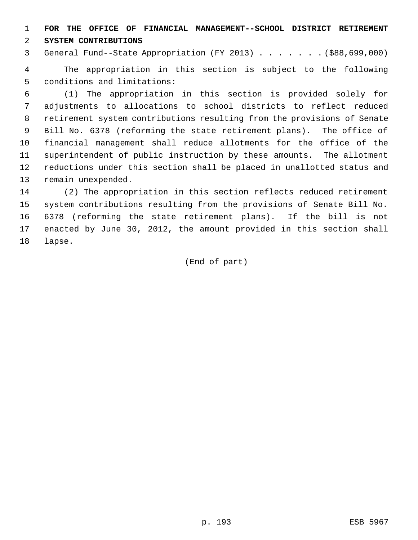**FOR THE OFFICE OF FINANCIAL MANAGEMENT--SCHOOL DISTRICT RETIREMENT**

**SYSTEM CONTRIBUTIONS**

General Fund--State Appropriation (FY 2013) . . . . . . . (\$88,699,000)

 The appropriation in this section is subject to the following conditions and limitations:

 (1) The appropriation in this section is provided solely for adjustments to allocations to school districts to reflect reduced retirement system contributions resulting from the provisions of Senate Bill No. 6378 (reforming the state retirement plans). The office of financial management shall reduce allotments for the office of the superintendent of public instruction by these amounts. The allotment reductions under this section shall be placed in unallotted status and remain unexpended.

 (2) The appropriation in this section reflects reduced retirement system contributions resulting from the provisions of Senate Bill No. 6378 (reforming the state retirement plans). If the bill is not enacted by June 30, 2012, the amount provided in this section shall lapse.

(End of part)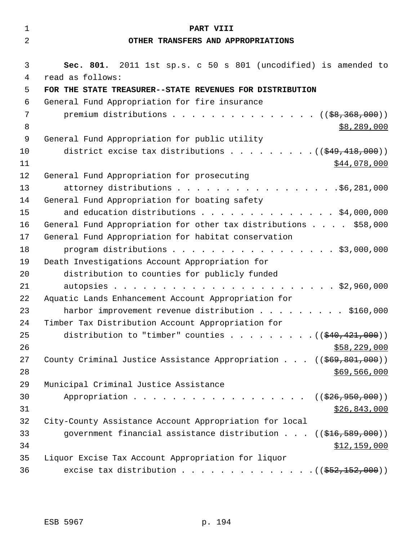| $\mathbf 1$ | PART VIII                                                                         |
|-------------|-----------------------------------------------------------------------------------|
| 2           | OTHER TRANSFERS AND APPROPRIATIONS                                                |
|             |                                                                                   |
| 3           | Sec. 801. 2011 1st sp.s. c 50 s 801 (uncodified) is amended to                    |
| 4           | read as follows:                                                                  |
| 5           | FOR THE STATE TREASURER--STATE REVENUES FOR DISTRIBUTION                          |
| 6           | General Fund Appropriation for fire insurance                                     |
| 7           | premium distributions ( $(\frac{28}{36}, \frac{368}{360})$ )                      |
| 8           | \$8,289,000                                                                       |
| 9           | General Fund Appropriation for public utility                                     |
| 10          | district excise tax distributions $($ $($ $)$ $\frac{418}{100}$                   |
| 11          | \$44,078,000                                                                      |
| 12          | General Fund Appropriation for prosecuting                                        |
| 13          | attorney distributions \$6,281,000                                                |
| 14          | General Fund Appropriation for boating safety                                     |
| 15          | and education distributions \$4,000,000                                           |
| 16          | General Fund Appropriation for other tax distributions \$58,000                   |
| 17          | General Fund Appropriation for habitat conservation                               |
| 18          | program distributions \$3,000,000                                                 |
| 19          | Death Investigations Account Appropriation for                                    |
| 20          | distribution to counties for publicly funded                                      |
| 21          |                                                                                   |
| 22          | Aquatic Lands Enhancement Account Appropriation for                               |
| 23          | harbor improvement revenue distribution \$160,000                                 |
| 24          | Timber Tax Distribution Account Appropriation for                                 |
| 25          | distribution to "timber" counties $($ $($ \$40,421,000) $)$                       |
| 26          | \$58,229,000                                                                      |
| 27          | County Criminal Justice Assistance Appropriation $(($69,801,000))$                |
| 28          | \$69,566,000                                                                      |
| 29          | Municipal Criminal Justice Assistance                                             |
| 30          | Appropriation<br>((\$26,950,000))                                                 |
| 31          | \$26,843,000                                                                      |
| 32          | City-County Assistance Account Appropriation for local                            |
| 33          | government financial assistance distribution $((\frac{16}{516}, \frac{589}{100})$ |
| 34          | \$12,159,000                                                                      |
| 35          | Liquor Excise Tax Account Appropriation for liquor                                |
| 36          | excise tax distribution $($ $($ $\frac{252}{152},000)$ $)$                        |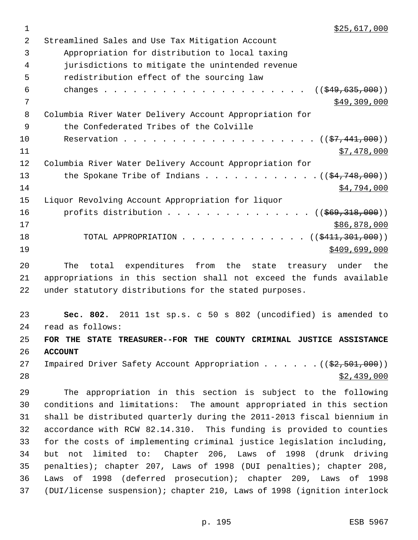| 2  | Streamlined Sales and Use Tax Mitigation Account                                |
|----|---------------------------------------------------------------------------------|
| 3  | Appropriation for distribution to local taxing                                  |
| 4  | jurisdictions to mitigate the unintended revenue                                |
| 5  | redistribution effect of the sourcing law                                       |
| 6  | $((\frac{1549}{635}, 000))$                                                     |
| 7  | \$49,309,000                                                                    |
| 8  | Columbia River Water Delivery Account Appropriation for                         |
| 9  | the Confederated Tribes of the Colville                                         |
| 10 |                                                                                 |
| 11 | \$7,478,000                                                                     |
| 12 | Columbia River Water Delivery Account Appropriation for                         |
| 13 | the Spokane Tribe of Indians $($ $(\frac{24.748}{000})$                         |
| 14 | \$4,794,000                                                                     |
| 15 | Liquor Revolving Account Appropriation for liquor                               |
| 16 | profits distribution $($ $($ $\frac{269}{1318}$ , 000) $)$                      |
| 17 | \$86,878,000                                                                    |
| 18 | TOTAL APPROPRIATION ( $(\frac{2411}{301}, 300)$ )                               |
| 19 | \$409,699,000                                                                   |
| 20 | total expenditures from the state treasury under<br>The<br>the                  |
| 21 | appropriations in this section shall not exceed the funds available             |
| 22 | under statutory distributions for the stated purposes.                          |
| 23 | Sec. 802. 2011 1st sp.s. c 50 s 802 (uncodified) is amended to                  |
| 24 | read as follows:                                                                |
| 25 | FOR THE STATE TREASURER--FOR THE COUNTY CRIMINAL JUSTICE ASSISTANCE             |
| 26 | <b>ACCOUNT</b>                                                                  |
| 27 | Impaired Driver Safety Account Appropriation $($ $($ $\frac{2}{2}, 501, 000)$ ) |
| 28 | \$2,439,000                                                                     |
| 29 | The appropriation in this section is subject to the following                   |
| 30 | conditions and limitations: The amount appropriated in this section             |
| 31 | shall be distributed quarterly during the 2011-2013 fiscal biennium in          |

 but not limited to: Chapter 206, Laws of 1998 (drunk driving penalties); chapter 207, Laws of 1998 (DUI penalties); chapter 208, Laws of 1998 (deferred prosecution); chapter 209, Laws of 1998 (DUI/license suspension); chapter 210, Laws of 1998 (ignition interlock

 accordance with RCW 82.14.310. This funding is provided to counties for the costs of implementing criminal justice legislation including,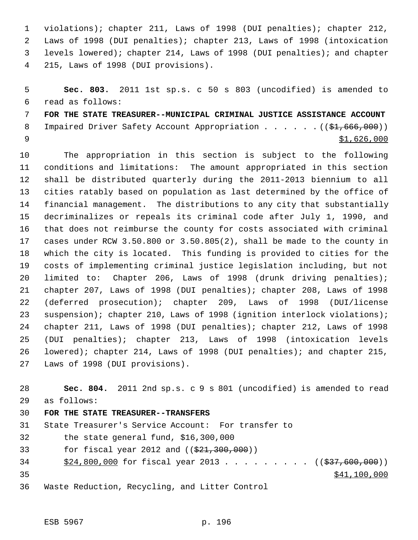violations); chapter 211, Laws of 1998 (DUI penalties); chapter 212, Laws of 1998 (DUI penalties); chapter 213, Laws of 1998 (intoxication levels lowered); chapter 214, Laws of 1998 (DUI penalties); and chapter 215, Laws of 1998 (DUI provisions).

 **Sec. 803.** 2011 1st sp.s. c 50 s 803 (uncodified) is amended to read as follows: **FOR THE STATE TREASURER--MUNICIPAL CRIMINAL JUSTICE ASSISTANCE ACCOUNT**

8 Impaired Driver Safety Account Appropriation . . . . . . (  $(\frac{1}{61}, \frac{666}{100})$  ) \$1,626,000

 The appropriation in this section is subject to the following conditions and limitations: The amount appropriated in this section shall be distributed quarterly during the 2011-2013 biennium to all cities ratably based on population as last determined by the office of financial management. The distributions to any city that substantially decriminalizes or repeals its criminal code after July 1, 1990, and that does not reimburse the county for costs associated with criminal cases under RCW 3.50.800 or 3.50.805(2), shall be made to the county in which the city is located. This funding is provided to cities for the costs of implementing criminal justice legislation including, but not limited to: Chapter 206, Laws of 1998 (drunk driving penalties); chapter 207, Laws of 1998 (DUI penalties); chapter 208, Laws of 1998 (deferred prosecution); chapter 209, Laws of 1998 (DUI/license suspension); chapter 210, Laws of 1998 (ignition interlock violations); chapter 211, Laws of 1998 (DUI penalties); chapter 212, Laws of 1998 (DUI penalties); chapter 213, Laws of 1998 (intoxication levels lowered); chapter 214, Laws of 1998 (DUI penalties); and chapter 215, Laws of 1998 (DUI provisions).

 **Sec. 804.** 2011 2nd sp.s. c 9 s 801 (uncodified) is amended to read as follows: **FOR THE STATE TREASURER--TRANSFERS** State Treasurer's Service Account: For transfer to the state general fund, \$16,300,000 33 for fiscal year 2012 and ((\$21,300,000)) 34 \$24,800,000 for fiscal year 2013 . . . . . . . . . ((\$37,600,000)) \$41,100,000

Waste Reduction, Recycling, and Litter Control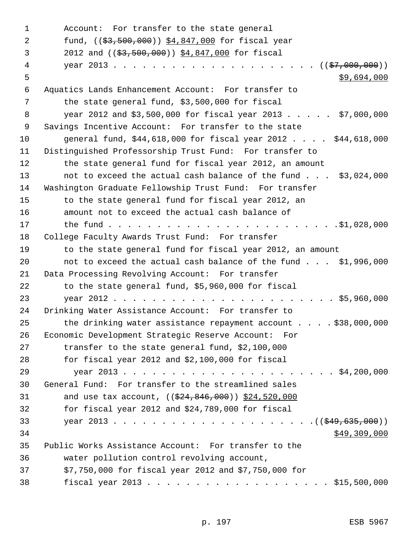Account: For transfer to the state general 2 fund, ((<del>\$3,500,000</del>)) \$4,847,000 for fiscal year 2012 and ((\$3,500,000)) \$4,847,000 for fiscal year 2013 . . . . . . . . . . . . . . . . . . . . . ((\$7,000,000))  $5 - 5$  \$9,694,000 Aquatics Lands Enhancement Account: For transfer to the state general fund, \$3,500,000 for fiscal year 2012 and \$3,500,000 for fiscal year 2013 . . . . . \$7,000,000 Savings Incentive Account: For transfer to the state general fund, \$44,618,000 for fiscal year 2012 . . . . \$44,618,000 Distinguished Professorship Trust Fund: For transfer to the state general fund for fiscal year 2012, an amount not to exceed the actual cash balance of the fund . . . \$3,024,000 Washington Graduate Fellowship Trust Fund: For transfer to the state general fund for fiscal year 2012, an amount not to exceed the actual cash balance of the fund . . . . . . . . . . . . . . . . . . . . . . . .\$1,028,000 College Faculty Awards Trust Fund: For transfer to the state general fund for fiscal year 2012, an amount not to exceed the actual cash balance of the fund . . . \$1,996,000 Data Processing Revolving Account: For transfer to the state general fund, \$5,960,000 for fiscal year 2012 . . . . . . . . . . . . . . . . . . . . . . . \$5,960,000 Drinking Water Assistance Account: For transfer to the drinking water assistance repayment account . . . . \$38,000,000 Economic Development Strategic Reserve Account: For transfer to the state general fund, \$2,100,000 for fiscal year 2012 and \$2,100,000 for fiscal 29 year 2013 . . . . . . . . . . . . . . . . . . . . . . \$4,200,000 General Fund: For transfer to the streamlined sales 31 and use tax account, ((\$24,846,000)) \$24,520,000 for fiscal year 2012 and \$24,789,000 for fiscal year 2013 . . . . . . . . . . . . . . . . . . . . .((\$49,635,000))  $$49,309,000$  Public Works Assistance Account: For transfer to the water pollution control revolving account, \$7,750,000 for fiscal year 2012 and \$7,750,000 for fiscal year 2013 . . . . . . . . . . . . . . . . . . . \$15,500,000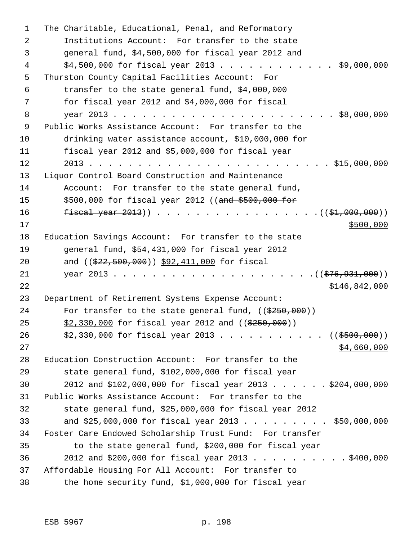| 1  | The Charitable, Educational, Penal, and Reformatory                 |
|----|---------------------------------------------------------------------|
| 2  | Institutions Account: For transfer to the state                     |
| 3  | general fund, \$4,500,000 for fiscal year 2012 and                  |
| 4  | $$4,500,000$ for fiscal year 2013 \$9,000,000                       |
| 5  | Thurston County Capital Facilities Account: For                     |
| 6  | transfer to the state general fund, \$4,000,000                     |
| 7  | for fiscal year 2012 and \$4,000,000 for fiscal                     |
| 8  |                                                                     |
| 9  | Public Works Assistance Account: For transfer to the                |
| 10 | drinking water assistance account, \$10,000,000 for                 |
| 11 | fiscal year 2012 and \$5,000,000 for fiscal year                    |
| 12 |                                                                     |
| 13 | Liquor Control Board Construction and Maintenance                   |
| 14 | Account: For transfer to the state general fund,                    |
| 15 | \$500,000 for fiscal year 2012 ((and \$500,000 for                  |
| 16 |                                                                     |
| 17 | \$500,000                                                           |
| 18 | Education Savings Account: For transfer to the state                |
| 19 | general fund, \$54,431,000 for fiscal year 2012                     |
| 20 | and $((\$22,500,000))$ \$92,411,000 for fiscal                      |
| 21 |                                                                     |
| 22 | \$146,842,000                                                       |
| 23 | Department of Retirement Systems Expense Account:                   |
| 24 | For transfer to the state general fund, $((\frac{2550}{250}, 000))$ |
| 25 | $$2,330,000$ for fiscal year 2012 and ( $$250,000$ ))               |
| 26 | $$2,330,000$ for fiscal year 2013 ((\$500,000))                     |
| 27 | \$4,660,000                                                         |
| 28 | Education Construction Account: For transfer to the                 |
| 29 | state general fund, \$102,000,000 for fiscal year                   |
| 30 | 2012 and \$102,000,000 for fiscal year 2013 \$204,000,000           |
| 31 | Public Works Assistance Account: For transfer to the                |
| 32 | state general fund, \$25,000,000 for fiscal year 2012               |
| 33 | and $$25,000,000$ for fiscal year 2013 \$50,000,000                 |
| 34 | Foster Care Endowed Scholarship Trust Fund: For transfer            |
| 35 | to the state general fund, \$200,000 for fiscal year                |
| 36 | 2012 and \$200,000 for fiscal year 2013 \$400,000                   |
| 37 | Affordable Housing For All Account: For transfer to                 |
| 38 | the home security fund, \$1,000,000 for fiscal year                 |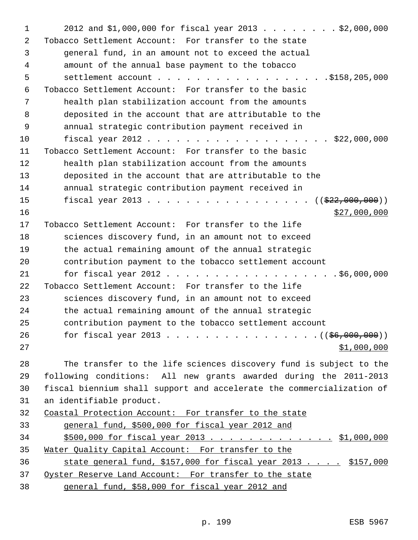| 1  | 2012 and \$1,000,000 for fiscal year 2013 \$2,000,000                 |
|----|-----------------------------------------------------------------------|
| 2  | Tobacco Settlement Account: For transfer to the state                 |
| 3  | general fund, in an amount not to exceed the actual                   |
| 4  | amount of the annual base payment to the tobacco                      |
| 5  | settlement account \$158,205,000                                      |
| 6  | Tobacco Settlement Account: For transfer to the basic                 |
| 7  | health plan stabilization account from the amounts                    |
| 8  | deposited in the account that are attributable to the                 |
| 9  | annual strategic contribution payment received in                     |
| 10 | fiscal year 2012 \$22,000,000                                         |
| 11 | Tobacco Settlement Account: For transfer to the basic                 |
| 12 | health plan stabilization account from the amounts                    |
| 13 | deposited in the account that are attributable to the                 |
| 14 | annual strategic contribution payment received in                     |
| 15 | fiscal year 2013 ( $(\frac{222,000,000)}{200,000})$                   |
| 16 | \$27,000,000                                                          |
| 17 | Tobacco Settlement Account: For transfer to the life                  |
| 18 | sciences discovery fund, in an amount not to exceed                   |
| 19 | the actual remaining amount of the annual strategic                   |
| 20 | contribution payment to the tobacco settlement account                |
| 21 | for fiscal year 2012 \$6,000,000                                      |
| 22 | Tobacco Settlement Account: For transfer to the life                  |
| 23 | sciences discovery fund, in an amount not to exceed                   |
| 24 | the actual remaining amount of the annual strategic                   |
| 25 | contribution payment to the tobacco settlement account                |
| 26 | for fiscal year 2013 ( $(\frac{26}{100}, 000, 000)$ )                 |
| 27 | \$1,000,000                                                           |
| 28 | The transfer to the life sciences discovery fund is subject to the    |
| 29 | following conditions: All new grants awarded during the 2011-2013     |
| 30 | fiscal biennium shall support and accelerate the commercialization of |
| 31 | an identifiable product.                                              |
| 32 | Coastal Protection Account: For transfer to the state                 |
| 33 | general fund, \$500,000 for fiscal year 2012 and                      |
| 34 | $$500,000$ for fiscal year 2013 \$1,000,000                           |
| 35 | Water Quality Capital Account: For transfer to the                    |
| 36 | state general fund, \$157,000 for fiscal year 2013 \$157,000          |
| 37 | Oyster Reserve Land Account: For transfer to the state                |
| 38 | general fund, \$58,000 for fiscal year 2012 and                       |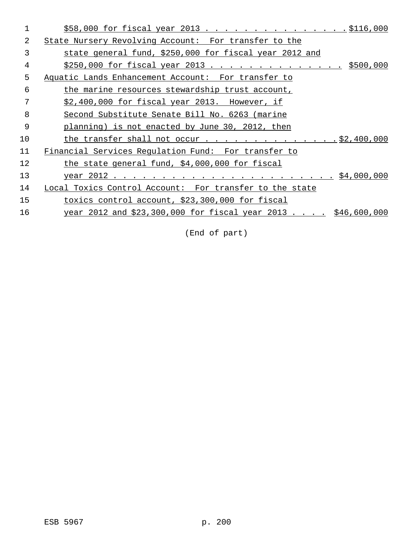|                | \$58,000 for fiscal year 2013 \$116,000                      |
|----------------|--------------------------------------------------------------|
| 2              | State Nursery Revolving Account: For transfer to the         |
| 3              | state general fund, \$250,000 for fiscal year 2012 and       |
| 4              | $$250,000$ for fiscal year 2013 \$500,000                    |
| 5              | Aquatic Lands Enhancement Account: For transfer to           |
| 6              | the marine resources stewardship trust account,              |
| 7              | $$2,400,000$ for fiscal year 2013. However, if               |
| 8              | Second Substitute Senate Bill No. 6263 (marine               |
| $\overline{9}$ | planning) is not enacted by June 30, 2012, then              |
| 10             |                                                              |
| 11             | Financial Services Regulation Fund: For transfer to          |
| 12             | the state general fund, \$4,000,000 for fiscal               |
| 13             |                                                              |
| 14             | Local Toxics Control Account: For transfer to the state      |
| 15             | toxics control account, \$23,300,000 for fiscal              |
| 16             | year 2012 and \$23,300,000 for fiscal year 2013 \$46,600,000 |
|                |                                                              |

(End of part)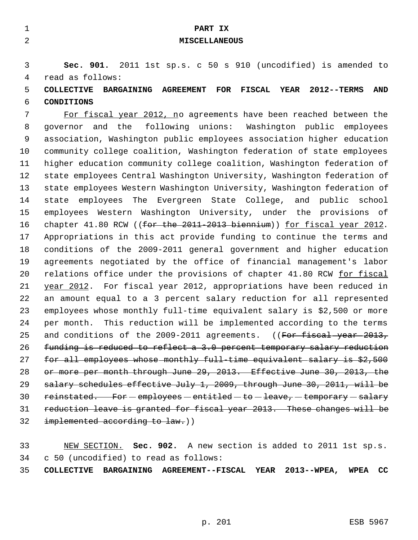| $\mathbf{1}$   | PART IX                                                                                                       |
|----------------|---------------------------------------------------------------------------------------------------------------|
| $\overline{2}$ | <b>MISCELLANEOUS</b>                                                                                          |
|                |                                                                                                               |
| 3              | Sec. 901. 2011 1st sp.s. c 50 s 910 (uncodified) is amended to                                                |
| 4              | read as follows:                                                                                              |
| 5              | <b>FISCAL</b><br><b>YEAR</b><br>BARGAINING AGREEMENT<br>FOR<br><b>2012--TERMS</b><br>AND<br><b>COLLECTIVE</b> |
| 6              | <b>CONDITIONS</b>                                                                                             |
| 7              | For fiscal year 2012, no agreements have been reached between the                                             |
| 8              | governor and the following unions: Washington public employees                                                |
| 9              | association, Washington public employees association higher education                                         |
| 10             | community college coalition, Washington federation of state employees                                         |
| 11             | higher education community college coalition, Washington federation of                                        |
| 12             | state employees Central Washington University, Washington federation of                                       |
| 13             | state employees Western Washington University, Washington federation of                                       |
| 14             | employees The Evergreen State College, and public school<br>state                                             |
| 15             | employees Western Washington University, under the provisions of                                              |
| 16             | chapter 41.80 RCW ((for the $2011-2013$ biennium)) for fiscal year 2012.                                      |
| 17             | Appropriations in this act provide funding to continue the terms and                                          |
| 18             | conditions of the 2009-2011 general government and higher education                                           |
| 19             | agreements negotiated by the office of financial management's labor                                           |
| 20             | relations office under the provisions of chapter 41.80 RCW for fiscal                                         |
| 21             | year 2012. For fiscal year 2012, appropriations have been reduced in                                          |
| 22             | an amount equal to a 3 percent salary reduction for all represented                                           |
| 23             | employees whose monthly full-time equivalent salary is \$2,500 or more                                        |
| 24             | This reduction will be implemented according to the terms<br>per month.                                       |
| 25             | and conditions of the 2009-2011 agreements. ((For fiscal year 2013,                                           |
| 26             | funding is reduced to reflect a 3.0 percent temporary salary reduction                                        |
| 27             | for all employees whose monthly full time equivalent salary is \$2,500                                        |
| 28             | or more per month through June 29, 2013. Effective June 30, 2013, the                                         |
| 29             | salary schedules effective July 1, 2009, through June 30, 2011, will be                                       |
| 30             | reinstated. For - employees - entitled - to - leave, - temporary - salary                                     |
| 31             | reduction leave is granted for fiscal year 2013. These changes will be                                        |
| 32             | implemented according to law.))                                                                               |
|                |                                                                                                               |
| 33             | NEW SECTION. Sec. 902. A new section is added to 2011 1st sp.s.                                               |

c 50 (uncodified) to read as follows:

**COLLECTIVE BARGAINING AGREEMENT--FISCAL YEAR 2013--WPEA, WPEA CC**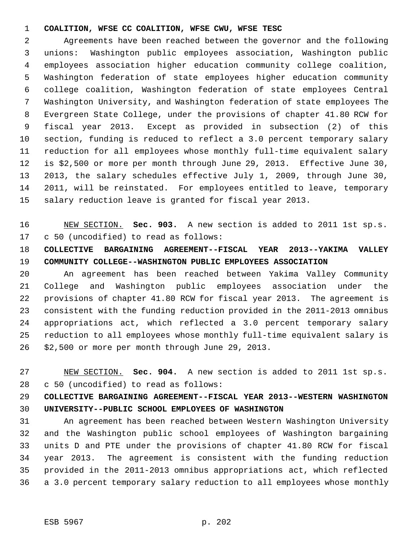#### **COALITION, WFSE CC COALITION, WFSE CWU, WFSE TESC**

 Agreements have been reached between the governor and the following unions: Washington public employees association, Washington public employees association higher education community college coalition, Washington federation of state employees higher education community college coalition, Washington federation of state employees Central Washington University, and Washington federation of state employees The Evergreen State College, under the provisions of chapter 41.80 RCW for fiscal year 2013. Except as provided in subsection (2) of this section, funding is reduced to reflect a 3.0 percent temporary salary reduction for all employees whose monthly full-time equivalent salary is \$2,500 or more per month through June 29, 2013. Effective June 30, 2013, the salary schedules effective July 1, 2009, through June 30, 2011, will be reinstated. For employees entitled to leave, temporary salary reduction leave is granted for fiscal year 2013.

 NEW SECTION. **Sec. 903.** A new section is added to 2011 1st sp.s. c 50 (uncodified) to read as follows:

### **COLLECTIVE BARGAINING AGREEMENT--FISCAL YEAR 2013--YAKIMA VALLEY COMMUNITY COLLEGE--WASHINGTON PUBLIC EMPLOYEES ASSOCIATION**

 An agreement has been reached between Yakima Valley Community College and Washington public employees association under the provisions of chapter 41.80 RCW for fiscal year 2013. The agreement is consistent with the funding reduction provided in the 2011-2013 omnibus appropriations act, which reflected a 3.0 percent temporary salary reduction to all employees whose monthly full-time equivalent salary is \$2,500 or more per month through June 29, 2013.

 NEW SECTION. **Sec. 904.** A new section is added to 2011 1st sp.s. c 50 (uncodified) to read as follows:

## **COLLECTIVE BARGAINING AGREEMENT--FISCAL YEAR 2013--WESTERN WASHINGTON UNIVERSITY--PUBLIC SCHOOL EMPLOYEES OF WASHINGTON**

 An agreement has been reached between Western Washington University and the Washington public school employees of Washington bargaining units D and PTE under the provisions of chapter 41.80 RCW for fiscal year 2013. The agreement is consistent with the funding reduction provided in the 2011-2013 omnibus appropriations act, which reflected a 3.0 percent temporary salary reduction to all employees whose monthly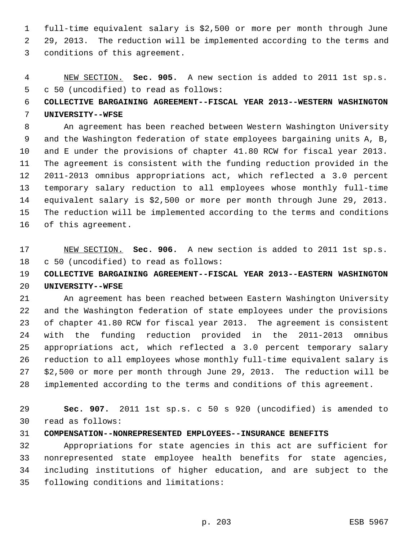full-time equivalent salary is \$2,500 or more per month through June 29, 2013. The reduction will be implemented according to the terms and conditions of this agreement.

 NEW SECTION. **Sec. 905.** A new section is added to 2011 1st sp.s. c 50 (uncodified) to read as follows:

## **COLLECTIVE BARGAINING AGREEMENT--FISCAL YEAR 2013--WESTERN WASHINGTON UNIVERSITY--WFSE**

 An agreement has been reached between Western Washington University and the Washington federation of state employees bargaining units A, B, and E under the provisions of chapter 41.80 RCW for fiscal year 2013. The agreement is consistent with the funding reduction provided in the 2011-2013 omnibus appropriations act, which reflected a 3.0 percent temporary salary reduction to all employees whose monthly full-time equivalent salary is \$2,500 or more per month through June 29, 2013. The reduction will be implemented according to the terms and conditions of this agreement.

## NEW SECTION. **Sec. 906.** A new section is added to 2011 1st sp.s. c 50 (uncodified) to read as follows:

# **COLLECTIVE BARGAINING AGREEMENT--FISCAL YEAR 2013--EASTERN WASHINGTON UNIVERSITY--WFSE**

 An agreement has been reached between Eastern Washington University and the Washington federation of state employees under the provisions of chapter 41.80 RCW for fiscal year 2013. The agreement is consistent with the funding reduction provided in the 2011-2013 omnibus appropriations act, which reflected a 3.0 percent temporary salary reduction to all employees whose monthly full-time equivalent salary is \$2,500 or more per month through June 29, 2013. The reduction will be implemented according to the terms and conditions of this agreement.

 **Sec. 907.** 2011 1st sp.s. c 50 s 920 (uncodified) is amended to read as follows:

#### **COMPENSATION--NONREPRESENTED EMPLOYEES--INSURANCE BENEFITS**

 Appropriations for state agencies in this act are sufficient for nonrepresented state employee health benefits for state agencies, including institutions of higher education, and are subject to the following conditions and limitations: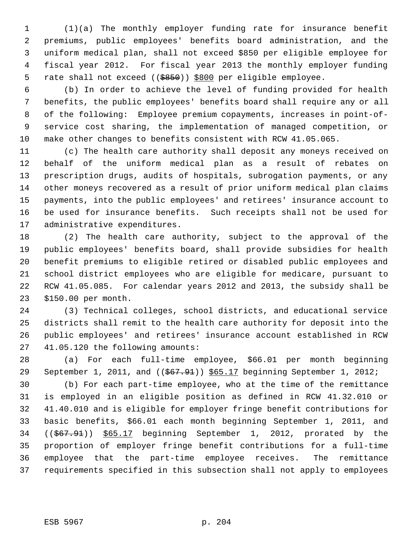(1)(a) The monthly employer funding rate for insurance benefit premiums, public employees' benefits board administration, and the uniform medical plan, shall not exceed \$850 per eligible employee for fiscal year 2012. For fiscal year 2013 the monthly employer funding 5 rate shall not exceed ((\$850)) \$800 per eligible employee.

 (b) In order to achieve the level of funding provided for health benefits, the public employees' benefits board shall require any or all of the following: Employee premium copayments, increases in point-of- service cost sharing, the implementation of managed competition, or make other changes to benefits consistent with RCW 41.05.065.

 (c) The health care authority shall deposit any moneys received on behalf of the uniform medical plan as a result of rebates on prescription drugs, audits of hospitals, subrogation payments, or any other moneys recovered as a result of prior uniform medical plan claims payments, into the public employees' and retirees' insurance account to be used for insurance benefits. Such receipts shall not be used for administrative expenditures.

 (2) The health care authority, subject to the approval of the public employees' benefits board, shall provide subsidies for health benefit premiums to eligible retired or disabled public employees and school district employees who are eligible for medicare, pursuant to RCW 41.05.085. For calendar years 2012 and 2013, the subsidy shall be \$150.00 per month.

 (3) Technical colleges, school districts, and educational service districts shall remit to the health care authority for deposit into the public employees' and retirees' insurance account established in RCW 41.05.120 the following amounts:

 (a) For each full-time employee, \$66.01 per month beginning 29 September 1, 2011, and ((\$67.91)) \$65.17 beginning September 1, 2012;

 (b) For each part-time employee, who at the time of the remittance is employed in an eligible position as defined in RCW 41.32.010 or 41.40.010 and is eligible for employer fringe benefit contributions for basic benefits, \$66.01 each month beginning September 1, 2011, and ((\$67.91)) \$65.17 beginning September 1, 2012, prorated by the proportion of employer fringe benefit contributions for a full-time employee that the part-time employee receives. The remittance requirements specified in this subsection shall not apply to employees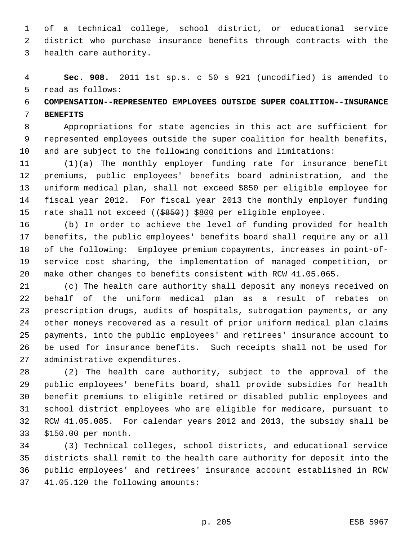of a technical college, school district, or educational service district who purchase insurance benefits through contracts with the health care authority.

 **Sec. 908.** 2011 1st sp.s. c 50 s 921 (uncodified) is amended to read as follows:

# **COMPENSATION--REPRESENTED EMPLOYEES OUTSIDE SUPER COALITION--INSURANCE BENEFITS**

 Appropriations for state agencies in this act are sufficient for represented employees outside the super coalition for health benefits, and are subject to the following conditions and limitations:

 (1)(a) The monthly employer funding rate for insurance benefit premiums, public employees' benefits board administration, and the uniform medical plan, shall not exceed \$850 per eligible employee for fiscal year 2012. For fiscal year 2013 the monthly employer funding 15 rate shall not exceed ((\$850)) \$800 per eligible employee.

 (b) In order to achieve the level of funding provided for health benefits, the public employees' benefits board shall require any or all of the following: Employee premium copayments, increases in point-of- service cost sharing, the implementation of managed competition, or make other changes to benefits consistent with RCW 41.05.065.

 (c) The health care authority shall deposit any moneys received on behalf of the uniform medical plan as a result of rebates on prescription drugs, audits of hospitals, subrogation payments, or any other moneys recovered as a result of prior uniform medical plan claims payments, into the public employees' and retirees' insurance account to be used for insurance benefits. Such receipts shall not be used for administrative expenditures.

 (2) The health care authority, subject to the approval of the public employees' benefits board, shall provide subsidies for health benefit premiums to eligible retired or disabled public employees and school district employees who are eligible for medicare, pursuant to RCW 41.05.085. For calendar years 2012 and 2013, the subsidy shall be \$150.00 per month.

 (3) Technical colleges, school districts, and educational service districts shall remit to the health care authority for deposit into the public employees' and retirees' insurance account established in RCW 41.05.120 the following amounts: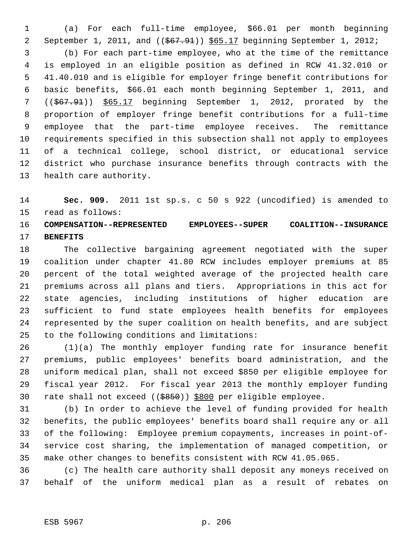(a) For each full-time employee, \$66.01 per month beginning September 1, 2011, and ((\$67.91)) \$65.17 beginning September 1, 2012;

 (b) For each part-time employee, who at the time of the remittance is employed in an eligible position as defined in RCW 41.32.010 or 41.40.010 and is eligible for employer fringe benefit contributions for basic benefits, \$66.01 each month beginning September 1, 2011, and ((\$67.91)) \$65.17 beginning September 1, 2012, prorated by the proportion of employer fringe benefit contributions for a full-time employee that the part-time employee receives. The remittance requirements specified in this subsection shall not apply to employees of a technical college, school district, or educational service district who purchase insurance benefits through contracts with the health care authority.

 **Sec. 909.** 2011 1st sp.s. c 50 s 922 (uncodified) is amended to read as follows:

### **COMPENSATION--REPRESENTED EMPLOYEES--SUPER COALITION--INSURANCE BENEFITS**

 The collective bargaining agreement negotiated with the super coalition under chapter 41.80 RCW includes employer premiums at 85 percent of the total weighted average of the projected health care premiums across all plans and tiers. Appropriations in this act for state agencies, including institutions of higher education are sufficient to fund state employees health benefits for employees represented by the super coalition on health benefits, and are subject to the following conditions and limitations:

 (1)(a) The monthly employer funding rate for insurance benefit premiums, public employees' benefits board administration, and the uniform medical plan, shall not exceed \$850 per eligible employee for fiscal year 2012. For fiscal year 2013 the monthly employer funding rate shall not exceed ((\$850)) \$800 per eligible employee.

 (b) In order to achieve the level of funding provided for health benefits, the public employees' benefits board shall require any or all of the following: Employee premium copayments, increases in point-of- service cost sharing, the implementation of managed competition, or make other changes to benefits consistent with RCW 41.05.065.

 (c) The health care authority shall deposit any moneys received on behalf of the uniform medical plan as a result of rebates on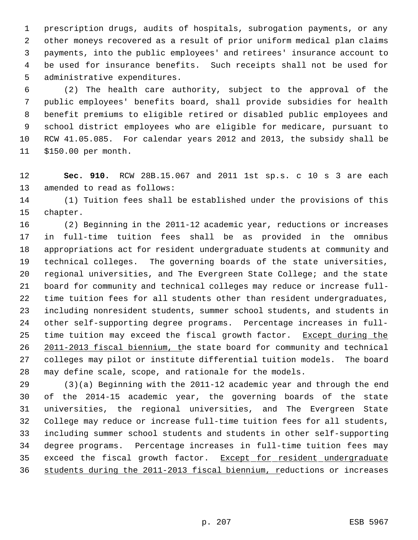prescription drugs, audits of hospitals, subrogation payments, or any other moneys recovered as a result of prior uniform medical plan claims payments, into the public employees' and retirees' insurance account to be used for insurance benefits. Such receipts shall not be used for administrative expenditures.

 (2) The health care authority, subject to the approval of the public employees' benefits board, shall provide subsidies for health benefit premiums to eligible retired or disabled public employees and school district employees who are eligible for medicare, pursuant to RCW 41.05.085. For calendar years 2012 and 2013, the subsidy shall be \$150.00 per month.

 **Sec. 910.** RCW 28B.15.067 and 2011 1st sp.s. c 10 s 3 are each amended to read as follows:

 (1) Tuition fees shall be established under the provisions of this chapter.

 (2) Beginning in the 2011-12 academic year, reductions or increases in full-time tuition fees shall be as provided in the omnibus appropriations act for resident undergraduate students at community and technical colleges. The governing boards of the state universities, regional universities, and The Evergreen State College; and the state board for community and technical colleges may reduce or increase full- time tuition fees for all students other than resident undergraduates, including nonresident students, summer school students, and students in other self-supporting degree programs. Percentage increases in full-25 time tuition may exceed the fiscal growth factor. Except during the 2011-2013 fiscal biennium, the state board for community and technical colleges may pilot or institute differential tuition models. The board may define scale, scope, and rationale for the models.

 (3)(a) Beginning with the 2011-12 academic year and through the end of the 2014-15 academic year, the governing boards of the state universities, the regional universities, and The Evergreen State College may reduce or increase full-time tuition fees for all students, including summer school students and students in other self-supporting degree programs. Percentage increases in full-time tuition fees may 35 exceed the fiscal growth factor. Except for resident undergraduate 36 students during the 2011-2013 fiscal biennium, reductions or increases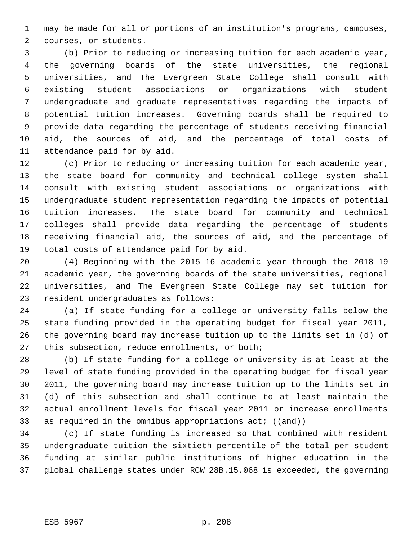may be made for all or portions of an institution's programs, campuses, courses, or students.

 (b) Prior to reducing or increasing tuition for each academic year, the governing boards of the state universities, the regional universities, and The Evergreen State College shall consult with existing student associations or organizations with student undergraduate and graduate representatives regarding the impacts of potential tuition increases. Governing boards shall be required to provide data regarding the percentage of students receiving financial aid, the sources of aid, and the percentage of total costs of attendance paid for by aid.

 (c) Prior to reducing or increasing tuition for each academic year, the state board for community and technical college system shall consult with existing student associations or organizations with undergraduate student representation regarding the impacts of potential tuition increases. The state board for community and technical colleges shall provide data regarding the percentage of students receiving financial aid, the sources of aid, and the percentage of total costs of attendance paid for by aid.

 (4) Beginning with the 2015-16 academic year through the 2018-19 academic year, the governing boards of the state universities, regional universities, and The Evergreen State College may set tuition for resident undergraduates as follows:

 (a) If state funding for a college or university falls below the state funding provided in the operating budget for fiscal year 2011, the governing board may increase tuition up to the limits set in (d) of this subsection, reduce enrollments, or both;

 (b) If state funding for a college or university is at least at the level of state funding provided in the operating budget for fiscal year 2011, the governing board may increase tuition up to the limits set in (d) of this subsection and shall continue to at least maintain the actual enrollment levels for fiscal year 2011 or increase enrollments 33 as required in the omnibus appropriations  $act: ((and))$ 

 (c) If state funding is increased so that combined with resident undergraduate tuition the sixtieth percentile of the total per-student funding at similar public institutions of higher education in the global challenge states under RCW 28B.15.068 is exceeded, the governing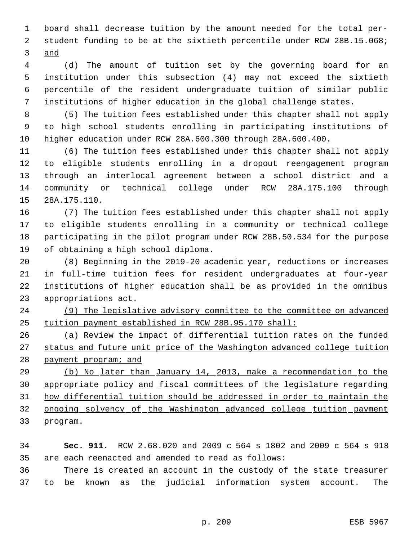board shall decrease tuition by the amount needed for the total per- student funding to be at the sixtieth percentile under RCW 28B.15.068; and

 (d) The amount of tuition set by the governing board for an institution under this subsection (4) may not exceed the sixtieth percentile of the resident undergraduate tuition of similar public institutions of higher education in the global challenge states.

 (5) The tuition fees established under this chapter shall not apply to high school students enrolling in participating institutions of higher education under RCW 28A.600.300 through 28A.600.400.

 (6) The tuition fees established under this chapter shall not apply to eligible students enrolling in a dropout reengagement program through an interlocal agreement between a school district and a community or technical college under RCW 28A.175.100 through 28A.175.110.

 (7) The tuition fees established under this chapter shall not apply to eligible students enrolling in a community or technical college participating in the pilot program under RCW 28B.50.534 for the purpose of obtaining a high school diploma.

 (8) Beginning in the 2019-20 academic year, reductions or increases in full-time tuition fees for resident undergraduates at four-year institutions of higher education shall be as provided in the omnibus appropriations act.

 (9) The legislative advisory committee to the committee on advanced tuition payment established in RCW 28B.95.170 shall:

 (a) Review the impact of differential tuition rates on the funded status and future unit price of the Washington advanced college tuition 28 payment program; and

 (b) No later than January 14, 2013, make a recommendation to the appropriate policy and fiscal committees of the legislature regarding how differential tuition should be addressed in order to maintain the ongoing solvency of the Washington advanced college tuition payment program.

 **Sec. 911.** RCW 2.68.020 and 2009 c 564 s 1802 and 2009 c 564 s 918 are each reenacted and amended to read as follows:

 There is created an account in the custody of the state treasurer to be known as the judicial information system account. The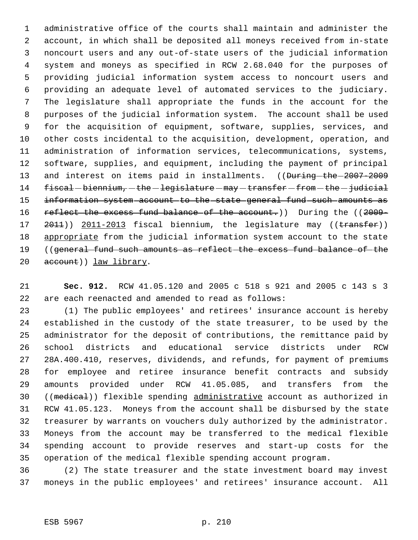administrative office of the courts shall maintain and administer the account, in which shall be deposited all moneys received from in-state noncourt users and any out-of-state users of the judicial information system and moneys as specified in RCW 2.68.040 for the purposes of providing judicial information system access to noncourt users and providing an adequate level of automated services to the judiciary. The legislature shall appropriate the funds in the account for the purposes of the judicial information system. The account shall be used for the acquisition of equipment, software, supplies, services, and other costs incidental to the acquisition, development, operation, and administration of information services, telecommunications, systems, software, supplies, and equipment, including the payment of principal 13 and interest on items paid in installments. ((During-the-2007-2009 14 fiscal - biennium, - the - legislature - may - transfer - from - the - judicial 15 information system account to the state general fund such amounts as 16 reflect the excess fund balance of the account.)) During the ((2009-17 2011)) 2011-2013 fiscal biennium, the legislature may ((transfer)) appropriate from the judicial information system account to the state 19 ((general fund such amounts as reflect the excess fund balance of the 20 account)) law library.

 **Sec. 912.** RCW 41.05.120 and 2005 c 518 s 921 and 2005 c 143 s 3 are each reenacted and amended to read as follows:

 (1) The public employees' and retirees' insurance account is hereby established in the custody of the state treasurer, to be used by the administrator for the deposit of contributions, the remittance paid by school districts and educational service districts under RCW 28A.400.410, reserves, dividends, and refunds, for payment of premiums for employee and retiree insurance benefit contracts and subsidy amounts provided under RCW 41.05.085, and transfers from the 30 ((medical)) flexible spending administrative account as authorized in RCW 41.05.123. Moneys from the account shall be disbursed by the state treasurer by warrants on vouchers duly authorized by the administrator. Moneys from the account may be transferred to the medical flexible spending account to provide reserves and start-up costs for the operation of the medical flexible spending account program.

 (2) The state treasurer and the state investment board may invest moneys in the public employees' and retirees' insurance account. All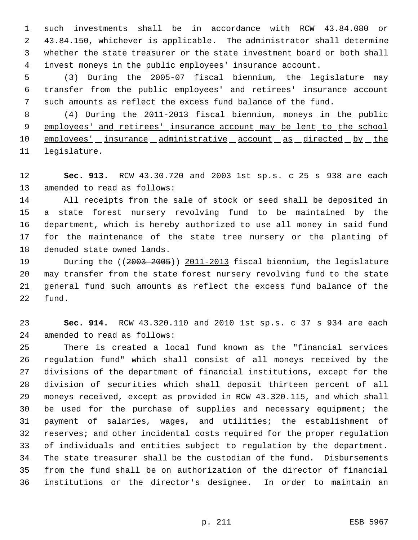such investments shall be in accordance with RCW 43.84.080 or 43.84.150, whichever is applicable. The administrator shall determine whether the state treasurer or the state investment board or both shall invest moneys in the public employees' insurance account.

 (3) During the 2005-07 fiscal biennium, the legislature may transfer from the public employees' and retirees' insurance account such amounts as reflect the excess fund balance of the fund.

 (4) During the 2011-2013 fiscal biennium, moneys in the public employees' and retirees' insurance account may be lent to the school 10 employees' insurance administrative account as directed by the legislature.

 **Sec. 913.** RCW 43.30.720 and 2003 1st sp.s. c 25 s 938 are each amended to read as follows:

 All receipts from the sale of stock or seed shall be deposited in a state forest nursery revolving fund to be maintained by the department, which is hereby authorized to use all money in said fund for the maintenance of the state tree nursery or the planting of denuded state owned lands.

19 During the ((2003-2005)) 2011-2013 fiscal biennium, the legislature may transfer from the state forest nursery revolving fund to the state general fund such amounts as reflect the excess fund balance of the fund.

 **Sec. 914.** RCW 43.320.110 and 2010 1st sp.s. c 37 s 934 are each amended to read as follows:

 There is created a local fund known as the "financial services regulation fund" which shall consist of all moneys received by the divisions of the department of financial institutions, except for the division of securities which shall deposit thirteen percent of all moneys received, except as provided in RCW 43.320.115, and which shall be used for the purchase of supplies and necessary equipment; the payment of salaries, wages, and utilities; the establishment of reserves; and other incidental costs required for the proper regulation of individuals and entities subject to regulation by the department. The state treasurer shall be the custodian of the fund. Disbursements from the fund shall be on authorization of the director of financial institutions or the director's designee. In order to maintain an

p. 211 ESB 5967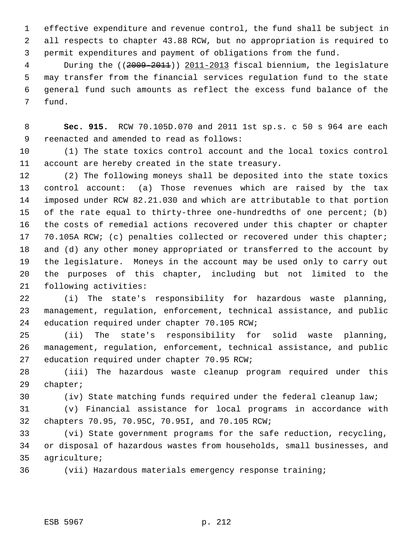effective expenditure and revenue control, the fund shall be subject in all respects to chapter 43.88 RCW, but no appropriation is required to permit expenditures and payment of obligations from the fund.

4 During the ((2009-2011)) 2011-2013 fiscal biennium, the legislature may transfer from the financial services regulation fund to the state general fund such amounts as reflect the excess fund balance of the fund.

 **Sec. 915.** RCW 70.105D.070 and 2011 1st sp.s. c 50 s 964 are each reenacted and amended to read as follows:

 (1) The state toxics control account and the local toxics control account are hereby created in the state treasury.

 (2) The following moneys shall be deposited into the state toxics control account: (a) Those revenues which are raised by the tax imposed under RCW 82.21.030 and which are attributable to that portion of the rate equal to thirty-three one-hundredths of one percent; (b) the costs of remedial actions recovered under this chapter or chapter 17 70.105A RCW; (c) penalties collected or recovered under this chapter; and (d) any other money appropriated or transferred to the account by the legislature. Moneys in the account may be used only to carry out the purposes of this chapter, including but not limited to the following activities:

 (i) The state's responsibility for hazardous waste planning, management, regulation, enforcement, technical assistance, and public education required under chapter 70.105 RCW;

 (ii) The state's responsibility for solid waste planning, management, regulation, enforcement, technical assistance, and public education required under chapter 70.95 RCW;

 (iii) The hazardous waste cleanup program required under this chapter;

(iv) State matching funds required under the federal cleanup law;

 (v) Financial assistance for local programs in accordance with chapters 70.95, 70.95C, 70.95I, and 70.105 RCW;

 (vi) State government programs for the safe reduction, recycling, or disposal of hazardous wastes from households, small businesses, and agriculture;

(vii) Hazardous materials emergency response training;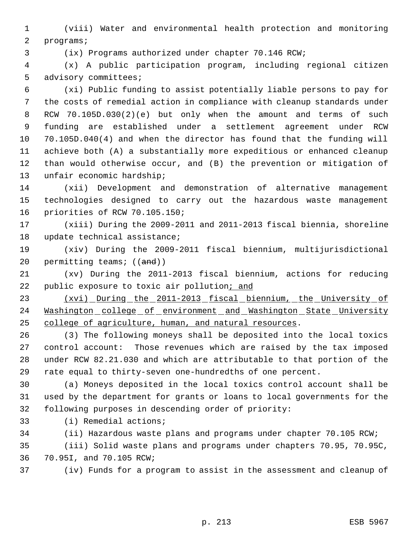(viii) Water and environmental health protection and monitoring programs;

(ix) Programs authorized under chapter 70.146 RCW;

 (x) A public participation program, including regional citizen advisory committees;

 (xi) Public funding to assist potentially liable persons to pay for the costs of remedial action in compliance with cleanup standards under RCW 70.105D.030(2)(e) but only when the amount and terms of such funding are established under a settlement agreement under RCW 70.105D.040(4) and when the director has found that the funding will achieve both (A) a substantially more expeditious or enhanced cleanup than would otherwise occur, and (B) the prevention or mitigation of unfair economic hardship;

 (xii) Development and demonstration of alternative management technologies designed to carry out the hazardous waste management priorities of RCW 70.105.150;

 (xiii) During the 2009-2011 and 2011-2013 fiscal biennia, shoreline update technical assistance;

 (xiv) During the 2009-2011 fiscal biennium, multijurisdictional 20 permitting teams; ((and))

 (xv) During the 2011-2013 fiscal biennium, actions for reducing 22 public exposure to toxic air pollution; and

 (xvi) During the 2011-2013 fiscal biennium, the University of 24 Washington college of environment and Washington State University college of agriculture, human, and natural resources.

 (3) The following moneys shall be deposited into the local toxics control account: Those revenues which are raised by the tax imposed under RCW 82.21.030 and which are attributable to that portion of the rate equal to thirty-seven one-hundredths of one percent.

 (a) Moneys deposited in the local toxics control account shall be used by the department for grants or loans to local governments for the following purposes in descending order of priority:

(i) Remedial actions;

(ii) Hazardous waste plans and programs under chapter 70.105 RCW;

 (iii) Solid waste plans and programs under chapters 70.95, 70.95C, 70.95I, and 70.105 RCW;

(iv) Funds for a program to assist in the assessment and cleanup of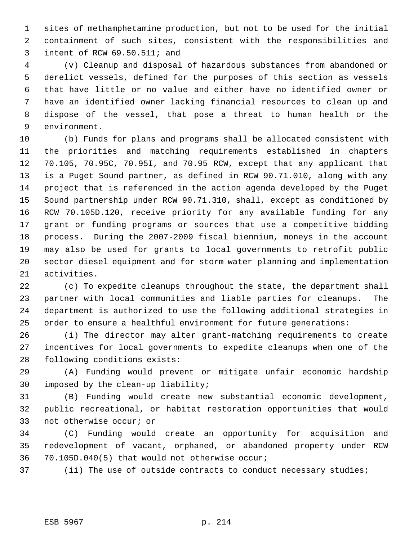sites of methamphetamine production, but not to be used for the initial containment of such sites, consistent with the responsibilities and intent of RCW 69.50.511; and

 (v) Cleanup and disposal of hazardous substances from abandoned or derelict vessels, defined for the purposes of this section as vessels that have little or no value and either have no identified owner or have an identified owner lacking financial resources to clean up and dispose of the vessel, that pose a threat to human health or the environment.

 (b) Funds for plans and programs shall be allocated consistent with the priorities and matching requirements established in chapters 70.105, 70.95C, 70.95I, and 70.95 RCW, except that any applicant that is a Puget Sound partner, as defined in RCW 90.71.010, along with any project that is referenced in the action agenda developed by the Puget Sound partnership under RCW 90.71.310, shall, except as conditioned by RCW 70.105D.120, receive priority for any available funding for any grant or funding programs or sources that use a competitive bidding process. During the 2007-2009 fiscal biennium, moneys in the account may also be used for grants to local governments to retrofit public sector diesel equipment and for storm water planning and implementation activities.

 (c) To expedite cleanups throughout the state, the department shall partner with local communities and liable parties for cleanups. The department is authorized to use the following additional strategies in order to ensure a healthful environment for future generations:

 (i) The director may alter grant-matching requirements to create incentives for local governments to expedite cleanups when one of the following conditions exists:

 (A) Funding would prevent or mitigate unfair economic hardship imposed by the clean-up liability;

 (B) Funding would create new substantial economic development, public recreational, or habitat restoration opportunities that would not otherwise occur; or

 (C) Funding would create an opportunity for acquisition and redevelopment of vacant, orphaned, or abandoned property under RCW 70.105D.040(5) that would not otherwise occur;

(ii) The use of outside contracts to conduct necessary studies;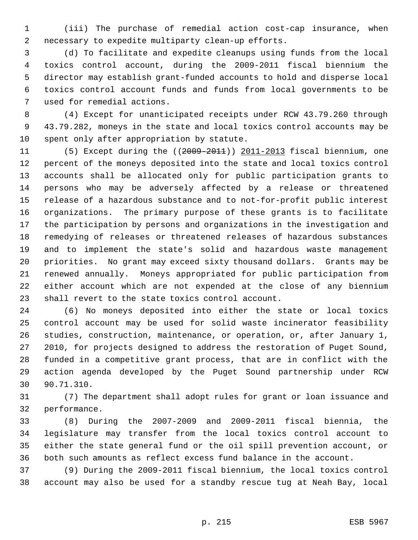(iii) The purchase of remedial action cost-cap insurance, when necessary to expedite multiparty clean-up efforts.

 (d) To facilitate and expedite cleanups using funds from the local toxics control account, during the 2009-2011 fiscal biennium the director may establish grant-funded accounts to hold and disperse local toxics control account funds and funds from local governments to be used for remedial actions.

 (4) Except for unanticipated receipts under RCW 43.79.260 through 43.79.282, moneys in the state and local toxics control accounts may be spent only after appropriation by statute.

 (5) Except during the ((2009-2011)) 2011-2013 fiscal biennium, one percent of the moneys deposited into the state and local toxics control accounts shall be allocated only for public participation grants to persons who may be adversely affected by a release or threatened release of a hazardous substance and to not-for-profit public interest organizations. The primary purpose of these grants is to facilitate the participation by persons and organizations in the investigation and remedying of releases or threatened releases of hazardous substances and to implement the state's solid and hazardous waste management priorities. No grant may exceed sixty thousand dollars. Grants may be renewed annually. Moneys appropriated for public participation from either account which are not expended at the close of any biennium shall revert to the state toxics control account.

 (6) No moneys deposited into either the state or local toxics control account may be used for solid waste incinerator feasibility studies, construction, maintenance, or operation, or, after January 1, 2010, for projects designed to address the restoration of Puget Sound, funded in a competitive grant process, that are in conflict with the action agenda developed by the Puget Sound partnership under RCW 90.71.310.

 (7) The department shall adopt rules for grant or loan issuance and performance.

 (8) During the 2007-2009 and 2009-2011 fiscal biennia, the legislature may transfer from the local toxics control account to either the state general fund or the oil spill prevention account, or both such amounts as reflect excess fund balance in the account.

 (9) During the 2009-2011 fiscal biennium, the local toxics control account may also be used for a standby rescue tug at Neah Bay, local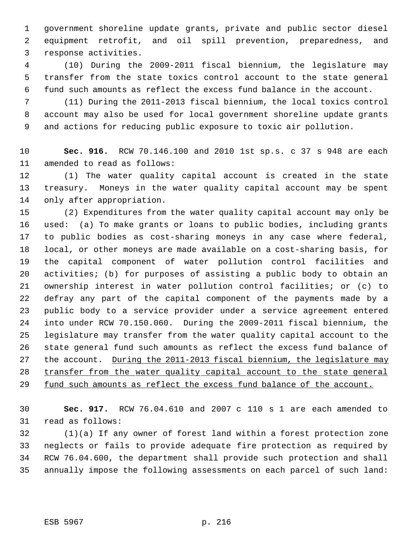government shoreline update grants, private and public sector diesel equipment retrofit, and oil spill prevention, preparedness, and response activities.

 (10) During the 2009-2011 fiscal biennium, the legislature may transfer from the state toxics control account to the state general fund such amounts as reflect the excess fund balance in the account.

 (11) During the 2011-2013 fiscal biennium, the local toxics control account may also be used for local government shoreline update grants and actions for reducing public exposure to toxic air pollution.

 **Sec. 916.** RCW 70.146.100 and 2010 1st sp.s. c 37 s 948 are each amended to read as follows:

 (1) The water quality capital account is created in the state treasury. Moneys in the water quality capital account may be spent only after appropriation.

 (2) Expenditures from the water quality capital account may only be used: (a) To make grants or loans to public bodies, including grants to public bodies as cost-sharing moneys in any case where federal, local, or other moneys are made available on a cost-sharing basis, for the capital component of water pollution control facilities and activities; (b) for purposes of assisting a public body to obtain an ownership interest in water pollution control facilities; or (c) to defray any part of the capital component of the payments made by a public body to a service provider under a service agreement entered into under RCW 70.150.060. During the 2009-2011 fiscal biennium, the legislature may transfer from the water quality capital account to the state general fund such amounts as reflect the excess fund balance of 27 the account. During the 2011-2013 fiscal biennium, the legislature may transfer from the water quality capital account to the state general 29 fund such amounts as reflect the excess fund balance of the account.

 **Sec. 917.** RCW 76.04.610 and 2007 c 110 s 1 are each amended to read as follows:

 (1)(a) If any owner of forest land within a forest protection zone neglects or fails to provide adequate fire protection as required by RCW 76.04.600, the department shall provide such protection and shall annually impose the following assessments on each parcel of such land: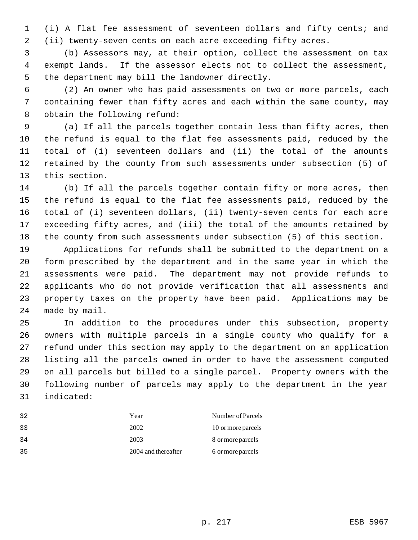(i) A flat fee assessment of seventeen dollars and fifty cents; and (ii) twenty-seven cents on each acre exceeding fifty acres.

 (b) Assessors may, at their option, collect the assessment on tax exempt lands. If the assessor elects not to collect the assessment, the department may bill the landowner directly.

 (2) An owner who has paid assessments on two or more parcels, each containing fewer than fifty acres and each within the same county, may obtain the following refund:

 (a) If all the parcels together contain less than fifty acres, then the refund is equal to the flat fee assessments paid, reduced by the total of (i) seventeen dollars and (ii) the total of the amounts retained by the county from such assessments under subsection (5) of this section.

 (b) If all the parcels together contain fifty or more acres, then the refund is equal to the flat fee assessments paid, reduced by the total of (i) seventeen dollars, (ii) twenty-seven cents for each acre exceeding fifty acres, and (iii) the total of the amounts retained by the county from such assessments under subsection (5) of this section.

 Applications for refunds shall be submitted to the department on a form prescribed by the department and in the same year in which the assessments were paid. The department may not provide refunds to applicants who do not provide verification that all assessments and property taxes on the property have been paid. Applications may be made by mail.

 In addition to the procedures under this subsection, property owners with multiple parcels in a single county who qualify for a refund under this section may apply to the department on an application listing all the parcels owned in order to have the assessment computed on all parcels but billed to a single parcel. Property owners with the following number of parcels may apply to the department in the year indicated:

| 32  | Year                | Number of Parcels  |
|-----|---------------------|--------------------|
| 33  | 2002                | 10 or more parcels |
| -34 | 2003                | 8 or more parcels  |
| 35  | 2004 and thereafter | 6 or more parcels  |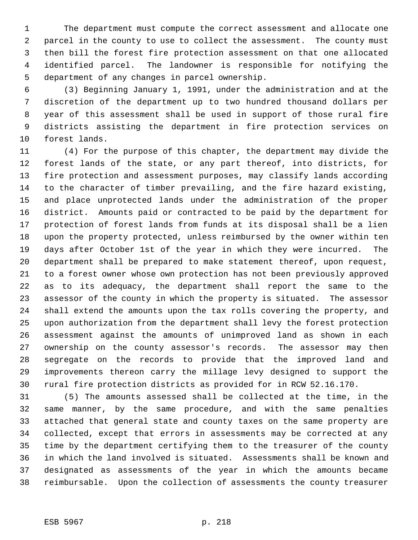The department must compute the correct assessment and allocate one parcel in the county to use to collect the assessment. The county must then bill the forest fire protection assessment on that one allocated identified parcel. The landowner is responsible for notifying the department of any changes in parcel ownership.

 (3) Beginning January 1, 1991, under the administration and at the discretion of the department up to two hundred thousand dollars per year of this assessment shall be used in support of those rural fire districts assisting the department in fire protection services on forest lands.

 (4) For the purpose of this chapter, the department may divide the forest lands of the state, or any part thereof, into districts, for fire protection and assessment purposes, may classify lands according to the character of timber prevailing, and the fire hazard existing, and place unprotected lands under the administration of the proper district. Amounts paid or contracted to be paid by the department for protection of forest lands from funds at its disposal shall be a lien upon the property protected, unless reimbursed by the owner within ten days after October 1st of the year in which they were incurred. The department shall be prepared to make statement thereof, upon request, to a forest owner whose own protection has not been previously approved as to its adequacy, the department shall report the same to the assessor of the county in which the property is situated. The assessor shall extend the amounts upon the tax rolls covering the property, and upon authorization from the department shall levy the forest protection assessment against the amounts of unimproved land as shown in each ownership on the county assessor's records. The assessor may then segregate on the records to provide that the improved land and improvements thereon carry the millage levy designed to support the rural fire protection districts as provided for in RCW 52.16.170.

 (5) The amounts assessed shall be collected at the time, in the same manner, by the same procedure, and with the same penalties attached that general state and county taxes on the same property are collected, except that errors in assessments may be corrected at any time by the department certifying them to the treasurer of the county in which the land involved is situated. Assessments shall be known and designated as assessments of the year in which the amounts became reimbursable. Upon the collection of assessments the county treasurer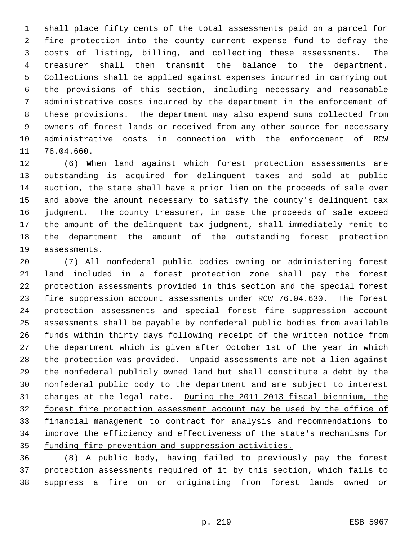shall place fifty cents of the total assessments paid on a parcel for fire protection into the county current expense fund to defray the costs of listing, billing, and collecting these assessments. The treasurer shall then transmit the balance to the department. Collections shall be applied against expenses incurred in carrying out the provisions of this section, including necessary and reasonable administrative costs incurred by the department in the enforcement of these provisions. The department may also expend sums collected from owners of forest lands or received from any other source for necessary administrative costs in connection with the enforcement of RCW 76.04.660.

 (6) When land against which forest protection assessments are outstanding is acquired for delinquent taxes and sold at public auction, the state shall have a prior lien on the proceeds of sale over and above the amount necessary to satisfy the county's delinquent tax judgment. The county treasurer, in case the proceeds of sale exceed the amount of the delinquent tax judgment, shall immediately remit to the department the amount of the outstanding forest protection assessments.

 (7) All nonfederal public bodies owning or administering forest land included in a forest protection zone shall pay the forest protection assessments provided in this section and the special forest fire suppression account assessments under RCW 76.04.630. The forest protection assessments and special forest fire suppression account assessments shall be payable by nonfederal public bodies from available funds within thirty days following receipt of the written notice from the department which is given after October 1st of the year in which the protection was provided. Unpaid assessments are not a lien against the nonfederal publicly owned land but shall constitute a debt by the nonfederal public body to the department and are subject to interest charges at the legal rate. During the 2011-2013 fiscal biennium, the 32 forest fire protection assessment account may be used by the office of financial management to contract for analysis and recommendations to improve the efficiency and effectiveness of the state's mechanisms for 35 funding fire prevention and suppression activities.

 (8) A public body, having failed to previously pay the forest protection assessments required of it by this section, which fails to suppress a fire on or originating from forest lands owned or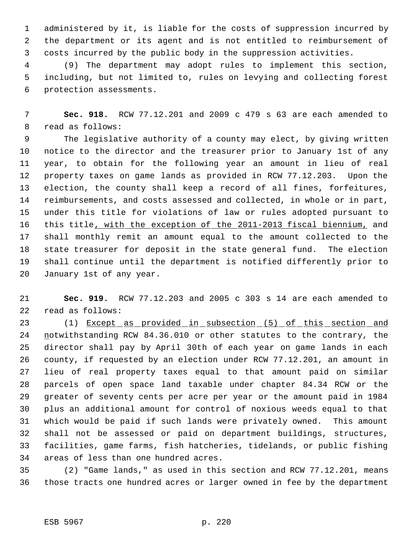administered by it, is liable for the costs of suppression incurred by the department or its agent and is not entitled to reimbursement of costs incurred by the public body in the suppression activities.

 (9) The department may adopt rules to implement this section, including, but not limited to, rules on levying and collecting forest protection assessments.

 **Sec. 918.** RCW 77.12.201 and 2009 c 479 s 63 are each amended to read as follows:

 The legislative authority of a county may elect, by giving written notice to the director and the treasurer prior to January 1st of any year, to obtain for the following year an amount in lieu of real property taxes on game lands as provided in RCW 77.12.203. Upon the election, the county shall keep a record of all fines, forfeitures, reimbursements, and costs assessed and collected, in whole or in part, under this title for violations of law or rules adopted pursuant to 16 this title, with the exception of the 2011-2013 fiscal biennium, and shall monthly remit an amount equal to the amount collected to the state treasurer for deposit in the state general fund. The election shall continue until the department is notified differently prior to January 1st of any year.

 **Sec. 919.** RCW 77.12.203 and 2005 c 303 s 14 are each amended to read as follows:

23 (1) Except as provided in subsection (5) of this section and 24 notwithstanding RCW 84.36.010 or other statutes to the contrary, the director shall pay by April 30th of each year on game lands in each county, if requested by an election under RCW 77.12.201, an amount in lieu of real property taxes equal to that amount paid on similar parcels of open space land taxable under chapter 84.34 RCW or the greater of seventy cents per acre per year or the amount paid in 1984 plus an additional amount for control of noxious weeds equal to that which would be paid if such lands were privately owned. This amount shall not be assessed or paid on department buildings, structures, facilities, game farms, fish hatcheries, tidelands, or public fishing areas of less than one hundred acres.

 (2) "Game lands," as used in this section and RCW 77.12.201, means those tracts one hundred acres or larger owned in fee by the department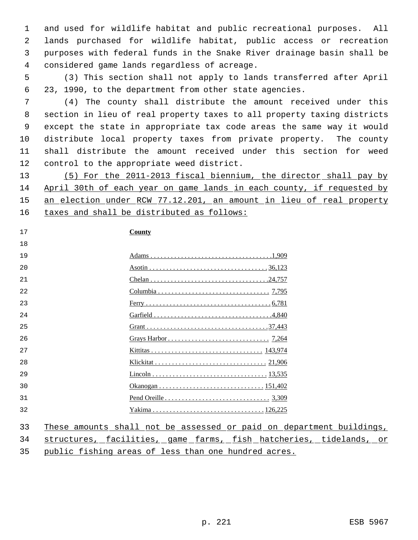and used for wildlife habitat and public recreational purposes. All lands purchased for wildlife habitat, public access or recreation purposes with federal funds in the Snake River drainage basin shall be considered game lands regardless of acreage.

 (3) This section shall not apply to lands transferred after April 23, 1990, to the department from other state agencies.

 (4) The county shall distribute the amount received under this section in lieu of real property taxes to all property taxing districts except the state in appropriate tax code areas the same way it would distribute local property taxes from private property. The county shall distribute the amount received under this section for weed control to the appropriate weed district.

 (5) For the 2011-2013 fiscal biennium, the director shall pay by April 30th of each year on game lands in each county, if requested by an election under RCW 77.12.201, an amount in lieu of real property 16 taxes and shall be distributed as follows:

## **County**

| 19  |  |
|-----|--|
| 20  |  |
| 21  |  |
| 22  |  |
| 23  |  |
| 24  |  |
| 25  |  |
| 26  |  |
| 2.7 |  |
| 28  |  |
| 29  |  |
| 30  |  |
| 31  |  |
| 32  |  |
|     |  |

These amounts shall not be assessed or paid on department buildings,

structures, facilities, game farms, fish hatcheries, tidelands, or

public fishing areas of less than one hundred acres.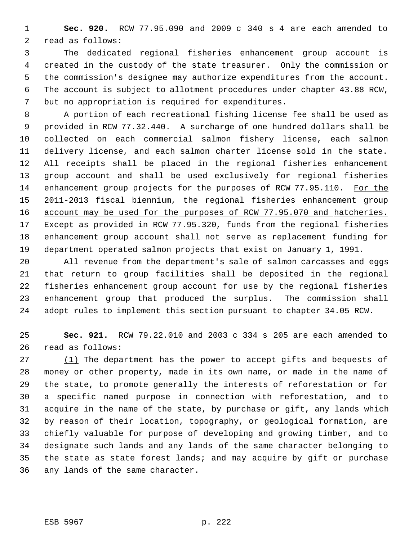**Sec. 920.** RCW 77.95.090 and 2009 c 340 s 4 are each amended to read as follows:

 The dedicated regional fisheries enhancement group account is created in the custody of the state treasurer. Only the commission or the commission's designee may authorize expenditures from the account. The account is subject to allotment procedures under chapter 43.88 RCW, but no appropriation is required for expenditures.

 A portion of each recreational fishing license fee shall be used as provided in RCW 77.32.440. A surcharge of one hundred dollars shall be collected on each commercial salmon fishery license, each salmon delivery license, and each salmon charter license sold in the state. All receipts shall be placed in the regional fisheries enhancement group account and shall be used exclusively for regional fisheries enhancement group projects for the purposes of RCW 77.95.110. For the 2011-2013 fiscal biennium, the regional fisheries enhancement group 16 account may be used for the purposes of RCW 77.95.070 and hatcheries. Except as provided in RCW 77.95.320, funds from the regional fisheries enhancement group account shall not serve as replacement funding for department operated salmon projects that exist on January 1, 1991.

 All revenue from the department's sale of salmon carcasses and eggs that return to group facilities shall be deposited in the regional fisheries enhancement group account for use by the regional fisheries enhancement group that produced the surplus. The commission shall adopt rules to implement this section pursuant to chapter 34.05 RCW.

 **Sec. 921.** RCW 79.22.010 and 2003 c 334 s 205 are each amended to read as follows:

27 (1) The department has the power to accept gifts and bequests of money or other property, made in its own name, or made in the name of the state, to promote generally the interests of reforestation or for a specific named purpose in connection with reforestation, and to acquire in the name of the state, by purchase or gift, any lands which by reason of their location, topography, or geological formation, are chiefly valuable for purpose of developing and growing timber, and to designate such lands and any lands of the same character belonging to the state as state forest lands; and may acquire by gift or purchase any lands of the same character.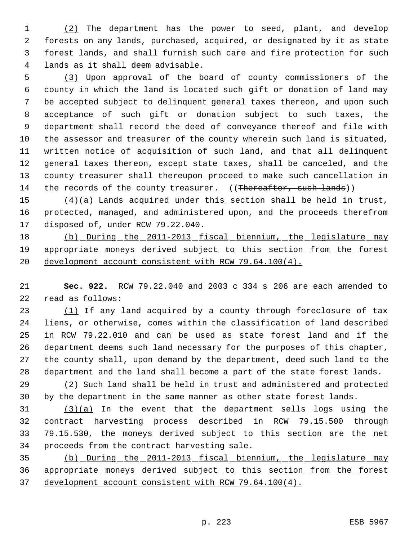(2) The department has the power to seed, plant, and develop forests on any lands, purchased, acquired, or designated by it as state forest lands, and shall furnish such care and fire protection for such lands as it shall deem advisable.

 (3) Upon approval of the board of county commissioners of the county in which the land is located such gift or donation of land may be accepted subject to delinquent general taxes thereon, and upon such acceptance of such gift or donation subject to such taxes, the department shall record the deed of conveyance thereof and file with the assessor and treasurer of the county wherein such land is situated, written notice of acquisition of such land, and that all delinquent general taxes thereon, except state taxes, shall be canceled, and the county treasurer shall thereupon proceed to make such cancellation in 14 the records of the county treasurer. ((Thereafter, such lands))

15 (4)(a) Lands acquired under this section shall be held in trust, protected, managed, and administered upon, and the proceeds therefrom disposed of, under RCW 79.22.040.

18 (b) During the 2011-2013 fiscal biennium, the legislature may appropriate moneys derived subject to this section from the forest development account consistent with RCW 79.64.100(4).

 **Sec. 922.** RCW 79.22.040 and 2003 c 334 s 206 are each amended to read as follows:

23 (1) If any land acquired by a county through foreclosure of tax liens, or otherwise, comes within the classification of land described in RCW 79.22.010 and can be used as state forest land and if the department deems such land necessary for the purposes of this chapter, the county shall, upon demand by the department, deed such land to the department and the land shall become a part of the state forest lands.

 (2) Such land shall be held in trust and administered and protected by the department in the same manner as other state forest lands.

 (3)(a) In the event that the department sells logs using the contract harvesting process described in RCW 79.15.500 through 79.15.530, the moneys derived subject to this section are the net proceeds from the contract harvesting sale.

 (b) During the 2011-2013 fiscal biennium, the legislature may appropriate moneys derived subject to this section from the forest development account consistent with RCW 79.64.100(4).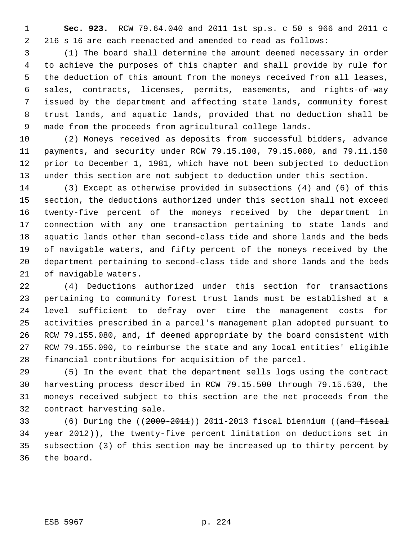**Sec. 923.** RCW 79.64.040 and 2011 1st sp.s. c 50 s 966 and 2011 c 216 s 16 are each reenacted and amended to read as follows:

 (1) The board shall determine the amount deemed necessary in order to achieve the purposes of this chapter and shall provide by rule for the deduction of this amount from the moneys received from all leases, sales, contracts, licenses, permits, easements, and rights-of-way issued by the department and affecting state lands, community forest trust lands, and aquatic lands, provided that no deduction shall be made from the proceeds from agricultural college lands.

 (2) Moneys received as deposits from successful bidders, advance payments, and security under RCW 79.15.100, 79.15.080, and 79.11.150 prior to December 1, 1981, which have not been subjected to deduction under this section are not subject to deduction under this section.

 (3) Except as otherwise provided in subsections (4) and (6) of this section, the deductions authorized under this section shall not exceed twenty-five percent of the moneys received by the department in connection with any one transaction pertaining to state lands and aquatic lands other than second-class tide and shore lands and the beds of navigable waters, and fifty percent of the moneys received by the department pertaining to second-class tide and shore lands and the beds of navigable waters.

 (4) Deductions authorized under this section for transactions pertaining to community forest trust lands must be established at a level sufficient to defray over time the management costs for activities prescribed in a parcel's management plan adopted pursuant to RCW 79.155.080, and, if deemed appropriate by the board consistent with RCW 79.155.090, to reimburse the state and any local entities' eligible financial contributions for acquisition of the parcel.

 (5) In the event that the department sells logs using the contract harvesting process described in RCW 79.15.500 through 79.15.530, the moneys received subject to this section are the net proceeds from the contract harvesting sale.

 (6) During the ((2009-2011)) 2011-2013 fiscal biennium ((and fiscal 34 year 2012)), the twenty-five percent limitation on deductions set in subsection (3) of this section may be increased up to thirty percent by the board.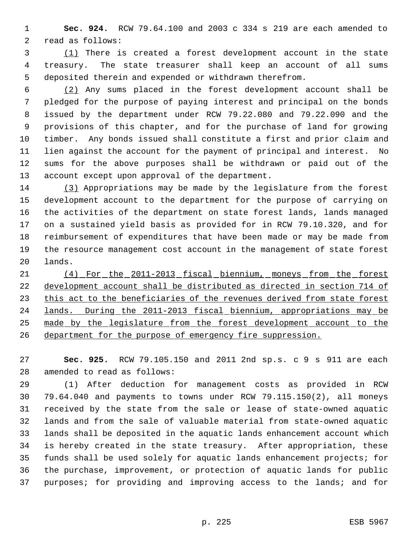**Sec. 924.** RCW 79.64.100 and 2003 c 334 s 219 are each amended to read as follows:

 (1) There is created a forest development account in the state treasury. The state treasurer shall keep an account of all sums deposited therein and expended or withdrawn therefrom.

 (2) Any sums placed in the forest development account shall be pledged for the purpose of paying interest and principal on the bonds issued by the department under RCW 79.22.080 and 79.22.090 and the provisions of this chapter, and for the purchase of land for growing timber. Any bonds issued shall constitute a first and prior claim and lien against the account for the payment of principal and interest. No sums for the above purposes shall be withdrawn or paid out of the account except upon approval of the department.

 (3) Appropriations may be made by the legislature from the forest development account to the department for the purpose of carrying on the activities of the department on state forest lands, lands managed on a sustained yield basis as provided for in RCW 79.10.320, and for reimbursement of expenditures that have been made or may be made from the resource management cost account in the management of state forest lands.

 (4) For the 2011-2013 fiscal biennium, moneys from the forest development account shall be distributed as directed in section 714 of 23 this act to the beneficiaries of the revenues derived from state forest lands. During the 2011-2013 fiscal biennium, appropriations may be made by the legislature from the forest development account to the 26 department for the purpose of emergency fire suppression.

 **Sec. 925.** RCW 79.105.150 and 2011 2nd sp.s. c 9 s 911 are each amended to read as follows:

 (1) After deduction for management costs as provided in RCW 79.64.040 and payments to towns under RCW 79.115.150(2), all moneys received by the state from the sale or lease of state-owned aquatic lands and from the sale of valuable material from state-owned aquatic lands shall be deposited in the aquatic lands enhancement account which is hereby created in the state treasury. After appropriation, these funds shall be used solely for aquatic lands enhancement projects; for the purchase, improvement, or protection of aquatic lands for public purposes; for providing and improving access to the lands; and for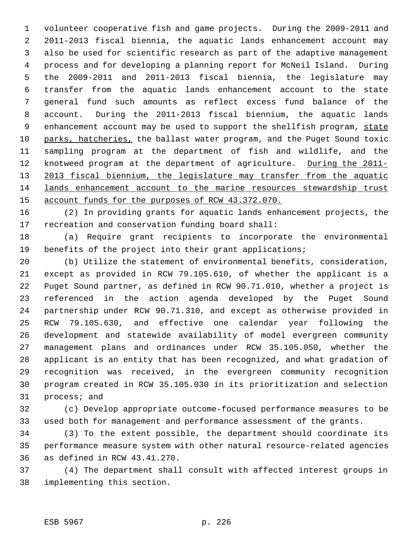volunteer cooperative fish and game projects. During the 2009-2011 and 2011-2013 fiscal biennia, the aquatic lands enhancement account may also be used for scientific research as part of the adaptive management process and for developing a planning report for McNeil Island. During the 2009-2011 and 2011-2013 fiscal biennia, the legislature may transfer from the aquatic lands enhancement account to the state general fund such amounts as reflect excess fund balance of the account. During the 2011-2013 fiscal biennium, the aquatic lands 9 enhancement account may be used to support the shellfish program, state 10 parks, hatcheries, the ballast water program, and the Puget Sound toxic sampling program at the department of fish and wildlife, and the 12 knotweed program at the department of agriculture. During the 2011-13 2013 fiscal biennium, the legislature may transfer from the aquatic lands enhancement account to the marine resources stewardship trust 15 account funds for the purposes of RCW 43.372.070.

 (2) In providing grants for aquatic lands enhancement projects, the recreation and conservation funding board shall:

 (a) Require grant recipients to incorporate the environmental benefits of the project into their grant applications;

 (b) Utilize the statement of environmental benefits, consideration, except as provided in RCW 79.105.610, of whether the applicant is a Puget Sound partner, as defined in RCW 90.71.010, whether a project is referenced in the action agenda developed by the Puget Sound partnership under RCW 90.71.310, and except as otherwise provided in RCW 79.105.630, and effective one calendar year following the development and statewide availability of model evergreen community management plans and ordinances under RCW 35.105.050, whether the applicant is an entity that has been recognized, and what gradation of recognition was received, in the evergreen community recognition program created in RCW 35.105.030 in its prioritization and selection process; and

 (c) Develop appropriate outcome-focused performance measures to be used both for management and performance assessment of the grants.

 (3) To the extent possible, the department should coordinate its performance measure system with other natural resource-related agencies as defined in RCW 43.41.270.

 (4) The department shall consult with affected interest groups in implementing this section.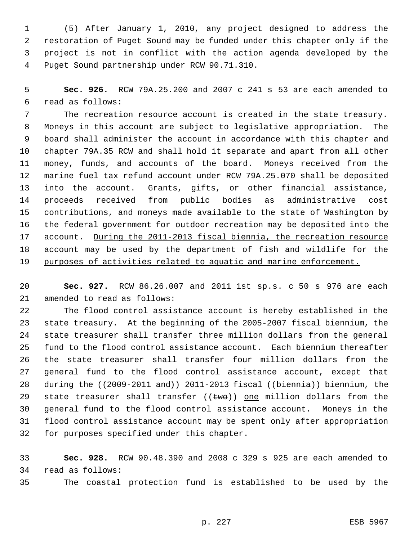(5) After January 1, 2010, any project designed to address the restoration of Puget Sound may be funded under this chapter only if the project is not in conflict with the action agenda developed by the Puget Sound partnership under RCW 90.71.310.

 **Sec. 926.** RCW 79A.25.200 and 2007 c 241 s 53 are each amended to read as follows:

 The recreation resource account is created in the state treasury. Moneys in this account are subject to legislative appropriation. The board shall administer the account in accordance with this chapter and chapter 79A.35 RCW and shall hold it separate and apart from all other money, funds, and accounts of the board. Moneys received from the marine fuel tax refund account under RCW 79A.25.070 shall be deposited into the account. Grants, gifts, or other financial assistance, proceeds received from public bodies as administrative cost contributions, and moneys made available to the state of Washington by the federal government for outdoor recreation may be deposited into the 17 account. During the 2011-2013 fiscal biennia, the recreation resource account may be used by the department of fish and wildlife for the 19 purposes of activities related to aquatic and marine enforcement.

 **Sec. 927.** RCW 86.26.007 and 2011 1st sp.s. c 50 s 976 are each amended to read as follows:

 The flood control assistance account is hereby established in the state treasury. At the beginning of the 2005-2007 fiscal biennium, the state treasurer shall transfer three million dollars from the general fund to the flood control assistance account. Each biennium thereafter the state treasurer shall transfer four million dollars from the general fund to the flood control assistance account, except that 28 during the ((2009-2011 and)) 2011-2013 fiscal ((biennia)) biennium, the 29 state treasurer shall transfer  $((two))$  one million dollars from the general fund to the flood control assistance account. Moneys in the flood control assistance account may be spent only after appropriation for purposes specified under this chapter.

 **Sec. 928.** RCW 90.48.390 and 2008 c 329 s 925 are each amended to read as follows:

The coastal protection fund is established to be used by the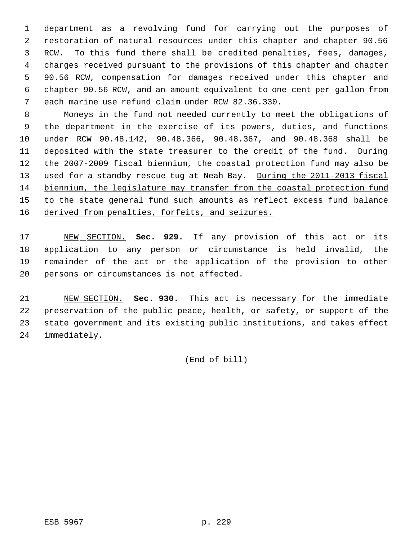department as a revolving fund for carrying out the purposes of restoration of natural resources under this chapter and chapter 90.56 RCW. To this fund there shall be credited penalties, fees, damages, charges received pursuant to the provisions of this chapter and chapter 90.56 RCW, compensation for damages received under this chapter and chapter 90.56 RCW, and an amount equivalent to one cent per gallon from each marine use refund claim under RCW 82.36.330.

 Moneys in the fund not needed currently to meet the obligations of the department in the exercise of its powers, duties, and functions under RCW 90.48.142, 90.48.366, 90.48.367, and 90.48.368 shall be deposited with the state treasurer to the credit of the fund. During the 2007-2009 fiscal biennium, the coastal protection fund may also be 13 used for a standby rescue tug at Neah Bay. During the 2011-2013 fiscal biennium, the legislature may transfer from the coastal protection fund 15 to the state general fund such amounts as reflect excess fund balance 16 derived from penalties, forfeits, and seizures.

 NEW SECTION. **Sec. 929.** If any provision of this act or its application to any person or circumstance is held invalid, the remainder of the act or the application of the provision to other persons or circumstances is not affected.

 NEW SECTION. **Sec. 930.** This act is necessary for the immediate preservation of the public peace, health, or safety, or support of the state government and its existing public institutions, and takes effect immediately.

(End of bill)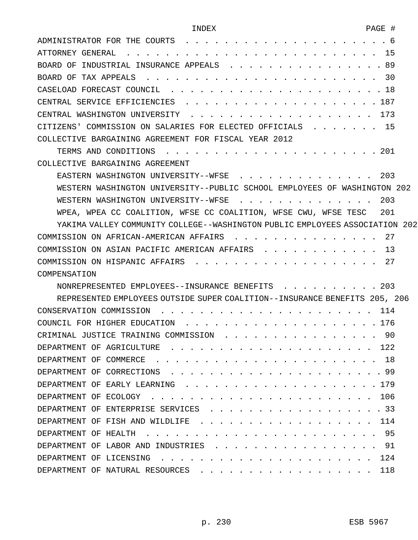| ADMINISTRATOR FOR THE COURTS<br>. 6                                          |
|------------------------------------------------------------------------------|
| ATTORNEY GENERAL .<br>15                                                     |
| . . 89<br>BOARD OF INDUSTRIAL INSURANCE APPEALS                              |
| 30<br>BOARD OF TAX APPEALS                                                   |
| . 18<br>CASELOAD FORECAST COUNCIL                                            |
| . 187<br>CENTRAL SERVICE EFFICIENCIES .                                      |
| . . 173<br>CENTRAL WASHINGTON UNIVERSITY                                     |
| . 15<br>CITIZENS' COMMISSION ON SALARIES FOR ELECTED OFFICIALS               |
| COLLECTIVE BARGAINING AGREEMENT FOR FISCAL YEAR 2012                         |
| 201                                                                          |
| COLLECTIVE BARGAINING AGREEMENT                                              |
| 203<br>EASTERN WASHINGTON UNIVERSITY--WFSE                                   |
| WESTERN WASHINGTON UNIVERSITY--PUBLIC SCHOOL EMPLOYEES OF WASHINGTON 202     |
| 203<br>WESTERN WASHINGTON UNIVERSITY--WFSE                                   |
| WPEA, WPEA CC COALITION, WFSE CC COALITION, WFSE CWU, WFSE TESC<br>201       |
| YAKIMA VALLEY COMMUNITY COLLEGE--WASHINGTON PUBLIC EMPLOYEES ASSOCIATION 202 |
| COMMISSION ON AFRICAN-AMERICAN AFFAIRS 27                                    |
| COMMISSION ON ASIAN PACIFIC AMERICAN AFFAIRS<br>13                           |
| 27<br>COMMISSION ON HISPANIC AFFAIRS                                         |
| COMPENSATION                                                                 |
| . 203<br>NONREPRESENTED EMPLOYEES--INSURANCE BENEFITS                        |
| REPRESENTED EMPLOYEES OUTSIDE SUPER COALITION--INSURANCE BENEFITS 205, 206   |
|                                                                              |
| COUNCIL FOR HIGHER EDUCATION<br>. . 176                                      |
| -90<br>CRIMINAL JUSTICE TRAINING COMMISSION                                  |
| DEPARTMENT OF AGRICULTURE<br>122                                             |
| DEPARTMENT OF COMMERCE<br>1 8                                                |
| . 99<br>DEPARTMENT OF CORRECTIONS                                            |
| DEPARTMENT OF EARLY LEARNING<br>. . 179                                      |
| 106<br>DEPARTMENT OF ECOLOGY                                                 |
| $\cdot$ 33<br>DEPARTMENT OF ENTERPRISE SERVICES                              |
| 114<br>DEPARTMENT OF FISH AND WILDLIFE                                       |
| 95<br>DEPARTMENT OF HEALTH                                                   |
| 91<br>DEPARTMENT OF LABOR AND INDUSTRIES                                     |
| 124<br>DEPARTMENT OF LICENSING                                               |
| 118<br>DEPARTMENT OF NATURAL RESOURCES                                       |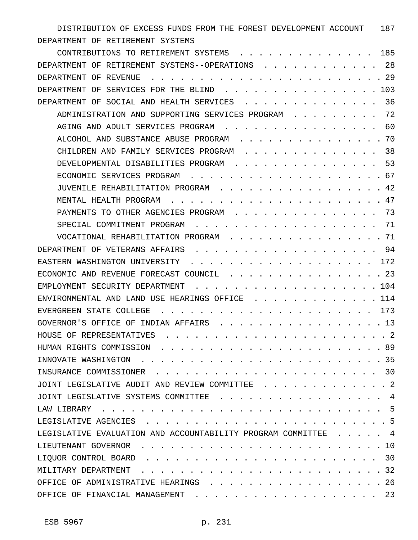DISTRIBUTION OF EXCESS FUNDS FROM THE FOREST DEVELOPMENT ACCOUNT 187 DEPARTMENT OF RETIREMENT SYSTEMS

| CONTRIBUTIONS TO RETIREMENT SYSTEMS                                                                                                                                                                                                                           | 185    |
|---------------------------------------------------------------------------------------------------------------------------------------------------------------------------------------------------------------------------------------------------------------|--------|
| DEPARTMENT OF RETIREMENT SYSTEMS--OPERATIONS                                                                                                                                                                                                                  | 28     |
| DEPARTMENT OF REVENUE                                                                                                                                                                                                                                         | 29     |
| SERVICES FOR THE BLIND<br>DEPARTMENT OF                                                                                                                                                                                                                       | 103    |
| SOCIAL AND HEALTH SERVICES<br>DEPARTMENT OF                                                                                                                                                                                                                   | 36     |
| ADMINISTRATION AND SUPPORTING SERVICES PROGRAM                                                                                                                                                                                                                | 72     |
| AGING AND ADULT SERVICES PROGRAM                                                                                                                                                                                                                              | 60     |
| ALCOHOL AND SUBSTANCE ABUSE PROGRAM                                                                                                                                                                                                                           | 70     |
| CHILDREN AND FAMILY SERVICES PROGRAM                                                                                                                                                                                                                          | 38     |
| DEVELOPMENTAL DISABILITIES PROGRAM                                                                                                                                                                                                                            | 53     |
| ECONOMIC SERVICES PROGRAM                                                                                                                                                                                                                                     | 67     |
| JUVENILE REHABILITATION PROGRAM                                                                                                                                                                                                                               | 42     |
| MENTAL HEALTH PROGRAM                                                                                                                                                                                                                                         | 47     |
| PAYMENTS TO OTHER AGENCIES PROGRAM                                                                                                                                                                                                                            | 73     |
| SPECIAL COMMITMENT PROGRAM                                                                                                                                                                                                                                    | 71     |
| VOCATIONAL REHABILITATION PROGRAM                                                                                                                                                                                                                             | 71     |
| DEPARTMENT OF VETERANS AFFAIRS                                                                                                                                                                                                                                | 94     |
| EASTERN WASHINGTON UNIVERSITY                                                                                                                                                                                                                                 | 172    |
| ECONOMIC AND REVENUE FORECAST COUNCIL                                                                                                                                                                                                                         | 23     |
| EMPLOYMENT SECURITY DEPARTMENT                                                                                                                                                                                                                                | 104    |
| ENVIRONMENTAL AND LAND USE HEARINGS OFFICE                                                                                                                                                                                                                    | 114    |
| EVERGREEN STATE COLLEGE                                                                                                                                                                                                                                       | 173    |
| INDIAN AFFAIRS<br>GOVERNOR'S OFFICE OF                                                                                                                                                                                                                        | 13     |
| HOUSE OF REPRESENTATIVES                                                                                                                                                                                                                                      | - 2    |
| HUMAN RIGHTS COMMISSION                                                                                                                                                                                                                                       | 89     |
| INNOVATE WASHINGTON.                                                                                                                                                                                                                                          | . 35   |
| INSURANCE COMMISSIONER                                                                                                                                                                                                                                        | 30     |
| JOINT LEGISLATIVE AUDIT AND REVIEW COMMITTEE                                                                                                                                                                                                                  | . 2    |
| JOINT LEGISLATIVE SYSTEMS COMMITTEE                                                                                                                                                                                                                           | 4      |
| LAW LIBRARY<br>$\cdots$<br>$\mathcal{A}$ . The set of the set of the set of the set of the set of the set of the set of the set of the set of the set of the set of the set of the set of the set of the set of the set of the set of the set of the set of t | $-5$   |
| LEGISLATIVE AGENCIES                                                                                                                                                                                                                                          | . 5    |
| LEGISLATIVE EVALUATION AND ACCOUNTABILITY PROGRAM COMMITTEE                                                                                                                                                                                                   | 4      |
| LIEUTENANT GOVERNOR                                                                                                                                                                                                                                           | 10     |
| LIQUOR CONTROL BOARD                                                                                                                                                                                                                                          | 30     |
| MILITARY DEPARTMENT                                                                                                                                                                                                                                           | . . 32 |
| OFFICE OF ADMINISTRATIVE HEARINGS                                                                                                                                                                                                                             | . . 26 |
| OFFICE OF FINANCIAL MANAGEMENT<br>$\cdot$ $\cdot$ 23                                                                                                                                                                                                          |        |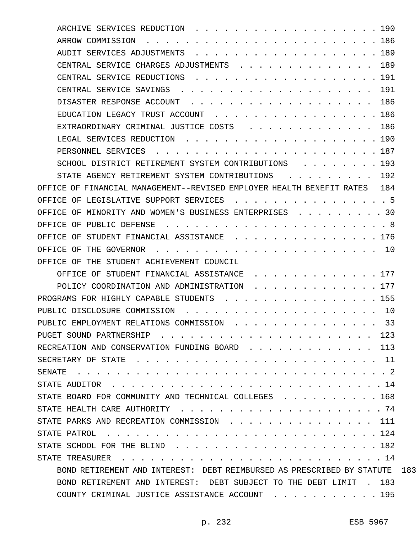| ARCHIVE SERVICES REDUCTION<br>$\cdots$ 190                                                                                                                                                                                                                                                      |     |
|-------------------------------------------------------------------------------------------------------------------------------------------------------------------------------------------------------------------------------------------------------------------------------------------------|-----|
| ARROW COMMISSION<br>. 186                                                                                                                                                                                                                                                                       |     |
| AUDIT SERVICES ADJUSTMENTS<br>$\cdots$ $189$                                                                                                                                                                                                                                                    |     |
| $\ldots$ 189<br>CENTRAL SERVICE CHARGES ADJUSTMENTS                                                                                                                                                                                                                                             |     |
| $\cdots$ 191<br>CENTRAL SERVICE REDUCTIONS                                                                                                                                                                                                                                                      |     |
| CENTRAL SERVICE SAVINGS.<br>191                                                                                                                                                                                                                                                                 |     |
| DISASTER RESPONSE ACCOUNT<br>$\ldots$ 186                                                                                                                                                                                                                                                       |     |
| $\cdots$ $186$<br>EDUCATION LEGACY TRUST ACCOUNT<br>$\cdots$                                                                                                                                                                                                                                    |     |
| EXTRAORDINARY CRIMINAL JUSTICE COSTS<br>. . 186                                                                                                                                                                                                                                                 |     |
| LEGAL SERVICES REDUCTION<br>$\cdots$ . 190                                                                                                                                                                                                                                                      |     |
| PERSONNEL SERVICES<br>. 187                                                                                                                                                                                                                                                                     |     |
| SCHOOL DISTRICT RETIREMENT SYSTEM CONTRIBUTIONS<br>. 193                                                                                                                                                                                                                                        |     |
| 192<br>STATE AGENCY RETIREMENT SYSTEM CONTRIBUTIONS                                                                                                                                                                                                                                             |     |
| OFFICE OF FINANCIAL MANAGEMENT--REVISED EMPLOYER HEALTH BENEFIT RATES 184                                                                                                                                                                                                                       |     |
| OFFICE OF LEGISLATIVE SUPPORT SERVICES<br>. . 5                                                                                                                                                                                                                                                 |     |
| OFFICE OF MINORITY AND WOMEN'S BUSINESS ENTERPRISES .<br>. 30                                                                                                                                                                                                                                   |     |
| OFFICE OF PUBLIC DEFENSE<br>. 8<br>$\mathbf{r}$ . The state of the state $\mathbf{r}$ is the state of the state $\mathbf{r}$                                                                                                                                                                    |     |
| OFFICE OF<br>STUDENT FINANCIAL ASSISTANCE<br>. 176                                                                                                                                                                                                                                              |     |
| OFFICE OF THE GOVERNOR<br>$\cdots$ $10$                                                                                                                                                                                                                                                         |     |
| OFFICE OF THE STUDENT ACHIEVEMENT COUNCIL                                                                                                                                                                                                                                                       |     |
| OFFICE OF STUDENT FINANCIAL ASSISTANCE<br>$\cdots$ $\cdots$ $\frac{177}{2}$                                                                                                                                                                                                                     |     |
| POLICY COORDINATION AND ADMINISTRATION<br>. 177                                                                                                                                                                                                                                                 |     |
| PROGRAMS FOR HIGHLY CAPABLE STUDENTS<br>$\cdots$ . 155                                                                                                                                                                                                                                          |     |
| PUBLIC DISCLOSURE COMMISSION<br>$\ldots$ 10                                                                                                                                                                                                                                                     |     |
| PUBLIC EMPLOYMENT RELATIONS COMMISSION<br>-33                                                                                                                                                                                                                                                   |     |
| PUGET SOUND PARTNERSHIP<br>123                                                                                                                                                                                                                                                                  |     |
| RECREATION AND CONSERVATION FUNDING BOARD<br>. 113                                                                                                                                                                                                                                              |     |
|                                                                                                                                                                                                                                                                                                 |     |
| SENATE<br>$\sim$ $\sim$ $\sim$ $\sim$ $\sim$ $\sim$ $\sim$<br>$\mathbf{r}$ , and a set of the set of the set of the set of the set of the set of the set of the set of the set of the set of the set of the set of the set of the set of the set of the set of the set of the set of the set of |     |
|                                                                                                                                                                                                                                                                                                 |     |
| STATE BOARD FOR COMMUNITY AND TECHNICAL COLLEGES 168                                                                                                                                                                                                                                            |     |
|                                                                                                                                                                                                                                                                                                 |     |
| STATE PARKS AND RECREATION COMMISSION<br>. 111                                                                                                                                                                                                                                                  |     |
|                                                                                                                                                                                                                                                                                                 |     |
| STATE SCHOOL FOR THE BLIND<br>. 182                                                                                                                                                                                                                                                             |     |
| STATE TREASURER<br>. 14                                                                                                                                                                                                                                                                         |     |
| BOND RETIREMENT AND INTEREST: DEBT REIMBURSED AS PRESCRIBED BY STATUTE                                                                                                                                                                                                                          | 183 |
| BOND RETIREMENT AND INTEREST: DEBT SUBJECT TO THE DEBT LIMIT . 183                                                                                                                                                                                                                              |     |
| COUNTY CRIMINAL JUSTICE ASSISTANCE ACCOUNT 195                                                                                                                                                                                                                                                  |     |